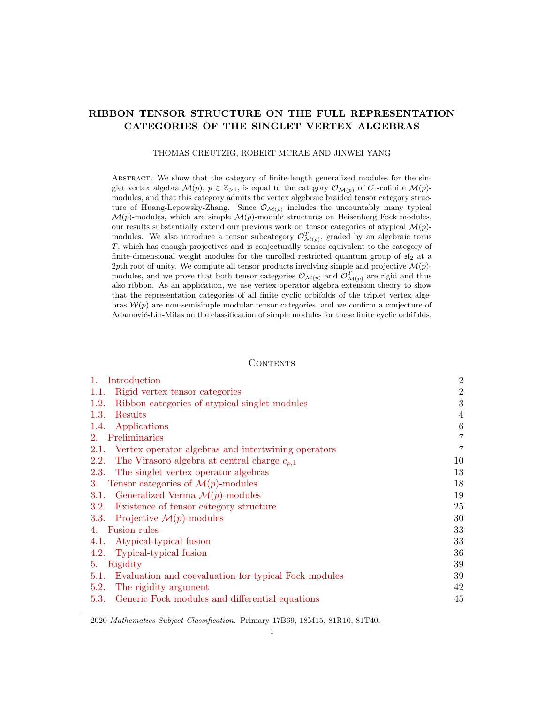## RIBBON TENSOR STRUCTURE ON THE FULL REPRESENTATION CATEGORIES OF THE SINGLET VERTEX ALGEBRAS

THOMAS CREUTZIG, ROBERT MCRAE AND JINWEI YANG

Abstract. We show that the category of finite-length generalized modules for the singlet vertex algebra  $\mathcal{M}(p), p \in \mathbb{Z}_{\geq 1}$ , is equal to the category  $\mathcal{O}_{\mathcal{M}(p)}$  of  $C_1$ -cofinite  $\mathcal{M}(p)$ modules, and that this category admits the vertex algebraic braided tensor category structure of Huang-Lepowsky-Zhang. Since  $\mathcal{O}_{\mathcal{M}(p)}$  includes the uncountably many typical  $\mathcal{M}(p)$ -modules, which are simple  $\mathcal{M}(p)$ -module structures on Heisenberg Fock modules, our results substantially extend our previous work on tensor categories of atypical  $\mathcal{M}(p)$ modules. We also introduce a tensor subcategory  $\mathcal{O}_{\mathcal{M}(p)}^T$ , graded by an algebraic torus T, which has enough projectives and is conjecturally tensor equivalent to the category of finite-dimensional weight modules for the unrolled restricted quantum group of  $sI_2$  at a 2pth root of unity. We compute all tensor products involving simple and projective  $\mathcal{M}(p)$ modules, and we prove that both tensor categories  $\mathcal{O}_{\mathcal{M}(p)}$  and  $\mathcal{O}_{\mathcal{M}(p)}^T$  are rigid and thus also ribbon. As an application, we use vertex operator algebra extension theory to show that the representation categories of all finite cyclic orbifolds of the triplet vertex algebras  $W(p)$  are non-semisimple modular tensor categories, and we confirm a conjecture of Adamović-Lin-Milas on the classification of simple modules for these finite cyclic orbifolds.

## **CONTENTS**

| Introduction<br>1.                                           | $\overline{2}$ |
|--------------------------------------------------------------|----------------|
| Rigid vertex tensor categories<br>1.1.                       | $\overline{2}$ |
| Ribbon categories of atypical singlet modules<br>1.2.        | 3              |
| Results<br>1.3.                                              | 4              |
| Applications<br>1.4.                                         | $\,6\,$        |
| 2. Preliminaries                                             | 7              |
| Vertex operator algebras and intertwining operators<br>2.1.  | $\overline{7}$ |
| The Virasoro algebra at central charge $c_{p,1}$<br>2.2.     | 10             |
| The singlet vertex operator algebras<br>2.3.                 | 13             |
| Tensor categories of $\mathcal{M}(p)$ -modules<br>3.         | 18             |
| 3.1. Generalized Verma $\mathcal{M}(p)$ -modules             | 19             |
| Existence of tensor category structure<br>3.2.               | 25             |
| Projective $\mathcal{M}(p)$ -modules<br>3.3.                 | 30             |
| <b>Fusion rules</b><br>4.                                    | 33             |
| Atypical-typical fusion<br>4.1.                              | 33             |
| 4.2. Typical-typical fusion                                  | 36             |
| Rigidity<br>5.                                               | 39             |
| 5.1.<br>Evaluation and coevaluation for typical Fock modules | 39             |
| The rigidity argument<br>5.2.                                | 42             |
| 5.3. Generic Fock modules and differential equations         | 45             |
|                                                              |                |

<sup>2020</sup> Mathematics Subject Classification. Primary 17B69, 18M15, 81R10, 81T40.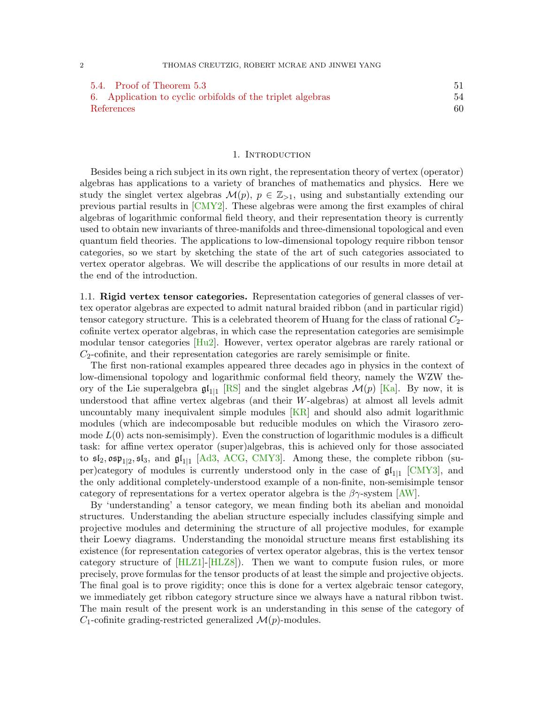| 5.4. Proof of Theorem 5.3                                  |    |
|------------------------------------------------------------|----|
| 6. Application to cyclic orbifolds of the triplet algebras |    |
| References                                                 | 60 |

#### 1. INTRODUCTION

<span id="page-1-0"></span>Besides being a rich subject in its own right, the representation theory of vertex (operator) algebras has applications to a variety of branches of mathematics and physics. Here we study the singlet vertex algebras  $\mathcal{M}(p), p \in \mathbb{Z}_{\geq 1}$ , using and substantially extending our previous partial results in [\[CMY2\]](#page-60-0). These algebras were among the first examples of chiral algebras of logarithmic conformal field theory, and their representation theory is currently used to obtain new invariants of three-manifolds and three-dimensional topological and even quantum field theories. The applications to low-dimensional topology require ribbon tensor categories, so we start by sketching the state of the art of such categories associated to vertex operator algebras. We will describe the applications of our results in more detail at the end of the introduction.

<span id="page-1-1"></span>1.1. Rigid vertex tensor categories. Representation categories of general classes of vertex operator algebras are expected to admit natural braided ribbon (and in particular rigid) tensor category structure. This is a celebrated theorem of Huang for the class of rational  $C_2$ cofinite vertex operator algebras, in which case the representation categories are semisimple modular tensor categories [\[Hu2\]](#page-61-0). However, vertex operator algebras are rarely rational or  $C<sub>2</sub>$ -cofinite, and their representation categories are rarely semisimple or finite.

The first non-rational examples appeared three decades ago in physics in the context of low-dimensional topology and logarithmic conformal field theory, namely the WZW theory of the Lie superalgebra  $\mathfrak{gl}_{1|1}$  [\[RS\]](#page-62-0) and the singlet algebras  $\mathcal{M}(p)$  [\[Ka\]](#page-62-1). By now, it is understood that affine vertex algebras (and their W-algebras) at almost all levels admit uncountably many inequivalent simple modules [\[KR\]](#page-62-2) and should also admit logarithmic modules (which are indecomposable but reducible modules on which the Virasoro zeromode  $L(0)$  acts non-semisimply). Even the construction of logarithmic modules is a difficult task: for affine vertex operator (super)algebras, this is achieved only for those associated to  $\mathfrak{sl}_2$ ,  $\mathfrak{osp}_{1|2}$ ,  $\mathfrak{sl}_3$ , and  $\mathfrak{gl}_{1|1}$  [\[Ad3,](#page-59-1) [ACG,](#page-59-2) [CMY3\]](#page-61-1). Among these, the complete ribbon (super)category of modules is currently understood only in the case of  $\mathfrak{gl}_{1|1}$  [\[CMY3\]](#page-61-1), and the only additional completely-understood example of a non-finite, non-semisimple tensor category of representations for a vertex operator algebra is the  $\beta\gamma$ -system [\[AW\]](#page-60-1).

By 'understanding' a tensor category, we mean finding both its abelian and monoidal structures. Understanding the abelian structure especially includes classifying simple and projective modules and determining the structure of all projective modules, for example their Loewy diagrams. Understanding the monoidal structure means first establishing its existence (for representation categories of vertex operator algebras, this is the vertex tensor category structure of  $[HLZ1]$ - $[HLZ8]$ . Then we want to compute fusion rules, or more precisely, prove formulas for the tensor products of at least the simple and projective objects. The final goal is to prove rigidity; once this is done for a vertex algebraic tensor category, we immediately get ribbon category structure since we always have a natural ribbon twist. The main result of the present work is an understanding in this sense of the category of  $C_1$ -cofinite grading-restricted generalized  $\mathcal{M}(p)$ -modules.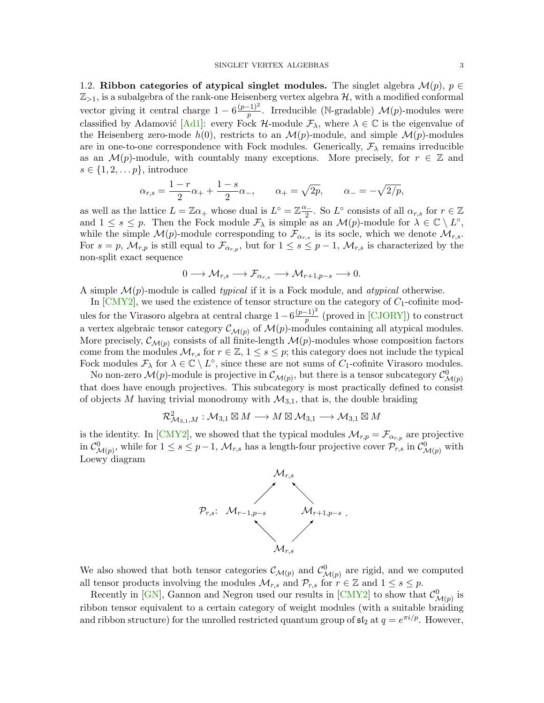<span id="page-2-0"></span>1.2. Ribbon categories of atypical singlet modules. The singlet algebra  $\mathcal{M}(p)$ ,  $p \in$  $\mathbb{Z}_{>1}$ , is a subalgebra of the rank-one Heisenberg vertex algebra  $\mathcal{H}$ , with a modified conformal vector giving it central charge  $1 - 6 \frac{(p-1)^2}{p}$  $\frac{(n-1)^2}{p}$ . Irreducible (N-gradable)  $\mathcal{M}(p)$ -modules were classified by Adamović [\[Ad1\]](#page-59-3): every Fock H-module  $\mathcal{F}_{\lambda}$ , where  $\lambda \in \mathbb{C}$  is the eigenvalue of the Heisenberg zero-mode  $h(0)$ , restricts to an  $\mathcal{M}(p)$ -module, and simple  $\mathcal{M}(p)$ -modules are in one-to-one correspondence with Fock modules. Generically,  $\mathcal{F}_{\lambda}$  remains irreducible as an  $\mathcal{M}(p)$ -module, with countably many exceptions. More precisely, for  $r \in \mathbb{Z}$  and  $s \in \{1, 2, \ldots p\}$ , introduce

$$
\alpha_{r,s} = \frac{1-r}{2}\alpha_+ + \frac{1-s}{2}\alpha_-, \qquad \alpha_+ = \sqrt{2p}, \qquad \alpha_- = -\sqrt{2/p},
$$

as well as the lattice  $L = \mathbb{Z}\alpha_+$  whose dual is  $L^{\circ} = \mathbb{Z}\frac{\alpha_-}{2}$  $\frac{\kappa}{2}$ . So  $L^{\circ}$  consists of all  $\alpha_{r,s}$  for  $r \in \mathbb{Z}$ and  $1 \leq s \leq p$ . Then the Fock module  $\mathcal{F}_{\lambda}$  is simple as an  $\mathcal{M}(p)$ -module for  $\lambda \in \mathbb{C} \setminus L^{\circ}$ , while the simple  $\mathcal{M}(p)$ -module corresponding to  $\mathcal{F}_{\alpha_{r,s}}$  is its socle, which we denote  $\mathcal{M}_{r,s}$ . For  $s = p$ ,  $\mathcal{M}_{r,p}$  is still equal to  $\mathcal{F}_{\alpha_{r,p}}$ , but for  $1 \leq s \leq p-1$ ,  $\mathcal{M}_{r,s}$  is characterized by the non-split exact sequence

$$
0 \longrightarrow \mathcal{M}_{r,s} \longrightarrow \mathcal{F}_{\alpha_{r,s}} \longrightarrow \mathcal{M}_{r+1,p-s} \longrightarrow 0.
$$

A simple  $\mathcal{M}(p)$ -module is called *typical* if it is a Fock module, and *atypical* otherwise.

In  $\lbrack \text{CMY2}\rbrack$ , we used the existence of tensor structure on the category of  $C_1$ -cofinite modules for the Virasoro algebra at central charge  $1-6\frac{(p-1)^2}{n}$  $\frac{(-1)^n}{p}$  (proved in [\[CJORY\]](#page-60-2)) to construct a vertex algebraic tensor category  $\mathcal{C}_{\mathcal{M}(p)}$  of  $\mathcal{M}(p)$ -modules containing all atypical modules. More precisely,  $\mathcal{C}_{\mathcal{M}(p)}$  consists of all finite-length  $\mathcal{M}(p)$ -modules whose composition factors come from the modules  $\mathcal{M}_{r,s}$  for  $r \in \mathbb{Z}$ ,  $1 \leq s \leq p$ ; this category does not include the typical Fock modules  $\mathcal{F}_{\lambda}$  for  $\lambda \in \mathbb{C} \setminus L^{\circ}$ , since these are not sums of  $C_1$ -cofinite Virasoro modules.

No non-zero  $\mathcal{M}(p)$ -module is projective in  $\mathcal{C}_{\mathcal{M}(p)}$ , but there is a tensor subcategory  $\mathcal{C}^0_{\mathcal{M}(p)}$ that does have enough projectives. This subcategory is most practically defined to consist of objects M having trivial monodromy with  $\mathcal{M}_{3,1}$ , that is, the double braiding

$$
\mathcal{R}_{\mathcal{M}_{3,1},M}^2:\mathcal{M}_{3,1}\boxtimes M\longrightarrow M\boxtimes \mathcal{M}_{3,1}\longrightarrow \mathcal{M}_{3,1}\boxtimes M
$$

is the identity. In [\[CMY2\]](#page-60-0), we showed that the typical modules  $\mathcal{M}_{r,p} = \mathcal{F}_{\alpha_{r,p}}$  are projective in  $\mathcal{C}^0_{\mathcal{M}(p)}$ , while for  $1 \leq s \leq p-1$ ,  $\mathcal{M}_{r,s}$  has a length-four projective cover  $\mathcal{P}_{r,s}$  in  $\mathcal{C}^0_{\mathcal{M}(p)}$  with Loewy diagram



We also showed that both tensor categories  $\mathcal{C}_{\mathcal{M}(p)}$  and  $\mathcal{C}_{\mathcal{M}(p)}^0$  are rigid, and we computed all tensor products involving the modules  $\mathcal{M}_{r,s}$  and  $\mathcal{P}_{r,s}$  for  $r \in \mathbb{Z}$  and  $1 \leq s \leq p$ .

Recently in [\[GN\]](#page-61-3), Gannon and Negron used our results in [\[CMY2\]](#page-60-0) to show that  $\mathcal{C}^0_{\mathcal{M}(p)}$  is ribbon tensor equivalent to a certain category of weight modules (with a suitable braiding and ribbon structure) for the unrolled restricted quantum group of  $\mathfrak{sl}_2$  at  $q = e^{\pi i/p}$ . However,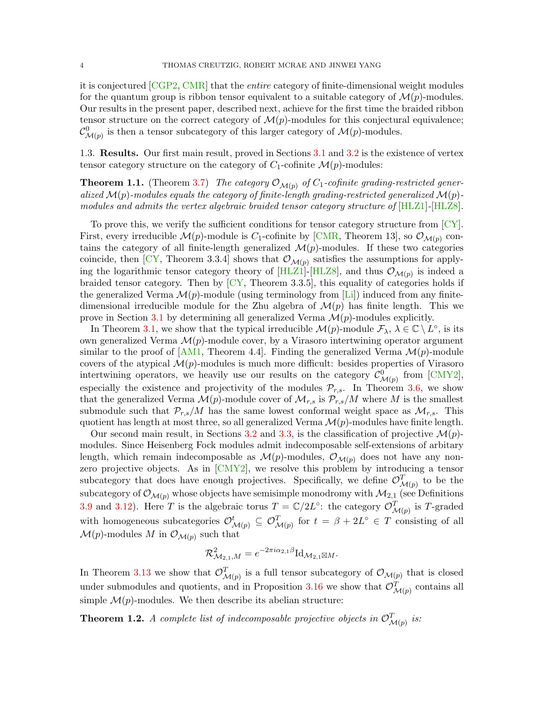it is conjectured [\[CGP2,](#page-60-3) [CMR\]](#page-61-4) that the entire category of finite-dimensional weight modules for the quantum group is ribbon tensor equivalent to a suitable category of  $\mathcal{M}(p)$ -modules. Our results in the present paper, described next, achieve for the first time the braided ribbon tensor structure on the correct category of  $\mathcal{M}(p)$ -modules for this conjectural equivalence;  $\mathcal{C}^0_{\mathcal{M}(p)}$  is then a tensor subcategory of this larger category of  $\mathcal{M}(p)$ -modules.

<span id="page-3-0"></span>1.3. Results. Our first main result, proved in Sections [3.1](#page-18-0) and [3.2](#page-24-0) is the existence of vertex tensor category structure on the category of  $C_1$ -cofinite  $\mathcal{M}(p)$ -modules:

**Theorem 1.1.** (Theorem [3.7\)](#page-24-1) The category  $\mathcal{O}_{\mathcal{M}(p)}$  of  $C_1$ -cofinite grading-restricted generalized  $\mathcal{M}(p)$ -modules equals the category of finite-length grading-restricted generalized  $\mathcal{M}(p)$ modules and admits the vertex algebraic braided tensor category structure of  $[HLZ1]$ - $[HLZ8]$ .

To prove this, we verify the sufficient conditions for tensor category structure from [\[CY\]](#page-61-5). First, every irreducible  $\mathcal{M}(p)$ -module is C<sub>1</sub>-cofinite by [\[CMR,](#page-61-4) Theorem 13], so  $\mathcal{O}_{\mathcal{M}(p)}$  contains the category of all finite-length generalized  $\mathcal{M}(p)$ -modules. If these two categories coincide, then [\[CY,](#page-61-5) Theorem 3.3.4] shows that  $\mathcal{O}_{\mathcal{M}(p)}$  satisfies the assumptions for apply-ing the logarithmic tensor category theory of [\[HLZ1\]](#page-61-2)-[\[HLZ8\]](#page-62-3), and thus  $\mathcal{O}_{\mathcal{M}(p)}$  is indeed a braided tensor category. Then by  $\left[\text{CY},\text{Theorem 3.3.5}\right]$ , this equality of categories holds if the generalized Verma  $\mathcal{M}(p)$ -module (using terminology from [\[Li\]](#page-62-4)) induced from any finitedimensional irreducible module for the Zhu algebra of  $\mathcal{M}(p)$  has finite length. This we prove in Section [3.1](#page-18-0) by determining all generalized Verma  $\mathcal{M}(p)$ -modules explicitly.

In Theorem [3.1,](#page-18-1) we show that the typical irreducible  $\mathcal{M}(p)$ -module  $\mathcal{F}_{\lambda}, \lambda \in \mathbb{C} \setminus L^{\circ}$ , is its own generalized Verma  $\mathcal{M}(p)$ -module cover, by a Virasoro intertwining operator argument similar to the proof of  $[AM1, Theorem 4.4]$  $[AM1, Theorem 4.4]$ . Finding the generalized Verma  $\mathcal{M}(p)$ -module covers of the atypical  $\mathcal{M}(p)$ -modules is much more difficult: besides properties of Virasoro intertwining operators, we heavily use our results on the category  $\mathcal{C}^0_{\mathcal{M}(p)}$  from [\[CMY2\]](#page-60-0), especially the existence and projectivity of the modules  $\mathcal{P}_{r,s}$ . In Theorem [3.6,](#page-23-0) we show that the generalized Verma  $\mathcal{M}(p)$ -module cover of  $\mathcal{M}_{r,s}$  is  $\mathcal{P}_{r,s}/M$  where M is the smallest submodule such that  $\mathcal{P}_{r,s}/M$  has the same lowest conformal weight space as  $\mathcal{M}_{r,s}$ . This quotient has length at most three, so all generalized Verma  $\mathcal{M}(p)$ -modules have finite length.

Our second main result, in Sections [3.2](#page-24-0) and [3.3,](#page-29-0) is the classification of projective  $\mathcal{M}(p)$ modules. Since Heisenberg Fock modules admit indecomposable self-extensions of arbitary length, which remain indecomposable as  $\mathcal{M}(p)$ -modules,  $\mathcal{O}_{\mathcal{M}(p)}$  does not have any nonzero projective objects. As in  $\lfloor \text{CMY2} \rfloor$ , we resolve this problem by introducing a tensor subcategory that does have enough projectives. Specifically, we define  $\mathcal{O}_{\mathcal{M}(p)}^T$  to be the subcategory of  $\mathcal{O}_{\mathcal{M}(p)}$  whose objects have semisimple monodromy with  $\mathcal{M}_{2,1}$  (see Definitions [3.9](#page-25-0) and [3.12\)](#page-26-0). Here T is the algebraic torus  $T = \mathbb{C}/2L^{\circ}$ : the category  $\mathcal{O}_{\mathcal{M}(p)}^{T}$  is T-graded with homogeneous subcategories  $\mathcal{O}_{\mathcal{M}(p)}^t \subseteq \mathcal{O}_{\mathcal{M}(p)}^T$  for  $t = \beta + 2L^{\circ} \in T$  consisting of all  $\mathcal{M}(p)$ -modules M in  $\mathcal{O}_{\mathcal{M}(p)}$  such that

$$
\mathcal{R}_{\mathcal{M}_{2,1},M}^2 = e^{-2\pi i \alpha_{2,1}\beta} \mathrm{Id}_{\mathcal{M}_{2,1} \boxtimes M}.
$$

In Theorem [3.13](#page-26-1) we show that  $\mathcal{O}_{\mathcal{M}(p)}^T$  is a full tensor subcategory of  $\mathcal{O}_{\mathcal{M}(p)}$  that is closed under submodules and quotients, and in Proposition [3.16](#page-28-0) we show that  $\mathcal{O}_{\mathcal{M}(p)}^T$  contains all simple  $\mathcal{M}(p)$ -modules. We then describe its abelian structure:

<span id="page-3-1"></span>**Theorem 1.2.** A complete list of indecomposable projective objects in  $\mathcal{O}_{\mathcal{M}(p)}^T$  is: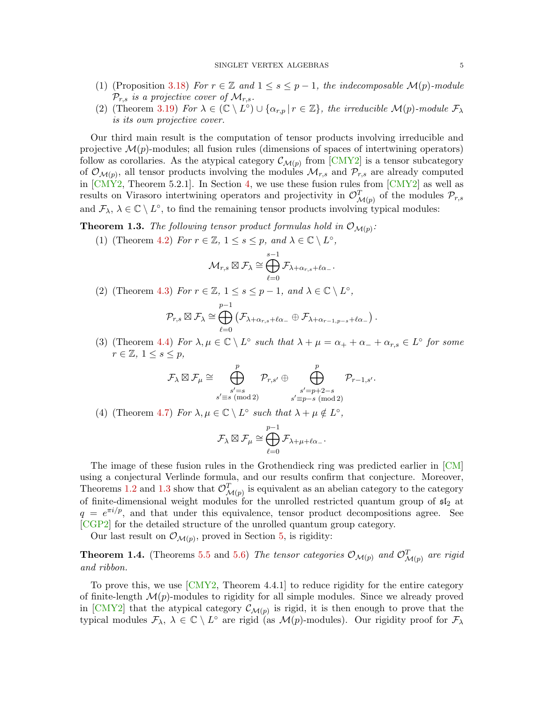- (1) (Proposition [3.18\)](#page-29-1) For  $r \in \mathbb{Z}$  and  $1 \leq s \leq p-1$ , the indecomposable  $\mathcal{M}(p)$ -module  $\mathcal{P}_{r,s}$  is a projective cover of  $\mathcal{M}_{r,s}$ .
- (2) (Theorem [3.19\)](#page-30-0) For  $\lambda \in (\mathbb{C} \setminus L^{\circ}) \cup \{\alpha_{r,p} | r \in \mathbb{Z}\}\$ , the irreducible  $\mathcal{M}(p)$ -module  $\mathcal{F}_{\lambda}$ is its own projective cover.

Our third main result is the computation of tensor products involving irreducible and projective  $\mathcal{M}(p)$ -modules; all fusion rules (dimensions of spaces of intertwining operators) follow as corollaries. As the atypical category  $\mathcal{C}_{\mathcal{M}(p)}$  from [\[CMY2\]](#page-60-0) is a tensor subcategory of  $\mathcal{O}_{\mathcal{M}(p)}$ , all tensor products involving the modules  $\mathcal{M}_{r,s}$  and  $\mathcal{P}_{r,s}$  are already computed in  $\text{CMY2}$ , Theorem 5.2.1. In Section [4,](#page-32-0) we use these fusion rules from  $\text{CMY2}$  as well as results on Virasoro intertwining operators and projectivity in  $\mathcal{O}_{\mathcal{M}(p)}^T$  of the modules  $\mathcal{P}_{r,s}$ and  $\mathcal{F}_{\lambda}$ ,  $\lambda \in \mathbb{C} \setminus L^{\circ}$ , to find the remaining tensor products involving typical modules:

<span id="page-4-0"></span>**Theorem 1.3.** The following tensor product formulas hold in  $\mathcal{O}_{\mathcal{M}(p)}$ :

(1) (Theorem [4.2\)](#page-33-0) For  $r \in \mathbb{Z}$ ,  $1 \leq s \leq p$ , and  $\lambda \in \mathbb{C} \setminus L^{\circ}$ ,

$$
\mathcal{M}_{r,s}\boxtimes\mathcal{F}_\lambda\cong\bigoplus_{\ell=0}^{s-1}\mathcal{F}_{\lambda+\alpha_{r,s}+\ell\alpha_-}.
$$

(2) (Theorem [4.3\)](#page-34-0) For  $r \in \mathbb{Z}$ ,  $1 \leq s \leq p-1$ , and  $\lambda \in \mathbb{C} \setminus L^{\circ}$ ,

$$
\mathcal{P}_{r,s}\boxtimes\mathcal{F}_{\lambda}\cong\bigoplus_{\ell=0}^{p-1}\left(\mathcal{F}_{\lambda+\alpha_{r,s}+\ell\alpha_{-}}\oplus\mathcal{F}_{\lambda+\alpha_{r-1,p-s}+\ell\alpha_{-}}\right).
$$

(3) (Theorem [4.4\)](#page-35-1) For  $\lambda, \mu \in \mathbb{C} \setminus L^{\circ}$  such that  $\lambda + \mu = \alpha_{+} + \alpha_{-} + \alpha_{r,s} \in L^{\circ}$  for some  $r \in \mathbb{Z}, 1 \leq s \leq p$ ,

$$
\mathcal{F}_{\lambda} \boxtimes \mathcal{F}_{\mu} \cong \bigoplus_{\substack{s'=s \\ s' \equiv s \pmod{2}}}^p \mathcal{P}_{r,s'} \oplus \bigoplus_{\substack{s'=p+2-s \\ s' \equiv p-s \pmod{2}}}^p \mathcal{P}_{r-1,s'}.
$$

(4) (Theorem [4.7\)](#page-37-0) For  $\lambda, \mu \in \mathbb{C} \setminus L^{\circ}$  such that  $\lambda + \mu \notin L^{\circ}$ ,

$$
\mathcal{F}_{\lambda} \boxtimes \mathcal{F}_{\mu} \cong \bigoplus_{\ell=0}^{p-1} \mathcal{F}_{\lambda+\mu+\ell \alpha_-}.
$$

The image of these fusion rules in the Grothendieck ring was predicted earlier in [\[CM\]](#page-61-6) using a conjectural Verlinde formula, and our results confirm that conjecture. Moreover, Theorems [1.2](#page-3-1) and [1.3](#page-4-0) show that  $\mathcal{O}_{\mathcal{M}(p)}^T$  is equivalent as an abelian category to the category of finite-dimensional weight modules for the unrolled restricted quantum group of  $sI_2$  at  $q = e^{\pi i/p}$ , and that under this equivalence, tensor product decompositions agree. See [\[CGP2\]](#page-60-3) for the detailed structure of the unrolled quantum group category.

Our last result on  $\mathcal{O}_{\mathcal{M}(p)}$ , proved in Section [5,](#page-38-0) is rigidity:

**Theorem 1.4.** (Theorems [5.5](#page-44-1) and [5.6\)](#page-44-2) The tensor categories  $\mathcal{O}_{\mathcal{M}(p)}$  and  $\mathcal{O}_{\mathcal{M}(p)}^T$  are rigid and ribbon.

To prove this, we use  $\lfloor \text{CMY2}, \text{ Theorem 4.4.1} \rfloor$  to reduce rigidity for the entire category of finite-length  $\mathcal{M}(p)$ -modules to rigidity for all simple modules. Since we already proved in [\[CMY2\]](#page-60-0) that the atypical category  $\mathcal{C}_{\mathcal{M}(p)}$  is rigid, it is then enough to prove that the typical modules  $\mathcal{F}_{\lambda}, \lambda \in \mathbb{C} \setminus L^{\circ}$  are rigid (as  $\mathcal{M}(p)$ -modules). Our rigidity proof for  $\mathcal{F}_{\lambda}$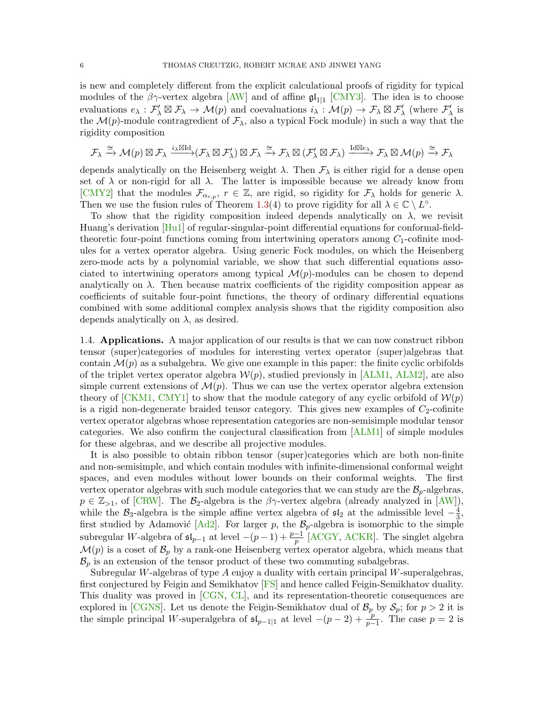is new and completely different from the explicit calculational proofs of rigidity for typical modules of the  $\beta\gamma$ -vertex algebra [\[AW\]](#page-60-1) and of affine  $\mathfrak{gl}_{1|1}$  [\[CMY3\]](#page-61-1). The idea is to choose evaluations  $e_{\lambda} : \mathcal{F}'_{\lambda} \boxtimes \mathcal{F}_{\lambda} \to \mathcal{M}(p)$  and coevaluations  $i_{\lambda} : \mathcal{M}(p) \to \mathcal{F}_{\lambda} \boxtimes \mathcal{F}'_{\lambda}$  (where  $\mathcal{F}'_{\lambda}$  is the  $\mathcal{M}(p)$ -module contragredient of  $\mathcal{F}_{\lambda}$ , also a typical Fock module) in such a way that the rigidity composition

$$
\mathcal{F}_{\lambda} \xrightarrow{\cong} \mathcal{M}(p) \boxtimes \mathcal{F}_{\lambda} \xrightarrow{i_{\lambda} \boxtimes \mathrm{Id}} (\mathcal{F}_{\lambda} \boxtimes \mathcal{F}'_{\lambda}) \boxtimes \mathcal{F}_{\lambda} \xrightarrow{\cong} \mathcal{F}_{\lambda} \boxtimes (\mathcal{F}'_{\lambda} \boxtimes \mathcal{F}_{\lambda}) \xrightarrow{\mathrm{Id} \boxtimes e_{\lambda}} \mathcal{F}_{\lambda} \boxtimes \mathcal{M}(p) \xrightarrow{\cong} \mathcal{F}_{\lambda}
$$

depends analytically on the Heisenberg weight  $\lambda$ . Then  $\mathcal{F}_{\lambda}$  is either rigid for a dense open set of  $\lambda$  or non-rigid for all  $\lambda$ . The latter is impossible because we already know from [\[CMY2\]](#page-60-0) that the modules  $\mathcal{F}_{\alpha_{r,p}}$ ,  $r \in \mathbb{Z}$ , are rigid, so rigidity for  $\mathcal{F}_{\lambda}$  holds for generic  $\lambda$ . Then we use the fusion rules of Theorem [1.3\(](#page-4-0)4) to prove rigidity for all  $\lambda \in \mathbb{C} \setminus L^{\circ}$ .

To show that the rigidity composition indeed depends analytically on  $\lambda$ , we revisit Huang's derivation [\[Hu1\]](#page-61-7) of regular-singular-point differential equations for conformal-fieldtheoretic four-point functions coming from intertwining operators among  $C_1$ -cofinite modules for a vertex operator algebra. Using generic Fock modules, on which the Heisenberg zero-mode acts by a polynomial variable, we show that such differential equations associated to intertwining operators among typical  $\mathcal{M}(p)$ -modules can be chosen to depend analytically on  $\lambda$ . Then because matrix coefficients of the rigidity composition appear as coefficients of suitable four-point functions, the theory of ordinary differential equations combined with some additional complex analysis shows that the rigidity composition also depends analytically on  $\lambda$ , as desired.

<span id="page-5-0"></span>1.4. Applications. A major application of our results is that we can now construct ribbon tensor (super)categories of modules for interesting vertex operator (super)algebras that contain  $\mathcal{M}(p)$  as a subalgebra. We give one example in this paper: the finite cyclic orbifolds of the triplet vertex operator algebra  $\mathcal{W}(p)$ , studied previously in [\[ALM1,](#page-60-5) [ALM2\]](#page-60-6), are also simple current extensions of  $\mathcal{M}(p)$ . Thus we can use the vertex operator algebra extension theory of [\[CKM1,](#page-60-7) [CMY1\]](#page-60-8) to show that the module category of any cyclic orbifold of  $\mathcal{W}(p)$ is a rigid non-degenerate braided tensor category. This gives new examples of  $C_2$ -cofinite vertex operator algebras whose representation categories are non-semisimple modular tensor categories. We also confirm the conjectural classification from [\[ALM1\]](#page-60-5) of simple modules for these algebras, and we describe all projective modules.

It is also possible to obtain ribbon tensor (super)categories which are both non-finite and non-semisimple, and which contain modules with infinite-dimensional conformal weight spaces, and even modules without lower bounds on their conformal weights. The first vertex operator algebras with such module categories that we can study are the  $\mathcal{B}_p$ -algebras,  $p \in \mathbb{Z}_{>1}$ , of [\[CRW\]](#page-61-8). The  $\mathcal{B}_2$ -algebra is the  $\beta\gamma$ -vertex algebra (already analyzed in [\[AW\]](#page-60-1)), while the  $\mathcal{B}_3$ -algebra is the simple affine vertex algebra of  $\mathfrak{sl}_2$  at the admissible level  $-\frac{4}{3}$  $\frac{4}{3}$ , first studied by Adamović [\[Ad2\]](#page-59-4). For larger p, the  $\mathcal{B}_p$ -algebra is isomorphic to the simple subregular W-algebra of  $\mathfrak{sl}_{p-1}$  at level  $-(p-1)+\frac{p-1}{p}$  [\[ACGY,](#page-59-5) [ACKR\]](#page-60-9). The singlet algebra  $\mathcal{M}(p)$  is a coset of  $\mathcal{B}_p$  by a rank-one Heisenberg vertex operator algebra, which means that  $\mathcal{B}_p$  is an extension of the tensor product of these two commuting subalgebras.

Subregular W-algebras of type  $A$  enjoy a duality with certain principal W-superalgebras, first conjectured by Feigin and Semikhatov [\[FS\]](#page-61-9) and hence called Feigin-Semikhatov duality. This duality was proved in [\[CGN,](#page-60-10) [CL\]](#page-60-11), and its representation-theoretic consequences are explored in [\[CGNS\]](#page-60-12). Let us denote the Feigin-Semikhatov dual of  $\mathcal{B}_p$  by  $\mathcal{S}_p$ ; for  $p > 2$  it is the simple principal W-superalgebra of  $\mathfrak{sl}_{p-1|1}$  at level  $-(p-2)+\frac{p}{p-1}$ . The case  $p=2$  is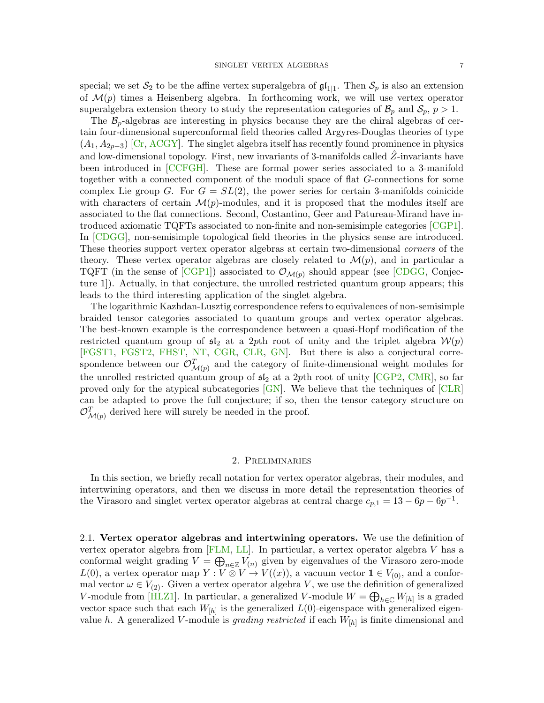special; we set  $S_2$  to be the affine vertex superalgebra of  $\mathfrak{gl}_{1|1}$ . Then  $S_p$  is also an extension of  $\mathcal{M}(p)$  times a Heisenberg algebra. In forthcoming work, we will use vertex operator superalgebra extension theory to study the representation categories of  $\mathcal{B}_p$  and  $\mathcal{S}_p$ ,  $p > 1$ .

The  $\mathcal{B}_p$ -algebras are interesting in physics because they are the chiral algebras of certain four-dimensional superconformal field theories called Argyres-Douglas theories of type  $(A_1, A_{2p-3})$  [\[Cr,](#page-60-13) [ACGY\]](#page-59-5). The singlet algebra itself has recently found prominence in physics and low-dimensional topology. First, new invariants of 3-manifolds called  $\hat{Z}$ -invariants have been introduced in [\[CCFGH\]](#page-60-14). These are formal power series associated to a 3-manifold together with a connected component of the moduli space of flat G-connections for some complex Lie group G. For  $G = SL(2)$ , the power series for certain 3-manifolds coinicide with characters of certain  $\mathcal{M}(p)$ -modules, and it is proposed that the modules itself are associated to the flat connections. Second, Costantino, Geer and Patureau-Mirand have introduced axiomatic TQFTs associated to non-finite and non-semisimple categories [\[CGP1\]](#page-60-15). In [\[CDGG\]](#page-60-16), non-semisimple topological field theories in the physics sense are introduced. These theories support vertex operator algebras at certain two-dimensional corners of the theory. These vertex operator algebras are closely related to  $\mathcal{M}(p)$ , and in particular a TQFT (in the sense of [\[CGP1\]](#page-60-15)) associated to  $\mathcal{O}_{\mathcal{M}(p)}$  should appear (see [\[CDGG,](#page-60-16) Conjecture 1]). Actually, in that conjecture, the unrolled restricted quantum group appears; this leads to the third interesting application of the singlet algebra.

The logarithmic Kazhdan-Lusztig correspondence refers to equivalences of non-semisimple braided tensor categories associated to quantum groups and vertex operator algebras. The best-known example is the correspondence between a quasi-Hopf modification of the restricted quantum group of  $\mathfrak{sl}_2$  at a 2pth root of unity and the triplet algebra  $\mathcal{W}(p)$ [\[FGST1,](#page-61-10) [FGST2,](#page-61-11) [FHST,](#page-61-12) [NT,](#page-62-5) [CGR,](#page-60-17) [CLR,](#page-60-18) [GN\]](#page-61-3). But there is also a conjectural correspondence between our  $\mathcal{O}_{\mathcal{M}(p)}^T$  and the category of finite-dimensional weight modules for the unrolled restricted quantum group of  $\mathfrak{sl}_2$  at a 2pth root of unity [\[CGP2,](#page-60-3) [CMR\]](#page-61-4), so far proved only for the atypical subcategories  $\lbrack GN\rbrack$ . We believe that the techniques of  $\lbrack CLR\rbrack$ can be adapted to prove the full conjecture; if so, then the tensor category structure on  $\mathcal{O}_{\mathcal{M}(p)}^T$  derived here will surely be needed in the proof.

#### 2. Preliminaries

<span id="page-6-0"></span>In this section, we briefly recall notation for vertex operator algebras, their modules, and intertwining operators, and then we discuss in more detail the representation theories of the Virasoro and singlet vertex operator algebras at central charge  $c_{p,1} = 13 - 6p - 6p^{-1}$ .

<span id="page-6-1"></span>2.1. Vertex operator algebras and intertwining operators. We use the definition of vertex operator algebra from  $[FLM, LL]$  $[FLM, LL]$  $[FLM, LL]$ . In particular, a vertex operator algebra V has a conformal weight grading  $V = \bigoplus_{n \in \mathbb{Z}} V_{(n)}$  given by eigenvalues of the Virasoro zero-mode  $L(0)$ , a vertex operator map  $Y: V \otimes V \to V((x))$ , a vacuum vector  $\mathbf{1} \in V_{(0)}$ , and a conformal vector  $\omega \in V_{(2)}$ . Given a vertex operator algebra V, we use the definition of generalized V-module from [\[HLZ1\]](#page-61-2). In particular, a generalized V-module  $W = \bigoplus_{h \in \mathbb{C}} W_{[h]}$  is a graded vector space such that each  $W_{[h]}$  is the generalized  $L(0)$ -eigenspace with generalized eigenvalue h. A generalized V-module is *grading restricted* if each  $W_{[h]}$  is finite dimensional and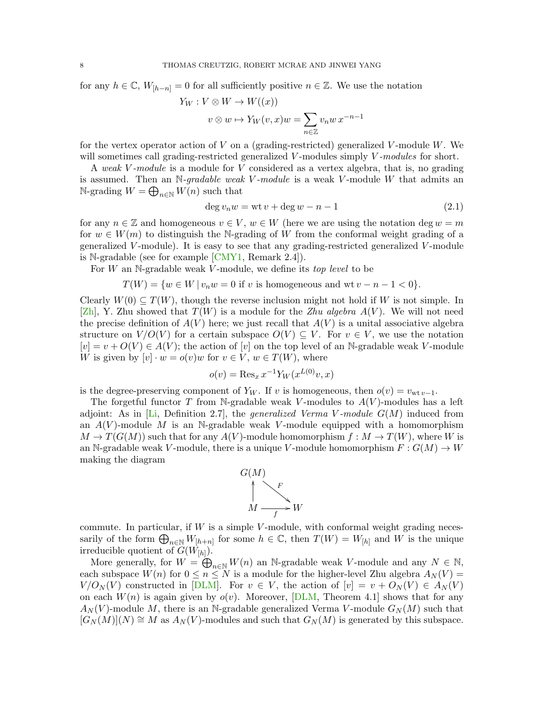for any  $h \in \mathbb{C}$ ,  $W_{[h-n]} = 0$  for all sufficiently positive  $n \in \mathbb{Z}$ . We use the notation

$$
Y_W : V \otimes W \to W((x))
$$
  

$$
v \otimes w \mapsto Y_W(v, x)w = \sum_{n \in \mathbb{Z}} v_n w x^{-n-1}
$$

for the vertex operator action of  $V$  on a (grading-restricted) generalized  $V$ -module  $W$ . We will sometimes call grading-restricted generalized V-modules simply V-modules for short.

A weak V -module is a module for V considered as a vertex algebra, that is, no grading is assumed. Then an N-qradable weak V-module is a weak V-module W that admits an N-grading  $W = \bigoplus_{n \in \mathbb{N}} W(n)$  such that

<span id="page-7-0"></span>
$$
\deg v_n w = \operatorname{wt} v + \deg w - n - 1 \tag{2.1}
$$

for any  $n \in \mathbb{Z}$  and homogeneous  $v \in V$ ,  $w \in W$  (here we are using the notation deg  $w = m$ for  $w \in W(m)$  to distinguish the N-grading of W from the conformal weight grading of a generalized  $V$ -module). It is easy to see that any grading-restricted generalized  $V$ -module is N-gradable (see for example  $[CMY1, Remark 2.4]$  $[CMY1, Remark 2.4]$ ).

For  $W$  an N-gradable weak V-module, we define its *top level* to be

$$
T(W) = \{ w \in W \mid v_n w = 0 \text{ if } v \text{ is homogeneous and wt } v - n - 1 < 0 \}.
$$

Clearly  $W(0) \subseteq T(W)$ , though the reverse inclusion might not hold if W is not simple. In [\[Zh\]](#page-62-7), Y. Zhu showed that  $T(W)$  is a module for the *Zhu algebra A(V)*. We will not need the precise definition of  $A(V)$  here; we just recall that  $A(V)$  is a unital associative algebra structure on  $V/O(V)$  for a certain subspace  $O(V) \subseteq V$ . For  $v \in V$ , we use the notation  $[v] = v + O(V) \in A(V)$ ; the action of  $[v]$  on the top level of an N-gradable weak V-module W is given by  $[v] \cdot w = o(v)w$  for  $v \in V$ ,  $w \in T(W)$ , where

$$
o(v) = \text{Res}_x x^{-1} Y_W(x^{L(0)}v, x)
$$

is the degree-preserving component of  $Y_W$ . If v is homogeneous, then  $o(v) = v_{wt v-1}$ .

The forgetful functor T from N-gradable weak V-modules to  $A(V)$ -modules has a left adjoint: As in  $[Li, \text{Definition } 2.7]$  $[Li, \text{Definition } 2.7]$ , the *generalized Verma V-module G(M)* induced from an  $A(V)$ -module M is an N-gradable weak V-module equipped with a homomorphism  $M \to T(G(M))$  such that for any  $A(V)$ -module homomorphism  $f : M \to T(W)$ , where W is an N-gradable weak V-module, there is a unique V-module homomorphism  $F: G(M) \to W$ making the diagram



commute. In particular, if  $W$  is a simple  $V$ -module, with conformal weight grading necessarily of the form  $\bigoplus_{n\in\mathbb{N}}W_{[h+n]}$  for some  $h\in\mathbb{C}$ , then  $T(W)=W_{[h]}$  and W is the unique irreducible quotient of  $G(W_{[h]})$ .

More generally, for  $W = \bigoplus_{n \in \mathbb{N}} W(n)$  an N-gradable weak V-module and any  $N \in \mathbb{N}$ , each subspace  $W(n)$  for  $0 \leq n \leq N$  is a module for the higher-level Zhu algebra  $A_N(V)$  =  $V/O_N(V)$  constructed in [\[DLM\]](#page-61-14). For  $v \in V$ , the action of  $[v] = v + O_N(V) \in A_N(V)$ on each  $W(n)$  is again given by  $o(v)$ . Moreover,  $DLM$ , Theorem 4.1 shows that for any  $A_N(V)$ -module M, there is an N-gradable generalized Verma V-module  $G_N(M)$  such that  $[G_N(M)](N) \cong M$  as  $A_N(V)$ -modules and such that  $G_N(M)$  is generated by this subspace.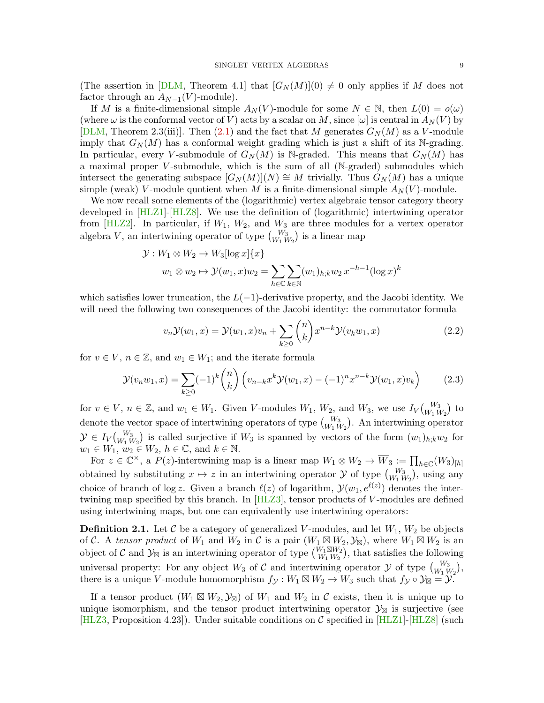(The assertion in [\[DLM,](#page-61-14) Theorem 4.1] that  $[G_N(M)](0) \neq 0$  only applies if M does not factor through an  $A_{N-1}(V)$ -module).

If M is a finite-dimensional simple  $A_N(V)$ -module for some  $N \in \mathbb{N}$ , then  $L(0) = o(\omega)$ (where  $\omega$  is the conformal vector of V) acts by a scalar on M, since  $[\omega]$  is central in  $A_N(V)$  by [\[DLM,](#page-61-14) Theorem 2.3(iii)]. Then [\(2.1\)](#page-7-0) and the fact that M generates  $G_N(M)$  as a V-module imply that  $G_N(M)$  has a conformal weight grading which is just a shift of its N-grading. In particular, every V-submodule of  $G_N(M)$  is N-graded. This means that  $G_N(M)$  has a maximal proper V -submodule, which is the sum of all (N-graded) submodules which intersect the generating subspace  $[G_N(M)](N) \cong M$  trivially. Thus  $G_N(M)$  has a unique simple (weak) V-module quotient when M is a finite-dimensional simple  $A_N(V)$ -module.

We now recall some elements of the (logarithmic) vertex algebraic tensor category theory developed in [\[HLZ1\]](#page-61-2)-[\[HLZ8\]](#page-62-3). We use the definition of (logarithmic) intertwining operator from [\[HLZ2\]](#page-61-15). In particular, if  $W_1$ ,  $W_2$ , and  $W_3$  are three modules for a vertex operator algebra V, an intertwining operator of type  ${W_3 \choose W_1 W_2}$  is a linear map

$$
\mathcal{Y}: W_1 \otimes W_2 \to W_3[\log x] \{x\}
$$
  

$$
w_1 \otimes w_2 \mapsto \mathcal{Y}(w_1, x)w_2 = \sum_{h \in \mathbb{C}} \sum_{k \in \mathbb{N}} (w_1)_{h;k} w_2 x^{-h-1} (\log x)^k
$$

which satisfies lower truncation, the  $L(-1)$ -derivative property, and the Jacobi identity. We will need the following two consequences of the Jacobi identity: the commutator formula

<span id="page-8-1"></span><span id="page-8-0"></span>
$$
v_n \mathcal{Y}(w_1, x) = \mathcal{Y}(w_1, x)v_n + \sum_{k \ge 0} {n \choose k} x^{n-k} \mathcal{Y}(v_k w_1, x)
$$
 (2.2)

for  $v \in V$ ,  $n \in \mathbb{Z}$ , and  $w_1 \in W_1$ ; and the iterate formula

$$
\mathcal{Y}(v_n w_1, x) = \sum_{k \ge 0} (-1)^k \binom{n}{k} \left( v_{n-k} x^k \mathcal{Y}(w_1, x) - (-1)^n x^{n-k} \mathcal{Y}(w_1, x) v_k \right) \tag{2.3}
$$

for  $v \in V$ ,  $n \in \mathbb{Z}$ , and  $w_1 \in W_1$ . Given V-modules  $W_1$ ,  $W_2$ , and  $W_3$ , we use  $I_V\begin{pmatrix} W_3 \\ W_1 W_2 \end{pmatrix}$  to denote the vector space of intertwining operators of type  $\binom{W_3}{W_1 W_2}$ . An intertwining operator  $\mathcal{Y} \in I_V(\begin{matrix} W_3 \ W_1 \ W_2 \end{matrix})$  is called surjective if  $W_3$  is spanned by vectors of the form  $(w_1)_{h,k}w_2$  for  $w_1 \in W_1$ ,  $w_2 \in W_2$ ,  $h \in \mathbb{C}$ , and  $k \in \mathbb{N}$ .

For  $z \in \mathbb{C}^{\times}$ , a  $P(z)$ -intertwining map is a linear map  $W_1 \otimes W_2 \to \overline{W}_3 := \prod_{h \in \mathbb{C}} (W_3)_{[h]}$ obtained by substituting  $x \mapsto z$  in an intertwining operator  $\mathcal Y$  of type  $\binom{W_3}{W_1 W_2}$ , using any choice of branch of log z. Given a branch  $\ell(z)$  of logarithm,  $\mathcal{Y}(w_1, e^{\ell(z)})$  denotes the inter-twining map specified by this branch. In [\[HLZ3\]](#page-61-16), tensor products of V-modules are defined using intertwining maps, but one can equivalently use intertwining operators:

**Definition 2.1.** Let  $\mathcal C$  be a category of generalized V-modules, and let  $W_1$ ,  $W_2$  be objects of C. A tensor product of  $W_1$  and  $W_2$  in C is a pair  $(W_1 \boxtimes W_2, \mathcal{Y}_{\boxtimes})$ , where  $W_1 \boxtimes W_2$  is an object of C and  $\mathcal{Y}_{\boxtimes}$  is an intertwining operator of type  $\begin{pmatrix} \hat{W}_1 \boxtimes W_2 \\ W & W_2 \end{pmatrix}$  $\binom{W_1 \boxtimes W_2}{W_1 \cdots W_2}$ , that satisfies the following universal property: For any object  $W_3$  of C and intertwining operator  $\mathcal Y$  of type  ${W_3 \choose W_1 W_2}$ , there is a unique V-module homomorphism  $f_{\mathcal{Y}} : W_1 \boxtimes W_2 \to W_3$  such that  $f_{\mathcal{Y}} \circ \mathcal{Y}_{\boxtimes} \stackrel{\cdots}{=} \mathcal{Y}$ .

If a tensor product  $(W_1 \boxtimes W_2, \mathcal{Y}_{\boxtimes})$  of  $W_1$  and  $W_2$  in C exists, then it is unique up to unique isomorphism, and the tensor product intertwining operator  $\mathcal{Y}_{\boxtimes}$  is surjective (see  $[HLZ3,$  Proposition 4.23]). Under suitable conditions on C specified in  $[HLZ1]$ - $[HLZ8]$  (such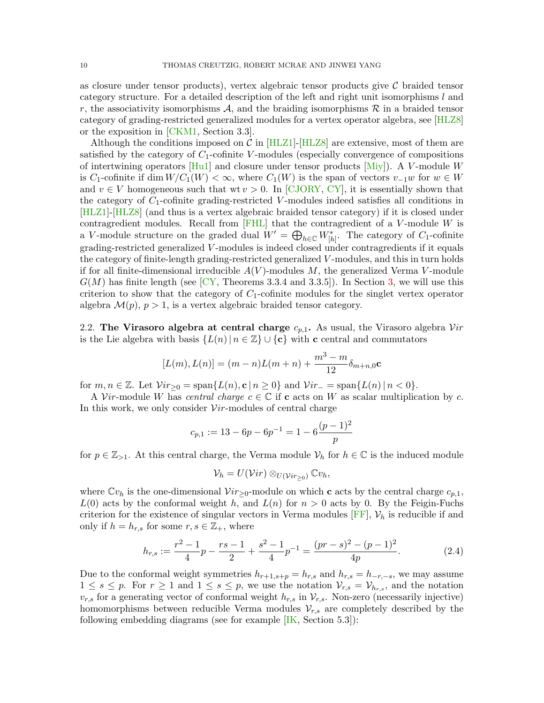as closure under tensor products), vertex algebraic tensor products give  $\mathcal C$  braided tensor category structure. For a detailed description of the left and right unit isomorphisms l and r, the associativity isomorphisms  $\mathcal{A}$ , and the braiding isomorphisms  $\mathcal{R}$  in a braided tensor category of grading-restricted generalized modules for a vertex operator algebra, see [\[HLZ8\]](#page-62-3) or the exposition in [\[CKM1,](#page-60-7) Section 3.3].

Although the conditions imposed on  $\mathcal{C}$  in [\[HLZ1\]](#page-61-2)-[\[HLZ8\]](#page-62-3) are extensive, most of them are satisfied by the category of  $C_1$ -cofinite V-modules (especially convergence of compositions of intertwining operators  $[Hu1]$  and closure under tensor products  $[Miy]$ ). A V-module W is C<sub>1</sub>-cofinite if dim  $W/C_1(W) < \infty$ , where  $C_1(W)$  is the span of vectors  $v_{-1}w$  for  $w \in W$ and  $v \in V$  homogeneous such that wt  $v > 0$ . In [\[CJORY,](#page-60-2) [CY\]](#page-61-5), it is essentially shown that the category of  $C_1$ -cofinite grading-restricted V-modules indeed satisfies all conditions in [\[HLZ1\]](#page-61-2)-[\[HLZ8\]](#page-62-3) (and thus is a vertex algebraic braided tensor category) if it is closed under contragredient modules. Recall from  $[FHL]$  that the contragredient of a V-module W is a V-module structure on the graded dual  $W' = \bigoplus_{h \in \mathbb{C}} W_{[h]}^*$ . The category of  $C_1$ -cofinite grading-restricted generalized V -modules is indeed closed under contragredients if it equals the category of finite-length grading-restricted generalized V -modules, and this in turn holds if for all finite-dimensional irreducible  $A(V)$ -modules M, the generalized Verma V-module  $G(M)$  has finite length (see [\[CY,](#page-61-5) Theorems 3.3.4 and 3.3.5]). In Section [3,](#page-17-0) we will use this criterion to show that the category of  $C_1$ -cofinite modules for the singlet vertex operator algebra  $\mathcal{M}(p)$ ,  $p > 1$ , is a vertex algebraic braided tensor category.

<span id="page-9-0"></span>2.2. The Virasoro algebra at central charge  $c_{p,1}$ . As usual, the Virasoro algebra Vir is the Lie algebra with basis  $\{L(n) | n \in \mathbb{Z}\} \cup {\bf{c}}$  with c central and commutators

$$
[L(m), L(n)] = (m - n)L(m + n) + \frac{m^3 - m}{12} \delta_{m+n,0}c
$$

for  $m, n \in \mathbb{Z}$ . Let  $Vir_{\geq 0} = \text{span}\{L(n), c \mid n \geq 0\}$  and  $Vir_{-} = \text{span}\{L(n) \mid n < 0\}$ .

A Vir-module W has central charge  $c \in \mathbb{C}$  if **c** acts on W as scalar multiplication by c. In this work, we only consider  $Vir$ -modules of central charge

$$
c_{p,1} := 13 - 6p - 6p^{-1} = 1 - 6\frac{(p-1)^2}{p}
$$

for  $p \in \mathbb{Z}_{\geq 1}$ . At this central charge, the Verma module  $\mathcal{V}_h$  for  $h \in \mathbb{C}$  is the induced module

<span id="page-9-1"></span>
$$
\mathcal{V}_h = U(\mathcal{V}ir) \otimes_{U(\mathcal{V}ir_{\geq 0})} \mathbb{C}v_h,
$$

where  $\mathbb{C}v_h$  is the one-dimensional  $Vir_{\geq 0}$ -module on which c acts by the central charge  $c_{p,1}$ ,  $L(0)$  acts by the conformal weight h, and  $L(n)$  for  $n > 0$  acts by 0. By the Feigin-Fuchs criterion for the existence of singular vectors in Verma modules  $[FF]$ ,  $\mathcal{V}_h$  is reducible if and only if  $h = h_{r,s}$  for some  $r, s \in \mathbb{Z}_+$ , where

$$
h_{r,s} := \frac{r^2 - 1}{4}p - \frac{rs - 1}{2} + \frac{s^2 - 1}{4}p^{-1} = \frac{(pr - s)^2 - (p - 1)^2}{4p}.
$$
 (2.4)

Due to the conformal weight symmetries  $h_{r+1,s+p} = h_{r,s}$  and  $h_{r,s} = h_{-r,-s}$ , we may assume  $1 \leq s \leq p$ . For  $r \geq 1$  and  $1 \leq s \leq p$ , we use the notation  $\mathcal{V}_{r,s} = \mathcal{V}_{h_{r,s}}$ , and the notation  $v_{r,s}$  for a generating vector of conformal weight  $h_{r,s}$  in  $V_{r,s}$ . Non-zero (necessarily injective) homomorphisms between reducible Verma modules  $\mathcal{V}_{r,s}$  are completely described by the following embedding diagrams (see for example  $[IK, Section 5.3]$  $[IK, Section 5.3]$ ):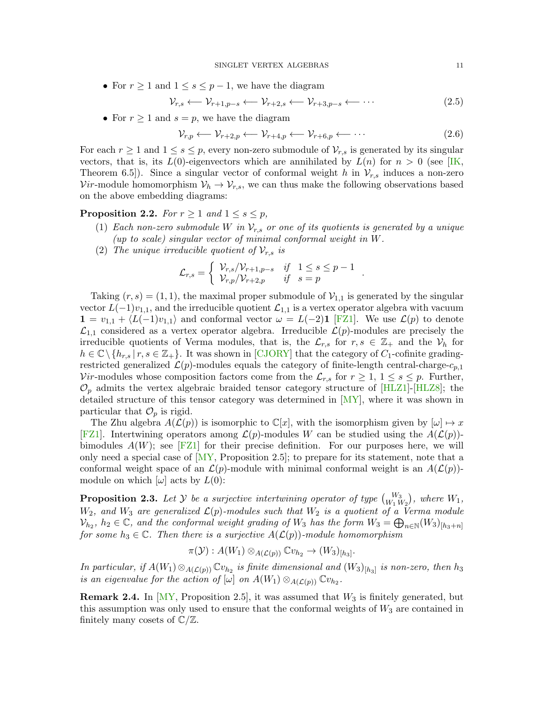• For  $r \geq 1$  and  $1 \leq s \leq p-1$ , we have the diagram

$$
\mathcal{V}_{r,s} \longleftarrow \mathcal{V}_{r+1,p-s} \longleftarrow \mathcal{V}_{r+2,s} \longleftarrow \mathcal{V}_{r+3,p-s} \longleftarrow \cdots \tag{2.5}
$$

• For  $r \geq 1$  and  $s = p$ , we have the diagram

$$
\mathcal{V}_{r,p} \longleftarrow \mathcal{V}_{r+2,p} \longleftarrow \mathcal{V}_{r+4,p} \longleftarrow \mathcal{V}_{r+6,p} \longleftarrow \cdots \tag{2.6}
$$

<span id="page-10-3"></span><span id="page-10-2"></span>.

For each  $r \geq 1$  and  $1 \leq s \leq p$ , every non-zero submodule of  $\mathcal{V}_{r,s}$  is generated by its singular vectors, that is, its  $L(0)$ -eigenvectors which are annihilated by  $L(n)$  for  $n > 0$  (see [\[IK,](#page-62-9) Theorem 6.5.]). Since a singular vector of conformal weight h in  $\mathcal{V}_{r,s}$  induces a non-zero Vir-module homomorphism  $V_h \to V_{r,s}$ , we can thus make the following observations based on the above embedding diagrams:

<span id="page-10-1"></span>**Proposition 2.2.** For  $r \geq 1$  and  $1 \leq s \leq p$ ,

- (1) Each non-zero submodule W in  $\mathcal{V}_{r,s}$  or one of its quotients is generated by a unique (up to scale) singular vector of minimal conformal weight in W.
- (2) The unique irreducible quotient of  $\mathcal{V}_{r,s}$  is

$$
\mathcal{L}_{r,s} = \begin{cases} \mathcal{V}_{r,s}/\mathcal{V}_{r+1,p-s} & \text{if} \quad 1 \leq s \leq p-1 \\ \mathcal{V}_{r,p}/\mathcal{V}_{r+2,p} & \text{if} \quad s=p \end{cases}
$$

Taking  $(r, s) = (1, 1)$ , the maximal proper submodule of  $\mathcal{V}_{1,1}$  is generated by the singular vector  $L(-1)v_{1,1}$ , and the irreducible quotient  $\mathcal{L}_{1,1}$  is a vertex operator algebra with vacuum  $1 = v_{1,1} + \langle L(-1)v_{1,1} \rangle$  and conformal vector  $\omega = L(-2)$  [\[FZ1\]](#page-61-19). We use  $\mathcal{L}(p)$  to denote  $\mathcal{L}_{1,1}$  considered as a vertex operator algebra. Irreducible  $\mathcal{L}(p)$ -modules are precisely the irreducible quotients of Verma modules, that is, the  $\mathcal{L}_{r,s}$  for  $r, s \in \mathbb{Z}_+$  and the  $\mathcal{V}_h$  for  $h \in \mathbb{C} \setminus \{h_{r,s} | r, s \in \mathbb{Z}_+\}$ . It was shown in [\[CJORY\]](#page-60-2) that the category of  $C_1$ -cofinite gradingrestricted generalized  $\mathcal{L}(p)$ -modules equals the category of finite-length central-charge- $c_{p,1}$ Vir-modules whose composition factors come from the  $\mathcal{L}_{r,s}$  for  $r \geq 1, 1 \leq s \leq p$ . Further,  $\mathcal{O}_p$  admits the vertex algebraic braided tensor category structure of [\[HLZ1\]](#page-61-2)-[\[HLZ8\]](#page-62-3); the detailed structure of this tensor category was determined in  $[MY]$ , where it was shown in particular that  $\mathcal{O}_p$  is rigid.

The Zhu algebra  $A(\mathcal{L}(p))$  is isomorphic to  $\mathbb{C}[x]$ , with the isomorphism given by  $[\omega] \mapsto x$ [\[FZ1\]](#page-61-19). Intertwining operators among  $\mathcal{L}(p)$ -modules W can be studied using the  $A(\mathcal{L}(p))$ bimodules  $A(W)$ ; see [\[FZ1\]](#page-61-19) for their precise definition. For our purposes here, we will only need a special case of  $\lfloor \text{MY} \rfloor$ , Proposition 2.5]; to prepare for its statement, note that a conformal weight space of an  $\mathcal{L}(p)$ -module with minimal conformal weight is an  $A(\mathcal{L}(p))$ module on which  $[\omega]$  acts by  $L(0)$ :

<span id="page-10-0"></span>**Proposition 2.3.** Let  $Y$  be a surjective intertwining operator of type  $\binom{W_3}{W_1 W_2}$ , where  $W_1$ ,  $W_2$ , and  $W_3$  are generalized  $\mathcal{L}(p)$ -modules such that  $W_2$  is a quotient of a Verma module  $\mathcal{V}_{h_2}, h_2 \in \mathbb{C}$ , and the conformal weight grading of  $W_3$  has the form  $W_3 = \bigoplus_{n \in \mathbb{N}} (W_3)_{[h_3+n]}$ for some  $h_3 \in \mathbb{C}$ . Then there is a surjective  $A(\mathcal{L}(p))$ -module homomorphism

$$
\pi(\mathcal{Y}): A(W_1) \otimes_{A(\mathcal{L}(p))} \mathbb{C}v_{h_2} \to (W_3)_{[h_3]}.
$$

In particular, if  $A(W_1) \otimes_{A(\mathcal{L}(p))} \mathbb{C}v_{h_2}$  is finite dimensional and  $(W_3)_{[h_3]}$  is non-zero, then  $h_3$ is an eigenvalue for the action of  $[\omega]$  on  $A(W_1) \otimes_{A(\mathcal{L}(p))} \mathbb{C}v_{h_2}$ .

**Remark 2.4.** In  $[MY,$  Proposition 2.5, it was assumed that  $W_3$  is finitely generated, but this assumption was only used to ensure that the conformal weights of  $W_3$  are contained in finitely many cosets of  $\mathbb{C}/\mathbb{Z}$ .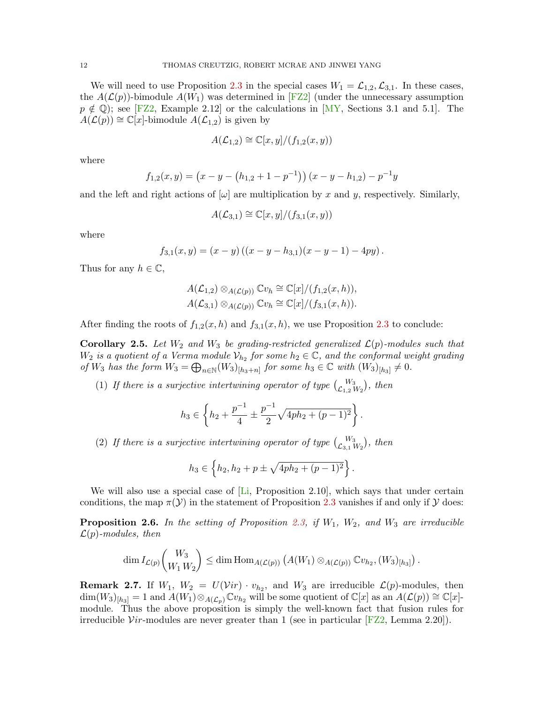We will need to use Proposition [2.3](#page-10-0) in the special cases  $W_1 = \mathcal{L}_{1,2}, \mathcal{L}_{3,1}$ . In these cases, the  $A(\mathcal{L}(p))$ -bimodule  $A(W_1)$  was determined in [\[FZ2\]](#page-61-20) (under the unnecessary assumption  $p \notin \mathbb{Q}$ ; see [\[FZ2,](#page-61-20) Example 2.12] or the calculations in [\[MY,](#page-62-10) Sections 3.1 and 5.1]. The  $A(\mathcal{L}(p)) \cong \mathbb{C}[x]$ -bimodule  $A(\mathcal{L}_{1,2})$  is given by

$$
A(\mathcal{L}_{1,2}) \cong \mathbb{C}[x,y]/(f_{1,2}(x,y))
$$

where

$$
f_{1,2}(x,y) = (x - y - (h_{1,2} + 1 - p^{-1})) (x - y - h_{1,2}) - p^{-1}y
$$

and the left and right actions of  $[\omega]$  are multiplication by x and y, respectively. Similarly,

$$
A(\mathcal{L}_{3,1}) \cong \mathbb{C}[x,y]/(f_{3,1}(x,y))
$$

where

$$
f_{3,1}(x,y) = (x - y) ((x - y - h_{3,1})(x - y - 1) - 4py).
$$

Thus for any  $h \in \mathbb{C}$ ,

$$
A(\mathcal{L}_{1,2}) \otimes_{A(\mathcal{L}(p))} \mathbb{C}v_h \cong \mathbb{C}[x]/(f_{1,2}(x,h)),
$$
  

$$
A(\mathcal{L}_{3,1}) \otimes_{A(\mathcal{L}(p))} \mathbb{C}v_h \cong \mathbb{C}[x]/(f_{3,1}(x,h)).
$$

After finding the roots of  $f_{1,2}(x, h)$  and  $f_{3,1}(x, h)$ , we use Proposition [2.3](#page-10-0) to conclude:

<span id="page-11-0"></span>**Corollary 2.5.** Let  $W_2$  and  $W_3$  be grading-restricted generalized  $\mathcal{L}(p)$ -modules such that  $W_2$  is a quotient of a Verma module  $\mathcal{V}_{h_2}$  for some  $h_2 \in \mathbb{C}$ , and the conformal weight grading of  $W_3$  has the form  $W_3 = \bigoplus_{n \in \mathbb{N}} (W_3)_{[h_3+n]}$  for some  $h_3 \in \mathbb{C}$  with  $(W_3)_{[h_3]} \neq 0$ .

(1) If there is a surjective intertwining operator of type  $\binom{W_3}{\mathcal{L}_{1,2}W_2}$ , then

$$
h_3 \in \left\{ h_2 + \frac{p^{-1}}{4} \pm \frac{p^{-1}}{2} \sqrt{4ph_2 + (p-1)^2} \right\}.
$$

(2) If there is a surjective intertwining operator of type  $\binom{W_3}{\mathcal{L}_{3,1}W_2}$ , then

$$
h_3 \in \left\{ h_2, h_2 + p \pm \sqrt{4ph_2 + (p-1)^2} \right\}.
$$

We will also use a special case of  $[Li, Proposition 2.10]$  $[Li, Proposition 2.10]$ , which says that under certain conditions, the map  $\pi(\mathcal{Y})$  in the statement of Proposition [2.3](#page-10-0) vanishes if and only if  $\mathcal{Y}$  does:

<span id="page-11-1"></span>**Proposition 2.6.** In the setting of Proposition [2.3,](#page-10-0) if  $W_1$ ,  $W_2$ , and  $W_3$  are irreducible  $\mathcal{L}(p)$ -modules, then

$$
\dim I_{\mathcal{L}(p)}\binom{W_3}{W_1\,W_2}\leq \dim \text{Hom}_{A(\mathcal{L}(p))}\left(A(W_1)\otimes_{A(\mathcal{L}(p))}\mathbb{C}v_{h_2}, (W_3)_{[h_3]}\right).
$$

<span id="page-11-2"></span>**Remark 2.7.** If  $W_1$ ,  $W_2 = U(Vir) \cdot v_{h_2}$ , and  $W_3$  are irreducible  $\mathcal{L}(p)$ -modules, then  $\dim(W_3)_{[h_3]} = 1$  and  $A(W_1) \otimes_{A(\mathcal{L}_p)} \mathbb{C}v_{h_2}$  will be some quotient of  $\mathbb{C}[x]$  as an  $A(\mathcal{L}(p)) \cong \mathbb{C}[x]$ module. Thus the above proposition is simply the well-known fact that fusion rules for irreducible Vir-modules are never greater than 1 (see in particular  $[{\rm FZ2, Lemma 2.20}]$ ).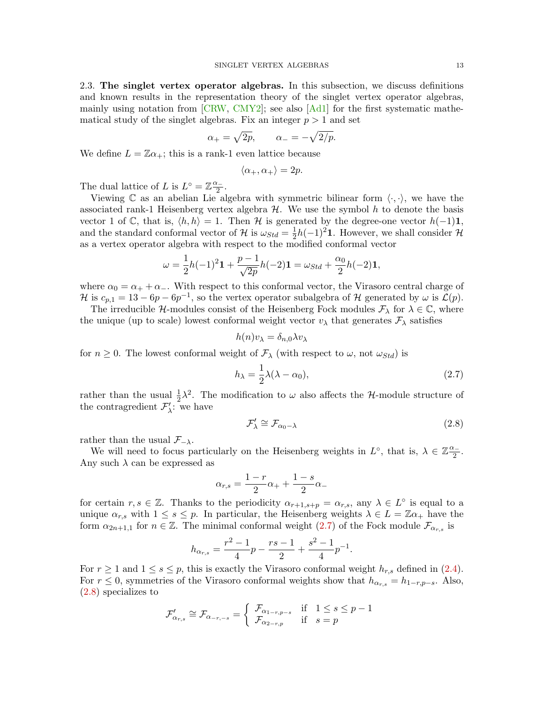<span id="page-12-0"></span>2.3. The singlet vertex operator algebras. In this subsection, we discuss definitions and known results in the representation theory of the singlet vertex operator algebras, mainly using notation from [\[CRW,](#page-61-8) [CMY2\]](#page-60-0); see also [\[Ad1\]](#page-59-3) for the first systematic mathematical study of the singlet algebras. Fix an integer  $p > 1$  and set

$$
\alpha_+ = \sqrt{2p}, \qquad \alpha_- = -\sqrt{2/p}.
$$

We define  $L = \mathbb{Z}\alpha_+$ ; this is a rank-1 even lattice because

$$
\langle \alpha_+, \alpha_+ \rangle = 2p.
$$

The dual lattice of L is  $L^{\circ} = \mathbb{Z} \frac{\alpha}{2}$  $rac{\kappa}{2}$ .

Viewing C as an abelian Lie algebra with symmetric bilinear form  $\langle \cdot, \cdot \rangle$ , we have the associated rank-1 Heisenberg vertex algebra  $H$ . We use the symbol h to denote the basis vector 1 of C, that is,  $\langle h, h \rangle = 1$ . Then H is generated by the degree-one vector  $h(-1)$ 1, and the standard conformal vector of H is  $\omega_{Std} = \frac{1}{2}$  $\frac{1}{2}h(-1)^2$ 1. However, we shall consider  $\mathcal{H}$ as a vertex operator algebra with respect to the modified conformal vector

$$
\omega = \frac{1}{2}h(-1)^2\mathbf{1} + \frac{p-1}{\sqrt{2p}}h(-2)\mathbf{1} = \omega_{Std} + \frac{\alpha_0}{2}h(-2)\mathbf{1},
$$

where  $\alpha_0 = \alpha_+ + \alpha_-$ . With respect to this conformal vector, the Virasoro central charge of H is  $c_{p,1} = 13 - 6p - 6p^{-1}$ , so the vertex operator subalgebra of H generated by  $\omega$  is  $\mathcal{L}(p)$ .

The irreducible H-modules consist of the Heisenberg Fock modules  $\mathcal{F}_{\lambda}$  for  $\lambda \in \mathbb{C}$ , where the unique (up to scale) lowest conformal weight vector  $v_{\lambda}$  that generates  $\mathcal{F}_{\lambda}$  satisfies

$$
h(n)v_{\lambda} = \delta_{n,0}\lambda v_{\lambda}
$$

for  $n \geq 0$ . The lowest conformal weight of  $\mathcal{F}_{\lambda}$  (with respect to  $\omega$ , not  $\omega_{Std}$ ) is

$$
h_{\lambda} = \frac{1}{2}\lambda(\lambda - \alpha_0),\tag{2.7}
$$

rather than the usual  $\frac{1}{2}\lambda^2$ . The modification to  $\omega$  also affects the H-module structure of the contragredient  $\mathcal{F}'_{\lambda}$ : we have

<span id="page-12-2"></span><span id="page-12-1"></span>
$$
\mathcal{F}'_{\lambda} \cong \mathcal{F}_{\alpha_0 - \lambda} \tag{2.8}
$$

rather than the usual  $\mathcal{F}_{-\lambda}$ .

We will need to focus particularly on the Heisenberg weights in  $L^{\circ}$ , that is,  $\lambda \in \mathbb{Z}_{\frac{\alpha}{2}}^{\frac{\alpha}{2}}$  $rac{\ell-1}{2}$ . Any such  $\lambda$  can be expressed as

$$
\alpha_{r,s} = \frac{1-r}{2}\alpha_+ + \frac{1-s}{2}\alpha_-
$$

for certain  $r, s \in \mathbb{Z}$ . Thanks to the periodicity  $\alpha_{r+1,s+p} = \alpha_{r,s}$ , any  $\lambda \in L^{\circ}$  is equal to a unique  $\alpha_{r,s}$  with  $1 \leq s \leq p$ . In particular, the Heisenberg weights  $\lambda \in L = \mathbb{Z}\alpha_+$  have the form  $\alpha_{2n+1,1}$  for  $n \in \mathbb{Z}$ . The minimal conformal weight  $(2.7)$  of the Fock module  $\mathcal{F}_{\alpha_{r,s}}$  is

$$
h_{\alpha_{r,s}} = \frac{r^2 - 1}{4}p - \frac{rs - 1}{2} + \frac{s^2 - 1}{4}p^{-1}.
$$

For  $r \geq 1$  and  $1 \leq s \leq p$ , this is exactly the Virasoro conformal weight  $h_{r,s}$  defined in [\(2.4\)](#page-9-1). For  $r \leq 0$ , symmetries of the Virasoro conformal weights show that  $h_{\alpha_{r,s}} = h_{1-r,p-s}$ . Also, [\(2.8\)](#page-12-2) specializes to

$$
\mathcal{F}'_{\alpha_{r,s}} \cong \mathcal{F}_{\alpha_{-r,-s}} = \begin{cases} \mathcal{F}_{\alpha_{1-r,p-s}} & \text{if } 1 \leq s \leq p-1 \\ \mathcal{F}_{\alpha_{2-r,p}} & \text{if } s=p \end{cases}
$$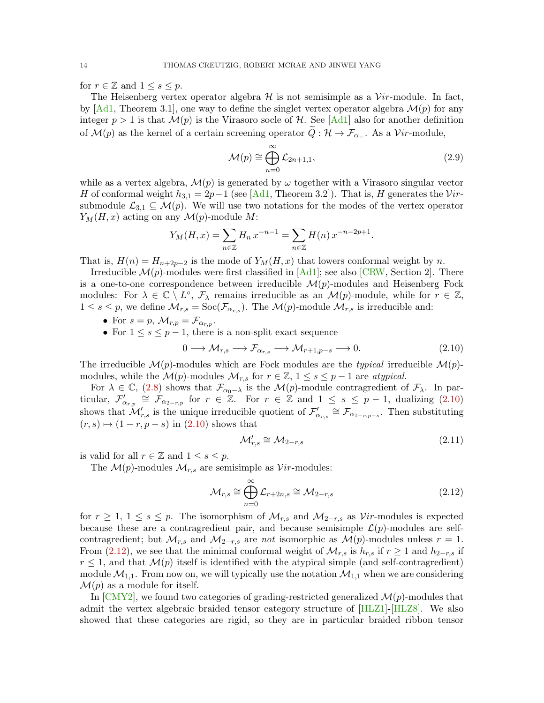for  $r \in \mathbb{Z}$  and  $1 \leq s \leq p$ .

The Heisenberg vertex operator algebra  $H$  is not semisimple as a  $Vir$ -module. In fact, by  $[Ad1,$  Theorem 3.1, one way to define the singlet vertex operator algebra  $\mathcal{M}(p)$  for any integer  $p > 1$  is that  $\mathcal{M}(p)$  is the Virasoro socle of H. See [\[Ad1\]](#page-59-3) also for another definition of  $\mathcal{M}(p)$  as the kernel of a certain screening operator  $\tilde{Q}: \mathcal{H} \to \mathcal{F}_{\alpha_-}$ . As a Vir-module,

<span id="page-13-2"></span>
$$
\mathcal{M}(p) \cong \bigoplus_{n=0}^{\infty} \mathcal{L}_{2n+1,1},
$$
\n(2.9)

while as a vertex algebra,  $\mathcal{M}(p)$  is generated by  $\omega$  together with a Virasoro singular vector H of conformal weight  $h_{3,1} = 2p-1$  (see [\[Ad1,](#page-59-3) Theorem 3.2]). That is, H generates the Virsubmodule  $\mathcal{L}_{3,1} \subseteq \mathcal{M}(p)$ . We will use two notations for the modes of the vertex operator  $Y_M(H, x)$  acting on any  $\mathcal{M}(p)$ -module M:

$$
Y_M(H, x) = \sum_{n \in \mathbb{Z}} H_n x^{-n-1} = \sum_{n \in \mathbb{Z}} H(n) x^{-n-2p+1}.
$$

That is,  $H(n) = H_{n+2p-2}$  is the mode of  $Y_M(H, x)$  that lowers conformal weight by n.

Irreducible  $\mathcal{M}(p)$ -modules were first classified in [\[Ad1\]](#page-59-3); see also [\[CRW,](#page-61-8) Section 2]. There is a one-to-one correspondence between irreducible  $\mathcal{M}(p)$ -modules and Heisenberg Fock modules: For  $\lambda \in \mathbb{C} \setminus L^{\circ}$ ,  $\mathcal{F}_{\lambda}$  remains irreducible as an  $\mathcal{M}(p)$ -module, while for  $r \in \mathbb{Z}$ ,  $1 \leq s \leq p$ , we define  $\mathcal{M}_{r,s} = \text{Soc}(\mathcal{F}_{\alpha_{r,s}})$ . The  $\mathcal{M}(p)$ -module  $\mathcal{M}_{r,s}$  is irreducible and:

• For  $s = p$ ,  $\mathcal{M}_{r,p} = \mathcal{F}_{\alpha_{r,p}}$ .

• For  $1 \leq s \leq p-1$ , there is a non-split exact sequence

$$
0 \longrightarrow \mathcal{M}_{r,s} \longrightarrow \mathcal{F}_{\alpha_{r,s}} \longrightarrow \mathcal{M}_{r+1,p-s} \longrightarrow 0. \tag{2.10}
$$

The irreducible  $\mathcal{M}(p)$ -modules which are Fock modules are the *typical* irreducible  $\mathcal{M}(p)$ modules, while the  $\mathcal{M}(p)$ -modules  $\mathcal{M}_{r,s}$  for  $r \in \mathbb{Z}$ ,  $1 \leq s \leq p-1$  are atypical.

For  $\lambda \in \mathbb{C}$ , [\(2.8\)](#page-12-2) shows that  $\mathcal{F}_{\alpha_0-\lambda}$  is the  $\mathcal{M}(p)$ -module contragredient of  $\mathcal{F}_{\lambda}$ . In particular,  $\mathcal{F}'_{\alpha_{r,p}} \cong \mathcal{F}_{\alpha_{2-r,p}}$  for  $r \in \mathbb{Z}$ . For  $r \in \mathbb{Z}$  and  $1 \leq s \leq p-1$ , dualizing [\(2.10\)](#page-13-0) shows that  $\mathcal{M}'_{r,s}$  is the unique irreducible quotient of  $\mathcal{F}'_{\alpha_{r,s}} \cong \mathcal{F}_{\alpha_{1-r,p-s}}$ . Then substituting  $(r, s) \mapsto (1 - r, p - s)$  in  $(2.10)$  shows that

<span id="page-13-1"></span><span id="page-13-0"></span>
$$
\mathcal{M}'_{r,s} \cong \mathcal{M}_{2-r,s} \tag{2.11}
$$

is valid for all  $r \in \mathbb{Z}$  and  $1 \leq s \leq p$ .

The  $\mathcal{M}(p)$ -modules  $\mathcal{M}_{r,s}$  are semisimple as  $Vir$ -modules:

$$
\mathcal{M}_{r,s} \cong \bigoplus_{n=0}^{\infty} \mathcal{L}_{r+2n,s} \cong \mathcal{M}_{2-r,s}
$$
\n(2.12)

for  $r \geq 1, 1 \leq s \leq p$ . The isomorphism of  $\mathcal{M}_{r,s}$  and  $\mathcal{M}_{2-r,s}$  as Vir-modules is expected because these are a contragredient pair, and because semisimple  $\mathcal{L}(p)$ -modules are selfcontragredient; but  $\mathcal{M}_{r,s}$  and  $\mathcal{M}_{2-r,s}$  are not isomorphic as  $\mathcal{M}(p)$ -modules unless  $r = 1$ . From [\(2.12\)](#page-13-1), we see that the minimal conformal weight of  $\mathcal{M}_{r,s}$  is  $h_{r,s}$  if  $r \geq 1$  and  $h_{2-r,s}$  if  $r \leq 1$ , and that  $\mathcal{M}(p)$  itself is identified with the atypical simple (and self-contragredient) module  $\mathcal{M}_{1,1}$ . From now on, we will typically use the notation  $\mathcal{M}_{1,1}$  when we are considering  $\mathcal{M}(p)$  as a module for itself.

In  $\text{[CMY2]}$  $\text{[CMY2]}$  $\text{[CMY2]}$ , we found two categories of grading-restricted generalized  $\mathcal{M}(p)$ -modules that admit the vertex algebraic braided tensor category structure of [\[HLZ1\]](#page-61-2)-[\[HLZ8\]](#page-62-3). We also showed that these categories are rigid, so they are in particular braided ribbon tensor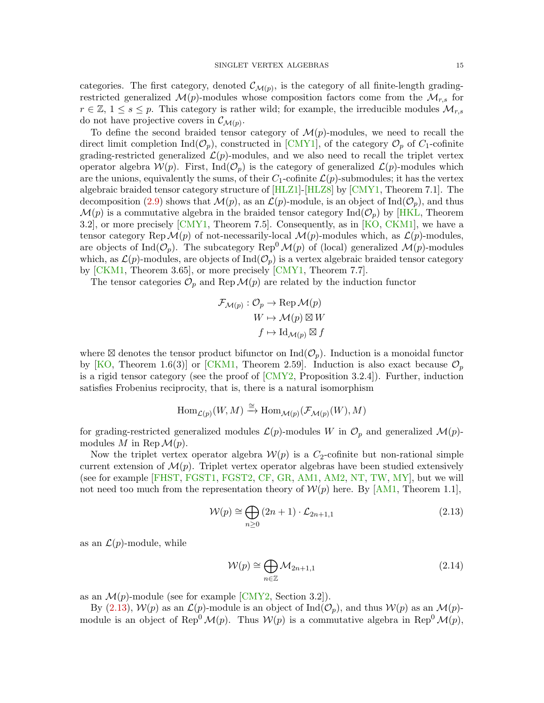categories. The first category, denoted  $\mathcal{C}_{\mathcal{M}(p)}$ , is the category of all finite-length gradingrestricted generalized  $\mathcal{M}(p)$ -modules whose composition factors come from the  $\mathcal{M}_{r,s}$  for  $r \in \mathbb{Z}, 1 \leq s \leq p$ . This category is rather wild; for example, the irreducible modules  $\mathcal{M}_{r,s}$ do not have projective covers in  $\mathcal{C}_{\mathcal{M}(p)}$ .

To define the second braided tensor category of  $\mathcal{M}(p)$ -modules, we need to recall the direct limit completion  $\text{Ind}(\mathcal{O}_p)$ , constructed in [\[CMY1\]](#page-60-8), of the category  $\mathcal{O}_p$  of  $C_1$ -cofinite grading-restricted generalized  $\mathcal{L}(p)$ -modules, and we also need to recall the triplet vertex operator algebra  $W(p)$ . First, Ind $(\mathcal{O}_p)$  is the category of generalized  $\mathcal{L}(p)$ -modules which are the unions, equivalently the sums, of their  $C_1$ -cofinite  $\mathcal{L}(p)$ -submodules; it has the vertex algebraic braided tensor category structure of [\[HLZ1\]](#page-61-2)-[\[HLZ8\]](#page-62-3) by [\[CMY1,](#page-60-8) Theorem 7.1]. The decomposition [\(2.9\)](#page-13-2) shows that  $\mathcal{M}(p)$ , as an  $\mathcal{L}(p)$ -module, is an object of Ind $(\mathcal{O}_p)$ , and thus  $\mathcal{M}(p)$  is a commutative algebra in the braided tensor category Ind $(\mathcal{O}_p)$  by [\[HKL,](#page-61-21) Theorem 3.2, or more precisely  $\lfloor \text{CMY1}, \text{Theorem 7.5} \rfloor$ . Consequently, as in  $\lfloor \text{KO}, \text{CKM1} \rfloor$ , we have a tensor category Rep  $\mathcal{M}(p)$  of not-necessarily-local  $\mathcal{M}(p)$ -modules which, as  $\mathcal{L}(p)$ -modules, are objects of Ind( $\mathcal{O}_p$ ). The subcategory Rep<sup>0</sup>  $\mathcal{M}(p)$  of (local) generalized  $\mathcal{M}(p)$ -modules which, as  $\mathcal{L}(p)$ -modules, are objects of Ind $(\mathcal{O}_p)$  is a vertex algebraic braided tensor category by  $[CKM1, Theorem 3.65]$  $[CKM1, Theorem 3.65]$ , or more precisely  $[CMY1, Theorem 7.7]$  $[CMY1, Theorem 7.7]$ .

The tensor categories  $\mathcal{O}_p$  and Rep  $\mathcal{M}(p)$  are related by the induction functor

$$
\mathcal{F}_{\mathcal{M}(p)} : \mathcal{O}_p \to \text{Rep}\,\mathcal{M}(p)
$$

$$
W \mapsto \mathcal{M}(p) \boxtimes W
$$

$$
f \mapsto \text{Id}_{\mathcal{M}(p)} \boxtimes f
$$

where  $\boxtimes$  denotes the tensor product bifunctor on  $\text{Ind}(\mathcal{O}_p)$ . Induction is a monoidal functor by [\[KO,](#page-62-11) Theorem 1.6(3)] or [\[CKM1,](#page-60-7) Theorem 2.59]. Induction is also exact because  $\mathcal{O}_p$ is a rigid tensor category (see the proof of [\[CMY2,](#page-60-0) Proposition 3.2.4]). Further, induction satisfies Frobenius reciprocity, that is, there is a natural isomorphism

$$
\operatorname{Hom}\nolimits_{{\mathcal{L}}(p)}(W,M)\xrightarrow{\cong}\operatorname{Hom}\nolimits_{{\mathcal{M}}(p)}({\mathcal{F}}_{{\mathcal{M}}(p)}(W),M)
$$

for grading-restricted generalized modules  $\mathcal{L}(p)$ -modules W in  $\mathcal{O}_p$  and generalized  $\mathcal{M}(p)$ modules M in Rep  $\mathcal{M}(p)$ .

Now the triplet vertex operator algebra  $\mathcal{W}(p)$  is a  $C_2$ -cofinite but non-rational simple current extension of  $\mathcal{M}(p)$ . Triplet vertex operator algebras have been studied extensively (see for example [\[FHST,](#page-61-12) [FGST1,](#page-61-10) [FGST2,](#page-61-11) [CF,](#page-60-19) [GR,](#page-61-22) [AM1,](#page-60-4) [AM2,](#page-60-20) [NT,](#page-62-5) [TW,](#page-62-12) [MY\]](#page-62-10), but we will not need too much from the representation theory of  $\mathcal{W}(p)$  here. By [\[AM1,](#page-60-4) Theorem 1.1],

$$
\mathcal{W}(p) \cong \bigoplus_{n \ge 0} (2n+1) \cdot \mathcal{L}_{2n+1,1} \tag{2.13}
$$

as an  $\mathcal{L}(p)$ -module, while

<span id="page-14-1"></span><span id="page-14-0"></span>
$$
\mathcal{W}(p) \cong \bigoplus_{n \in \mathbb{Z}} \mathcal{M}_{2n+1,1} \tag{2.14}
$$

as an  $\mathcal{M}(p)$ -module (see for example [\[CMY2,](#page-60-0) Section 3.2]).

By [\(2.13\)](#page-14-0),  $W(p)$  as an  $\mathcal{L}(p)$ -module is an object of Ind( $\mathcal{O}_p$ ), and thus  $W(p)$  as an  $\mathcal{M}(p)$ module is an object of Rep<sup>0</sup> $\mathcal{M}(p)$ . Thus  $\mathcal{W}(p)$  is a commutative algebra in Rep<sup>0</sup> $\mathcal{M}(p)$ ,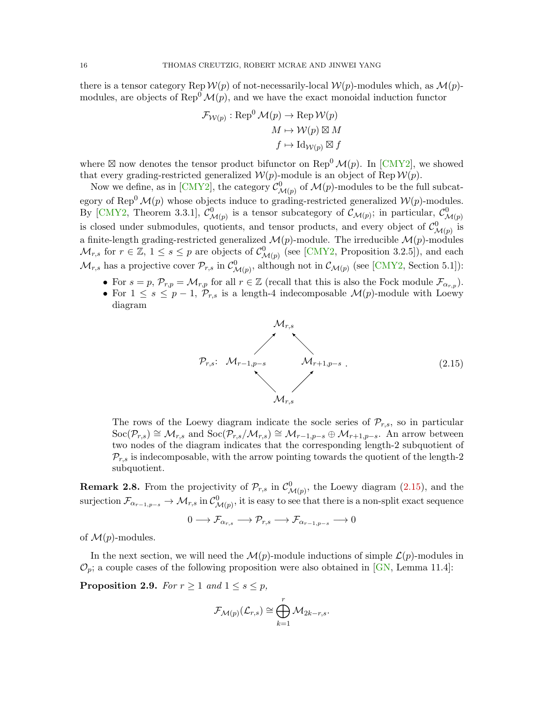there is a tensor category Rep  $\mathcal{W}(p)$  of not-necessarily-local  $\mathcal{W}(p)$ -modules which, as  $\mathcal{M}(p)$ modules, are objects of Rep<sup>0</sup> $\mathcal{M}(p)$ , and we have the exact monoidal induction functor

$$
\mathcal{F}_{\mathcal{W}(p)} : \text{Rep}^0 \mathcal{M}(p) \to \text{Rep} \mathcal{W}(p)
$$

$$
M \mapsto \mathcal{W}(p) \boxtimes M
$$

$$
f \mapsto \text{Id}_{\mathcal{W}(p)} \boxtimes f
$$

where  $\boxtimes$  now denotes the tensor product bifunctor on Rep<sup>0</sup>  $\mathcal{M}(p)$ . In [\[CMY2\]](#page-60-0), we showed that every grading-restricted generalized  $W(p)$ -module is an object of Rep  $W(p)$ .

Now we define, as in [\[CMY2\]](#page-60-0), the category  $\mathcal{C}^0_{\mathcal{M}(p)}$  of  $\mathcal{M}(p)$ -modules to be the full subcategory of Rep<sup>0</sup>  $\mathcal{M}(p)$  whose objects induce to grading-restricted generalized  $\mathcal{W}(p)$ -modules. By [\[CMY2,](#page-60-0) Theorem 3.3.1],  $\mathcal{C}^0_{\mathcal{M}(p)}$  is a tensor subcategory of  $\mathcal{C}_{\mathcal{M}(p)}$ ; in particular,  $\mathcal{C}^0_{\mathcal{M}(p)}$ is closed under submodules, quotients, and tensor products, and every object of  $\mathcal{C}^0_{\mathcal{M}(p)}$  is a finite-length grading-restricted generalized  $\mathcal{M}(p)$ -module. The irreducible  $\mathcal{M}(p)$ -modules  $\mathcal{M}_{r,s}$  for  $r \in \mathbb{Z}, 1 \leq s \leq p$  are objects of  $\mathcal{C}^0_{\mathcal{M}(p)}$  (see [\[CMY2,](#page-60-0) Proposition 3.2.5]), and each  $\mathcal{M}_{r,s}$  has a projective cover  $\mathcal{P}_{r,s}$  in  $\mathcal{C}_{\mathcal{M}(p)}^0$ , although not in  $\mathcal{C}_{\mathcal{M}(p)}$  (see [\[CMY2,](#page-60-0) Section 5.1]):

- For  $s = p$ ,  $\mathcal{P}_{r,p} = \mathcal{M}_{r,p}$  for all  $r \in \mathbb{Z}$  (recall that this is also the Fock module  $\mathcal{F}_{\alpha_{r,p}}$ ).
- For  $1 \leq s \leq p-1$ ,  $\mathcal{P}_{r,s}$  is a length-4 indecomposable  $\mathcal{M}(p)$ -module with Loewy diagram

<span id="page-15-0"></span>

The rows of the Loewy diagram indicate the socle series of  $\mathcal{P}_{r,s}$ , so in particular  $\text{Soc}(\mathcal{P}_{r,s}) \cong \mathcal{M}_{r,s}$  and  $\text{Soc}(\mathcal{P}_{r,s}/\mathcal{M}_{r,s}) \cong \mathcal{M}_{r-1,p-s} \oplus \mathcal{M}_{r+1,p-s}$ . An arrow between two nodes of the diagram indicates that the corresponding length-2 subquotient of  $\mathcal{P}_{r,s}$  is indecomposable, with the arrow pointing towards the quotient of the length-2 subquotient.

**Remark 2.8.** From the projectivity of  $\mathcal{P}_{r,s}$  in  $\mathcal{C}^0_{\mathcal{M}(p)}$ , the Loewy diagram  $(2.15)$ , and the surjection  $\mathcal{F}_{\alpha_{r-1,p-s}} \to \mathcal{M}_{r,s}$  in  $\mathcal{C}^0_{\mathcal{M}(p)}$ , it is easy to see that there is a non-split exact sequence

$$
0 \longrightarrow \mathcal{F}_{\alpha_{r,s}} \longrightarrow \mathcal{P}_{r,s} \longrightarrow \mathcal{F}_{\alpha_{r-1,p-s}} \longrightarrow 0
$$

of  $\mathcal{M}(p)$ -modules.

In the next section, we will need the  $\mathcal{M}(p)$ -module inductions of simple  $\mathcal{L}(p)$ -modules in  $\mathcal{O}_p$ ; a couple cases of the following proposition were also obtained in [\[GN,](#page-61-3) Lemma 11.4]:

<span id="page-15-1"></span>**Proposition 2.9.** For  $r \geq 1$  and  $1 \leq s \leq p$ ,

$$
\mathcal{F}_{\mathcal{M}(p)}(\mathcal{L}_{r,s}) \cong \bigoplus_{k=1}^r \mathcal{M}_{2k-r,s}.
$$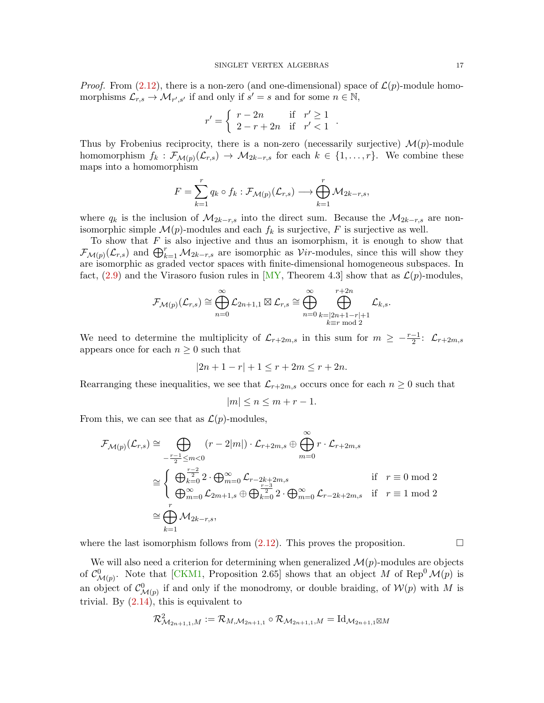*Proof.* From [\(2.12\)](#page-13-1), there is a non-zero (and one-dimensional) space of  $\mathcal{L}(p)$ -module homomorphisms  $\mathcal{L}_{r,s} \to \mathcal{M}_{r',s'}$  if and only if  $s' = s$  and for some  $n \in \mathbb{N}$ ,

$$
r' = \begin{cases} r - 2n & \text{if } r' \ge 1 \\ 2 - r + 2n & \text{if } r' < 1 \end{cases}
$$

.

Thus by Frobenius reciprocity, there is a non-zero (necessarily surjective)  $\mathcal{M}(p)$ -module homomorphism  $f_k : \mathcal{F}_{\mathcal{M}(p)}(\mathcal{L}_{r,s}) \to \mathcal{M}_{2k-r,s}$  for each  $k \in \{1, \ldots, r\}$ . We combine these maps into a homomorphism

$$
F = \sum_{k=1}^{r} q_k \circ f_k : \mathcal{F}_{\mathcal{M}(p)}(\mathcal{L}_{r,s}) \longrightarrow \bigoplus_{k=1}^{r} \mathcal{M}_{2k-r,s},
$$

where  $q_k$  is the inclusion of  $\mathcal{M}_{2k-r,s}$  into the direct sum. Because the  $\mathcal{M}_{2k-r,s}$  are nonisomorphic simple  $\mathcal{M}(p)$ -modules and each  $f_k$  is surjective, F is surjective as well.

To show that  $F$  is also injective and thus an isomorphism, it is enough to show that  $\mathcal{F}_{\mathcal{M}(p)}(\mathcal{L}_{r,s})$  and  $\bigoplus_{k=1}^r \mathcal{M}_{2k-r,s}$  are isomorphic as  $\mathcal{V}ir$ -modules, since this will show they are isomorphic as graded vector spaces with finite-dimensional homogeneous subspaces. In fact, [\(2.9\)](#page-13-2) and the Virasoro fusion rules in [\[MY,](#page-62-10) Theorem 4.3] show that as  $\mathcal{L}(p)$ -modules,

$$
\mathcal{F}_{\mathcal{M}(p)}(\mathcal{L}_{r,s}) \cong \bigoplus_{n=0}^{\infty} \mathcal{L}_{2n+1,1} \boxtimes \mathcal{L}_{r,s} \cong \bigoplus_{n=0}^{\infty} \bigoplus_{\substack{k=|2n+1-r|+1\\k \equiv r \bmod 2}}^{r+2n} \mathcal{L}_{k,s}.
$$

We need to determine the multiplicity of  $\mathcal{L}_{r+2m,s}$  in this sum for  $m \geq -\frac{r-1}{2}$ :  $\mathcal{L}_{r+2m,s}$ appears once for each  $n \geq 0$  such that

$$
|2n + 1 - r| + 1 \le r + 2m \le r + 2n.
$$

Rearranging these inequalities, we see that  $\mathcal{L}_{r+2m,s}$  occurs once for each  $n \geq 0$  such that

$$
|m| \le n \le m + r - 1.
$$

From this, we can see that as  $\mathcal{L}(p)$ -modules,

$$
\mathcal{F}_{\mathcal{M}(p)}(\mathcal{L}_{r,s}) \cong \bigoplus_{\substack{-\frac{r-1}{2}\leq m<0\\ \sum\limits_{k=0}^{r-2} 2\cdot \bigoplus_{m=0}^{\infty} \mathcal{L}_{r+2m,s} \oplus \bigoplus_{m=0}^{\infty} r\cdot \mathcal{L}_{r+2m,s}} \frac{\sum\limits_{m=0}^{\infty} r\cdot \mathcal{L}_{r+2m,s}}{\bigoplus_{k=0}^{\frac{r-2}{2}} 2\cdot \bigoplus_{m=0}^{\infty} \mathcal{L}_{r-2k+2m,s}} \quad \text{if} \quad r \equiv 0 \mod 2
$$
\n
$$
\cong \bigoplus_{k=1}^{r} \mathcal{M}_{2k-r,s},
$$
\n
$$
\cong \bigoplus_{k=1}^{r} \mathcal{M}_{2k-r,s},
$$

where the last isomorphism follows from  $(2.12)$ . This proves the proposition.

We will also need a criterion for determining when generalized  $\mathcal{M}(p)$ -modules are objects of  $\mathcal{C}^0_{\mathcal{M}(p)}$ . Note that [\[CKM1,](#page-60-7) Proposition 2.65] shows that an object M of Rep<sup>0</sup>  $\mathcal{M}(p)$  is an object of  $\mathcal{C}^0_{\mathcal{M}(p)}$  if and only if the monodromy, or double braiding, of  $\mathcal{W}(p)$  with M is trivial. By  $(2.14)$ , this is equivalent to

$$
\mathcal{R}_{\mathcal{M}_{2n+1,1},M}^{2}:=\mathcal{R}_{M,\mathcal{M}_{2n+1,1}}\circ \mathcal{R}_{\mathcal{M}_{2n+1,1},M}=\mathrm{Id}_{\mathcal{M}_{2n+1,1}}\boxtimes M
$$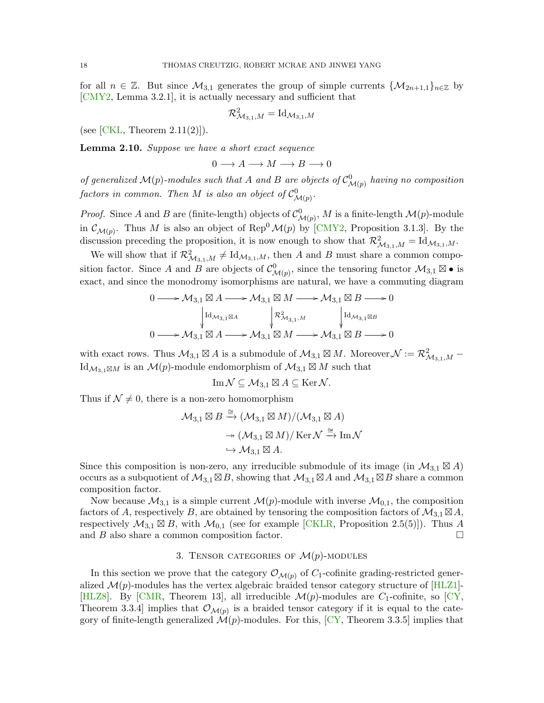for all  $n \in \mathbb{Z}$ . But since  $\mathcal{M}_{3,1}$  generates the group of simple currents  $\{\mathcal{M}_{2n+1,1}\}_{n\in\mathbb{Z}}$  by [\[CMY2,](#page-60-0) Lemma 3.2.1], it is actually necessary and sufficient that

$$
\mathcal{R}^2_{\mathcal{M}_{3,1},M}=\mathrm{Id}_{\mathcal{M}_{3,1},M}
$$

(see [\[CKL,](#page-60-21) Theorem  $2.11(2)$ ]).

<span id="page-17-1"></span>Lemma 2.10. Suppose we have a short exact sequence

$$
0 \longrightarrow A \longrightarrow M \longrightarrow B \longrightarrow 0
$$

of generalized  $\mathcal{M}(p)$ -modules such that A and B are objects of  $\mathcal{C}^0_{\mathcal{M}(p)}$  having no composition factors in common. Then M is also an object of  $\mathcal{C}^0_{\mathcal{M}(p)}$ .

*Proof.* Since A and B are (finite-length) objects of  $\mathcal{C}^0_{\mathcal{M}(p)}$ , M is a finite-length  $\mathcal{M}(p)$ -module in  $\mathcal{C}_{\mathcal{M}(p)}$ . Thus M is also an object of Rep<sup>0</sup>  $\mathcal{M}(p)$  by [\[CMY2,](#page-60-0) Proposition 3.1.3]. By the discussion preceding the proposition, it is now enough to show that  $\mathcal{R}_{\mathcal{M}_{3,1},M}^2 = \mathrm{Id}_{\mathcal{M}_{3,1},M}$ .

We will show that if  $\mathcal{R}_{\mathcal{M}_{3,1},M}^2 \neq \mathrm{Id}_{\mathcal{M}_{3,1},M}$ , then A and B must share a common composition factor. Since A and B are objects of  $\mathcal{C}^0_{\mathcal{M}(p)}$ , since the tensoring functor  $\mathcal{M}_{3,1} \boxtimes \bullet$  is exact, and since the monodromy isomorphisms are natural, we have a commuting diagram

$$
0 \longrightarrow \mathcal{M}_{3,1} \boxtimes A \longrightarrow \mathcal{M}_{3,1} \boxtimes M \longrightarrow \mathcal{M}_{3,1} \boxtimes B \longrightarrow 0
$$
  
\n
$$
\downarrow \mathrm{Id}_{\mathcal{M}_{3,1} \boxtimes A} \qquad \qquad \downarrow \mathcal{R}_{\mathcal{M}_{3,1},M}^2 \qquad \qquad \downarrow \mathrm{Id}_{\mathcal{M}_{3,1} \boxtimes B}
$$
  
\n
$$
0 \longrightarrow \mathcal{M}_{3,1} \boxtimes A \longrightarrow \mathcal{M}_{3,1} \boxtimes M \longrightarrow \mathcal{M}_{3,1} \boxtimes B \longrightarrow 0
$$

with exact rows. Thus  $M_{3,1} \boxtimes A$  is a submodule of  $M_{3,1} \boxtimes M$ . Moreover,  $\mathcal{N} := \mathcal{R}_{\mathcal{M}_{3,1},M}^2$  - $\mathrm{Id}_{\mathcal{M}_{3,1}\boxtimes M}$  is an  $\mathcal{M}(p)$ -module endomorphism of  $\mathcal{M}_{3,1}\boxtimes M$  such that

 $\text{Im}\,\mathcal{N}\subseteq \mathcal{M}_{3,1}\boxtimes A\subseteq \text{Ker}\,\mathcal{N}.$ 

Thus if  $\mathcal{N} \neq 0$ , there is a non-zero homomorphism

$$
\mathcal{M}_{3,1} \boxtimes B \xrightarrow{\cong} (\mathcal{M}_{3,1} \boxtimes M)/(\mathcal{M}_{3,1} \boxtimes A)
$$
  
\n
$$
\rightarrow (\mathcal{M}_{3,1} \boxtimes M)/\operatorname{Ker} \mathcal{N} \xrightarrow{\cong} \operatorname{Im} \mathcal{N}
$$
  
\n
$$
\hookrightarrow \mathcal{M}_{3,1} \boxtimes A.
$$

Since this composition is non-zero, any irreducible submodule of its image (in  $\mathcal{M}_{3,1} \boxtimes A$ ) occurs as a subquotient of  $\mathcal{M}_{3,1} \boxtimes B$ , showing that  $\mathcal{M}_{3,1} \boxtimes A$  and  $\mathcal{M}_{3,1} \boxtimes B$  share a common composition factor.

Now because  $\mathcal{M}_{3,1}$  is a simple current  $\mathcal{M}(p)$ -module with inverse  $\mathcal{M}_{0,1}$ , the composition factors of A, respectively B, are obtained by tensoring the composition factors of  $\mathcal{M}_{3,1} \boxtimes A$ , respectively  $\mathcal{M}_{3,1} \boxtimes B$ , with  $\mathcal{M}_{0,1}$  (see for example CKLR, Proposition 2.5(5)]). Thus A and B also share a common composition factor.  $\Box$ 

## 3. TENSOR CATEGORIES OF  $\mathcal{M}(p)$ -MODULES

<span id="page-17-0"></span>In this section we prove that the category  $\mathcal{O}_{\mathcal{M}(p)}$  of  $C_1$ -cofinite grading-restricted generalized  $\mathcal{M}(p)$ -modules has the vertex algebraic braided tensor category structure of [\[HLZ1\]](#page-61-2)-[\[HLZ8\]](#page-62-3). By [\[CMR,](#page-61-4) Theorem 13], all irreducible  $\mathcal{M}(p)$ -modules are  $C_1$ -cofinite, so [\[CY,](#page-61-5) Theorem 3.3.4 implies that  $\mathcal{O}_{\mathcal{M}(p)}$  is a braided tensor category if it is equal to the category of finite-length generalized  $\mathcal{M}(p)$ -modules. For this,  $\left[\text{CY},\text{Theorem 3.3.5}\right]$  implies that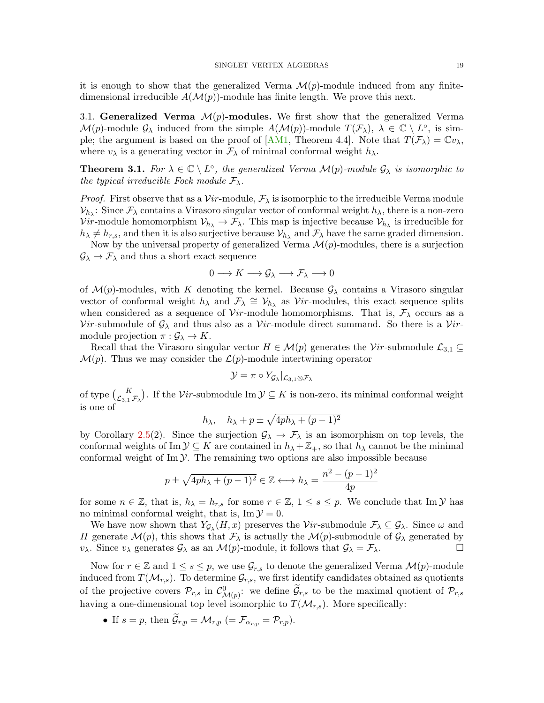it is enough to show that the generalized Verma  $\mathcal{M}(p)$ -module induced from any finitedimensional irreducible  $A(\mathcal{M}(p))$ -module has finite length. We prove this next.

<span id="page-18-0"></span>3.1. Generalized Verma  $\mathcal{M}(p)$ -modules. We first show that the generalized Verma  $\mathcal{M}(p)$ -module  $\mathcal{G}_{\lambda}$  induced from the simple  $A(\mathcal{M}(p))$ -module  $T(\mathcal{F}_{\lambda}), \lambda \in \mathbb{C} \setminus L^{\circ}$ , is sim-ple; the argument is based on the proof of [\[AM1,](#page-60-4) Theorem 4.4]. Note that  $T(\mathcal{F}_{\lambda}) = \mathbb{C}v_{\lambda}$ , where  $v_{\lambda}$  is a generating vector in  $\mathcal{F}_{\lambda}$  of minimal conformal weight  $h_{\lambda}$ .

<span id="page-18-1"></span>**Theorem 3.1.** For  $\lambda \in \mathbb{C} \setminus L^{\circ}$ , the generalized Verma  $\mathcal{M}(p)$ -module  $\mathcal{G}_{\lambda}$  is isomorphic to the typical irreducible Fock module  $\mathcal{F}_{\lambda}$ .

*Proof.* First observe that as a  $Vir$ -module,  $\mathcal{F}_{\lambda}$  is isomorphic to the irreducible Verma module  $\mathcal{V}_{h_{\lambda}}$ : Since  $\mathcal{F}_{\lambda}$  contains a Virasoro singular vector of conformal weight  $h_{\lambda}$ , there is a non-zero Vir-module homomorphism  $\mathcal{V}_{h_{\lambda}} \to \mathcal{F}_{\lambda}$ . This map is injective because  $\mathcal{V}_{h_{\lambda}}$  is irreducible for  $h_{\lambda} \neq h_{r,s}$ , and then it is also surjective because  $\mathcal{V}_{h_{\lambda}}$  and  $\mathcal{F}_{\lambda}$  have the same graded dimension.

Now by the universal property of generalized Verma  $\mathcal{M}(p)$ -modules, there is a surjection  $\mathcal{G}_{\lambda} \rightarrow \mathcal{F}_{\lambda}$  and thus a short exact sequence

$$
0 \longrightarrow K \longrightarrow \mathcal{G}_{\lambda} \longrightarrow \mathcal{F}_{\lambda} \longrightarrow 0
$$

of  $\mathcal{M}(p)$ -modules, with K denoting the kernel. Because  $\mathcal{G}_{\lambda}$  contains a Virasoro singular vector of conformal weight  $h_{\lambda}$  and  $\mathcal{F}_{\lambda} \cong \mathcal{V}_{h_{\lambda}}$  as Vir-modules, this exact sequence splits when considered as a sequence of  $Vir$ -module homomorphisms. That is,  $\mathcal{F}_{\lambda}$  occurs as a Vir-submodule of  $\mathcal{G}_{\lambda}$  and thus also as a Vir-module direct summand. So there is a Virmodule projection  $\pi : \mathcal{G}_{\lambda} \to K$ .

Recall that the Virasoro singular vector  $H \in \mathcal{M}(p)$  generates the Vir-submodule  $\mathcal{L}_{3,1} \subset$  $\mathcal{M}(p)$ . Thus we may consider the  $\mathcal{L}(p)$ -module intertwining operator

$$
\mathcal{Y} = \pi \circ Y_{\mathcal{G}_{\lambda}}|_{\mathcal{L}_{3,1} \otimes \mathcal{F}_{\lambda}}
$$

of type  $\binom{K}{\mathcal{L}_{3,1}\mathcal{F}_{\lambda}}$ . If the Vir-submodule Im  $\mathcal{Y} \subseteq K$  is non-zero, its minimal conformal weight is one of

$$
h_{\lambda}
$$
,  $h_{\lambda} + p \pm \sqrt{4ph_{\lambda} + (p-1)^2}$ 

by Corollary [2.5\(](#page-11-0)2). Since the surjection  $\mathcal{G}_{\lambda} \to \mathcal{F}_{\lambda}$  is an isomorphism on top levels, the conformal weights of Im  $\mathcal{Y} \subseteq K$  are contained in  $h_{\lambda} + \mathbb{Z}_+$ , so that  $h_{\lambda}$  cannot be the minimal conformal weight of  $\text{Im }\mathcal{Y}$ . The remaining two options are also impossible because

$$
p \pm \sqrt{4ph_{\lambda} + (p-1)^2} \in \mathbb{Z} \longleftrightarrow h_{\lambda} = \frac{n^2 - (p-1)^2}{4p}
$$

for some  $n \in \mathbb{Z}$ , that is,  $h_{\lambda} = h_{r,s}$  for some  $r \in \mathbb{Z}$ ,  $1 \leq s \leq p$ . We conclude that Im  $\mathcal{Y}$  has no minimal conformal weight, that is,  $\text{Im } \mathcal{Y} = 0$ .

We have now shown that  $Y_{\mathcal{G}_\lambda}(H,x)$  preserves the Vir-submodule  $\mathcal{F}_\lambda \subseteq \mathcal{G}_\lambda$ . Since  $\omega$  and H generate  $\mathcal{M}(p)$ , this shows that  $\mathcal{F}_{\lambda}$  is actually the  $\mathcal{M}(p)$ -submodule of  $\mathcal{G}_{\lambda}$  generated by  $v_{\lambda}$ . Since  $v_{\lambda}$  generates  $\mathcal{G}_{\lambda}$  as an  $\mathcal{M}(p)$ -module, it follows that  $\mathcal{G}_{\lambda} = \mathcal{F}_{\lambda}$ .

Now for  $r \in \mathbb{Z}$  and  $1 \leq s \leq p$ , we use  $\mathcal{G}_{r,s}$  to denote the generalized Verma  $\mathcal{M}(p)$ -module induced from  $T(\mathcal{M}_{r,s})$ . To determine  $\mathcal{G}_{r,s}$ , we first identify candidates obtained as quotients of the projective covers  $\mathcal{P}_{r,s}$  in  $\mathcal{C}^0_{\mathcal{M}(p)}$ : we define  $\widetilde{\mathcal{G}}_{r,s}$  to be the maximal quotient of  $\mathcal{P}_{r,s}$ having a one-dimensional top level isomorphic to  $T(\mathcal{M}_{r,s})$ . More specifically:

• If  $s = p$ , then  $\widetilde{\mathcal{G}}_{r,p} = \mathcal{M}_{r,p}$   $(= \mathcal{F}_{\alpha_{r,p}} = \mathcal{P}_{r,p}).$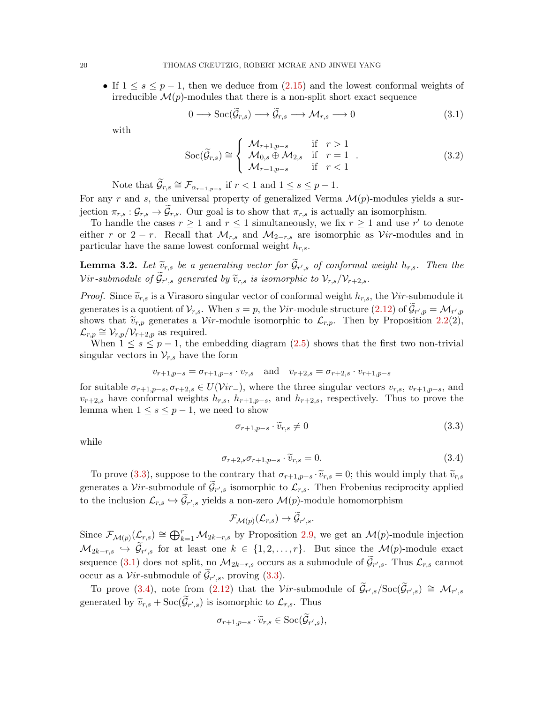• If  $1 \leq s \leq p-1$ , then we deduce from  $(2.15)$  and the lowest conformal weights of irreducible  $\mathcal{M}(p)$ -modules that there is a non-split short exact sequence

<span id="page-19-1"></span>
$$
0 \longrightarrow \text{Soc}(\widetilde{\mathcal{G}}_{r,s}) \longrightarrow \widetilde{\mathcal{G}}_{r,s} \longrightarrow \mathcal{M}_{r,s} \longrightarrow 0 \tag{3.1}
$$

with

<span id="page-19-3"></span>
$$
\operatorname{Soc}(\widetilde{\mathcal{G}}_{r,s}) \cong \begin{cases} \mathcal{M}_{r+1,p-s} & \text{if } r > 1 \\ \mathcal{M}_{0,s} \oplus \mathcal{M}_{2,s} & \text{if } r = 1 \\ \mathcal{M}_{r-1,p-s} & \text{if } r < 1 \end{cases} \tag{3.2}
$$

Note that  $\widetilde{\mathcal{G}}_{r,s} \cong \mathcal{F}_{\alpha_{r-1,p-s}}$  if  $r < 1$  and  $1 \leq s \leq p-1$ .

For any r and s, the universal property of generalized Verma  $\mathcal{M}(p)$ -modules yields a surjection  $\pi_{r,s}: \mathcal{G}_{r,s} \to \mathcal{G}_{r,s}$ . Our goal is to show that  $\pi_{r,s}$  is actually an isomorphism.

To handle the cases  $r \geq 1$  and  $r \leq 1$  simultaneously, we fix  $r \geq 1$  and use r' to denote either r or 2 − r. Recall that  $\mathcal{M}_{r,s}$  and  $\mathcal{M}_{2-r,s}$  are isomorphic as Vir-modules and in particular have the same lowest conformal weight  $h_{r,s}$ .

<span id="page-19-4"></span>**Lemma 3.2.** Let  $\tilde{v}_{r,s}$  be a generating vector for  $\mathcal{G}_{r',s}$  of conformal weight  $h_{r,s}$ . Then the  $Vir$ -submodule of  $\mathcal{G}_{r',s}$  generated by  $\widetilde{v}_{r,s}$  is isomorphic to  $\mathcal{V}_{r,s}/\mathcal{V}_{r+2,s}$ .

*Proof.* Since  $\tilde{v}_{r,s}$  is a Virasoro singular vector of conformal weight  $h_{r,s}$ , the Vir-submodule it generates is a quotient of  $\mathcal{V}_{r,s}$ . When  $s = p$ , the  $\mathcal{V}ir$ -module structure [\(2.12\)](#page-13-1) of  $\mathcal{G}_{r',p} = \mathcal{M}_{r',p}$ shows that  $\tilde{v}_{r,p}$  generates a Vir-module isomorphic to  $\mathcal{L}_{r,p}$ . Then by Proposition [2.2\(](#page-10-1)2),  $\mathcal{L}_{r,p} \cong \mathcal{V}_{r,p}/\mathcal{V}_{r+2,p}$  as required.

When  $1 \leq s \leq p-1$ , the embedding diagram  $(2.5)$  shows that the first two non-trivial singular vectors in  $\mathcal{V}_{r,s}$  have the form

$$
v_{r+1,p-s} = \sigma_{r+1,p-s} \cdot v_{r,s} \quad \text{and} \quad v_{r+2,s} = \sigma_{r+2,s} \cdot v_{r+1,p-s}
$$

for suitable  $\sigma_{r+1,p-s}, \sigma_{r+2,s} \in U(\mathcal{V}ir_-),$  where the three singular vectors  $v_{r,s}, v_{r+1,p-s}$ , and  $v_{r+2,s}$  have conformal weights  $h_{r,s}$ ,  $h_{r+1,p-s}$ , and  $h_{r+2,s}$ , respectively. Thus to prove the lemma when  $1 \leq s \leq p-1$ , we need to show

<span id="page-19-2"></span><span id="page-19-0"></span>
$$
\sigma_{r+1,p-s} \cdot \tilde{v}_{r,s} \neq 0 \tag{3.3}
$$

while

$$
\sigma_{r+2,s}\sigma_{r+1,p-s}\cdot\widetilde{v}_{r,s}=0.\tag{3.4}
$$

To prove [\(3.3\)](#page-19-0), suppose to the contrary that  $\sigma_{r+1,p-s} \cdot \tilde{v}_{r,s} = 0$ ; this would imply that  $\tilde{v}_{r,s}$ generates a Vir-submodule of  $\mathcal{G}_{r',s}$  isomorphic to  $\mathcal{L}_{r,s}$ . Then Frobenius reciprocity applied to the inclusion  $\mathcal{L}_{r,s} \hookrightarrow \mathcal{G}_{r',s}$  yields a non-zero  $\mathcal{M}(p)$ -module homomorphism

$$
\mathcal{F}_{\mathcal{M}(p)}(\mathcal{L}_{r,s}) \to \widetilde{\mathcal{G}}_{r',s}.
$$

Since  $\mathcal{F}_{\mathcal{M}(p)}(\mathcal{L}_{r,s}) \cong \bigoplus_{k=1}^r \mathcal{M}_{2k-r,s}$  by Proposition [2.9,](#page-15-1) we get an  $\mathcal{M}(p)$ -module injection  $\mathcal{M}_{2k-r,s} \hookrightarrow \mathcal{G}_{r',s}$  for at least one  $k \in \{1,2,\ldots,r\}$ . But since the  $\mathcal{M}(p)$ -module exact sequence [\(3.1\)](#page-19-1) does not split, no  $\mathcal{M}_{2k-r,s}$  occurs as a submodule of  $\mathcal{G}_{r',s}$ . Thus  $\mathcal{L}_{r,s}$  cannot occur as a  $Vir$ -submodule of  $\mathcal{G}_{r',s}$ , proving [\(3.3\)](#page-19-0).

To prove [\(3.4\)](#page-19-2), note from [\(2.12\)](#page-13-1) that the Vir-submodule of  $\widetilde{\mathcal{G}}_{r',s}/\mathrm{Soc}(\widetilde{\mathcal{G}}_{r',s}) \cong \mathcal{M}_{r',s}$ generated by  $\widetilde{v}_{r,s} + \text{Soc}(\mathcal{G}_{r',s})$  is isomorphic to  $\mathcal{L}_{r,s}$ . Thus

$$
\sigma_{r+1,p-s} \cdot \widetilde{v}_{r,s} \in \mathrm{Soc}(\mathcal{G}_{r',s}),
$$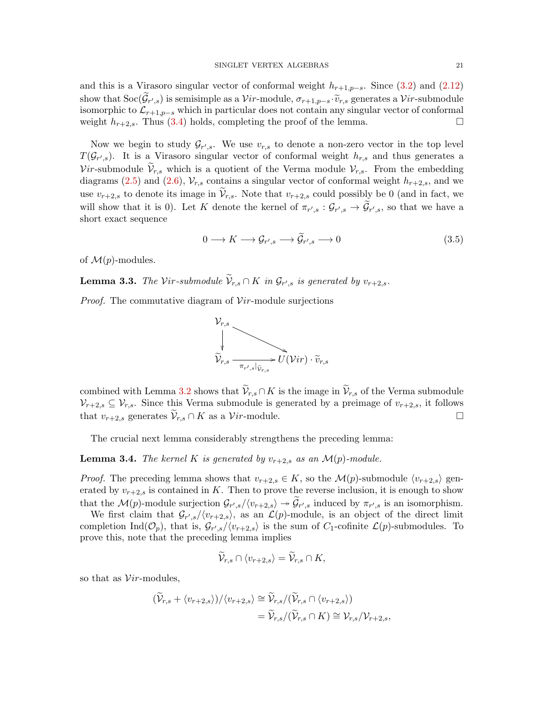and this is a Virasoro singular vector of conformal weight  $h_{r+1,p-s}$ . Since [\(3.2\)](#page-19-3) and [\(2.12\)](#page-13-1) show that  $\text{Soc}(\mathcal{G}_{r',s})$  is semisimple as a *Vir*-module,  $\sigma_{r+1,p-s} \cdot \tilde{v}_{r,s}$  generates a *Vir*-submodule<br>isomorphic to  $\mathcal{C}_{r,s}$  which in particular does not contain any singular vector of conformal isomorphic to  $\mathcal{L}_{r+1,p-s}$  which in particular does not contain any singular vector of conformal weight  $h_{r+2,s}$ . Thus [\(3.4\)](#page-19-2) holds, completing the proof of the lemma.

Now we begin to study  $\mathcal{G}_{r',s}$ . We use  $v_{r,s}$  to denote a non-zero vector in the top level  $T(\mathcal{G}_{r',s})$ . It is a Virasoro singular vector of conformal weight  $h_{r,s}$  and thus generates a Vir-submodule  $\widetilde{\mathcal{V}}_{r,s}$  which is a quotient of the Verma module  $\mathcal{V}_{r,s}$ . From the embedding diagrams [\(2.5\)](#page-10-2) and [\(2.6\)](#page-10-3),  $V_{r,s}$  contains a singular vector of conformal weight  $h_{r+2,s}$ , and we use  $v_{r+2,s}$  to denote its image in  $\mathcal{V}_{r,s}$ . Note that  $v_{r+2,s}$  could possibly be 0 (and in fact, we will show that it is 0). Let K denote the kernel of  $\pi_{r',s} : \mathcal{G}_{r',s} \to \mathcal{G}_{r',s}$ , so that we have a short exact sequence

$$
0 \longrightarrow K \longrightarrow \mathcal{G}_{r',s} \longrightarrow \widetilde{\mathcal{G}}_{r',s} \longrightarrow 0 \tag{3.5}
$$

of  $\mathcal{M}(p)$ -modules.

<span id="page-20-0"></span>**Lemma 3.3.** The Vir-submodule  $\mathcal{V}_{r,s} \cap K$  in  $\mathcal{G}_{r',s}$  is generated by  $v_{r+2,s}$ .

*Proof.* The commutative diagram of  $Vir$ -module surjections



combined with Lemma [3.2](#page-19-4) shows that  $\widetilde{\mathcal{V}}_{r,s} \cap K$  is the image in  $\widetilde{\mathcal{V}}_{r,s}$  of the Verma submodule  $\mathcal{V}_{r+2,s} \subseteq \mathcal{V}_{r,s}$ . Since this Verma submodule is generated by a preimage of  $v_{r+2,s}$ , it follows that  $v_{r+2,s}$  generates  $\mathcal{V}_{r,s} \cap K$  as a  $\mathcal{V}ir$ -module.

The crucial next lemma considerably strengthens the preceding lemma:

<span id="page-20-1"></span>**Lemma 3.4.** The kernel K is generated by  $v_{r+2,s}$  as an  $\mathcal{M}(p)$ -module.

*Proof.* The preceding lemma shows that  $v_{r+2,s} \in K$ , so the  $\mathcal{M}(p)$ -submodule  $\langle v_{r+2,s} \rangle$  generated by  $v_{r+2,s}$  is contained in K. Then to prove the reverse inclusion, it is enough to show that the  $\mathcal{M}(p)$ -module surjection  $\mathcal{G}_{r',s}/\langle v_{r+2,s} \rangle \to \widetilde{\mathcal{G}}_{r',s}$  induced by  $\pi_{r',s}$  is an isomorphism.

We first claim that  $\mathcal{G}_{r',s}/\langle v_{r+2,s}\rangle$ , as an  $\mathcal{L}(p)$ -module, is an object of the direct limit completion Ind( $\mathcal{O}_p$ ), that is,  $\mathcal{G}_{r',s}/\langle v_{r+2,s}\rangle$  is the sum of  $C_1$ -cofinite  $\mathcal{L}(p)$ -submodules. To prove this, note that the preceding lemma implies

$$
\widetilde{\mathcal{V}}_{r,s} \cap \langle v_{r+2,s} \rangle = \widetilde{\mathcal{V}}_{r,s} \cap K,
$$

so that as  $Vir$ -modules,

$$
\begin{aligned} (\widetilde{\mathcal{V}}_{r,s} + \langle v_{r+2,s} \rangle) / \langle v_{r+2,s} \rangle &\cong \widetilde{\mathcal{V}}_{r,s} / (\widetilde{\mathcal{V}}_{r,s} \cap \langle v_{r+2,s} \rangle) \\ &= \widetilde{\mathcal{V}}_{r,s} / (\widetilde{\mathcal{V}}_{r,s} \cap K) \cong \mathcal{V}_{r,s} / \mathcal{V}_{r+2,s}, \end{aligned}
$$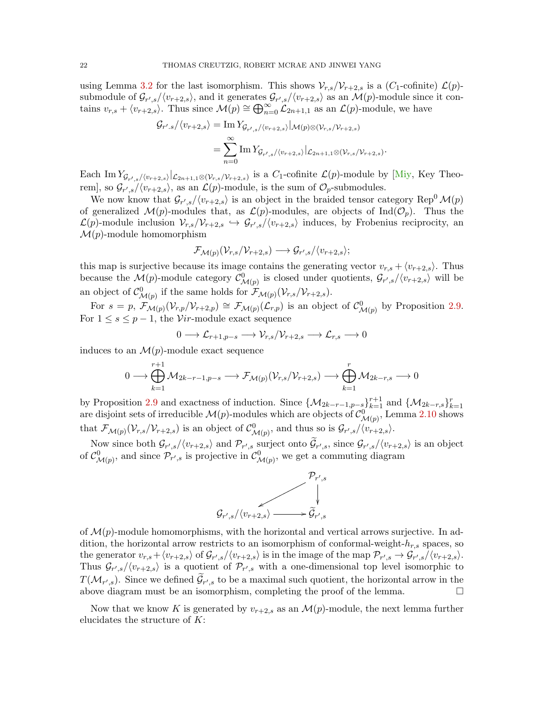using Lemma [3.2](#page-19-4) for the last isomorphism. This shows  $\mathcal{V}_{r,s}/\mathcal{V}_{r+2,s}$  is a  $(C_1$ -cofinite)  $\mathcal{L}(p)$ submodule of  $\mathcal{G}_{r',s}/\langle v_{r+2,s}\rangle$ , and it generates  $\mathcal{G}_{r',s}/\langle v_{r+2,s}\rangle$  as an  $\mathcal{M}(p)$ -module since it contains  $v_{r,s} + \langle v_{r+2,s} \rangle$ . Thus since  $\mathcal{M}(p) \cong \bigoplus_{n=0}^{\infty} \mathcal{L}_{2n+1,1}$  as an  $\mathcal{L}(p)$ -module, we have

$$
\mathcal{G}_{r',s}/\langle v_{r+2,s}\rangle = \text{Im}\,Y_{\mathcal{G}_{r',s}/\langle v_{r+2,s}\rangle}|\mathcal{M}(p)\otimes \langle v_{r,s}/v_{r+2,s}\rangle
$$

$$
= \sum_{n=0}^{\infty} \text{Im}\,Y_{\mathcal{G}_{r',s}/\langle v_{r+2,s}\rangle}|\mathcal{L}_{2n+1,1}\otimes \langle v_{r,s}/v_{r+2,s}\rangle.
$$

Each Im  $Y_{\mathcal{G}_{r',s}/\langle v_{r+2,s}\rangle}|_{\mathcal{L}_{2n+1,1}\otimes(\mathcal{V}_{r,s}/\mathcal{V}_{r+2,s})}$  is a  $C_1$ -cofinite  $\mathcal{L}(p)$ -module by [\[Miy,](#page-62-8) Key Theorem], so  $\mathcal{G}_{r',s}/\langle v_{r+2,s}\rangle$ , as an  $\mathcal{L}(p)$ -module, is the sum of  $\mathcal{O}_p$ -submodules.

We now know that  $\mathcal{G}_{r',s}/\langle v_{r+2,s}\rangle$  is an object in the braided tensor category Rep<sup>0</sup>  $\mathcal{M}(p)$ of generalized  $\mathcal{M}(p)$ -modules that, as  $\mathcal{L}(p)$ -modules, are objects of Ind $(\mathcal{O}_p)$ . Thus the  $\mathcal{L}(p)$ -module inclusion  $\mathcal{V}_{r,s}/\mathcal{V}_{r+2,s} \hookrightarrow \mathcal{G}_{r',s}/\langle v_{r+2,s}\rangle$  induces, by Frobenius reciprocity, an  $\mathcal{M}(p)$ -module homomorphism

$$
\mathcal{F}_{\mathcal{M}(p)}(\mathcal{V}_{r,s}/\mathcal{V}_{r+2,s}) \longrightarrow \mathcal{G}_{r',s}/\langle v_{r+2,s}\rangle;
$$

this map is surjective because its image contains the generating vector  $v_{r,s} + \langle v_{r+2,s} \rangle$ . Thus because the  $\mathcal{M}(p)$ -module category  $\mathcal{C}^0_{\mathcal{M}(p)}$  is closed under quotients,  $\mathcal{G}_{r',s}/\langle v_{r+2,s}\rangle$  will be an object of  $\mathcal{C}^0_{\mathcal{M}(p)}$  if the same holds for  $\mathcal{F}_{\mathcal{M}(p)}(\mathcal{V}_{r,s}/\mathcal{V}_{r+2,s}).$ 

For  $s = p$ ,  $\mathcal{F}_{\mathcal{M}(p)}(\mathcal{V}_{r,p}/\mathcal{V}_{r+2,p}) \cong \mathcal{F}_{\mathcal{M}(p)}(\mathcal{L}_{r,p})$  is an object of  $\mathcal{C}_{\mathcal{M}(p)}^0$  by Proposition [2.9.](#page-15-1) For  $1 \leq s \leq p-1$ , the Vir-module exact sequence

$$
0 \longrightarrow \mathcal{L}_{r+1,p-s} \longrightarrow \mathcal{V}_{r,s} / \mathcal{V}_{r+2,s} \longrightarrow \mathcal{L}_{r,s} \longrightarrow 0
$$

induces to an  $\mathcal{M}(p)$ -module exact sequence

$$
0 \longrightarrow \bigoplus_{k=1}^{r+1} \mathcal{M}_{2k-r-1,p-s} \longrightarrow \mathcal{F}_{\mathcal{M}(p)}(\mathcal{V}_{r,s}/\mathcal{V}_{r+2,s}) \longrightarrow \bigoplus_{k=1}^{r} \mathcal{M}_{2k-r,s} \longrightarrow 0
$$

by Proposition [2.9](#page-15-1) and exactness of induction. Since  $\{M_{2k-r-1,p-s}\}_{k=1}^{r+1}$  and  $\{M_{2k-r,s}\}_{k=1}^{r}$  are disjoint sets of irreducible  $\mathcal{M}(p)$ -modules which are objects of  $\mathcal{C}_{\mathcal{M}(p)}^{0}$ , Lemma [2.10](#page-17-1) shows that  $\mathcal{F}_{\mathcal{M}(p)}(\mathcal{V}_{r,s}/\mathcal{V}_{r+2,s})$  is an object of  $\mathcal{C}^0_{\mathcal{M}(p)}$ , and thus so is  $\mathcal{G}_{r',s}/\langle v_{r+2,s}\rangle$ .

Now since both  $\mathcal{G}_{r',s}/\langle v_{r+2,s} \rangle$  and  $\mathcal{P}_{r',s}$  surject onto  $\mathcal{G}_{r',s}$ , since  $\mathcal{G}_{r',s}/\langle v_{r+2,s} \rangle$  is an object of  $\mathcal{C}^0_{\mathcal{M}(p)}$ , and since  $\mathcal{P}_{r',s}$  is projective in  $\mathcal{C}^0_{\mathcal{M}(p)}$ , we get a commuting diagram



of  $\mathcal{M}(p)$ -module homomorphisms, with the horizontal and vertical arrows surjective. In addition, the horizontal arrow restricts to an isomorphism of conformal-weight- $h_{r,s}$  spaces, so the generator  $v_{r,s} + \langle v_{r+2,s} \rangle$  of  $\mathcal{G}_{r',s}/\langle v_{r+2,s} \rangle$  is in the image of the map  $\mathcal{P}_{r',s} \to \mathcal{G}_{r',s}/\langle v_{r+2,s} \rangle$ . Thus  $\mathcal{G}_{r',s}/\langle v_{r+2,s}\rangle$  is a quotient of  $\mathcal{P}_{r',s}$  with a one-dimensional top level isomorphic to  $T(\mathcal{M}_{r',s})$ . Since we defined  $\mathcal{G}_{r',s}$  to be a maximal such quotient, the horizontal arrow in the above diagram must be an isomorphism, completing the proof of the lemma.  $\Box$ 

Now that we know K is generated by  $v_{r+2,s}$  as an  $\mathcal{M}(p)$ -module, the next lemma further elucidates the structure of  $K$ :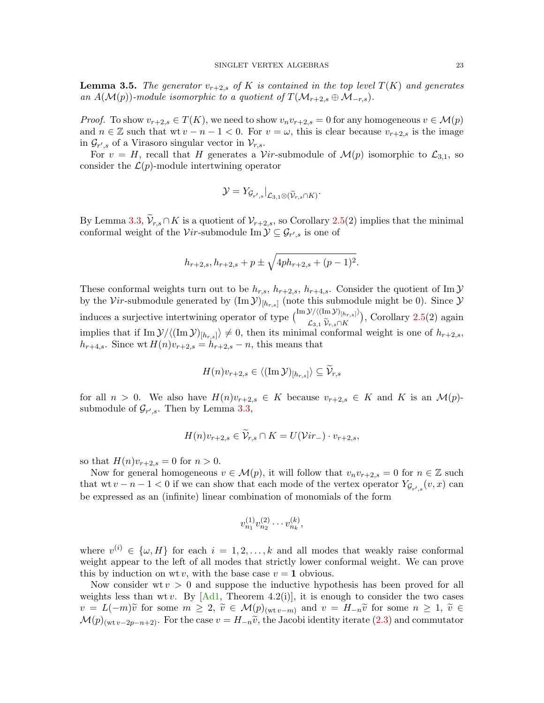<span id="page-22-0"></span>**Lemma 3.5.** The generator  $v_{r+2,s}$  of K is contained in the top level  $T(K)$  and generates an  $A(\mathcal{M}(p))$ -module isomorphic to a quotient of  $T(\mathcal{M}_{r+2,s} \oplus \mathcal{M}_{-r,s}).$ 

*Proof.* To show  $v_{r+2,s} \in T(K)$ , we need to show  $v_n v_{r+2,s} = 0$  for any homogeneous  $v \in \mathcal{M}(p)$ and  $n \in \mathbb{Z}$  such that wt  $v - n - 1 < 0$ . For  $v = \omega$ , this is clear because  $v_{r+2,s}$  is the image in  $\mathcal{G}_{r',s}$  of a Virasoro singular vector in  $\mathcal{V}_{r,s}$ .

For  $v = H$ , recall that H generates a Vir-submodule of  $\mathcal{M}(p)$  isomorphic to  $\mathcal{L}_{3,1}$ , so consider the  $\mathcal{L}(p)$ -module intertwining operator

$$
\mathcal{Y}=Y_{\mathcal{G}_{r',s}}|_{\mathcal{L}_{3,1}\otimes(\widetilde{\mathcal{V}}_{r,s}\cap K)}.
$$

By Lemma [3.3,](#page-20-0)  $\tilde{V}_{r,s} \cap K$  is a quotient of  $V_{r+2,s}$ , so Corollary [2.5\(](#page-11-0)2) implies that the minimal conformal weight of the  $Vir$ -submodule Im  $\mathcal{Y} \subseteq \mathcal{G}_{r',s}$  is one of

$$
h_{r+2,s}, h_{r+2,s} + p \pm \sqrt{4ph_{r+2,s} + (p-1)^2}.
$$

These conformal weights turn out to be  $h_{r,s}$ ,  $h_{r+2,s}$ ,  $h_{r+4,s}$ . Consider the quotient of Im  $\mathcal Y$ by the Vir-submodule generated by  $(\text{Im }\mathcal{Y})_{[h_{r,s}]}$  (note this submodule might be 0). Since  $\mathcal{Y}$ induces a surjective intertwining operator of type  $\binom{\text{Im }\mathcal{Y}/(\text{Im }\mathcal{Y})_{[h_r,s]} }{s}$  $\mathcal{L}_{3,1}$   $\mathcal{V}_{r,s} \cap K$  $\big)$ , Corollary [2.5\(](#page-11-0)2) again implies that if  $\text{Im } \mathcal{Y} / \langle (\text{Im } \mathcal{Y})_{[h_{r,s}]} \rangle \neq 0$ , then its minimal conformal weight is one of  $h_{r+2,s}$ ,  $h_{r+4,s}$ . Since wt  $H(n)v_{r+2,s} = h_{r+2,s} - n$ , this means that

$$
H(n)v_{r+2,s} \in \langle (\operatorname{Im} \mathcal{Y})_{[h_{r,s}]}\rangle \subseteq \mathcal{V}_{r,s}
$$

for all  $n > 0$ . We also have  $H(n)v_{r+2,s} \in K$  because  $v_{r+2,s} \in K$  and K is an  $\mathcal{M}(p)$ submodule of  $\mathcal{G}_{r',s}$ . Then by Lemma [3.3,](#page-20-0)

$$
H(n)v_{r+2,s} \in V_{r,s} \cap K = U(\mathcal{V}ir_{-}) \cdot v_{r+2,s},
$$

so that  $H(n)v_{r+2,s} = 0$  for  $n > 0$ .

Now for general homogeneous  $v \in \mathcal{M}(p)$ , it will follow that  $v_n v_{r+2,s} = 0$  for  $n \in \mathbb{Z}$  such that wt  $v - n - 1 < 0$  if we can show that each mode of the vertex operator  $Y_{\mathcal{G}_{r',s}}(v, x)$  can be expressed as an (infinite) linear combination of monomials of the form

$$
v_{n_1}^{(1)}v_{n_2}^{(2)}\cdots v_{n_k}^{(k)},
$$

where  $v^{(i)} \in {\{\omega, H\}}$  for each  $i = 1, 2, ..., k$  and all modes that weakly raise conformal weight appear to the left of all modes that strictly lower conformal weight. We can prove this by induction on wt v, with the base case  $v = 1$  obvious.

Now consider  $wt v > 0$  and suppose the inductive hypothesis has been proved for all weights less than wt v. By  $[Ad1,$  Theorem 4.2(i)], it is enough to consider the two cases  $v = L(-m)\tilde{v}$  for some  $m \geq 2$ ,  $\tilde{v} \in \mathcal{M}(p)_{(\text{wt} v-m)}$  and  $v = H_{-n}\tilde{v}$  for some  $n \geq 1$ ,  $\tilde{v} \in$  $\mathcal{M}(p)_{\text{(wt }v-2p-n+2)}$ . For the case  $v = H_{-n}\tilde{v}$ , the Jacobi identity iterate [\(2.3\)](#page-8-0) and commutator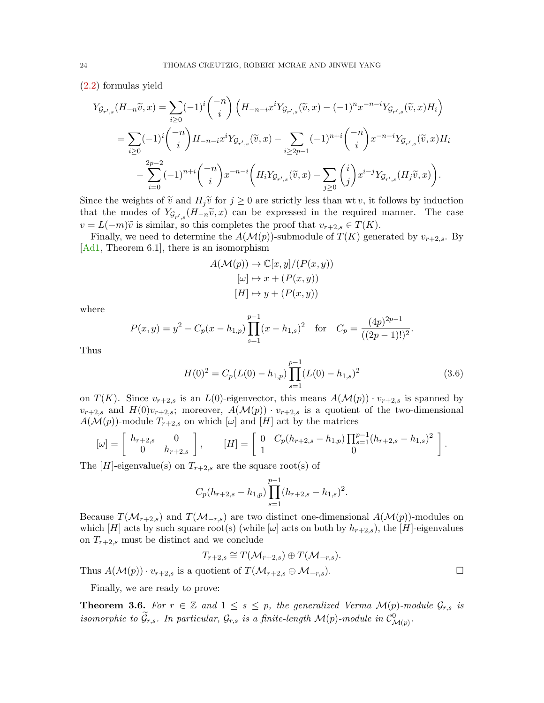[\(2.2\)](#page-8-1) formulas yield

$$
Y_{\mathcal{G}_{r',s}}(H_{-n}\tilde{v},x) = \sum_{i\geq 0} (-1)^i \binom{-n}{i} \left( H_{-n-i} x^i Y_{\mathcal{G}_{r',s}}(\tilde{v},x) - (-1)^n x^{-n-i} Y_{\mathcal{G}_{r',s}}(\tilde{v},x) H_i \right)
$$
  
= 
$$
\sum_{i\geq 0} (-1)^i \binom{-n}{i} H_{-n-i} x^i Y_{\mathcal{G}_{r',s}}(\tilde{v},x) - \sum_{i\geq 2p-1} (-1)^{n+i} \binom{-n}{i} x^{-n-i} Y_{\mathcal{G}_{r',s}}(\tilde{v},x) H_i
$$
  
- 
$$
\sum_{i=0}^{2p-2} (-1)^{n+i} \binom{-n}{i} x^{-n-i} \left( H_i Y_{\mathcal{G}_{r',s}}(\tilde{v},x) - \sum_{j\geq 0} \binom{i}{j} x^{i-j} Y_{\mathcal{G}_{r',s}}(H_j \tilde{v},x) \right).
$$

Since the weights of  $\tilde{v}$  and  $H_j\tilde{v}$  for  $j \geq 0$  are strictly less than wt v, it follows by induction that the modes of  $Y_{\mathcal{G}_{r',s}}(H_{-n}\tilde{v},x)$  can be expressed in the required manner. The case  $v = L(-m)\tilde{v}$  is similar, so this completes the proof that  $v_{r+2,s} \in T(K)$ .

Finally, we need to determine the  $A(\mathcal{M}(p))$ -submodule of  $T(K)$  generated by  $v_{r+2,s}$ . By [\[Ad1,](#page-59-3) Theorem 6.1], there is an isomorphism

$$
A(\mathcal{M}(p)) \to \mathbb{C}[x, y]/(P(x, y))
$$

$$
[\omega] \mapsto x + (P(x, y))
$$

$$
[H] \mapsto y + (P(x, y))
$$

where

$$
P(x,y) = y^2 - C_p(x - h_{1,p}) \prod_{s=1}^{p-1} (x - h_{1,s})^2 \text{ for } C_p = \frac{(4p)^{2p-1}}{((2p-1)!)^2}.
$$

Thus

$$
H(0)^{2} = C_{p}(L(0) - h_{1,p}) \prod_{s=1}^{p-1} (L(0) - h_{1,s})^{2}
$$
\n(3.6)

on  $T(K)$ . Since  $v_{r+2,s}$  is an  $L(0)$ -eigenvector, this means  $A(\mathcal{M}(p)) \cdot v_{r+2,s}$  is spanned by  $v_{r+2,s}$  and  $H(0)v_{r+2,s}$ ; moreover,  $A(\mathcal{M}(p)) \cdot v_{r+2,s}$  is a quotient of the two-dimensional  $A(\mathcal{M}(p))$ -module  $T_{r+2,s}$  on which  $[\omega]$  and  $[H]$  act by the matrices

$$
[\omega] = \begin{bmatrix} h_{r+2,s} & 0 \\ 0 & h_{r+2,s} \end{bmatrix}, \qquad [H] = \begin{bmatrix} 0 & C_p(h_{r+2,s} - h_{1,p}) \prod_{s=1}^{p-1} (h_{r+2,s} - h_{1,s})^2 \\ 1 & 0 \end{bmatrix}.
$$

The [H]-eigenvalue(s) on  $T_{r+2,s}$  are the square root(s) of

$$
C_p(h_{r+2,s} - h_{1,p}) \prod_{s=1}^{p-1} (h_{r+2,s} - h_{1,s})^2.
$$

Because  $T(\mathcal{M}_{r+2,s})$  and  $T(\mathcal{M}_{-r,s})$  are two distinct one-dimensional  $A(\mathcal{M}(p))$ -modules on which [H] acts by such square root(s) (while  $[\omega]$  acts on both by  $h_{r+2,s}$ ), the [H]-eigenvalues on  $T_{r+2,s}$  must be distinct and we conclude

$$
T_{r+2,s} \cong T(\mathcal{M}_{r+2,s}) \oplus T(\mathcal{M}_{-r,s}).
$$

Thus  $A(\mathcal{M}(p)) \cdot v_{r+2,s}$  is a quotient of  $T(\mathcal{M}_{r+2,s} \oplus \mathcal{M}_{-r,s}).$ 

Finally, we are ready to prove:

<span id="page-23-0"></span>**Theorem 3.6.** For  $r \in \mathbb{Z}$  and  $1 \leq s \leq p$ , the generalized Verma  $\mathcal{M}(p)$ -module  $\mathcal{G}_{r,s}$  is isomorphic to  $\tilde{g}_{r,s}$ . In particular,  $\mathcal{G}_{r,s}$  is a finite-length  $\mathcal{M}(p)$ -module in  $\mathcal{C}^0_{\mathcal{M}(p)}$ .

<span id="page-23-1"></span>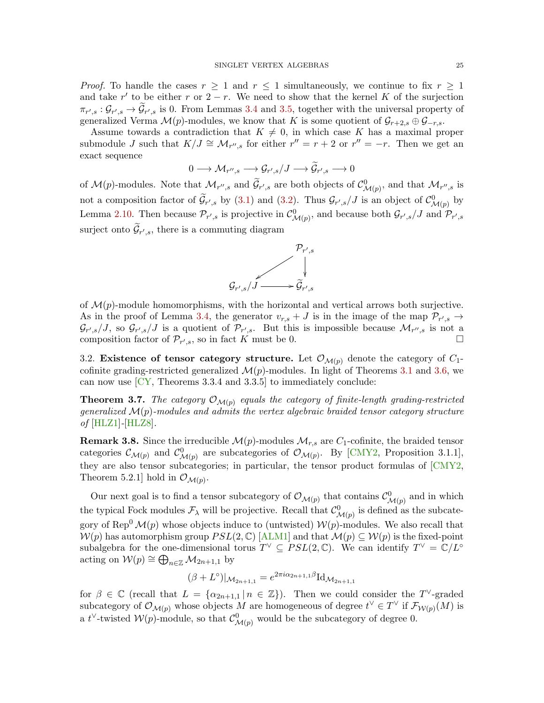*Proof.* To handle the cases  $r \geq 1$  and  $r \leq 1$  simultaneously, we continue to fix  $r \geq 1$ and take r' to be either r or  $2 - r$ . We need to show that the kernel K of the surjection  $\pi_{r',s}: \mathcal{G}_{r',s} \to \mathcal{G}_{r',s}$  is 0. From Lemmas [3.4](#page-20-1) and [3.5,](#page-22-0) together with the universal property of generalized Verma  $\mathcal{M}(p)$ -modules, we know that K is some quotient of  $\mathcal{G}_{r+2,s} \oplus \mathcal{G}_{-r,s}$ .

Assume towards a contradiction that  $K \neq 0$ , in which case K has a maximal proper submodule J such that  $K/J \cong \mathcal{M}_{r'',s}$  for either  $r'' = r + 2$  or  $r'' = -r$ . Then we get an exact sequence

$$
0 \longrightarrow \mathcal{M}_{r'',s} \longrightarrow \mathcal{G}_{r',s}/J \longrightarrow \widetilde{\mathcal{G}}_{r',s} \longrightarrow 0
$$

of  $\mathcal{M}(p)$ -modules. Note that  $\mathcal{M}_{r'',s}$  and  $\widetilde{\mathcal{G}}_{r',s}$  are both objects of  $\mathcal{C}^0_{\mathcal{M}(p)}$ , and that  $\mathcal{M}_{r'',s}$  is not a composition factor of  $\tilde{\mathcal{G}}_{r',s}$  by [\(3.1\)](#page-19-1) and [\(3.2\)](#page-19-3). Thus  $\mathcal{G}_{r',s}/J$  is an object of  $\mathcal{C}^0_{\mathcal{M}(p)}$  by Lemma [2.10.](#page-17-1) Then because  $\mathcal{P}_{r',s}$  is projective in  $\mathcal{C}^0_{\mathcal{M}(p)}$ , and because both  $\mathcal{G}_{r',s}/J$  and  $\mathcal{P}_{r',s}$ surject onto  $\mathcal{G}_{r',s}$ , there is a commuting diagram



of  $\mathcal{M}(p)$ -module homomorphisms, with the horizontal and vertical arrows both surjective. As in the proof of Lemma [3.4,](#page-20-1) the generator  $v_{r,s} + J$  is in the image of the map  $\mathcal{P}_{r',s} \to$  $\mathcal{G}_{r',s}/J$ , so  $\mathcal{G}_{r',s}/J$  is a quotient of  $\mathcal{P}_{r',s}$ . But this is impossible because  $\mathcal{M}_{r'',s}$  is not a composition factor of  $\mathcal{P}_{r',s}$ , so in fact K must be 0.

<span id="page-24-0"></span>3.2. Existence of tensor category structure. Let  $\mathcal{O}_{\mathcal{M}(p)}$  denote the category of  $C_1$ cofinite grading-restricted generalized  $\mathcal{M}(p)$ -modules. In light of Theorems [3.1](#page-18-1) and [3.6,](#page-23-0) we can now use  $\left[\text{CY}, \text{Theorems } 3.3.4 \text{ and } 3.3.5\right]$  to immediately conclude:

<span id="page-24-1"></span>**Theorem 3.7.** The category  $\mathcal{O}_{\mathcal{M}(p)}$  equals the category of finite-length grading-restricted generalized  $\mathcal{M}(p)$ -modules and admits the vertex algebraic braided tensor category structure of [\[HLZ1\]](#page-61-2)-[\[HLZ8\]](#page-62-3).

**Remark 3.8.** Since the irreducible  $\mathcal{M}(p)$ -modules  $\mathcal{M}_{r,s}$  are  $C_1$ -cofinite, the braided tensor categories  $\mathcal{C}_{\mathcal{M}(p)}$  and  $\mathcal{C}^0_{\mathcal{M}(p)}$  are subcategories of  $\mathcal{O}_{\mathcal{M}(p)}$ . By [\[CMY2,](#page-60-0) Proposition 3.1.1], they are also tensor subcategories; in particular, the tensor product formulas of [\[CMY2,](#page-60-0) Theorem 5.2.1] hold in  $\mathcal{O}_{\mathcal{M}(p)}$ .

Our next goal is to find a tensor subcategory of  $\mathcal{O}_{\mathcal{M}(p)}$  that contains  $\mathcal{C}^0_{\mathcal{M}(p)}$  and in which the typical Fock modules  $\mathcal{F}_{\lambda}$  will be projective. Recall that  $\mathcal{C}^0_{\mathcal{M}(p)}$  is defined as the subcategory of Rep<sup>0</sup>  $\mathcal{M}(p)$  whose objects induce to (untwisted)  $\mathcal{W}(p)$ -modules. We also recall that  $W(p)$  has automorphism group  $PSL(2,\mathbb{C})$  [\[ALM1\]](#page-60-5) and that  $\mathcal{M}(p) \subseteq W(p)$  is the fixed-point subalgebra for the one-dimensional torus  $T^{\vee} \subseteq PSL(2,\mathbb{C})$ . We can identify  $T^{\vee} = \mathbb{C}/L^{\circ}$ acting on  $\mathcal{W}(p) \cong \bigoplus_{n \in \mathbb{Z}} \mathcal{M}_{2n+1,1}$  by

$$
(\beta + L^{\circ})|_{\mathcal{M}_{2n+1,1}} = e^{2\pi i \alpha_{2n+1,1} \beta} \mathrm{Id}_{\mathcal{M}_{2n+1,1}}
$$

for  $\beta \in \mathbb{C}$  (recall that  $L = {\alpha_{2n+1,1} | n \in \mathbb{Z}}$ ). Then we could consider the T<sup>V</sup>-graded subcategory of  $\mathcal{O}_{\mathcal{M}(p)}$  whose objects M are homogeneous of degree  $t^{\vee} \in T^{\vee}$  if  $\mathcal{F}_{\mathcal{W}(p)}(M)$  is a t<sup> $\vee$ </sup>-twisted  $W(p)$ -module, so that  $\mathcal{C}^0_{\mathcal{M}(p)}$  would be the subcategory of degree 0.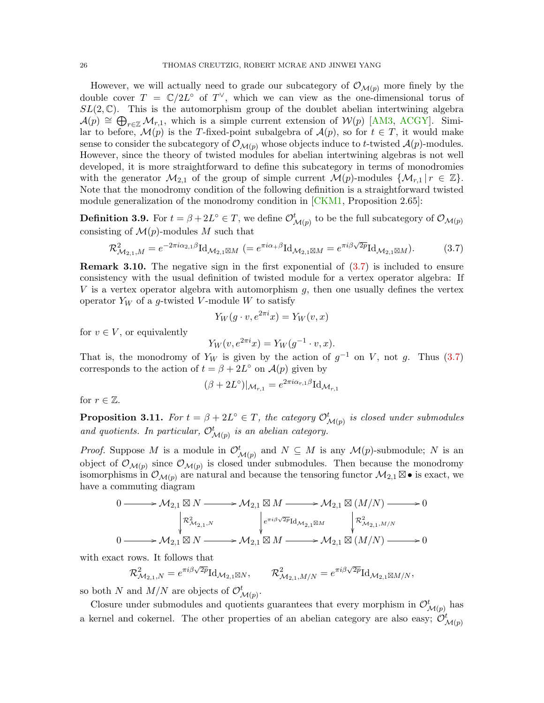However, we will actually need to grade our subcategory of  $\mathcal{O}_{\mathcal{M}(p)}$  more finely by the double cover  $T = \mathbb{C}/2L^{\circ}$  of  $T^{\vee}$ , which we can view as the one-dimensional torus of  $SL(2,\mathbb{C})$ . This is the automorphism group of the doublet abelian intertwining algebra  $\mathcal{A}(p) \cong \bigoplus_{r \in \mathbb{Z}} \mathcal{M}_{r,1}$ , which is a simple current extension of  $\mathcal{W}(p)$  [\[AM3,](#page-60-23) [ACGY\]](#page-59-5). Similar to before,  $\mathcal{M}(p)$  is the T-fixed-point subalgebra of  $\mathcal{A}(p)$ , so for  $t \in T$ , it would make sense to consider the subcategory of  $\mathcal{O}_{\mathcal{M}(p)}$  whose objects induce to t-twisted  $\mathcal{A}(p)$ -modules. However, since the theory of twisted modules for abelian intertwining algebras is not well developed, it is more straightforward to define this subcategory in terms of monodromies with the generator  $\mathcal{M}_{2,1}$  of the group of simple current  $\mathcal{M}(p)$ -modules  $\{\mathcal{M}_{r,1} | r \in \mathbb{Z}\}.$ Note that the monodromy condition of the following definition is a straightforward twisted module generalization of the monodromy condition in  $[CKM1,$  Proposition 2.65]:

<span id="page-25-0"></span>**Definition 3.9.** For  $t = \beta + 2L^{\circ} \in T$ , we define  $\mathcal{O}_{\mathcal{M}(p)}^t$  to be the full subcategory of  $\mathcal{O}_{\mathcal{M}(p)}$ consisting of  $\mathcal{M}(p)$ -modules M such that

$$
\mathcal{R}_{\mathcal{M}_{2,1},M}^2 = e^{-2\pi i \alpha_{2,1}\beta} \mathrm{Id}_{\mathcal{M}_{2,1} \boxtimes M} \ ( = e^{\pi i \alpha_{+} \beta} \mathrm{Id}_{\mathcal{M}_{2,1} \boxtimes M} = e^{\pi i \beta \sqrt{2p}} \mathrm{Id}_{\mathcal{M}_{2,1} \boxtimes M}). \tag{3.7}
$$

**Remark 3.10.** The negative sign in the first exponential of  $(3.7)$  is included to ensure consistency with the usual definition of twisted module for a vertex operator algebra: If V is a vertex operator algebra with automorphism  $q$ , then one usually defines the vertex operator  $Y_W$  of a g-twisted V-module W to satisfy

<span id="page-25-1"></span>
$$
Y_W(g \cdot v, e^{2\pi i}x) = Y_W(v, x)
$$

for  $v \in V$ , or equivalently

$$
Y_W(v, e^{2\pi i}x) = Y_W(g^{-1} \cdot v, x).
$$

That is, the monodromy of  $Y_W$  is given by the action of  $g^{-1}$  on V, not g. Thus [\(3.7\)](#page-25-1) corresponds to the action of  $t = \beta + 2L^{\circ}$  on  $\mathcal{A}(p)$  given by

$$
(\beta + 2L^{\circ})|_{\mathcal{M}_{r,1}} = e^{2\pi i \alpha_{r,1}\beta} \mathrm{Id}_{\mathcal{M}_{r,1}}
$$

for  $r \in \mathbb{Z}$ .

<span id="page-25-2"></span>**Proposition 3.11.** For  $t = \beta + 2L^{\circ} \in T$ , the category  $\mathcal{O}_{\mathcal{M}(p)}^{t}$  is closed under submodules and quotients. In particular,  $\mathcal{O}_{\mathcal{M}(p)}^t$  is an abelian category.

*Proof.* Suppose M is a module in  $\mathcal{O}_{\mathcal{M}(p)}^t$  and  $N \subseteq M$  is any  $\mathcal{M}(p)$ -submodule; N is an object of  $\mathcal{O}_{\mathcal{M}(p)}$  since  $\mathcal{O}_{\mathcal{M}(p)}$  is closed under submodules. Then because the monodromy isomorphisms in  $\mathcal{O}_{\mathcal{M}(p)}$  are natural and because the tensoring functor  $\mathcal{M}_{2,1} \boxtimes \bullet$  is exact, we have a commuting diagram

$$
\begin{array}{ccc}\n0 & \longrightarrow {\mathcal M}_{2,1} \boxtimes N \longrightarrow {\mathcal M}_{2,1} \boxtimes M \longrightarrow {\mathcal M}_{2,1} \boxtimes (M/N) \longrightarrow 0 \\
& & \begin{array}{c}\n\downarrow & \pi_{\mathcal M_{2,1},N} \\
\downarrow & \downarrow & \downarrow \\
0 & \longrightarrow & {\mathcal M}_{2,1} \boxtimes N \longrightarrow {\mathcal M}_{2,1} \boxtimes M \longrightarrow {\mathcal M}_{2,1} \boxtimes (M/N) \longrightarrow 0\n\end{array}\n\end{array}
$$

with exact rows. It follows that

 $\mathcal{R}_{\mathcal{M}_{2,1},N}^{2}=e^{\pi i\beta\sqrt{2p}}\mathrm{Id}_{\mathcal{M}_{2,1}\boxtimes N},\qquad \mathcal{R}_{\mathcal{M}_{2,1},M/N}^{2}=e^{\pi i\beta\sqrt{2p}}\mathrm{Id}_{\mathcal{M}_{2,1}\boxtimes N},$  $\pi i \beta \sqrt{2p} \mathrm{Id}_{\mathcal{M}_{2,1} \boxtimes M/N},$ 

so both N and  $M/N$  are objects of  $\mathcal{O}_{\mathcal{M}(p)}^t$ .

Closure under submodules and quotients guarantees that every morphism in  $\mathcal{O}_{\mathcal{M}(p)}^t$  has a kernel and cokernel. The other properties of an abelian category are also easy;  $\mathcal{O}_{\mathcal{M}(p)}^t$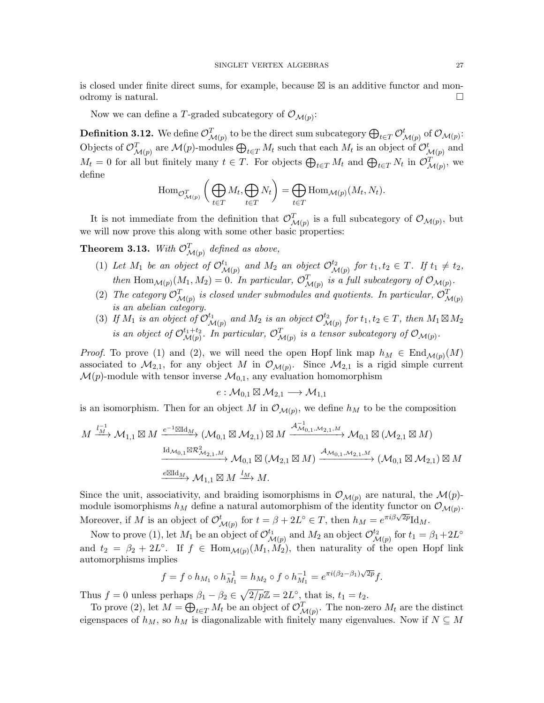is closed under finite direct sums, for example, because  $\boxtimes$  is an additive functor and monodromy is natural.  $\Box$ 

Now we can define a T-graded subcategory of  $\mathcal{O}_{\mathcal{M}(p)}$ :

<span id="page-26-0"></span>**Definition 3.12.** We define  $\mathcal{O}_{\mathcal{M}(p)}^T$  to be the direct sum subcategory  $\bigoplus_{t\in T}\mathcal{O}_{\mathcal{M}(p)}^t$  of  $\mathcal{O}_{\mathcal{M}(p)}$ : Objects of  $\mathcal{O}_{\mathcal{M}(p)}^T$  are  $\mathcal{M}(p)$ -modules  $\bigoplus_{t\in T}M_t$  such that each  $M_t$  is an object of  $\mathcal{O}_{\mathcal{M}(p)}^t$  and  $M_t = 0$  for all but finitely many  $t \in T$ . For objects  $\bigoplus_{t \in T} M_t$  and  $\bigoplus_{t \in T} N_t$  in  $\mathcal{O}_{\mathcal{M}(p)}^T$ , we define

$$
\operatorname{Hom}_{\mathcal{O}_{\mathcal{M}(p)}^T} \left( \bigoplus_{t \in T} M_t, \bigoplus_{t \in T} N_t \right) = \bigoplus_{t \in T} \operatorname{Hom}_{\mathcal{M}(p)}(M_t, N_t).
$$

It is not immediate from the definition that  $\mathcal{O}_{\mathcal{M}(p)}^T$  is a full subcategory of  $\mathcal{O}_{\mathcal{M}(p)}$ , but we will now prove this along with some other basic properties:

<span id="page-26-1"></span>**Theorem 3.13.** With  $\mathcal{O}_{\mathcal{M}(p)}^T$  defined as above,

- (1) Let  $M_1$  be an object of  $\mathcal{O}_{\mathcal{N}}^{t_1}$  $\stackrel{t_1}{\mathcal{M}(p)}$  and  $M_2$  an object  $\mathcal{O}_{\mathcal{N}}^{t_2}$  $\stackrel{t_2}{\mathcal{M}(p)}$  for  $t_1, t_2 \in T$ . If  $t_1 \neq t_2$ , then Hom $_{\mathcal{M}(p)}(M_1, M_2) = 0$ . In particular,  $\mathcal{O}_{\mathcal{M}(p)}^T$  is a full subcategory of  $\mathcal{O}_{\mathcal{M}(p)}$ .
- (2) The category  $\mathcal{O}_{\mathcal{M}(p)}^T$  is closed under submodules and quotients. In particular,  $\mathcal{O}_{\mathcal{M}(p)}^T$ is an abelian category.
- (3) If  $M_1$  is an object of  $\mathcal{O}_{\Lambda}^{t_1}$  $\stackrel{t_1}{\scriptstyle \mathcal{M}(p)}$  and  $M_2$  is an object  $\mathcal{O}_{\mathcal{N}}^{t_2}$  $\stackrel{t_2}{\scriptstyle \mathcal{M}(p)}$  for  $t_1, t_2 \in T$ , then  $M_1 \boxtimes M_2$ is an object of  $\mathcal{O}_{M(n)}^{t_1+t_2}$  $\mathcal{M}_{(p)}^{t_1+t_2}$ . In particular,  $\mathcal{O}_{\mathcal{M}(p)}^{T}$  is a tensor subcategory of  $\mathcal{O}_{\mathcal{M}(p)}$ .

*Proof.* To prove (1) and (2), we will need the open Hopf link map  $h_M \in \text{End}_{\mathcal{M}(p)}(M)$ associated to  $\mathcal{M}_{2,1}$ , for any object M in  $\mathcal{O}_{\mathcal{M}(p)}$ . Since  $\mathcal{M}_{2,1}$  is a rigid simple current  $\mathcal{M}(p)$ -module with tensor inverse  $\mathcal{M}_{0,1}$ , any evaluation homomorphism

$$
e:\mathcal{M}_{0,1}\boxtimes \mathcal{M}_{2,1}\longrightarrow \mathcal{M}_{1,1}
$$

is an isomorphism. Then for an object M in  $\mathcal{O}_{\mathcal{M}(p)}$ , we define  $h_M$  to be the composition

$$
M \xrightarrow{l_{M}^{-1}} \mathcal{M}_{1,1} \boxtimes M \xrightarrow{e^{-1} \boxtimes \mathrm{Id}_{M}} (\mathcal{M}_{0,1} \boxtimes \mathcal{M}_{2,1}) \boxtimes M \xrightarrow{\mathcal{A}_{\mathcal{M}_{0,1},\mathcal{M}_{2,1},M}} \mathcal{M}_{0,1} \boxtimes (\mathcal{M}_{2,1} \boxtimes M)
$$
  

$$
\xrightarrow{\mathrm{Id}_{\mathcal{M}_{0,1}} \boxtimes \mathcal{R}_{\mathcal{M}_{2,1},M}^{2}} \mathcal{M}_{0,1} \boxtimes (\mathcal{M}_{2,1} \boxtimes M) \xrightarrow{\mathcal{A}_{\mathcal{M}_{0,1},\mathcal{M}_{2,1},M}} (\mathcal{M}_{0,1} \boxtimes \mathcal{M}_{2,1}) \boxtimes M
$$
  

$$
\xrightarrow{e \boxtimes \mathrm{Id}_{M}} \mathcal{M}_{1,1} \boxtimes M \xrightarrow{l_{M}} M.
$$

Since the unit, associativity, and braiding isomorphisms in  $\mathcal{O}_{\mathcal{M}(p)}$  are natural, the  $\mathcal{M}(p)$ module isomorphisms  $h_M$  define a natural automorphism of the identity functor on  $\mathcal{O}_{\mathcal{M}(p)}$ . Moreover, if M is an object of  $\mathcal{O}_{\mathcal{M}(p)}^t$  for  $t = \beta + 2L^{\circ} \in T$ , then  $h_M = e^{\pi i \beta \sqrt{2p}} \mathrm{Id}_M$ .

Now to prove (1), let  $M_1$  be an object of  $\mathcal{O}_{\mathcal{N}}^{t_1}$  $\stackrel{t_1}{\mathcal{M}(p)}$  and  $M_2$  an object  $\mathcal{O}_{\mathcal{N}}^{t_2}$  $\stackrel{t_2}{\mathcal{M}(p)}$  for  $t_1 = \beta_1 + 2L^\circ$ and  $t_2 = \beta_2 + 2L^{\circ}$ . If  $f \in \text{Hom}_{\mathcal{M}(p)}(M_1, \tilde{M_2})$ , then naturality of the open Hopf link automorphisms implies

$$
f = f \circ h_{M_1} \circ h_{M_1}^{-1} = h_{M_2} \circ f \circ h_{M_1}^{-1} = e^{\pi i (\beta_2 - \beta_1) \sqrt{2p}} f.
$$

Thus  $f = 0$  unless perhaps  $\beta_1 - \beta_2 \in \sqrt{2/p} \mathbb{Z} = 2L^{\circ}$ , that is,  $t_1 = t_2$ .

To prove (2), let  $M = \bigoplus_{t \in T} M_t$  be an object of  $\mathcal{O}_{\mathcal{M}(p)}^T$ . The non-zero  $M_t$  are the distinct eigenspaces of  $h_M$ , so  $h_M$  is diagonalizable with finitely many eigenvalues. Now if  $N \subseteq M$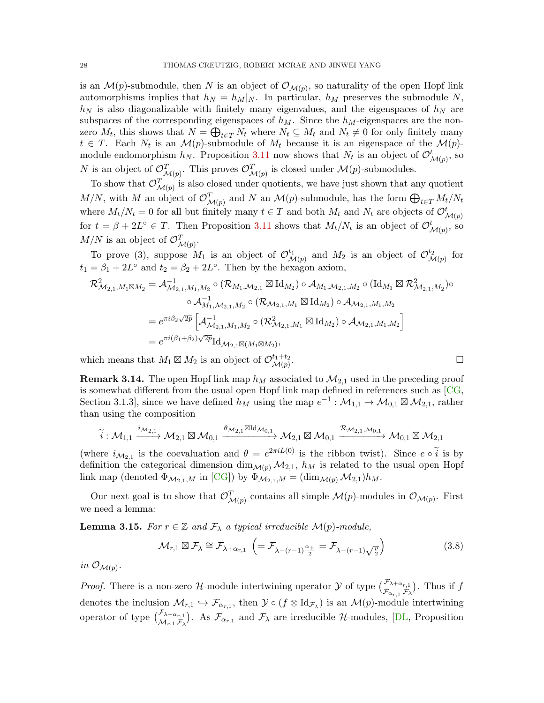is an  $\mathcal{M}(p)$ -submodule, then N is an object of  $\mathcal{O}_{\mathcal{M}(p)}$ , so naturality of the open Hopf link automorphisms implies that  $h_N = h_M|_N$ . In particular,  $h_M$  preserves the submodule N,  $h_N$  is also diagonalizable with finitely many eigenvalues, and the eigenspaces of  $h_N$  are subspaces of the corresponding eigenspaces of  $h_M$ . Since the  $h_M$ -eigenspaces are the nonzero  $M_t$ , this shows that  $N = \bigoplus_{t \in T} N_t$  where  $N_t \subseteq M_t$  and  $N_t \neq 0$  for only finitely many  $t \in T$ . Each  $N_t$  is an  $\mathcal{M}(p)$ -submodule of  $M_t$  because it is an eigenspace of the  $\mathcal{M}(p)$ module endomorphism  $h_N$ . Proposition [3.11](#page-25-2) now shows that  $N_t$  is an object of  $\mathcal{O}_{\mathcal{M}(p)}^t$ , so N is an object of  $\mathcal{O}_{\mathcal{M}(p)}^T$ . This proves  $\mathcal{O}_{\mathcal{M}(p)}^T$  is closed under  $\mathcal{M}(p)$ -submodules.

To show that  $\mathcal{O}_{\mathcal{M}(p)}^T$  is also closed under quotients, we have just shown that any quotient  $M/N$ , with M an object of  $\mathcal{O}_{\mathcal{M}(p)}^T$  and N an  $\mathcal{M}(p)$ -submodule, has the form  $\bigoplus_{t\in T} M_t/N_t$ where  $M_t/N_t = 0$  for all but finitely many  $t \in T$  and both  $M_t$  and  $N_t$  are objects of  $\mathcal{O}_{\mathcal{M}(p)}^t$ for  $t = \beta + 2L^{\circ} \in T$ . Then Proposition [3.11](#page-25-2) shows that  $M_t/N_t$  is an object of  $\mathcal{O}_{\mathcal{M}(p)}^t$ , so  $M/N$  is an object of  $\mathcal{O}_{\mathcal{M}(p)}^T$ .

To prove (3), suppose  $M_1$  is an object of  $\mathcal{O}_{\mathcal{N}}^{t_1}$  $\mathcal{M}_{\mathcal{M}(p)}$  and  $M_2$  is an object of  $\mathcal{O}_{\mathcal{N}}^{t_2}$  $\stackrel{t_2}{\mathcal{M}(p)}$  for  $t_1 = \beta_1 + 2L^{\circ}$  and  $t_2 = \beta_2 + 2L^{\circ}$ . Then by the hexagon axiom,

$$
\mathcal{R}_{\mathcal{M}_{2,1},M_1 \boxtimes M_2}^2 = \mathcal{A}_{\mathcal{M}_{2,1},M_1,M_2}^{-1} \circ (\mathcal{R}_{M_1,\mathcal{M}_{2,1}} \boxtimes \mathrm{Id}_{M_2}) \circ \mathcal{A}_{M_1,\mathcal{M}_{2,1},M_2} \circ (\mathrm{Id}_{M_1} \boxtimes \mathcal{R}_{\mathcal{M}_{2,1},M_2}^2) \circ \circ \mathcal{A}_{M_1,\mathcal{M}_{2,1},M_2}^{-1} \circ (\mathcal{R}_{\mathcal{M}_{2,1},M_1} \boxtimes \mathrm{Id}_{M_2}) \circ \mathcal{A}_{\mathcal{M}_{2,1},M_1,M_2} = e^{\pi i \beta_2 \sqrt{2p}} \left[ \mathcal{A}_{\mathcal{M}_{2,1},M_1,M_2}^{-1} \circ (\mathcal{R}_{\mathcal{M}_{2,1},M_1}^2 \boxtimes \mathrm{Id}_{M_2}) \circ \mathcal{A}_{\mathcal{M}_{2,1},M_1,M_2} \right] = e^{\pi i (\beta_1 + \beta_2) \sqrt{2p}} \mathrm{Id}_{\mathcal{M}_{2,1} \boxtimes (M_1 \boxtimes M_2)},
$$

which means that  $M_1 \boxtimes M_2$  is an object of  $\mathcal{O}_{\mathcal{M}(n)}^{t_1+t_2}$  $\mathcal{M}(p)$ 

<span id="page-27-2"></span>**Remark 3.14.** The open Hopf link map  $h_M$  associated to  $\mathcal{M}_{2,1}$  used in the preceding proof is somewhat different from the usual open Hopf link map defined in references such as [\[CG,](#page-60-24) Section 3.1.3, since we have defined  $h_M$  using the map  $e^{-1}: \mathcal{M}_{1,1} \to \mathcal{M}_{0,1} \boxtimes \mathcal{M}_{2,1}$ , rather than using the composition

$$
\widetilde{i}:\mathcal{M}_{1,1}\xrightarrow{i_{\mathcal{M}_{2,1}}}\mathcal{M}_{2,1}\boxtimes \mathcal{M}_{0,1}\xrightarrow{\theta_{\mathcal{M}_{2,1}}\boxtimes \mathrm{Id}_{\mathcal{M}_{0,1}}}\mathcal{M}_{2,1}\boxtimes \mathcal{M}_{0,1}\xrightarrow{\mathcal{R}_{\mathcal{M}_{2,1},\mathcal{M}_{0,1}}}\mathcal{M}_{0,1}\boxtimes \mathcal{M}_{2,1}
$$

(where  $i_{\mathcal{M}_{2,1}}$  is the coevaluation and  $\theta = e^{2\pi i L(0)}$  is the ribbon twist). Since  $e \circ \tilde{i}$  is by definition the categorical dimension  $\dim_{\mathcal{M}(p)} \mathcal{M}_{2,1}$ ,  $h_M$  is related to the usual open Hopf link map (denoted  $\Phi_{\mathcal{M}_{2,1},M}$  in [\[CG\]](#page-60-24)) by  $\Phi_{\mathcal{M}_{2,1},M} = (\dim_{\mathcal{M}(p)} \mathcal{M}_{2,1})h_M$ .

Our next goal is to show that  $\mathcal{O}_{\mathcal{M}(p)}^T$  contains all simple  $\mathcal{M}(p)$ -modules in  $\mathcal{O}_{\mathcal{M}(p)}$ . First we need a lemma:

<span id="page-27-1"></span>**Lemma 3.15.** For  $r \in \mathbb{Z}$  and  $\mathcal{F}_{\lambda}$  a typical irreducible  $\mathcal{M}(p)$ -module,

$$
\mathcal{M}_{r,1} \boxtimes \mathcal{F}_{\lambda} \cong \mathcal{F}_{\lambda + \alpha_{r,1}} \left( = \mathcal{F}_{\lambda - (r-1)\frac{\alpha_+}{2}} = \mathcal{F}_{\lambda - (r-1)\sqrt{\frac{p}{2}}} \right)
$$
(3.8)

in  $\mathcal{O}_{\mathcal{M}(p)}$ .

*Proof.* There is a non-zero *H*-module intertwining operator  $\mathcal Y$  of type  $\begin{pmatrix} \mathcal F_{\lambda+\alpha_{r,1}} \\ \mathcal F_{\alpha_{r,1}} \mathcal F_{\lambda} \end{pmatrix}$ . Thus if  $f$ denotes the inclusion  $\mathcal{M}_{r,1} \hookrightarrow \mathcal{F}_{\alpha_{r,1}}$ , then  $\mathcal{Y} \circ (f \otimes \mathrm{Id}_{\mathcal{F}_{\lambda}})$  is an  $\mathcal{M}(p)$ -module intertwining operator of type  $\binom{\mathcal{F}_{\lambda+\alpha_{r,1}}}{\mathcal{M}_{r,1}\mathcal{F}_{\lambda}}$ . As  $\mathcal{F}_{\alpha_{r,1}}$  and  $\mathcal{F}_{\lambda}$  are irreducible H-modules, [\[DL,](#page-61-23) Proposition

<span id="page-27-0"></span>
$$
\qquad \qquad \Box
$$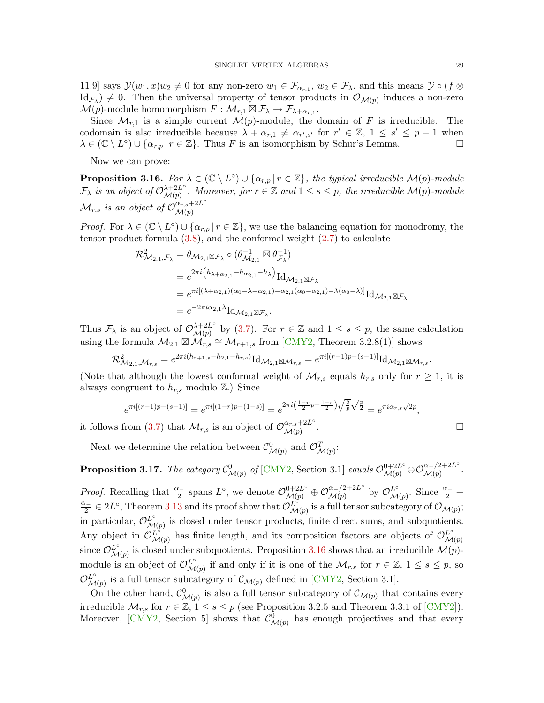11.9] says  $\mathcal{Y}(w_1, x)w_2 \neq 0$  for any non-zero  $w_1 \in \mathcal{F}_{\alpha_{r,1}}$ ,  $w_2 \in \mathcal{F}_{\lambda}$ , and this means  $\mathcal{Y} \circ (f \otimes f)$  $\mathrm{Id}_{\mathcal{F}_{\lambda}}$   $\neq$  0. Then the universal property of tensor products in  $\mathcal{O}_{\mathcal{M}(p)}$  induces a non-zero  $\mathcal{M}(p)$ -module homomorphism  $F : \mathcal{M}_{r,1} \boxtimes \mathcal{F}_{\lambda} \to \mathcal{F}_{\lambda + \alpha_{r,1}}$ .

Since  $\mathcal{M}_{r,1}$  is a simple current  $\mathcal{M}(p)$ -module, the domain of F is irreducible. The codomain is also irreducible because  $\lambda + \alpha_{r,1} \neq \alpha_{r',s'}$  for  $r' \in \mathbb{Z}$ ,  $1 \leq s' \leq p-1$  when  $\lambda \in (\mathbb{C} \setminus L^{\circ}) \cup \{\alpha_{r,p} | r \in \mathbb{Z}\}.$  Thus F is an isomorphism by Schur's Lemma.

Now we can prove:

<span id="page-28-0"></span>**Proposition 3.16.** For  $\lambda \in (\mathbb{C} \setminus L^{\circ}) \cup \{\alpha_{r,p} | r \in \mathbb{Z}\}\$ , the typical irreducible  $\mathcal{M}(p)$ -module  $\mathcal{F}_{\lambda}$  is an object of  $\mathcal{O}_{\mathcal{M}(n)}^{\lambda+2L^{\circ}}$  $\mathcal{M}(p)$ . Moreover, for  $r \in \mathbb{Z}$  and  $1 \leq s \leq p$ , the irreducible  $\mathcal{M}(p)$ -module  $\mathcal{M}_{r,s}$  is an object of  $\mathcal{O}_{\mathcal{M}(r)}^{\alpha_{r,s}+2L^{\circ}}$  $\mathcal{M}(p)$ 

*Proof.* For  $\lambda \in (\mathbb{C} \setminus L^{\circ}) \cup \{\alpha_{r,p} | r \in \mathbb{Z}\},$  we use the balancing equation for monodromy, the tensor product formula  $(3.8)$ , and the conformal weight  $(2.7)$  to calculate

$$
\mathcal{R}_{\mathcal{M}_{2,1},\mathcal{F}_{\lambda}}^{2} = \theta_{\mathcal{M}_{2,1} \boxtimes \mathcal{F}_{\lambda}} \circ (\theta_{\mathcal{M}_{2,1}}^{-1} \boxtimes \theta_{\mathcal{F}_{\lambda}}^{-1})
$$
\n
$$
= e^{2\pi i \left( h_{\lambda + \alpha_{2,1}} - h_{\alpha_{2,1}} - h_{\lambda} \right)} \mathrm{Id}_{\mathcal{M}_{2,1} \boxtimes \mathcal{F}_{\lambda}}
$$
\n
$$
= e^{\pi i [(\lambda + \alpha_{2,1})(\alpha_{0} - \lambda - \alpha_{2,1}) - \alpha_{2,1}(\alpha_{0} - \alpha_{2,1}) - \lambda(\alpha_{0} - \lambda)]} \mathrm{Id}_{\mathcal{M}_{2,1} \boxtimes \mathcal{F}_{\lambda}}
$$
\n
$$
= e^{-2\pi i \alpha_{2,1} \lambda} \mathrm{Id}_{\mathcal{M}_{2,1} \boxtimes \mathcal{F}_{\lambda}}.
$$

Thus  $\mathcal{F}_{\lambda}$  is an object of  $\mathcal{O}_{\mathcal{M}(n)}^{\lambda+2L^{\circ}}$  $\mathcal{A}^{+2L^{\circ}}_{\mathcal{M}(p)}$  by [\(3.7\)](#page-25-1). For  $r \in \mathbb{Z}$  and  $1 \leq s \leq p$ , the same calculation using the formula  $\mathcal{M}_{2,1} \boxtimes \mathcal{M}_{r,s} \cong \mathcal{M}_{r+1,s}$  from [\[CMY2,](#page-60-0) Theorem 3.2.8(1)] shows

$$
\mathcal{R}_{\mathcal{M}_{2,1},\mathcal{M}_{r,s}}^2 = e^{2\pi i (h_{r+1,s}-h_{2,1}-h_{r,s})} \mathrm{Id}_{\mathcal{M}_{2,1} \boxtimes \mathcal{M}_{r,s}} = e^{\pi i [(r-1)p-(s-1)]} \mathrm{Id}_{\mathcal{M}_{2,1} \boxtimes \mathcal{M}_{r,s}}.
$$

(Note that although the lowest conformal weight of  $\mathcal{M}_{r,s}$  equals  $h_{r,s}$  only for  $r \geq 1$ , it is always congruent to  $h_{r,s}$  modulo  $\mathbb{Z}$ .) Since

$$
e^{\pi i[(r-1)p-(s-1)]} = e^{\pi i[(1-r)p-(1-s)]} = e^{2\pi i(\frac{1-r}{2}p-\frac{1-s}{2})\sqrt{\frac{2}{p}}\sqrt{\frac{p}{2}}} = e^{\pi i \alpha_{r,s}\sqrt{2p}},
$$
  
from (3.7) that  $\mathcal{M}_{r,s}$  is an object of  $\mathcal{O}_{\mathcal{M}(r)}^{\alpha_{r,s}+2L^{\circ}}$ .

it follows from [\(3.7\)](#page-25-1) that  $\mathcal{M}_{r,s}$  is an object of  $\mathcal{O}_{\mathcal{M}(n)}^{\alpha_{r,s}+2L^{\circ}}$  $\mathcal{M}(p)$ 

Next we determine the relation between  $\mathcal{C}^0_{\mathcal{M}(p)}$  and  $\mathcal{O}^T_{\mathcal{M}(p)}$ :

# <span id="page-28-1"></span>**Proposition 3.17.** The category  $C^0_{\mathcal{M}(p)}$  of [\[CMY2,](#page-60-0) Section 3.1] equals  $\mathcal{O}_{\mathcal{M}(p)}^{0+2L^{\circ}} \oplus \mathcal{O}_{\mathcal{M}(p)}^{\alpha_-/2+2L^{\circ}}$ .

*Proof.* Recalling that  $\frac{\alpha_-}{2}$  spans  $L^{\circ}$ , we denote  $\mathcal{O}_{\mathcal{M}(p)}^{0+2L^{\circ}} \oplus \mathcal{O}_{\mathcal{M}(p)}^{\alpha_-/2+2L^{\circ}}$  by  $\mathcal{O}_{\mathcal{M}(p)}^{L^{\circ}}$ . Since  $\frac{\alpha_-}{2}$  + α−  $\frac{d^2L}{dt^2} \in 2L^{\circ}$ , Theorem [3.13](#page-26-1) and its proof show that  $\mathcal{O}_{\mathcal{M}(p)}^{L^{\circ}}$  is a full tensor subcategory of  $\mathcal{O}_{\mathcal{M}(p)}$ ; in particular,  $\mathcal{O}_{\mathcal{M}(p)}^{L^{\circ}}$  is closed under tensor products, finite direct sums, and subquotients. Any object in  $\mathcal{O}_{\mathcal{M}(p)}^{\mathcal{L}^{\circ}}$  has finite length, and its composition factors are objects of  $\mathcal{O}_{\mathcal{M}(p)}^{\mathcal{L}^{\circ}}$ since  $\mathcal{O}_{\mathcal{M}(p)}^{L^{\circ}}$  is closed under subquotients. Proposition [3.16](#page-28-0) shows that an irreducible  $\mathcal{M}(p)$ module is an object of  $\mathcal{O}_{\mathcal{M}(p)}^{\mathcal{L}^{\circ}}$  if and only if it is one of the  $\mathcal{M}_{r,s}$  for  $r \in \mathbb{Z}, 1 \leq s \leq p$ , so  $\mathcal{O}_{\mathcal{M}(p)}^{L^{\circ}}$  is a full tensor subcategory of  $\mathcal{C}_{\mathcal{M}(p)}$  defined in [\[CMY2,](#page-60-0) Section 3.1].

On the other hand,  $\mathcal{C}^0_{\mathcal{M}(p)}$  is also a full tensor subcategory of  $\mathcal{C}_{\mathcal{M}(p)}$  that contains every irreducible  $\mathcal{M}_{r,s}$  for  $r \in \mathbb{Z}, 1 \leq s \leq p$  (see Proposition 3.2.5 and Theorem 3.3.1 of [\[CMY2\]](#page-60-0)). Moreover, [\[CMY2,](#page-60-0) Section 5] shows that  $\mathcal{C}^0_{\mathcal{M}(p)}$  has enough projectives and that every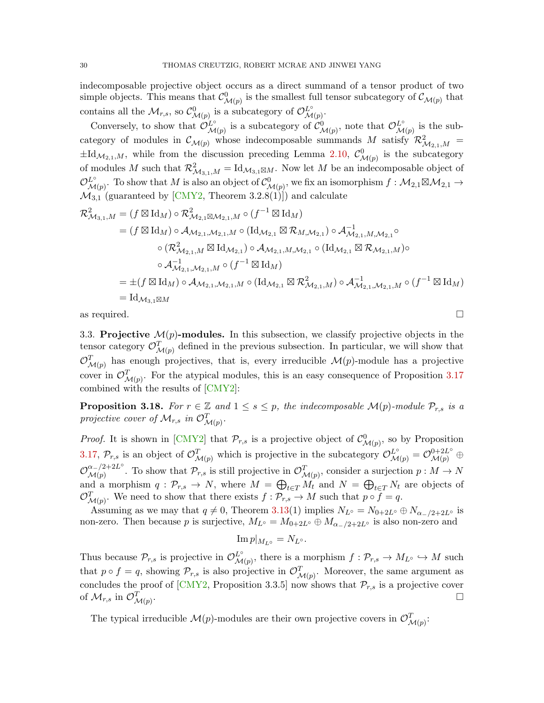indecomposable projective object occurs as a direct summand of a tensor product of two simple objects. This means that  $\mathcal{C}^0_{\mathcal{M}(p)}$  is the smallest full tensor subcategory of  $\mathcal{C}_{\mathcal{M}(p)}$  that contains all the  $\mathcal{M}_{r,s}$ , so  $\mathcal{C}_{\mathcal{M}(p)}^0$  is a subcategory of  $\mathcal{O}_{\mathcal{M}(p)}^{L^{\circ}}$ .

Conversely, to show that  $\tilde{\mathcal{O}}_{\mathcal{M}(p)}^{\mathcal{L}^{\circ}}$  is a subcategory of  $\tilde{\mathcal{C}}_{\mathcal{M}(p)}^{0}$ , note that  $\mathcal{O}_{\mathcal{M}(p)}^{\mathcal{L}^{\circ}}$  is the subcategory of modules in  $\mathcal{C}_{\mathcal{M}(p)}$  whose indecomposable summands M satisfy  $\mathcal{R}^2_{\mathcal{M}_{2,1},M}$  =  $\pm Id_{\mathcal{M}_{2,1},M}$ , while from the discussion preceding Lemma [2.10,](#page-17-1)  $\mathcal{C}^0_{\mathcal{M}(p)}$  is the subcategory of modules M such that  $\mathcal{R}_{\mathcal{M}_{3,1},M}^2 = \text{Id}_{\mathcal{M}_{3,1} \boxtimes M}$ . Now let M be an indecomposable object of  $\mathcal{O}_{\mathcal{M}(p)}^{L^{\circ}}$ . To show that M is also an object of  $\mathcal{C}_{\mathcal{M}(p)}^{0}$ , we fix an isomorphism  $f: \mathcal{M}_{2,1} \boxtimes \mathcal{M}_{2,1} \rightarrow$  $\mathcal{M}_{3,1}$  (guaranteed by [\[CMY2,](#page-60-0) Theorem 3.2.8(1)]) and calculate

$$
\mathcal{R}_{\mathcal{M}_{3,1},M}^{2} = (f \boxtimes \mathrm{Id}_{M}) \circ \mathcal{R}_{\mathcal{M}_{2,1} \boxtimes \mathcal{M}_{2,1},M}^{2} \circ (f^{-1} \boxtimes \mathrm{Id}_{M})
$$
\n
$$
= (f \boxtimes \mathrm{Id}_{M}) \circ \mathcal{A}_{\mathcal{M}_{2,1},\mathcal{M}_{2,1},M} \circ (\mathrm{Id}_{\mathcal{M}_{2,1}} \boxtimes \mathcal{R}_{M,\mathcal{M}_{2,1}}) \circ \mathcal{A}_{\mathcal{M}_{2,1},M,\mathcal{M}_{2,1}}^{-1} \circ
$$
\n
$$
\circ (\mathcal{R}_{\mathcal{M}_{2,1},M}^{2} \boxtimes \mathrm{Id}_{\mathcal{M}_{2,1}}) \circ \mathcal{A}_{\mathcal{M}_{2,1},M,\mathcal{M}_{2,1}} \circ (\mathrm{Id}_{\mathcal{M}_{2,1}} \boxtimes \mathcal{R}_{\mathcal{M}_{2,1},M}) \circ
$$
\n
$$
\circ \mathcal{A}_{\mathcal{M}_{2,1},\mathcal{M}_{2,1},M}^{-1} \circ (f^{-1} \boxtimes \mathrm{Id}_{M})
$$
\n
$$
= \pm (f \boxtimes \mathrm{Id}_{M}) \circ \mathcal{A}_{\mathcal{M}_{2,1},\mathcal{M}_{2,1},M} \circ (\mathrm{Id}_{\mathcal{M}_{2,1}} \boxtimes \mathcal{R}_{\mathcal{M}_{2,1},M}^{2}) \circ \mathcal{A}_{\mathcal{M}_{2,1},\mathcal{M}_{2,1},M}^{-1} \circ (f^{-1} \boxtimes \mathrm{Id}_{M})
$$
\n
$$
= \mathrm{Id}_{\mathcal{M}_{3,1} \boxtimes M}
$$
\nas required.

\n
$$
\Box
$$

<span id="page-29-0"></span>3.3. Projective  $\mathcal{M}(p)$ -modules. In this subsection, we classify projective objects in the tensor category  $\mathcal{O}_{\mathcal{M}(p)}^T$  defined in the previous subsection. In particular, we will show that  $\mathcal{O}_{\mathcal{M}(p)}^T$  has enough projectives, that is, every irreducible  $\mathcal{M}(p)$ -module has a projective cover in  $\mathcal{O}_{\mathcal{M}(p)}^T$ . For the atypical modules, this is an easy consequence of Proposition [3.17](#page-28-1) combined with the results of [\[CMY2\]](#page-60-0):

<span id="page-29-1"></span>**Proposition 3.18.** For  $r \in \mathbb{Z}$  and  $1 \leq s \leq p$ , the indecomposable  $\mathcal{M}(p)$ -module  $\mathcal{P}_{r,s}$  is a projective cover of  $\mathcal{M}_{r,s}$  in  $\mathcal{O}_{\mathcal{M}(p)}^T$ .

*Proof.* It is shown in [\[CMY2\]](#page-60-0) that  $\mathcal{P}_{r,s}$  is a projective object of  $\mathcal{C}^0_{\mathcal{M}(p)}$ , so by Proposition [3.17,](#page-28-1)  $\mathcal{P}_{r,s}$  is an object of  $\mathcal{O}_{\mathcal{M}(p)}^T$  which is projective in the subcategory  $\mathcal{O}_{\mathcal{M}(p)}^{L^{\circ}} = \mathcal{O}_{\mathcal{M}(p)}^{0+2L^{\circ}} \oplus$  $\mathcal{O}_{\mathcal{M}(n)}^{\alpha_-/2+2L^{\circ}}$  $\mathcal{L}_{\mathcal{M}(p)}^{\alpha-}/2+2L^{\circ}$ . To show that  $\mathcal{P}_{r,s}$  is still projective in  $\mathcal{O}_{\mathcal{M}(p)}^T$ , consider a surjection  $p: M \to N$ and a morphism  $q: \mathcal{P}_{r,s} \to N$ , where  $M = \bigoplus_{t \in T} M_t$  and  $N = \bigoplus_{t \in T} N_t$  are objects of  $\mathcal{O}_{\mathcal{M}(p)}^T$ . We need to show that there exists  $f: \mathcal{P}_{r,s} \to M$  such that  $p \circ f = q$ .

Assuming as we may that  $q \neq 0$ , Theorem [3.13\(](#page-26-1)1) implies  $N_{L^{\circ}} = N_{0+2L^{\circ}} \oplus N_{\alpha-2+2L^{\circ}}$  is non-zero. Then because p is surjective,  $M_{L^{\circ}} = M_{0+2L^{\circ}} \oplus M_{\alpha_-/2+2L^{\circ}}$  is also non-zero and

$$
\operatorname{Im}p|_{M_{L^{\circ}}} = N_{L^{\circ}}.
$$

Thus because  $\mathcal{P}_{r,s}$  is projective in  $\mathcal{O}_{\mathcal{M}(p)}^{L^{\circ}}$ , there is a morphism  $f: \mathcal{P}_{r,s} \to M_{L^{\circ}} \hookrightarrow M$  such that  $p \circ f = q$ , showing  $\mathcal{P}_{r,s}$  is also projective in  $\mathcal{O}_{\mathcal{M}(p)}^T$ . Moreover, the same argument as concludes the proof of [\[CMY2,](#page-60-0) Proposition 3.3.5] now shows that  $\mathcal{P}_{r,s}$  is a projective cover of  $\mathcal{M}_{r,s}$  in  $\mathcal{O}_{\mathcal{M}(p)}^T$ . In the contract of the contract of the contract of the contract of the contract of the contract of the contract of

The typical irreducible  $\mathcal{M}(p)$ -modules are their own projective covers in  $\mathcal{O}_{\mathcal{M}(p)}^T$ :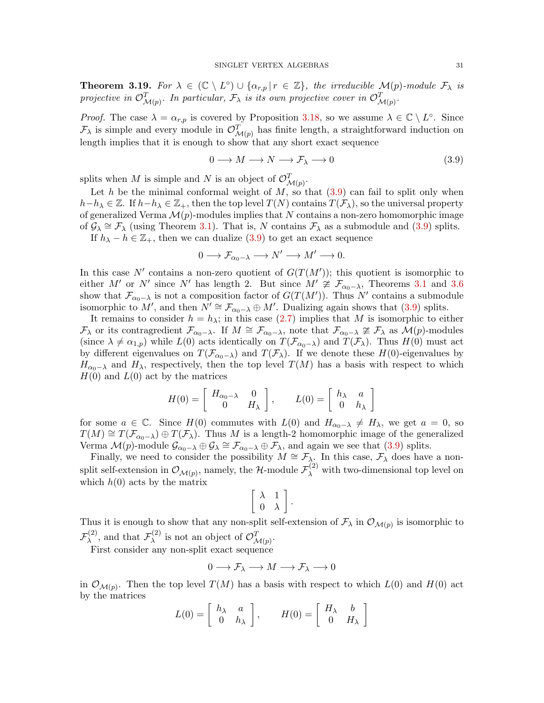<span id="page-30-0"></span>**Theorem 3.19.** For  $\lambda \in (\mathbb{C} \setminus L^{\circ}) \cup \{\alpha_{r,p} | r \in \mathbb{Z}\}\$ , the irreducible  $\mathcal{M}(p)$ -module  $\mathcal{F}_{\lambda}$  is projective in  $\mathcal{O}_{\mathcal{M}(p)}^T$ . In particular,  $\mathcal{F}_{\lambda}$  is its own projective cover in  $\mathcal{O}_{\mathcal{M}(p)}^T$ .

*Proof.* The case  $\lambda = \alpha_{r,p}$  is covered by Proposition [3.18,](#page-29-1) so we assume  $\lambda \in \mathbb{C} \setminus L^{\circ}$ . Since  $\mathcal{F}_{\lambda}$  is simple and every module in  $\mathcal{O}_{\mathcal{M}(p)}^T$  has finite length, a straightforward induction on length implies that it is enough to show that any short exact sequence

<span id="page-30-1"></span>
$$
0 \longrightarrow M \longrightarrow N \longrightarrow \mathcal{F}_{\lambda} \longrightarrow 0 \tag{3.9}
$$

splits when M is simple and N is an object of  $\mathcal{O}_{\mathcal{M}(p)}^T$ .

Let h be the minimal conformal weight of  $M$ , so that  $(3.9)$  can fail to split only when  $h-h_\lambda \in \mathbb{Z}$ . If  $h-h_\lambda \in \mathbb{Z}_+$ , then the top level  $T(N)$  contains  $T(\mathcal{F}_\lambda)$ , so the universal property of generalized Verma  $\mathcal{M}(p)$ -modules implies that N contains a non-zero homomorphic image of  $\mathcal{G}_{\lambda} \cong \mathcal{F}_{\lambda}$  (using Theorem [3.1\)](#page-18-1). That is, N contains  $\mathcal{F}_{\lambda}$  as a submodule and [\(3.9\)](#page-30-1) splits. If  $h_{\lambda} - h \in \mathbb{Z}_+$ , then we can dualize  $(3.9)$  to get an exact sequence

$$
0 \longrightarrow \mathcal{F}_{\alpha_0 - \lambda} \longrightarrow N' \longrightarrow M' \longrightarrow 0.
$$

In this case N' contains a non-zero quotient of  $G(T(M'))$ ; this quotient is isomorphic to either M' or N' since N' has length 2. But since  $M' \ncong \mathcal{F}_{\alpha_0-\lambda}$ , Theorems [3.1](#page-18-1) and [3.6](#page-23-0) show that  $\mathcal{F}_{\alpha_0-\lambda}$  is not a composition factor of  $G(T(M'))$ . Thus N' contains a submodule isomorphic to M', and then  $\overline{N'} \cong \mathcal{F}_{\alpha_0-\lambda} \oplus M'$ . Dualizing again shows that [\(3.9\)](#page-30-1) splits.

It remains to consider  $h = h_{\lambda}$ ; in this case [\(2.7\)](#page-12-1) implies that M is isomorphic to either  $\mathcal{F}_{\lambda}$  or its contragredient  $\mathcal{F}_{\alpha_0-\lambda}$ . If  $M \cong \mathcal{F}_{\alpha_0-\lambda}$ , note that  $\mathcal{F}_{\alpha_0-\lambda} \ncong \mathcal{F}_{\lambda}$  as  $\mathcal{M}(p)$ -modules (since  $\lambda \neq \alpha_{1,p}$ ) while  $L(0)$  acts identically on  $T(\mathcal{F}_{\alpha_0-\lambda})$  and  $T(\mathcal{F}_{\lambda})$ . Thus  $H(0)$  must act by different eigenvalues on  $T(\mathcal{F}_{\alpha_0-\lambda})$  and  $T(\mathcal{F}_{\lambda})$ . If we denote these  $H(0)$ -eigenvalues by  $H_{\alpha_0-\lambda}$  and  $H_{\lambda}$ , respectively, then the top level  $T(M)$  has a basis with respect to which  $H(0)$  and  $L(0)$  act by the matrices

$$
H(0) = \left[ \begin{array}{cc} H_{\alpha_0 - \lambda} & 0 \\ 0 & H_{\lambda} \end{array} \right], \qquad L(0) = \left[ \begin{array}{cc} h_{\lambda} & a \\ 0 & h_{\lambda} \end{array} \right]
$$

for some  $a \in \mathbb{C}$ . Since  $H(0)$  commutes with  $L(0)$  and  $H_{\alpha_0-\lambda} \neq H_\lambda$ , we get  $a = 0$ , so  $T(M) \cong T(\mathcal{F}_{\alpha_0-\lambda}) \oplus T(\mathcal{F}_\lambda)$ . Thus M is a length-2 homomorphic image of the generalized Verma  $\mathcal{M}(p)$ -module  $\mathcal{G}_{\alpha_0-\lambda} \oplus \mathcal{G}_{\lambda} \cong \mathcal{F}_{\alpha_0-\lambda} \oplus \mathcal{F}_{\lambda}$ , and again we see that [\(3.9\)](#page-30-1) splits.

Finally, we need to consider the possibility  $M \cong \mathcal{F}_{\lambda}$ . In this case,  $\mathcal{F}_{\lambda}$  does have a nonsplit self-extension in  $\mathcal{O}_{\mathcal{M}(p)}$ , namely, the H-module  $\mathcal{F}_{\lambda}^{(2)}$  with two-dimensional top level on which  $h(0)$  acts by the matrix

$$
\left[\begin{array}{cc} \lambda & 1 \\ 0 & \lambda \end{array}\right].
$$

Thus it is enough to show that any non-split self-extension of  $\mathcal{F}_{\lambda}$  in  $\mathcal{O}_{\mathcal{M}(p)}$  is isomorphic to  ${\cal F}_{_{\lambda}}^{(2)}$  $\mathcal{F}_{\lambda}^{(2)}$ , and that  $\mathcal{F}_{\lambda}^{(2)}$  $\lambda^{(2)}$  is not an object of  $\mathcal{O}_{\mathcal{M}(p)}^T$ .

First consider any non-split exact sequence

$$
0\longrightarrow \mathcal{F}_{\lambda}\longrightarrow M\longrightarrow \mathcal{F}_{\lambda}\longrightarrow 0
$$

in  $\mathcal{O}_{\mathcal{M}(p)}$ . Then the top level  $T(M)$  has a basis with respect to which  $L(0)$  and  $H(0)$  act by the matrices

$$
L(0) = \begin{bmatrix} h_{\lambda} & a \\ 0 & h_{\lambda} \end{bmatrix}, \qquad H(0) = \begin{bmatrix} H_{\lambda} & b \\ 0 & H_{\lambda} \end{bmatrix}
$$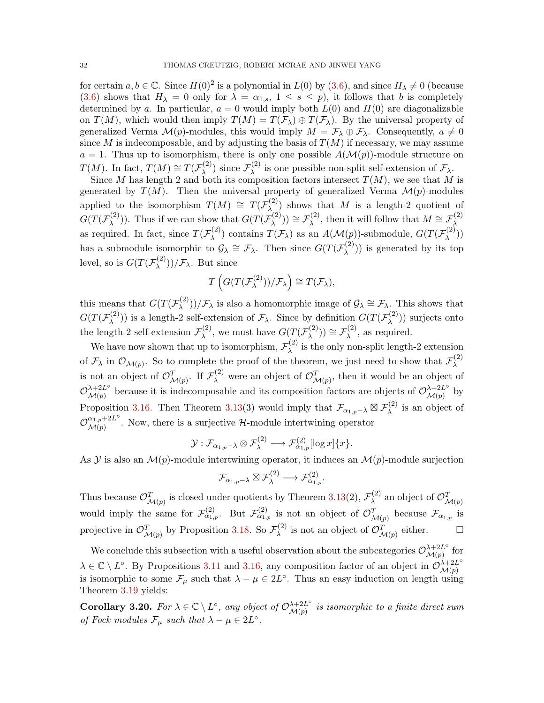for certain  $a, b \in \mathbb{C}$ . Since  $H(0)^2$  is a polynomial in  $L(0)$  by  $(3.6)$ , and since  $H_{\lambda} \neq 0$  (because [\(3.6\)](#page-23-1) shows that  $H_{\lambda} = 0$  only for  $\lambda = \alpha_{1,s}$ ,  $1 \leq s \leq p$ ), it follows that b is completely determined by a. In particular,  $a = 0$  would imply both  $L(0)$  and  $H(0)$  are diagonalizable on  $T(M)$ , which would then imply  $T(M) = T(\mathcal{F}_{\lambda}) \oplus T(\mathcal{F}_{\lambda})$ . By the universal property of generalized Verma  $\mathcal{M}(p)$ -modules, this would imply  $M = \mathcal{F}_{\lambda} \oplus \mathcal{F}_{\lambda}$ . Consequently,  $a \neq 0$ since M is indecomposable, and by adjusting the basis of  $T(M)$  if necessary, we may assume  $a = 1$ . Thus up to isomorphism, there is only one possible  $A(\mathcal{M}(p))$ -module structure on  $T(M)$ . In fact,  $T(M) \cong T(\mathcal{F}_{\lambda}^{(2)})$  $(\lambda^{(2)})$  since  $\mathcal{F}_{\lambda}^{(2)}$  $\lambda^{\left(2\right)}$  is one possible non-split self-extension of  $\mathcal{F}_{\lambda}$ .

Since M has length 2 and both its composition factors intersect  $T(M)$ , we see that M is generated by  $T(M)$ . Then the universal property of generalized Verma  $\mathcal{M}(p)$ -modules applied to the isomorphism  $T(M) \cong T(\mathcal{F}_{\lambda}^{(2)})$  $\lambda$ <sup>(2)</sup>) shows that M is a length-2 quotient of  $G(T(\mathcal{F}^{(2)}_{\lambda}% ,\mathcal{F}^{(3)}_{\lambda}))=\mathcal{F}_{\lambda}^{(2)}$  $\mathcal{L}_{\lambda}^{(2)}$ )). Thus if we can show that  $G(T(\mathcal{F}_{\lambda}^{(2)}))$  $(\lambda^{(2)}_{\lambda})) \cong \mathcal{F}_{\lambda}^{(2)}$  $\mathcal{F}_{\lambda}^{(2)}$ , then it will follow that  $M \cong \mathcal{F}_{\lambda}^{(2)}$ λ as required. In fact, since  $T(\mathcal{F}_\lambda^{(2)})$ (2)) contains  $T(\mathcal{F}_\lambda)$  as an  $A(\mathcal{M}(p))$ -submodule,  $G(T(\mathcal{F}_\lambda^{(2)}))$  $\lambda^{(2)}))$ has a submodule isomorphic to  $\mathcal{G}_{\lambda} \cong \mathcal{F}_{\lambda}$ . Then since  $G(T(\mathcal{F}_{\lambda}^{(2)})$  $\binom{(\lambda)}{\lambda}$ ) is generated by its top level, so is  $G(T(\mathcal{F}_\lambda^{(2)}))$  $(\lambda^{(2)}))/{\mathcal{F}}_{\lambda}$ . But since

$$
T\left(G(T(\mathcal{F}_{\lambda}^{(2)}))/\mathcal{F}_{\lambda}\right)\cong T(\mathcal{F}_{\lambda}),
$$

this means that  $G(T(\mathcal{F}_\lambda^{(2)}))$  $(\lambda^{(2)})/\mathcal{F}_{\lambda}$  is also a homomorphic image of  $\mathcal{G}_{\lambda} \cong \mathcal{F}_{\lambda}$ . This shows that  $G(T(\mathcal{F}^{(2)}_{\lambda}% ,\mathcal{F}^{(3)}_{\lambda}))=\mathcal{F}_{\lambda}^{(2)}$ <sup>(2)</sup>)) is a length-2 self-extension of  $\mathcal{F}_{\lambda}$ . Since by definition  $G(T(\mathcal{F}_{\lambda}^{(2)}))$  $\binom{2}{\lambda}$ ) surjects onto the length-2 self-extension  $\mathcal{F}_{\lambda}^{(2)}$  $\mathcal{L}_{\lambda}^{(2)}$ , we must have  $G(T(\mathcal{F}_{\lambda}^{(2)}))$  $(\lambda^{(2)}_{\lambda})) \cong \mathcal{F}_{\lambda}^{(2)}$  $\lambda^{(2)}$ , as required.

We have now shown that up to isomorphism,  $\mathcal{F}_{\lambda}^{(2)}$  $\lambda^{(2)}$  is the only non-split length-2 extension of  $\mathcal{F}_{\lambda}$  in  $\mathcal{O}_{\mathcal{M}(p)}$ . So to complete the proof of the theorem, we just need to show that  $\mathcal{F}_{\lambda}^{(2)}$ λ is not an object of  $\mathcal{O}_{\mathcal{M}(p)}^T$ . If  $\mathcal{F}_{\lambda}^{(2)}$  were an object of  $\mathcal{O}_{\mathcal{M}(p)}^T$ , then it would be an object of  $\mathcal{O}_{\mathcal{M}(n)}^{\lambda+2L^{\circ}}$  $\mathcal{A}^{+2L^{\circ}}_{\mathcal{M}(p)}$  because it is indecomposable and its composition factors are objects of  $\mathcal{O}_{\mathcal{M}(p)}^{\lambda+2L^{\circ}}$  $\mathcal{M}(p)$  by Proposition [3.16.](#page-28-0) Then Theorem [3.13\(](#page-26-1)3) would imply that  $\mathcal{F}_{\alpha_{1,p}-\lambda} \boxtimes \mathcal{F}_{\lambda}^{(2)}$  $\lambda^{(2)}$  is an object of  ${\cal O}_{M(n)}^{\alpha_{1,p}+2L^{\circ}}$  $\mathcal{M}(p)$ . Now, there is a surjective H-module intertwining operator

$$
\mathcal{Y}: \mathcal{F}_{\alpha_{1,p}-\lambda} \otimes \mathcal{F}_\lambda^{(2)} \longrightarrow \mathcal{F}_{\alpha_{1,p}}^{(2)}[\log x]\{x\}.
$$

As Y is also an  $\mathcal{M}(p)$ -module intertwining operator, it induces an  $\mathcal{M}(p)$ -module surjection

$$
\mathcal{F}_{\alpha_{1,p}-\lambda} \boxtimes \mathcal{F}_\lambda^{(2)} \longrightarrow \mathcal{F}_{\alpha_{1,p}}^{(2)}.
$$

Thus because  $\mathcal{O}_{\mathcal{M}(p)}^T$  is closed under quotients by Theorem [3.13\(](#page-26-1)2),  $\mathcal{F}_{\lambda}^{(2)}$  $\lambda^{(2)}$  an object of  $\mathcal{O}_{\mathcal{M}(p)}^T$ would imply the same for  $\mathcal{F}^{(2)}_{\alpha_{1,p}}$ . But  $\mathcal{F}^{(2)}_{\alpha_{1,p}}$  is not an object of  $\mathcal{O}_{\mathcal{M}(p)}^T$  because  $\mathcal{F}_{\alpha_{1,p}}$  is projective in  $\mathcal{O}_{\mathcal{M}(p)}^T$  by Proposition [3.18.](#page-29-1) So  $\mathcal{F}_{\lambda}^{(2)}$  $\lambda^{(2)}$  is not an object of  $\mathcal{O}_{\mathcal{M}(p)}^T$  either.  $\Box$ 

We conclude this subsection with a useful observation about the subcategories  $\mathcal{O}_{M(n)}^{\lambda+2L^{\circ}}$  $\mathcal{M}(p)$  for  $\lambda \in \mathbb{C} \setminus L^{\circ}$ . By Propositions [3.11](#page-25-2) and [3.16,](#page-28-0) any composition factor of an object in  $\mathcal{O}_{M(n)}^{\lambda+2L^{\circ}}$  $\mathcal{M}(p)$ is isomorphic to some  $\mathcal{F}_{\mu}$  such that  $\lambda - \mu \in 2L^{\circ}$ . Thus an easy induction on length using Theorem [3.19](#page-30-0) yields:

<span id="page-31-0"></span>**Corollary 3.20.** For  $\lambda \in \mathbb{C} \setminus L^{\circ}$ , any object of  $\mathcal{O}_{M(n)}^{\lambda+2L^{\circ}}$  $\mathcal{M}_{\mathcal{M}(p)}^{\lambda+2L^{\infty}}$  is isomorphic to a finite direct sum of Fock modules  $\mathcal{F}_{\mu}$  such that  $\lambda - \mu \in 2L^{\circ}$ .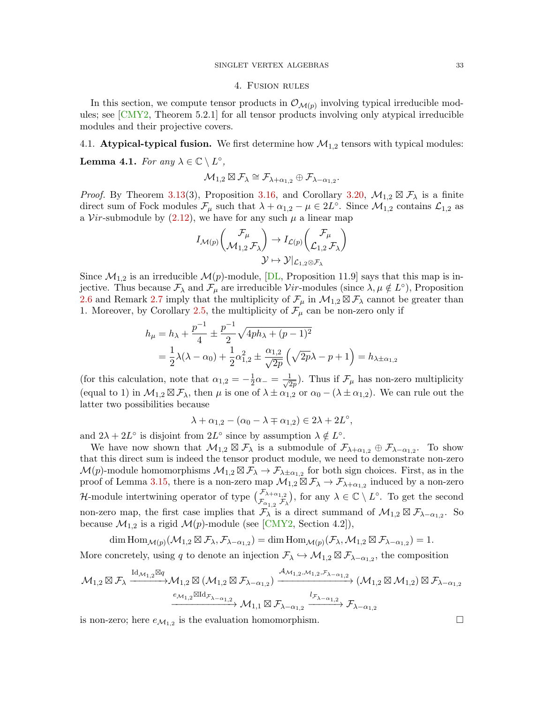#### 4. Fusion rules

<span id="page-32-0"></span>In this section, we compute tensor products in  $\mathcal{O}_{\mathcal{M}(p)}$  involving typical irreducible modules; see [\[CMY2,](#page-60-0) Theorem 5.2.1] for all tensor products involving only atypical irreducible modules and their projective covers.

<span id="page-32-2"></span><span id="page-32-1"></span>4.1. Atypical-typical fusion. We first determine how  $\mathcal{M}_{1,2}$  tensors with typical modules: **Lemma 4.1.** For any  $\lambda \in \mathbb{C} \setminus L^{\circ}$ ,

$$
\mathcal{M}_{1,2}\boxtimes \mathcal{F}_\lambda\cong \mathcal{F}_{\lambda+\alpha_{1,2}}\oplus \mathcal{F}_{\lambda-\alpha_{1,2}}.
$$

*Proof.* By Theorem [3.13\(](#page-26-1)3), Proposition [3.16,](#page-28-0) and Corollary [3.20,](#page-31-0)  $\mathcal{M}_{1,2} \boxtimes \mathcal{F}_{\lambda}$  is a finite direct sum of Fock modules  $\mathcal{F}_{\mu}$  such that  $\lambda + \alpha_{1,2} - \mu \in 2L^{\circ}$ . Since  $\mathcal{M}_{1,2}$  contains  $\mathcal{L}_{1,2}$  as a Vir-submodule by  $(2.12)$ , we have for any such  $\mu$  a linear map

$$
\begin{aligned} I_{\mathcal{M}(p)}&\left(\mathcal{F}_\mu\\ \mathcal{M}_{1,2}\,\mathcal{F}_\lambda\right) \rightarrow I_{\mathcal{L}(p)}\left(\mathcal{F}_\mu\\ \mathcal{L}_{1,2}\,\mathcal{F}_\lambda\right)\\ \mathcal{Y}&\mapsto \mathcal{Y}|_{\mathcal{L}_{1,2}\otimes\mathcal{F}_\lambda} \end{aligned}
$$

Since  $\mathcal{M}_{1,2}$  is an irreducible  $\mathcal{M}(p)$ -module, [\[DL,](#page-61-23) Proposition 11.9] says that this map is injective. Thus because  $\mathcal{F}_{\lambda}$  and  $\mathcal{F}_{\mu}$  are irreducible Vir-modules (since  $\lambda, \mu \notin L^{\circ}$ ), Proposition [2.6](#page-11-1) and Remark [2.7](#page-11-2) imply that the multiplicity of  $\mathcal{F}_{\mu}$  in  $\mathcal{M}_{1,2} \boxtimes \mathcal{F}_{\lambda}$  cannot be greater than 1. Moreover, by Corollary [2.5,](#page-11-0) the multiplicity of  $\mathcal{F}_{\mu}$  can be non-zero only if

$$
h_{\mu} = h_{\lambda} + \frac{p^{-1}}{4} \pm \frac{p^{-1}}{2} \sqrt{4ph_{\lambda} + (p-1)^2}
$$
  
=  $\frac{1}{2}\lambda(\lambda - \alpha_0) + \frac{1}{2}\alpha_{1,2}^2 \pm \frac{\alpha_{1,2}}{\sqrt{2p}} (\sqrt{2p}\lambda - p + 1) = h_{\lambda \pm \alpha_{1,2}}$ 

(for this calculation, note that  $\alpha_{1,2} = -\frac{1}{2}$  $\frac{1}{2}\alpha_{-} = \frac{1}{\sqrt{2}}$  $\frac{1}{2p}$ ). Thus if  $\mathcal{F}_{\mu}$  has non-zero multiplicity (equal to 1) in  $\mathcal{M}_{1,2} \boxtimes \mathcal{F}_\lambda$ , then  $\mu$  is one of  $\lambda \pm \alpha_{1,2}$  or  $\alpha_0 - (\lambda \pm \alpha_{1,2})$ . We can rule out the latter two possibilities because

$$
\lambda + \alpha_{1,2} - (\alpha_0 - \lambda \mp \alpha_{1,2}) \in 2\lambda + 2L^{\circ},
$$

and  $2\lambda + 2L^{\circ}$  is disjoint from  $2L^{\circ}$  since by assumption  $\lambda \notin L^{\circ}$ .

We have now shown that  $\mathcal{M}_{1,2} \boxtimes \mathcal{F}_{\lambda}$  is a submodule of  $\mathcal{F}_{\lambda+\alpha_{1,2}} \oplus \mathcal{F}_{\lambda-\alpha_{1,2}}$ . To show that this direct sum is indeed the tensor product module, we need to demonstrate non-zero  $\mathcal{M}(p)$ -module homomorphisms  $\mathcal{M}_{1,2} \boxtimes \mathcal{F}_{\lambda} \to \mathcal{F}_{\lambda \pm \alpha_{1,2}}$  for both sign choices. First, as in the proof of Lemma [3.15,](#page-27-1) there is a non-zero map  $\mathcal{M}_{1,2} \boxtimes \mathcal{F}_{\lambda} \to \mathcal{F}_{\lambda+\alpha_{1,2}}$  induced by a non-zero H-module intertwining operator of type  $\binom{\mathcal{F}_{\lambda+\alpha_{1,2}}}{\mathcal{F}_{\alpha_{1,2}}\mathcal{F}_{\lambda}}$ , for any  $\lambda \in \mathbb{C} \setminus L^{\circ}$ . To get the second non-zero map, the first case implies that  $\mathcal{F}_{\lambda}^{\gamma}$  is a direct summand of  $\mathcal{M}_{1,2} \boxtimes \mathcal{F}_{\lambda-\alpha_{1,2}}$ . So because  $\mathcal{M}_{1,2}$  is a rigid  $\mathcal{M}(p)$ -module (see [\[CMY2,](#page-60-0) Section 4.2]),

dim Hom<sub>$$
\mathcal{M}(p)
$$</sub> $(\mathcal{M}_{1,2} \boxtimes \mathcal{F}_{\lambda}, \mathcal{F}_{\lambda-\alpha_{1,2}})$  = dim Hom <sub>$\mathcal{M}(p)$</sub>  $(\mathcal{F}_{\lambda}, \mathcal{M}_{1,2} \boxtimes \mathcal{F}_{\lambda-\alpha_{1,2}})$  = 1.  
More concretely, using q to denote an injection  $\mathcal{F}_{\lambda} \hookrightarrow \mathcal{M}_{1,2} \boxtimes \mathcal{F}_{\lambda-\alpha_{1,2}}$ , the composition

$$
\begin{aligned} \mathcal{M}_{1,2}\boxtimes\mathcal{F}_{\lambda} \xrightarrow{\mathrm{Id}_{\mathcal{M}_{1,2}}\boxtimes q} & \mathcal{M}_{1,2}\boxtimes(\mathcal{M}_{1,2}\boxtimes\mathcal{F}_{\lambda-\alpha_{1,2}}) \xrightarrow{\mathcal{A}_{\mathcal{M}_{1,2},\mathcal{M}_{1,2},\mathcal{F}_{\lambda-\alpha_{1,2}}}} (\mathcal{M}_{1,2}\boxtimes\mathcal{M}_{1,2})\boxtimes\mathcal{F}_{\lambda-\alpha_{1,2}} \\ & \xrightarrow{e_{\mathcal{M}_{1,2}}\boxtimes\mathrm{Id}_{\mathcal{F}_{\lambda-\alpha_{1,2}}}} \mathcal{M}_{1,1}\boxtimes\mathcal{F}_{\lambda-\alpha_{1,2}} \xrightarrow{l_{\mathcal{F}_{\lambda-\alpha_{1,2}}}} \mathcal{F}_{\lambda-\alpha_{1,2}} \end{aligned}
$$

is non-zero; here  $e_{\mathcal{M}_{1,2}}$  is the evaluation homomorphism.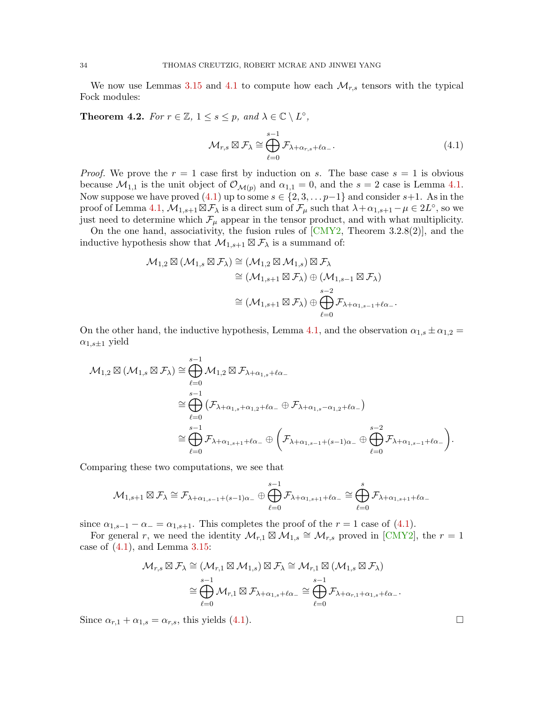We now use Lemmas [3.15](#page-27-1) and [4.1](#page-32-2) to compute how each  $\mathcal{M}_{r,s}$  tensors with the typical Fock modules:

<span id="page-33-0"></span>**Theorem 4.2.** For  $r \in \mathbb{Z}$ ,  $1 \leq s \leq p$ , and  $\lambda \in \mathbb{C} \setminus L^{\circ}$ ,

<span id="page-33-1"></span>
$$
\mathcal{M}_{r,s} \boxtimes \mathcal{F}_{\lambda} \cong \bigoplus_{\ell=0}^{s-1} \mathcal{F}_{\lambda + \alpha_{r,s} + \ell \alpha_{-}}.
$$
\n(4.1)

*Proof.* We prove the  $r = 1$  case first by induction on s. The base case  $s = 1$  is obvious because  $\mathcal{M}_{1,1}$  is the unit object of  $\mathcal{O}_{\mathcal{M}(p)}$  and  $\alpha_{1,1} = 0$ , and the  $s = 2$  case is Lemma [4.1.](#page-32-2) Now suppose we have proved  $(4.1)$  up to some  $s \in \{2, 3, \ldots p-1\}$  and consider  $s+1$ . As in the proof of Lemma [4.1,](#page-32-2)  $\mathcal{M}_{1,s+1} \boxtimes \mathcal{F}_{\lambda}$  is a direct sum of  $\mathcal{F}_{\mu}$  such that  $\lambda + \alpha_{1,s+1} - \mu \in 2L^{\circ}$ , so we just need to determine which  $\mathcal{F}_{\mu}$  appear in the tensor product, and with what multiplicity.

On the one hand, associativity, the fusion rules of [\[CMY2,](#page-60-0) Theorem 3.2.8(2)], and the inductive hypothesis show that  $\mathcal{M}_{1,s+1} \boxtimes \mathcal{F}_{\lambda}$  is a summand of:

$$
\mathcal{M}_{1,2} \boxtimes (\mathcal{M}_{1,s} \boxtimes \mathcal{F}_{\lambda}) \cong (\mathcal{M}_{1,2} \boxtimes \mathcal{M}_{1,s}) \boxtimes \mathcal{F}_{\lambda}
$$

$$
\cong (\mathcal{M}_{1,s+1} \boxtimes \mathcal{F}_{\lambda}) \oplus (\mathcal{M}_{1,s-1} \boxtimes \mathcal{F}_{\lambda})
$$

$$
\cong (\mathcal{M}_{1,s+1} \boxtimes \mathcal{F}_{\lambda}) \oplus \bigoplus_{\ell=0}^{s-2} \mathcal{F}_{\lambda + \alpha_{1,s-1} + \ell \alpha_{-}}.
$$

On the other hand, the inductive hypothesis, Lemma [4.1,](#page-32-2) and the observation  $\alpha_{1,s} \pm \alpha_{1,2} =$  $\alpha_{1,s\pm 1}$  yield

$$
\mathcal{M}_{1,2} \boxtimes (\mathcal{M}_{1,s} \boxtimes \mathcal{F}_{\lambda}) \cong \bigoplus_{\ell=0}^{s-1} \mathcal{M}_{1,2} \boxtimes \mathcal{F}_{\lambda+\alpha_{1,s}+\ell\alpha_{-}} \n\cong \bigoplus_{\ell=0}^{s-1} (\mathcal{F}_{\lambda+\alpha_{1,s}+\alpha_{1,2}+\ell\alpha_{-}} \oplus \mathcal{F}_{\lambda+\alpha_{1,s}-\alpha_{1,2}+\ell\alpha_{-}}) \n\cong \bigoplus_{\ell=0}^{s-1} \mathcal{F}_{\lambda+\alpha_{1,s+1}+\ell\alpha_{-}} \oplus (\mathcal{F}_{\lambda+\alpha_{1,s-1}+(s-1)\alpha_{-}} \oplus \bigoplus_{\ell=0}^{s-2} \mathcal{F}_{\lambda+\alpha_{1,s-1}+\ell\alpha_{-}}).
$$

Comparing these two computations, we see that

$$
\mathcal{M}_{1,s+1}\boxtimes \mathcal{F}_\lambda\cong \mathcal{F}_{\lambda+\alpha_{1,s-1}+(s-1)\alpha_-}\oplus\bigoplus_{\ell=0}^{s-1}\mathcal{F}_{\lambda+\alpha_{1,s+1}+\ell\alpha_-}\cong\bigoplus_{\ell=0}^{s}\mathcal{F}_{\lambda+\alpha_{1,s+1}+\ell\alpha_-}
$$

since  $\alpha_{1,s-1} - \alpha_{-} = \alpha_{1,s+1}$ . This completes the proof of the  $r = 1$  case of [\(4.1\)](#page-33-1).

For general r, we need the identity  $\mathcal{M}_{r,1} \boxtimes \mathcal{M}_{1,s} \cong \mathcal{M}_{r,s}$  proved in [\[CMY2\]](#page-60-0), the  $r = 1$ case of  $(4.1)$ , and Lemma [3.15:](#page-27-1)

$$
\mathcal{M}_{r,s} \boxtimes \mathcal{F}_{\lambda} \cong (\mathcal{M}_{r,1} \boxtimes \mathcal{M}_{1,s}) \boxtimes \mathcal{F}_{\lambda} \cong \mathcal{M}_{r,1} \boxtimes (\mathcal{M}_{1,s} \boxtimes \mathcal{F}_{\lambda})
$$

$$
\cong \bigoplus_{\ell=0}^{s-1} \mathcal{M}_{r,1} \boxtimes \mathcal{F}_{\lambda + \alpha_{1,s} + \ell \alpha_{-}} \cong \bigoplus_{\ell=0}^{s-1} \mathcal{F}_{\lambda + \alpha_{r,1} + \alpha_{1,s} + \ell \alpha_{-}}.
$$

Since  $\alpha_{r,1} + \alpha_{1,s} = \alpha_{r,s}$ , this yields [\(4.1\)](#page-33-1).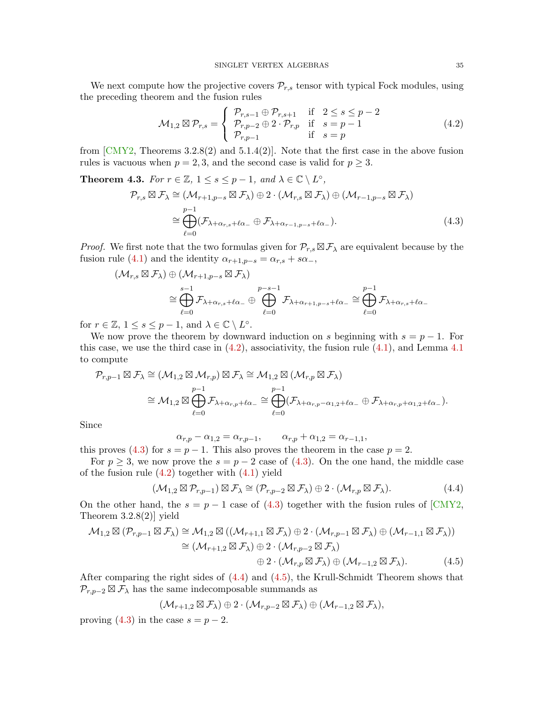We next compute how the projective covers  $\mathcal{P}_{r,s}$  tensor with typical Fock modules, using the preceding theorem and the fusion rules

<span id="page-34-2"></span><span id="page-34-1"></span>
$$
\mathcal{M}_{1,2} \boxtimes \mathcal{P}_{r,s} = \begin{cases} \mathcal{P}_{r,s-1} \oplus \mathcal{P}_{r,s+1} & \text{if } 2 \le s \le p-2 \\ \mathcal{P}_{r,p-2} \oplus 2 \cdot \mathcal{P}_{r,p} & \text{if } s=p-1 \\ \mathcal{P}_{r,p-1} & \text{if } s=p \end{cases}
$$
(4.2)

from  $\lfloor \text{CMY2} \rfloor$ , Theorems 3.2.8(2) and 5.1.4(2). Note that the first case in the above fusion rules is vacuous when  $p = 2, 3$ , and the second case is valid for  $p \geq 3$ .

<span id="page-34-0"></span>**Theorem 4.3.** For  $r \in \mathbb{Z}$ ,  $1 \leq s \leq p-1$ , and  $\lambda \in \mathbb{C} \setminus L^{\circ}$ ,

$$
\mathcal{P}_{r,s} \boxtimes \mathcal{F}_{\lambda} \cong (\mathcal{M}_{r+1,p-s} \boxtimes \mathcal{F}_{\lambda}) \oplus 2 \cdot (\mathcal{M}_{r,s} \boxtimes \mathcal{F}_{\lambda}) \oplus (\mathcal{M}_{r-1,p-s} \boxtimes \mathcal{F}_{\lambda})
$$
  
\n
$$
\cong \bigoplus_{\ell=0}^{p-1} (\mathcal{F}_{\lambda+\alpha_{r,s}+\ell\alpha_{-}} \oplus \mathcal{F}_{\lambda+\alpha_{r-1,p-s}+\ell\alpha_{-}}).
$$
\n(4.3)

*Proof.* We first note that the two formulas given for  $\mathcal{P}_{r,s} \boxtimes \mathcal{F}_{\lambda}$  are equivalent because by the fusion rule [\(4.1\)](#page-33-1) and the identity  $\alpha_{r+1,p-s} = \alpha_{r,s} + s\alpha_{-},$ 

$$
(\mathcal{M}_{r,s} \boxtimes \mathcal{F}_{\lambda}) \oplus (\mathcal{M}_{r+1,p-s} \boxtimes \mathcal{F}_{\lambda})
$$
  
\n
$$
\cong \bigoplus_{\ell=0}^{s-1} \mathcal{F}_{\lambda+\alpha_{r,s}+\ell\alpha_{-}} \oplus \bigoplus_{\ell=0}^{p-s-1} \mathcal{F}_{\lambda+\alpha_{r+1,p-s}+\ell\alpha_{-}} \cong \bigoplus_{\ell=0}^{p-1} \mathcal{F}_{\lambda+\alpha_{r,s}+\ell\alpha_{-}}
$$

for  $r \in \mathbb{Z}, 1 \leq s \leq p-1$ , and  $\lambda \in \mathbb{C} \setminus L^{\circ}$ .

We now prove the theorem by downward induction on s beginning with  $s = p - 1$ . For this case, we use the third case in  $(4.2)$ , associativity, the fusion rule  $(4.1)$ , and Lemma [4.1](#page-32-2) to compute

$$
\mathcal{P}_{r,p-1} \boxtimes \mathcal{F}_{\lambda} \cong (\mathcal{M}_{1,2} \boxtimes \mathcal{M}_{r,p}) \boxtimes \mathcal{F}_{\lambda} \cong \mathcal{M}_{1,2} \boxtimes (\mathcal{M}_{r,p} \boxtimes \mathcal{F}_{\lambda})
$$
  
\n
$$
\cong \mathcal{M}_{1,2} \boxtimes \bigoplus_{\ell=0}^{p-1} \mathcal{F}_{\lambda + \alpha_{r,p} + \ell \alpha_{-}} \cong \bigoplus_{\ell=0}^{p-1} (\mathcal{F}_{\lambda + \alpha_{r,p} - \alpha_{1,2} + \ell \alpha_{-}} \oplus \mathcal{F}_{\lambda + \alpha_{r,p} + \alpha_{1,2} + \ell \alpha_{-}}).
$$

Since

<span id="page-34-3"></span>
$$
\alpha_{r,p} - \alpha_{1,2} = \alpha_{r,p-1}, \qquad \alpha_{r,p} + \alpha_{1,2} = \alpha_{r-1,1},
$$

this proves [\(4.3\)](#page-34-2) for  $s = p - 1$ . This also proves the theorem in the case  $p = 2$ .

For  $p \geq 3$ , we now prove the  $s = p - 2$  case of [\(4.3\)](#page-34-2). On the one hand, the middle case of the fusion rule  $(4.2)$  together with  $(4.1)$  yield

$$
(\mathcal{M}_{1,2} \boxtimes \mathcal{P}_{r,p-1}) \boxtimes \mathcal{F}_{\lambda} \cong (\mathcal{P}_{r,p-2} \boxtimes \mathcal{F}_{\lambda}) \oplus 2 \cdot (\mathcal{M}_{r,p} \boxtimes \mathcal{F}_{\lambda}). \tag{4.4}
$$

On the other hand, the  $s = p - 1$  case of [\(4.3\)](#page-34-2) together with the fusion rules of [\[CMY2,](#page-60-0) Theorem 3.2.8(2)] yield

$$
\mathcal{M}_{1,2} \boxtimes (\mathcal{P}_{r,p-1} \boxtimes \mathcal{F}_{\lambda}) \cong \mathcal{M}_{1,2} \boxtimes ((\mathcal{M}_{r+1,1} \boxtimes \mathcal{F}_{\lambda}) \oplus 2 \cdot (\mathcal{M}_{r,p-1} \boxtimes \mathcal{F}_{\lambda}) \oplus (\mathcal{M}_{r-1,1} \boxtimes \mathcal{F}_{\lambda}))
$$
  
\n
$$
\cong (\mathcal{M}_{r+1,2} \boxtimes \mathcal{F}_{\lambda}) \oplus 2 \cdot (\mathcal{M}_{r,p-2} \boxtimes \mathcal{F}_{\lambda})
$$
  
\n
$$
\oplus 2 \cdot (\mathcal{M}_{r,p} \boxtimes \mathcal{F}_{\lambda}) \oplus (\mathcal{M}_{r-1,2} \boxtimes \mathcal{F}_{\lambda}).
$$
 (4.5)

After comparing the right sides of [\(4.4\)](#page-34-3) and [\(4.5\)](#page-34-4), the Krull-Schmidt Theorem shows that  $\mathcal{P}_{r,p-2} \boxtimes \mathcal{F}_{\lambda}$  has the same indecomposable summands as

<span id="page-34-4"></span>
$$
(\mathcal{M}_{r+1,2}\boxtimes \mathcal{F}_\lambda)\oplus 2\cdot (\mathcal{M}_{r,p-2}\boxtimes \mathcal{F}_\lambda)\oplus (\mathcal{M}_{r-1,2}\boxtimes \mathcal{F}_\lambda),
$$

proving  $(4.3)$  in the case  $s = p - 2$ .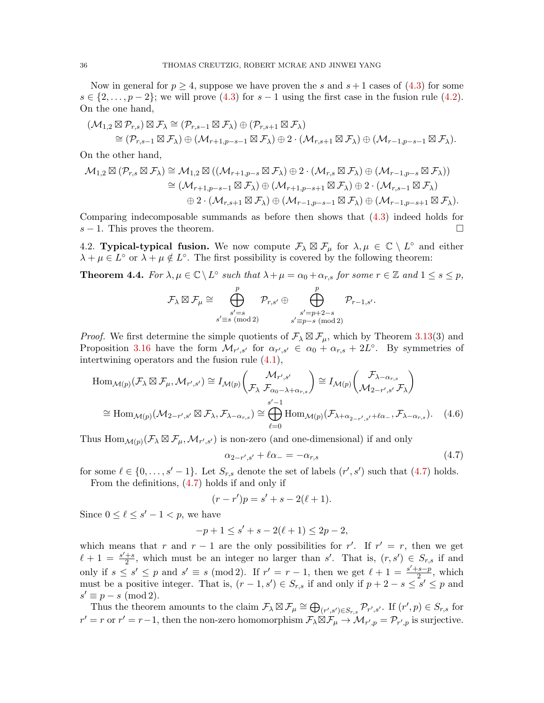Now in general for  $p \geq 4$ , suppose we have proven the s and  $s + 1$  cases of [\(4.3\)](#page-34-2) for some  $s \in \{2,\ldots,p-2\}$ ; we will prove  $(4.3)$  for  $s-1$  using the first case in the fusion rule  $(4.2)$ . On the one hand,

$$
\begin{aligned} &(\mathcal{M}_{1,2}\boxtimes \mathcal{P}_{r,s})\boxtimes \mathcal{F}_{\lambda}\cong (\mathcal{P}_{r,s-1}\boxtimes \mathcal{F}_{\lambda})\oplus (\mathcal{P}_{r,s+1}\boxtimes \mathcal{F}_{\lambda})\\ &\cong (\mathcal{P}_{r,s-1}\boxtimes \mathcal{F}_{\lambda})\oplus (\mathcal{M}_{r+1,p-s-1}\boxtimes \mathcal{F}_{\lambda})\oplus 2\cdot (\mathcal{M}_{r,s+1}\boxtimes \mathcal{F}_{\lambda})\oplus (\mathcal{M}_{r-1,p-s-1}\boxtimes \mathcal{F}_{\lambda}). \end{aligned}
$$

On the other hand,

$$
\mathcal{M}_{1,2} \boxtimes (\mathcal{P}_{r,s} \boxtimes \mathcal{F}_{\lambda}) \cong \mathcal{M}_{1,2} \boxtimes ((\mathcal{M}_{r+1,p-s} \boxtimes \mathcal{F}_{\lambda}) \oplus 2 \cdot (\mathcal{M}_{r,s} \boxtimes \mathcal{F}_{\lambda}) \oplus (\mathcal{M}_{r-1,p-s} \boxtimes \mathcal{F}_{\lambda}))
$$
  
\n
$$
\cong (\mathcal{M}_{r+1,p-s-1} \boxtimes \mathcal{F}_{\lambda}) \oplus (\mathcal{M}_{r+1,p-s+1} \boxtimes \mathcal{F}_{\lambda}) \oplus 2 \cdot (\mathcal{M}_{r,s-1} \boxtimes \mathcal{F}_{\lambda})
$$
  
\n
$$
\oplus 2 \cdot (\mathcal{M}_{r,s+1} \boxtimes \mathcal{F}_{\lambda}) \oplus (\mathcal{M}_{r-1,p-s-1} \boxtimes \mathcal{F}_{\lambda}) \oplus (\mathcal{M}_{r-1,p-s+1} \boxtimes \mathcal{F}_{\lambda}).
$$

Comparing indecomposable summands as before then shows that [\(4.3\)](#page-34-2) indeed holds for  $s-1$ . This proves the theorem.

<span id="page-35-0"></span>4.2. Typical-typical fusion. We now compute  $\mathcal{F}_{\lambda} \boxtimes \mathcal{F}_{\mu}$  for  $\lambda, \mu \in \mathbb{C} \setminus L^{\circ}$  and either  $\lambda + \mu \in L^{\circ}$  or  $\lambda + \mu \notin L^{\circ}$ . The first possibility is covered by the following theorem:

<span id="page-35-1"></span>**Theorem 4.4.** For  $\lambda, \mu \in \mathbb{C} \setminus L^{\circ}$  such that  $\lambda + \mu = \alpha_0 + \alpha_{r,s}$  for some  $r \in \mathbb{Z}$  and  $1 \leq s \leq p$ ,

$$
\mathcal{F}_{\lambda} \boxtimes \mathcal{F}_{\mu} \cong \bigoplus_{\substack{s'=s \\ s'\equiv s \pmod 2}}^{p} \mathcal{P}_{r,s'} \oplus \bigoplus_{\substack{s'=p+2-s \\ s'\equiv p-s \pmod 2}}^{p} \mathcal{P}_{r-1,s'}.
$$

*Proof.* We first determine the simple quotients of  $\mathcal{F}_{\lambda} \boxtimes \mathcal{F}_{\mu}$ , which by Theorem [3.13\(](#page-26-1)3) and Proposition [3.16](#page-28-0) have the form  $\mathcal{M}_{r',s'}$  for  $\alpha_{r',s'} \in \alpha_0 + \alpha_{r,s} + 2L^{\circ}$ . By symmetries of intertwining operators and the fusion rule [\(4.1\)](#page-33-1),

$$
\text{Hom}_{\mathcal{M}(p)}(\mathcal{F}_{\lambda} \boxtimes \mathcal{F}_{\mu}, \mathcal{M}_{r',s'}) \cong I_{\mathcal{M}(p)}\left(\frac{\mathcal{M}_{r',s'}}{\mathcal{F}_{\lambda} \mathcal{F}_{\alpha_0-\lambda+\alpha_{r,s}}}\right) \cong I_{\mathcal{M}(p)}\left(\frac{\mathcal{F}_{\lambda-\alpha_{r,s}}}{\mathcal{M}_{2-r',s'}\mathcal{F}_{\lambda}}\right)
$$
\n
$$
\cong \text{Hom}_{\mathcal{M}(p)}(\mathcal{M}_{2-r',s'} \boxtimes \mathcal{F}_{\lambda}, \mathcal{F}_{\lambda-\alpha_{r,s}}) \cong \bigoplus_{\ell=0}^{s'-1} \text{Hom}_{\mathcal{M}(p)}(\mathcal{F}_{\lambda+\alpha_{2-r',s'}+\ell\alpha_{-}}, \mathcal{F}_{\lambda-\alpha_{r,s}}). \tag{4.6}
$$

Thus  $\text{Hom}_{\mathcal{M}(p)}(\mathcal{F}_\lambda \boxtimes \mathcal{F}_\mu, \mathcal{M}_{r',s'})$  is non-zero (and one-dimensional) if and only

<span id="page-35-3"></span><span id="page-35-2"></span>
$$
\alpha_{2-r',s'} + \ell \alpha_- = -\alpha_{r,s} \tag{4.7}
$$

for some  $\ell \in \{0, \ldots, s'-1\}$ . Let  $S_{r,s}$  denote the set of labels  $(r', s')$  such that  $(4.7)$  holds. From the definitions, [\(4.7\)](#page-35-2) holds if and only if

$$
(r - r')p = s' + s - 2(\ell + 1).
$$

Since  $0 \leq \ell \leq s'-1 < p$ , we have

$$
-p+1 \le s' + s - 2(\ell + 1) \le 2p - 2,
$$

which means that r and  $r-1$  are the only possibilities for r'. If  $r' = r$ , then we get  $\ell + 1 = \frac{s' + s}{2}$  $\frac{+s}{2}$ , which must be an integer no larger than s'. That is,  $(r, s') \in S_{r,s}$  if and only if  $s \leq s' \leq p$  and  $s' \equiv s \pmod{2}$ . If  $r' = r - 1$ , then we get  $\ell + 1 = \frac{s' + s - p}{2}$  $\frac{s-p}{2}$ , which must be a positive integer. That is,  $(r-1, s') \in S_{r,s}$  if and only if  $p+2-s \leq s' \leq p$  and  $s' \equiv p - s \pmod{2}.$ 

Thus the theorem amounts to the claim  $\mathcal{F}_{\lambda} \boxtimes \mathcal{F}_{\mu} \cong \bigoplus_{(r',s') \in S_{r,s}} \mathcal{P}_{r',s'}$ . If  $(r',p) \in S_{r,s}$  for  $r' = r$  or  $r' = r - 1$ , then the non-zero homomorphism  $\mathcal{F}_{\lambda} \boxtimes \mathcal{F}_{\mu} \to \mathcal{M}_{r',p} = \mathcal{P}_{r',p}$  is surjective.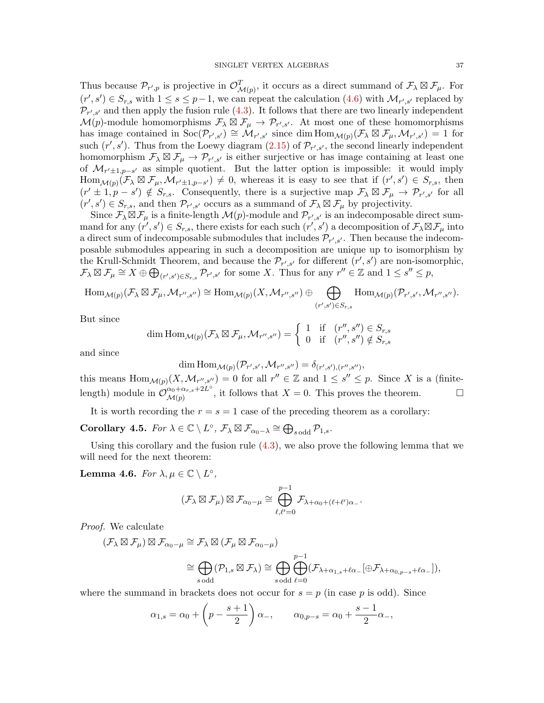Thus because  $\mathcal{P}_{r',p}$  is projective in  $\mathcal{O}_{\mathcal{M}(p)}^T$ , it occurs as a direct summand of  $\mathcal{F}_{\lambda} \boxtimes \mathcal{F}_{\mu}$ . For  $(r', s') \in S_{r,s}$  with  $1 \leq s \leq p-1$ , we can repeat the calculation  $(4.6)$  with  $\mathcal{M}_{r',s'}$  replaced by  $\mathcal{P}_{r',s'}$  and then apply the fusion rule [\(4.3\)](#page-34-2). It follows that there are two linearly independent  $\mathcal{M}(p)$ -module homomorphisms  $\mathcal{F}_{\lambda} \boxtimes \mathcal{F}_{\mu} \to \mathcal{P}_{r',s'}$ . At most one of these homomorphisms has image contained in  $\text{Soc}(\mathcal{P}_{r',s'}) \cong \mathcal{M}_{r',s'}$  since dim  $\text{Hom}_{\mathcal{M}(p)}(\mathcal{F}_{\lambda} \boxtimes \mathcal{F}_{\mu}, \mathcal{M}_{r',s'}) = 1$  for such  $(r', s')$ . Thus from the Loewy diagram [\(2.15\)](#page-15-0) of  $\mathcal{P}_{r', s'}$ , the second linearly independent homomorphism  $\mathcal{F}_{\lambda} \boxtimes \mathcal{F}_{\mu} \to \mathcal{P}_{r',s'}$  is either surjective or has image containing at least one of  $\mathcal{M}_{r'+1,p-s'}$  as simple quotient. But the latter option is impossible: it would imply  $\text{Hom}_{\mathcal{M}(p)}(\mathcal{F}_\lambda \boxtimes \mathcal{F}_\mu, \mathcal{M}_{r' \pm 1, p-s'}) \neq 0$ , whereas it is easy to see that if  $(r', s') \in S_{r,s}$ , then  $(r' \pm 1, p - s') \notin S_{r,s}$ . Consequently, there is a surjective map  $\mathcal{F}_{\lambda} \boxtimes \mathcal{F}_{\mu} \to \mathcal{P}_{r',s'}$  for all  $(r', s') \in S_{r,s}$ , and then  $\mathcal{P}_{r',s'}$  occurs as a summand of  $\mathcal{F}_{\lambda} \boxtimes \mathcal{F}_{\mu}$  by projectivity.

Since  $\mathcal{F}_{\lambda} \boxtimes \mathcal{F}_{\mu}$  is a finite-length  $\mathcal{M}(p)$ -module and  $\mathcal{P}_{r',s'}$  is an indecomposable direct summand for any  $(r', s') \in S_{r,s}$ , there exists for each such  $(r', s')$  a decomposition of  $\mathcal{F}_{\lambda} \boxtimes \mathcal{F}_{\mu}$  into a direct sum of indecomposable submodules that includes  $\mathcal{P}_{r',s'}$ . Then because the indecomposable submodules appearing in such a decomposition are unique up to isomorphism by the Krull-Schmidt Theorem, and because the  $\mathcal{P}_{r',s'}$  for different  $(r',s')$  are non-isomorphic,  $\mathcal{F}_{\lambda} \boxtimes \mathcal{F}_{\mu} \cong X \oplus \bigoplus_{(r',s') \in S_{r,s}} \mathcal{P}_{r',s'}$  for some X. Thus for any  $r'' \in \mathbb{Z}$  and  $1 \leq s'' \leq p$ ,

$$
\mathrm{Hom}_{\mathcal{M}(p)}(\mathcal{F}_{\lambda} \boxtimes \mathcal{F}_{\mu}, \mathcal{M}_{r'',s''}) \cong \mathrm{Hom}_{\mathcal{M}(p)}(X, \mathcal{M}_{r'',s''}) \oplus \bigoplus_{(r',s') \in S_{r,s}} \mathrm{Hom}_{\mathcal{M}(p)}(\mathcal{P}_{r',s'}, \mathcal{M}_{r'',s''}).
$$

But since

$$
\dim \text{Hom}_{\mathcal{M}(p)}(\mathcal{F}_{\lambda} \boxtimes \mathcal{F}_{\mu}, \mathcal{M}_{r'',s''}) = \begin{cases} 1 & \text{if } (r'', s'') \in S_{r,s} \\ 0 & \text{if } (r'', s'') \notin S_{r,s} \end{cases}
$$

and since

$$
\dim \mathrm{Hom}_{\mathcal{M}(p)}(\mathcal{P}_{r',s'},\mathcal{M}_{r'',s''}) = \delta_{(r',s'),(r'',s'')},
$$

this means  $\text{Hom}_{\mathcal{M}(p)}(X, \mathcal{M}_{r'',s''}) = 0$  for all  $r'' \in \mathbb{Z}$  and  $1 \leq s'' \leq p$ . Since X is a (finitelength) module in  $\mathcal{O}_{M(n)}^{\alpha_0+\alpha_{r,s}+2L^{\circ}}$  $\mathcal{M}(p)$   $\mathcal{M}(p)$ , it follows that  $X = 0$ . This proves the theorem.

It is worth recording the  $r = s = 1$  case of the preceding theorem as a corollary:

<span id="page-36-1"></span>Corollary 4.5. For  $\lambda \in \mathbb{C} \setminus L^{\circ}$ ,  $\mathcal{F}_{\lambda} \boxtimes \mathcal{F}_{\alpha_0-\lambda} \cong \bigoplus_{s \text{ odd}} \mathcal{P}_{1,s}$ .

Using this corollary and the fusion rule  $(4.3)$ , we also prove the following lemma that we will need for the next theorem:

<span id="page-36-0"></span>Lemma 4.6. For  $\lambda, \mu \in \mathbb{C} \setminus L^{\circ}$ ,

$$
(\mathcal{F}_{\lambda} \boxtimes \mathcal{F}_{\mu}) \boxtimes \mathcal{F}_{\alpha_0-\mu} \cong \bigoplus_{\ell,\ell'=0}^{p-1} \mathcal{F}_{\lambda+\alpha_0+(\ell+\ell')\alpha_{-}}.
$$

Proof. We calculate

$$
\begin{split} (\mathcal{F}_{\lambda} \boxtimes \mathcal{F}_{\mu}) \boxtimes \mathcal{F}_{\alpha_0-\mu} &\cong \mathcal{F}_{\lambda} \boxtimes (\mathcal{F}_{\mu} \boxtimes \mathcal{F}_{\alpha_0-\mu}) \\ &\cong \bigoplus_{s \text{ odd}} (\mathcal{P}_{1,s} \boxtimes \mathcal{F}_{\lambda}) \cong \bigoplus_{s \text{ odd}} \bigoplus_{\ell=0}^{p-1} (\mathcal{F}_{\lambda+\alpha_{1,s}+\ell\alpha_{-}}[\oplus \mathcal{F}_{\lambda+\alpha_{0,p-s}+\ell\alpha_{-}}]), \end{split}
$$

where the summand in brackets does not occur for  $s = p$  (in case p is odd). Since

$$
\alpha_{1,s} = \alpha_0 + \left(p - \frac{s+1}{2}\right)\alpha_-, \qquad \alpha_{0,p-s} = \alpha_0 + \frac{s-1}{2}\alpha_-,
$$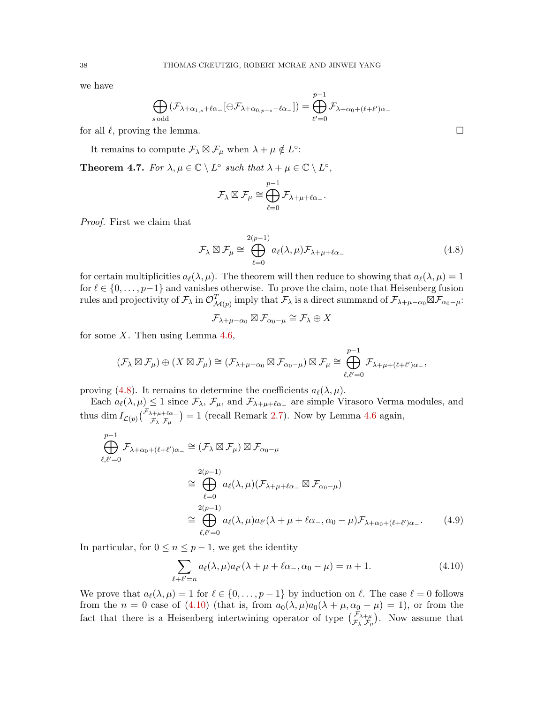we have

$$
\bigoplus_{s \text{ odd}} (\mathcal{F}_{\lambda + \alpha_{1,s} + \ell \alpha_{-}}[\oplus \mathcal{F}_{\lambda + \alpha_{0,p-s} + \ell \alpha_{-}}]) = \bigoplus_{\ell'=0}^{p-1} \mathcal{F}_{\lambda + \alpha_{0} + (\ell + \ell')\alpha_{-}}
$$

for all  $\ell$ , proving the lemma.

It remains to compute  $\mathcal{F}_{\lambda} \boxtimes \mathcal{F}_{\mu}$  when  $\lambda + \mu \notin L^{\circ}$ :

<span id="page-37-0"></span>**Theorem 4.7.** For  $\lambda, \mu \in \mathbb{C} \setminus L^{\circ}$  such that  $\lambda + \mu \in \mathbb{C} \setminus L^{\circ}$ ,

$$
\mathcal{F}_{\lambda} \boxtimes \mathcal{F}_{\mu} \cong \bigoplus_{\ell=0}^{p-1} \mathcal{F}_{\lambda+\mu+\ell\alpha_{-}}.
$$

Proof. First we claim that

$$
\mathcal{F}_{\lambda} \boxtimes \mathcal{F}_{\mu} \cong \bigoplus_{\ell=0}^{2(p-1)} a_{\ell}(\lambda,\mu) \mathcal{F}_{\lambda+\mu+\ell\alpha_{-}} \tag{4.8}
$$

for certain multiplicities  $a_{\ell}(\lambda, \mu)$ . The theorem will then reduce to showing that  $a_{\ell}(\lambda, \mu) = 1$ for  $\ell \in \{0, \ldots, p-1\}$  and vanishes otherwise. To prove the claim, note that Heisenberg fusion rules and projectivity of  $\mathcal{F}_{\lambda}$  in  $\mathcal{O}_{\mathcal{M}(p)}^T$  imply that  $\mathcal{F}_{\lambda}$  is a direct summand of  $\mathcal{F}_{\lambda+\mu-\alpha_0}\boxtimes\mathcal{F}_{\alpha_0-\mu}$ :

$$
\mathcal{F}_{\lambda+\mu-\alpha_0}\boxtimes \mathcal{F}_{\alpha_0-\mu}\cong \mathcal{F}_{\lambda}\oplus X
$$

for some  $X$ . Then using Lemma [4.6,](#page-36-0)

$$
(\mathcal{F}_{\lambda} \boxtimes \mathcal{F}_{\mu}) \oplus (X \boxtimes \mathcal{F}_{\mu}) \cong (\mathcal{F}_{\lambda + \mu - \alpha_0} \boxtimes \mathcal{F}_{\alpha_0 - \mu}) \boxtimes \mathcal{F}_{\mu} \cong \bigoplus_{\ell, \ell' = 0}^{p-1} \mathcal{F}_{\lambda + \mu + (\ell + \ell')\alpha_{-}},
$$

proving [\(4.8\)](#page-37-1). It remains to determine the coefficients  $a_{\ell}(\lambda, \mu)$ .

Each  $a_{\ell}(\lambda, \mu) \leq 1$  since  $\mathcal{F}_{\lambda}, \mathcal{F}_{\mu}$ , and  $\mathcal{F}_{\lambda+\mu+\ell\alpha_{-}}$  are simple Virasoro Verma modules, and thus dim  $I_{\mathcal{L}(p)}\binom{\mathcal{F}_{\lambda+\mu+\ell\alpha_{-}}}{\mathcal{F}_{\lambda}\mathcal{F}_{\mu}}$  = 1 (recall Remark [2.7\)](#page-11-2). Now by Lemma [4.6](#page-36-0) again,

$$
\bigoplus_{\ell,\ell'=0}^{p-1} \mathcal{F}_{\lambda+\alpha_0+(\ell+\ell')\alpha_-} \cong (\mathcal{F}_{\lambda} \boxtimes \mathcal{F}_{\mu}) \boxtimes \mathcal{F}_{\alpha_0-\mu}
$$
\n
$$
\cong \bigoplus_{\ell=0}^{2(p-1)} a_{\ell}(\lambda,\mu) (\mathcal{F}_{\lambda+\mu+\ell\alpha_-} \boxtimes \mathcal{F}_{\alpha_0-\mu})
$$
\n
$$
\cong \bigoplus_{\ell,\ell'=0}^{2(p-1)} a_{\ell}(\lambda,\mu) a_{\ell'}(\lambda+\mu+\ell\alpha_-,\alpha_0-\mu) \mathcal{F}_{\lambda+\alpha_0+(\ell+\ell')\alpha_-}.
$$
\n(4.9)

In particular, for  $0 \le n \le p-1$ , we get the identity

<span id="page-37-3"></span><span id="page-37-2"></span>
$$
\sum_{\ell+\ell'=n} a_{\ell}(\lambda,\mu) a_{\ell'}(\lambda+\mu+\ell\alpha_{-},\alpha_0-\mu) = n+1.
$$
 (4.10)

We prove that  $a_{\ell}(\lambda, \mu) = 1$  for  $\ell \in \{0, \ldots, p - 1\}$  by induction on  $\ell$ . The case  $\ell = 0$  follows from the  $n = 0$  case of [\(4.10\)](#page-37-2) (that is, from  $a_0(\lambda, \mu)a_0(\lambda + \mu, \alpha_0 - \mu) = 1$ ), or from the fact that there is a Heisenberg intertwining operator of type  $\binom{\mathcal{F}_{\lambda+\mu}}{\mathcal{F}_{\lambda}}$ . Now assume that

<span id="page-37-1"></span>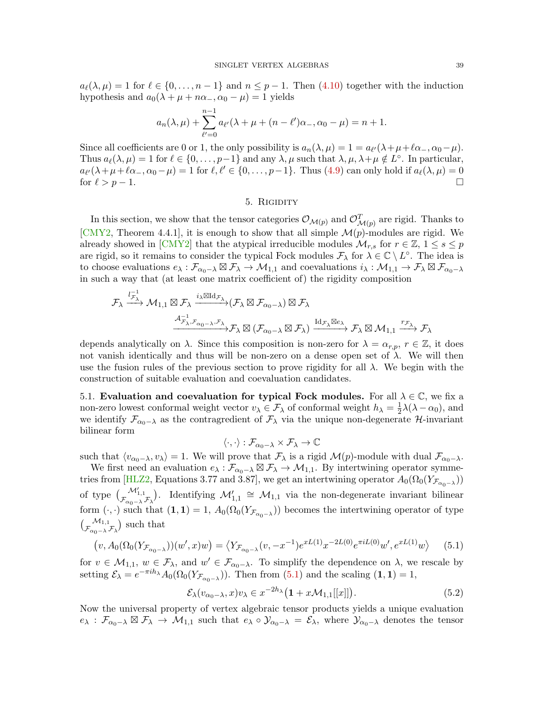$a_{\ell}(\lambda, \mu) = 1$  for  $\ell \in \{0, \ldots, n - 1\}$  and  $n \leq p - 1$ . Then [\(4.10\)](#page-37-2) together with the induction hypothesis and  $a_0(\lambda + \mu + n\alpha_-, \alpha_0 - \mu) = 1$  yields

$$
a_n(\lambda, \mu) + \sum_{\ell'=0}^{n-1} a_{\ell'}(\lambda + \mu + (n - \ell')\alpha_-, \alpha_0 - \mu) = n + 1.
$$

Since all coefficients are 0 or 1, the only possibility is  $a_n(\lambda, \mu) = 1 = a_{\ell'}(\lambda + \mu + \ell \alpha_-, \alpha_0 - \mu)$ . Thus  $a_{\ell}(\lambda, \mu) = 1$  for  $\ell \in \{0, \ldots, p-1\}$  and any  $\lambda, \mu$  such that  $\lambda, \mu, \lambda + \mu \notin L^{\circ}$ . In particular,  $a_{\ell}(\lambda+\mu+\ell\alpha_-, \alpha_0-\mu) = 1$  for  $\ell, \ell' \in \{0, \ldots, p-1\}$ . Thus [\(4.9\)](#page-37-3) can only hold if  $a_{\ell}(\lambda, \mu) = 0$ for  $\ell > p - 1$ .

### 5. Rigidity

<span id="page-38-0"></span>In this section, we show that the tensor categories  $\mathcal{O}_{\mathcal{M}(p)}$  and  $\mathcal{O}_{\mathcal{M}(p)}^T$  are rigid. Thanks to [\[CMY2,](#page-60-0) Theorem 4.4.1], it is enough to show that all simple  $\mathcal{M}(p)$ -modules are rigid. We already showed in [\[CMY2\]](#page-60-0) that the atypical irreducible modules  $\mathcal{M}_{r,s}$  for  $r \in \mathbb{Z}$ ,  $1 \leq s \leq p$ are rigid, so it remains to consider the typical Fock modules  $\mathcal{F}_{\lambda}$  for  $\lambda \in \mathbb{C} \setminus L^{\circ}$ . The idea is to choose evaluations  $e_{\lambda}: \mathcal{F}_{\alpha_0-\lambda} \boxtimes \mathcal{F}_{\lambda} \to \mathcal{M}_{1,1}$  and coevaluations  $i_{\lambda}: \mathcal{M}_{1,1} \to \mathcal{F}_{\lambda} \boxtimes \mathcal{F}_{\alpha_0-\lambda}$ in such a way that (at least one matrix coefficient of) the rigidity composition

$$
\mathcal{F}_{\lambda} \xrightarrow{l_{\mathcal{F}_{\lambda}}^{-1}} \mathcal{M}_{1,1} \boxtimes \mathcal{F}_{\lambda} \xrightarrow{i_{\lambda} \boxtimes \mathrm{Id}_{\mathcal{F}_{\lambda}}} (\mathcal{F}_{\lambda} \boxtimes \mathcal{F}_{\alpha_{0}-\lambda}) \boxtimes \mathcal{F}_{\lambda} \xrightarrow{\mathrm{Id}_{\mathcal{F}_{\lambda}} \boxtimes e_{\lambda}} \mathcal{F}_{\lambda} \xrightarrow{\mathrm{Id}_{\mathcal{F}_{\lambda}} \boxtimes e_{\lambda}} \mathcal{F}_{\lambda} \boxtimes \mathcal{M}_{1,1} \xrightarrow{r_{\mathcal{F}_{\lambda}}} \mathcal{F}_{\lambda}
$$

depends analytically on  $\lambda$ . Since this composition is non-zero for  $\lambda = \alpha_{r,p}, r \in \mathbb{Z}$ , it does not vanish identically and thus will be non-zero on a dense open set of  $\lambda$ . We will then use the fusion rules of the previous section to prove rigidity for all  $\lambda$ . We begin with the construction of suitable evaluation and coevaluation candidates.

<span id="page-38-1"></span>5.1. Evaluation and coevaluation for typical Fock modules. For all  $\lambda \in \mathbb{C}$ , we fix a non-zero lowest conformal weight vector  $v_{\lambda} \in \mathcal{F}_{\lambda}$  of conformal weight  $h_{\lambda} = \frac{1}{2}$  $\frac{1}{2}\lambda(\lambda-\alpha_0)$ , and we identify  $\mathcal{F}_{\alpha_0-\lambda}$  as the contragredient of  $\mathcal{F}_{\lambda}$  via the unique non-degenerate H-invariant bilinear form

<span id="page-38-2"></span>
$$
\langle \cdot, \cdot \rangle : \mathcal{F}_{\alpha_0 - \lambda} \times \mathcal{F}_\lambda \to \mathbb{C}
$$

such that  $\langle v_{\alpha_0-\lambda}, v_\lambda \rangle = 1$ . We will prove that  $\mathcal{F}_\lambda$  is a rigid  $\mathcal{M}(p)$ -module with dual  $\mathcal{F}_{\alpha_0-\lambda}$ .

We first need an evaluation  $e_{\lambda}: \mathcal{F}_{\alpha_0-\lambda} \boxtimes \mathcal{F}_{\lambda} \to \mathcal{M}_{1,1}$ . By intertwining operator symme-tries from [\[HLZ2,](#page-61-15) Equations 3.77 and 3.87], we get an intertwining operator  $A_0(\Omega_0(Y_{\mathcal{F}_{\alpha_0-\lambda}}))$ of type  $\binom{\mathcal{M}_{1,1}'}{\mathcal{F}_{\alpha_0-\lambda}\mathcal{F}_{\lambda}}$ . Identifying  $\mathcal{M}_{1,1}' \cong \mathcal{M}_{1,1}$  via the non-degenerate invariant bilinear form  $(\cdot, \cdot)$  such that  $(1, 1) = 1$ ,  $A_0(\Omega_0(Y_{\mathcal{F}_{\alpha_0-\lambda}}))$  becomes the intertwining operator of type  $\binom{\mathcal{M}_{1,1}}{\mathcal{F}_{\alpha_0-\lambda}\mathcal{F}_{\lambda}}$  such that

$$
(v, A_0(\Omega_0(Y_{\mathcal{F}_{\alpha_0-\lambda}}))(w', x)w) = \langle Y_{\mathcal{F}_{\alpha_0-\lambda}}(v, -x^{-1})e^{xL(1)}x^{-2L(0)}e^{\pi iL(0)}w', e^{xL(1)}w \rangle \qquad (5.1)
$$

for  $v \in M_{1,1}$ ,  $w \in \mathcal{F}_{\lambda}$ , and  $w' \in \mathcal{F}_{\alpha_0-\lambda}$ . To simplify the dependence on  $\lambda$ , we rescale by setting  $\mathcal{E}_{\lambda} = e^{-\pi i h_{\lambda}} A_0(\Omega_0(Y_{\mathcal{F}_{\alpha_0-\lambda}}))$ . Then from [\(5.1\)](#page-38-2) and the scaling  $(1, 1) = 1$ ,

<span id="page-38-3"></span>
$$
\mathcal{E}_{\lambda}(v_{\alpha_0-\lambda},x)v_{\lambda} \in x^{-2h_{\lambda}}\big(1+x\mathcal{M}_{1,1}[[x]]\big). \tag{5.2}
$$

Now the universal property of vertex algebraic tensor products yields a unique evaluation  $e_{\lambda}$ :  $\mathcal{F}_{\alpha_0-\lambda} \boxtimes \mathcal{F}_{\lambda} \to \mathcal{M}_{1,1}$  such that  $e_{\lambda} \circ \mathcal{Y}_{\alpha_0-\lambda} = \mathcal{E}_{\lambda}$ , where  $\mathcal{Y}_{\alpha_0-\lambda}$  denotes the tensor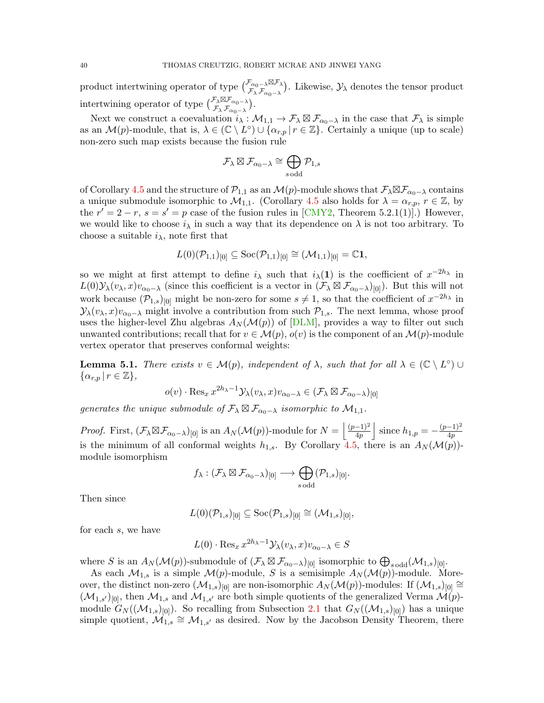product intertwining operator of type  $\binom{\mathcal{F}_{\alpha_0-\lambda}\boxtimes\mathcal{F}_{\lambda}}{\mathcal{F}}$  $\mathcal{F}_{\lambda}(\mathcal{F}_{\alpha_0-\lambda}^{\alpha_0-\lambda})$ . Likewise,  $\mathcal{Y}_{\lambda}$  denotes the tensor product intertwining operator of type  $\binom{\mathcal{F}_{\lambda} \boxtimes \mathcal{F}_{\alpha_0-\lambda}}{\mathcal{F}_{\alpha_0-\lambda}}$  $\mathcal{F}_{\lambda}$ ⊠ $\mathcal{F}_{\alpha_0-\lambda}$  $\left.\mathcal{F}_{\lambda}$   $\mathcal{F}_{\alpha_0-\lambda}\right)$ .

Next we construct a coevaluation  $i_{\lambda}: \mathcal{M}_{1,1} \to \mathcal{F}_{\lambda} \boxtimes \mathcal{F}_{\alpha_0-\lambda}$  in the case that  $\mathcal{F}_{\lambda}$  is simple as an  $\mathcal{M}(p)$ -module, that is,  $\lambda \in (\mathbb{C} \setminus L^{\circ}) \cup \{\alpha_{r,p} | r \in \mathbb{Z}\}$ . Certainly a unique (up to scale) non-zero such map exists because the fusion rule

$$
\mathcal{F}_\lambda \boxtimes \mathcal{F}_{\alpha_0-\lambda} \cong \bigoplus_{s \text{ odd}} \mathcal{P}_{1,s}
$$

of Corollary [4.5](#page-36-1) and the structure of  $\mathcal{P}_{1,1}$  as an  $\mathcal{M}(p)$ -module shows that  $\mathcal{F}_{\lambda} \boxtimes \mathcal{F}_{\alpha_0-\lambda}$  contains a unique submodule isomorphic to  $\mathcal{M}_{1,1}$ . (Corollary [4.5](#page-36-1) also holds for  $\lambda = \alpha_{r,p}, r \in \mathbb{Z}$ , by the  $r' = 2 - r$ ,  $s = s' = p$  case of the fusion rules in [\[CMY2,](#page-60-0) Theorem 5.2.1(1)].) However, we would like to choose  $i_{\lambda}$  in such a way that its dependence on  $\lambda$  is not too arbitrary. To choose a suitable  $i_{\lambda}$ , note first that

$$
L(0)(\mathcal{P}_{1,1})_{[0]} \subseteq \mathrm{Soc}(\mathcal{P}_{1,1})_{[0]} \cong (\mathcal{M}_{1,1})_{[0]} = \mathbb{C} \mathbf{1},
$$

so we might at first attempt to define  $i_\lambda$  such that  $i_\lambda(1)$  is the coefficient of  $x^{-2h_\lambda}$  in  $L(0)$  $\mathcal{Y}_\lambda(v_\lambda, x)v_{\alpha_0-\lambda}$  (since this coefficient is a vector in  $(\mathcal{F}_\lambda \boxtimes \mathcal{F}_{\alpha_0-\lambda})_{[0]}$ ). But this will not work because  $(\mathcal{P}_{1,s})_{[0]}$  might be non-zero for some  $s \neq 1$ , so that the coefficient of  $x^{-2h_\lambda}$  in  $\mathcal{Y}_{\lambda}(v_{\lambda},x)v_{\alpha_0-\lambda}$  might involve a contribution from such  $\mathcal{P}_{1,s}$ . The next lemma, whose proof uses the higher-level Zhu algebras  $A_N(\mathcal{M}(p))$  of [\[DLM\]](#page-61-14), provides a way to filter out such unwanted contributions; recall that for  $v \in \mathcal{M}(p)$ ,  $o(v)$  is the component of an  $\mathcal{M}(p)$ -module vertex operator that preserves conformal weights:

**Lemma 5.1.** There exists  $v \in \mathcal{M}(p)$ , independent of  $\lambda$ , such that for all  $\lambda \in (\mathbb{C} \setminus L^{\circ}) \cup$  $\{\alpha_{r,p} | r \in \mathbb{Z}\},\$ 

$$
o(v) \cdot \operatorname{Res}_{x} x^{2h_{\lambda}-1} \mathcal{Y}_{\lambda}(v_{\lambda}, x) v_{\alpha_0-\lambda} \in (\mathcal{F}_{\lambda} \boxtimes \mathcal{F}_{\alpha_0-\lambda})_{[0]}
$$

generates the unique submodule of  $\mathcal{F}_{\lambda} \boxtimes \mathcal{F}_{\alpha_0-\lambda}$  isomorphic to  $\mathcal{M}_{1,1}$ .

*Proof.* First,  $(\mathcal{F}_{\lambda} \boxtimes \mathcal{F}_{\alpha_0-\lambda})_{[0]}$  is an  $A_N(\mathcal{M}(p))$ -module for  $N = \left| \frac{(p-1)^2}{4p} \right|$  $\frac{(-1)^2}{4p}$  since  $h_{1,p} = -\frac{(p-1)^2}{4p}$ 4p is the minimum of all conformal weights  $h_{1,s}$ . By Corollary [4.5,](#page-36-1) there is an  $A_N(\mathcal{M}(p))$ module isomorphism

$$
f_{\lambda} : (\mathcal{F}_{\lambda} \boxtimes \mathcal{F}_{\alpha_0-\lambda})_{[0]} \longrightarrow \bigoplus_{s \text{ odd}} (\mathcal{P}_{1,s})_{[0]}.
$$

Then since

$$
L(0)(\mathcal{P}_{1,s})_{[0]} \subseteq \mathrm{Soc}(\mathcal{P}_{1,s})_{[0]} \cong (\mathcal{M}_{1,s})_{[0]},
$$

for each s, we have

$$
L(0) \cdot \operatorname{Res}_{x} x^{2h_{\lambda}-1} \mathcal{Y}_{\lambda}(v_{\lambda}, x) v_{\alpha_{0}-\lambda} \in S
$$

where S is an  $A_N(\mathcal{M}(p))$ -submodule of  $(\mathcal{F}_\lambda \boxtimes \mathcal{F}_{\alpha_0-\lambda})_{[0]}$  isomorphic to  $\bigoplus_{s \text{ odd}} (\mathcal{M}_{1,s})_{[0]}$ .

As each  $\mathcal{M}_{1,s}$  is a simple  $\mathcal{M}(p)$ -module, S is a semisimple  $A_N(\mathcal{M}(p))$ -module. Moreover, the distinct non-zero  $(\mathcal{M}_{1,s})_{[0]}$  are non-isomorphic  $A_N(\mathcal{M}(p))$ -modules: If  $(\mathcal{M}_{1,s})_{[0]} \cong$  $(\mathcal{M}_{1,s})_{[0]}$ , then  $\mathcal{M}_{1,s}$  and  $\mathcal{M}_{1,s'}$  are both simple quotients of the generalized Verma  $\mathcal{M}(p)$ module  $G_N((\mathcal{M}_{1,s})_{[0]})$ . So recalling from Subsection [2.1](#page-6-1) that  $G_N((\mathcal{M}_{1,s})_{[0]})$  has a unique simple quotient,  $\mathcal{M}_{1,s} \cong \mathcal{M}_{1,s'}$  as desired. Now by the Jacobson Density Theorem, there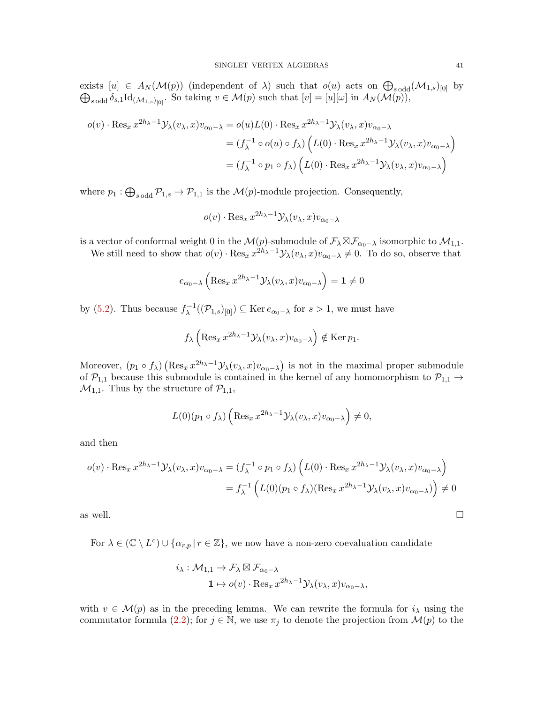exists  $[u] \in A_N(\mathcal{M}(p))$  (independent of  $\lambda$ ) such that  $o(u)$  acts on  $\bigoplus_{s \text{ odd}} (\mathcal{M}_{1,s})_{[0]}$  by  $\bigoplus_{s \text{ odd}} \delta_{s,1} \mathrm{Id}_{(\mathcal{M}_{1,s})_{[0]}}.$  So taking  $v \in \mathcal{M}(p)$  such that  $[v] = [u][\omega]$  in  $A_N(\mathcal{M}(p)),$ 

$$
o(v) \cdot \operatorname{Res}_x x^{2h_{\lambda}-1} \mathcal{Y}_{\lambda}(v_{\lambda}, x) v_{\alpha_0-\lambda} = o(u)L(0) \cdot \operatorname{Res}_x x^{2h_{\lambda}-1} \mathcal{Y}_{\lambda}(v_{\lambda}, x) v_{\alpha_0-\lambda}
$$
  

$$
= (f_{\lambda}^{-1} \circ o(u) \circ f_{\lambda}) \left( L(0) \cdot \operatorname{Res}_x x^{2h_{\lambda}-1} \mathcal{Y}_{\lambda}(v_{\lambda}, x) v_{\alpha_0-\lambda} \right)
$$
  

$$
= (f_{\lambda}^{-1} \circ p_1 \circ f_{\lambda}) \left( L(0) \cdot \operatorname{Res}_x x^{2h_{\lambda}-1} \mathcal{Y}_{\lambda}(v_{\lambda}, x) v_{\alpha_0-\lambda} \right)
$$

where  $p_1: \bigoplus_{s \text{ odd}} P_{1,s} \to P_{1,1}$  is the  $\mathcal{M}(p)$ -module projection. Consequently,

$$
o(v) \cdot \operatorname{Res}_{x} x^{2h_{\lambda}-1} \mathcal{Y}_{\lambda}(v_{\lambda}, x) v_{\alpha_0-\lambda}
$$

is a vector of conformal weight 0 in the  $\mathcal{M}(p)$ -submodule of  $\mathcal{F}_{\lambda} \boxtimes \mathcal{F}_{\alpha_0-\lambda}$  isomorphic to  $\mathcal{M}_{1,1}$ .

We still need to show that  $o(v) \cdot \text{Res}_x x^{2h_\lambda-1} \mathcal{Y}_\lambda(v_\lambda, x) v_{\alpha_0-\lambda} \neq 0$ . To do so, observe that

$$
e_{\alpha_0-\lambda}\left(\operatorname{Res}_x x^{2h_{\lambda}-1}\mathcal{Y}_{\lambda}(v_{\lambda},x)v_{\alpha_0-\lambda}\right)=\mathbf{1}\neq 0
$$

by [\(5.2\)](#page-38-3). Thus because  $f_{\lambda}^{-1}$  $\lambda^{-1}((\mathcal{P}_{1,s})_{[0]}) \subseteq \text{Ker }e_{\alpha_0-\lambda}$  for  $s > 1$ , we must have

$$
f_{\lambda}
$$
 $\left( Res_x x^{2h_{\lambda}-1} \mathcal{Y}_{\lambda}(v_{\lambda}, x) v_{\alpha_0-\lambda} \right) \notin \text{Ker } p_1.$ 

Moreover,  $(p_1 \circ f_\lambda)$   $(\text{Res}_x x^{2h_\lambda-1} \mathcal{Y}_\lambda(v_\lambda, x) v_{\alpha_0-\lambda})$  is not in the maximal proper submodule of  $\mathcal{P}_{1,1}$  because this submodule is contained in the kernel of any homomorphism to  $\mathcal{P}_{1,1} \rightarrow$  $\mathcal{M}_{1,1}$ . Thus by the structure of  $\mathcal{P}_{1,1}$ ,

$$
L(0)(p_1 \circ f_\lambda) \left( \operatorname{Res}_x x^{2h_\lambda - 1} \mathcal{Y}_\lambda(v_\lambda, x) v_{\alpha_0 - \lambda} \right) \neq 0,
$$

and then

$$
o(v) \cdot \operatorname{Res}_x x^{2h_{\lambda}-1} \mathcal{Y}_{\lambda}(v_{\lambda}, x) v_{\alpha_0-\lambda} = (f_{\lambda}^{-1} \circ p_1 \circ f_{\lambda}) \left( L(0) \cdot \operatorname{Res}_x x^{2h_{\lambda}-1} \mathcal{Y}_{\lambda}(v_{\lambda}, x) v_{\alpha_0-\lambda} \right)
$$
  
=  $f_{\lambda}^{-1} \left( L(0)(p_1 \circ f_{\lambda}) (\operatorname{Res}_x x^{2h_{\lambda}-1} \mathcal{Y}_{\lambda}(v_{\lambda}, x) v_{\alpha_0-\lambda}) \right) \neq 0$   
as well.

For  $\lambda \in (\mathbb{C} \setminus L^{\circ}) \cup \{\alpha_{r,p} | r \in \mathbb{Z}\},\$  we now have a non-zero coevaluation candidate

$$
i_{\lambda}: \mathcal{M}_{1,1} \to \mathcal{F}_{\lambda} \boxtimes \mathcal{F}_{\alpha_0 - \lambda}
$$

$$
\mathbf{1} \mapsto o(v) \cdot \operatorname{Res}_{x} x^{2h_{\lambda} - 1} \mathcal{Y}_{\lambda}(v_{\lambda}, x) v_{\alpha_0 - \lambda},
$$

with  $v \in \mathcal{M}(p)$  as in the preceding lemma. We can rewrite the formula for  $i_{\lambda}$  using the commutator formula [\(2.2\)](#page-8-1); for  $j \in \mathbb{N}$ , we use  $\pi_j$  to denote the projection from  $\mathcal{M}(p)$  to the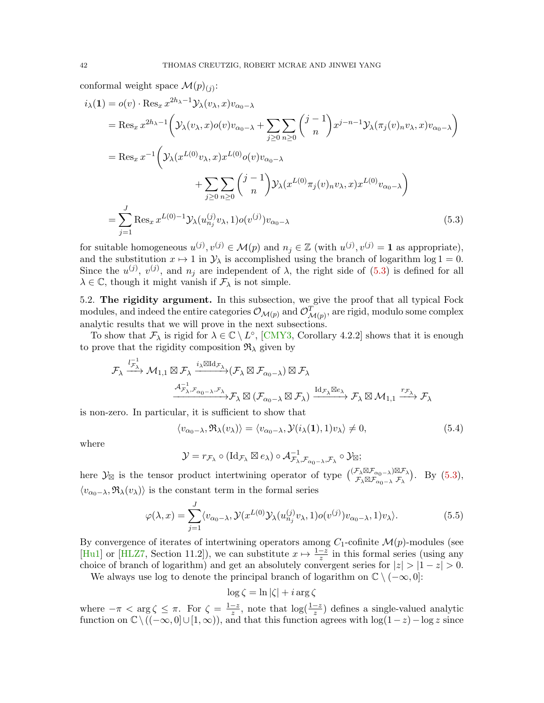conformal weight space  $\mathcal{M}(p)_{(j)}$ :

$$
i_{\lambda}(\mathbf{1}) = o(v) \cdot \text{Res}_{x} x^{2h_{\lambda} - 1} \mathcal{Y}_{\lambda}(v_{\lambda}, x) v_{\alpha_{0} - \lambda}
$$
  
\n
$$
= \text{Res}_{x} x^{2h_{\lambda} - 1} \left( \mathcal{Y}_{\lambda}(v_{\lambda}, x) o(v) v_{\alpha_{0} - \lambda} + \sum_{j \geq 0} \sum_{n \geq 0} {j-1 \choose n} x^{j-n-1} \mathcal{Y}_{\lambda}(\pi_{j}(v)_{n} v_{\lambda}, x) v_{\alpha_{0} - \lambda} \right)
$$
  
\n
$$
= \text{Res}_{x} x^{-1} \left( \mathcal{Y}_{\lambda}(x^{L(0)} v_{\lambda}, x) x^{L(0)} o(v) v_{\alpha_{0} - \lambda} + \sum_{j \geq 0} \sum_{n \geq 0} {j-1 \choose n} \mathcal{Y}_{\lambda}(x^{L(0)} \pi_{j}(v)_{n} v_{\lambda}, x) x^{L(0)} v_{\alpha_{0} - \lambda} \right)
$$
  
\n
$$
= \sum_{j=1}^{J} \text{Res}_{x} x^{L(0)-1} \mathcal{Y}_{\lambda}(u_{n_{j}}^{(j)} v_{\lambda}, 1) o(v^{(j)}) v_{\alpha_{0} - \lambda} \qquad (5.3)
$$

for suitable homogeneous  $u^{(j)}$ ,  $v^{(j)} \in \mathcal{M}(p)$  and  $n_j \in \mathbb{Z}$  (with  $u^{(j)}$ ,  $v^{(j)} = 1$  as appropriate), and the substitution  $x \mapsto 1$  in  $\mathcal{Y}_\lambda$  is accomplished using the branch of logarithm log  $1 = 0$ . Since the  $u^{(j)}$ ,  $v^{(j)}$ , and  $n_j$  are independent of  $\lambda$ , the right side of [\(5.3\)](#page-41-1) is defined for all  $\lambda \in \mathbb{C}$ , though it might vanish if  $\mathcal{F}_{\lambda}$  is not simple.

<span id="page-41-0"></span>5.2. The rigidity argument. In this subsection, we give the proof that all typical Fock modules, and indeed the entire categories  $\mathcal{O}_{\mathcal{M}(p)}$  and  $\mathcal{O}_{\mathcal{M}(p)}^T$ , are rigid, modulo some complex analytic results that we will prove in the next subsections.

To show that  $\mathcal{F}_{\lambda}$  is rigid for  $\lambda \in \mathbb{C} \setminus L^{\circ}$ , [\[CMY3,](#page-61-1) Corollary 4.2.2] shows that it is enough to prove that the rigidity composition  $\mathfrak{R}_{\lambda}$  given by

$$
\mathcal{F}_{\lambda} \xrightarrow{l_{\mathcal{F}_{\lambda}}^{-1}} \mathcal{M}_{1,1} \boxtimes \mathcal{F}_{\lambda} \xrightarrow{i_{\lambda} \boxtimes \mathrm{Id}_{\mathcal{F}_{\lambda}}} (\mathcal{F}_{\lambda} \boxtimes \mathcal{F}_{\alpha_{0}-\lambda}) \boxtimes \mathcal{F}_{\lambda} \xrightarrow{\mathrm{Id}_{\mathcal{F}_{\lambda}} \boxtimes \mathrm{Id}_{\mathcal{F}_{\lambda}}} \mathcal{A}_{\mathcal{F}_{\lambda},\mathcal{F}_{\alpha_{0}-\lambda},\mathcal{F}_{\lambda}} \boxtimes (\mathcal{F}_{\alpha_{0}-\lambda} \boxtimes \mathcal{F}_{\lambda}) \xrightarrow{\mathrm{Id}_{\mathcal{F}_{\lambda}} \boxtimes \mathrm{Id}_{\mathcal{F}_{\lambda}}} \mathcal{F}_{\lambda} \boxtimes \mathcal{M}_{1,1} \xrightarrow{r_{\mathcal{F}_{\lambda}}} \mathcal{F}_{\lambda}
$$

is non-zero. In particular, it is sufficient to show that

<span id="page-41-1"></span>
$$
\langle v_{\alpha_0 - \lambda}, \Re_{\lambda}(v_{\lambda}) \rangle = \langle v_{\alpha_0 - \lambda}, \mathcal{Y}(i_{\lambda}(1), 1)v_{\lambda} \rangle \neq 0, \tag{5.4}
$$

where

<span id="page-41-3"></span>
$$
\mathcal{Y}=r_{\mathcal{F}_{\lambda}}\circ (\mathrm{Id}_{\mathcal{F}_{\lambda}}\boxtimes e_{\lambda})\circ \mathcal{A}_{\mathcal{F}_{\lambda},\mathcal{F}_{\alpha_{0}-\lambda},\mathcal{F}_{\lambda}}^{-1}\circ \mathcal{Y}_{\boxtimes};
$$

here  $\mathcal{Y}_{\boxtimes}$  is the tensor product intertwining operator of type  $\begin{pmatrix} (\mathcal{F}_{\lambda}\boxtimes\mathcal{F}_{\alpha_0-\lambda})\boxtimes\mathcal{F}_{\lambda} \\ \mathcal{F}_{\lambda}\boxtimes\mathcal{F}_{\alpha_0-\lambda}\end{pmatrix}$  $\mathcal{F}_{\lambda} \boxtimes \mathcal{F}_{\alpha_0-\lambda} \boxtimes \mathcal{F}_{\lambda}$ . By  $(5.3)$ ,  $\mathcal{F}_{\lambda} \boxtimes \mathcal{F}_{\alpha_0-\lambda} \mathcal{F}_{\lambda}$ .  $\langle v_{\alpha_0-\lambda}, \mathfrak{R}_{\lambda}(v_{\lambda})\rangle$  is the constant term in the formal series

$$
\varphi(\lambda, x) = \sum_{j=1}^{J} \langle v_{\alpha_0 - \lambda}, \mathcal{Y}(x^{L(0)} \mathcal{Y}_{\lambda}(u_{n_j}^{(j)} v_{\lambda}, 1) o(v^{(j)}) v_{\alpha_0 - \lambda}, 1) v_{\lambda} \rangle.
$$
 (5.5)

By convergence of iterates of intertwining operators among  $C_1$ -cofinite  $\mathcal{M}(p)$ -modules (see [\[Hu1\]](#page-61-7) or [\[HLZ7,](#page-62-13) Section 11.2]), we can substitute  $x \mapsto \frac{1-z}{z}$  in this formal series (using any choice of branch of logarithm) and get an absolutely convergent series for  $|z| > |1 - z| > 0$ .

We always use log to denote the principal branch of logarithm on  $\mathbb{C} \setminus (-\infty, 0]$ :

<span id="page-41-2"></span>
$$
\log \zeta = \ln |\zeta| + i \arg \zeta
$$

where  $-\pi < \arg \zeta \leq \pi$ . For  $\zeta = \frac{1-z}{z}$  $\frac{-z}{z}$ , note that  $\log(\frac{1-z}{z})$  defines a single-valued analytic function on  $\mathbb{C}\setminus ((-\infty,0]\cup[1,\infty))$ , and that this function agrees with  $\log(1-z)-\log z$  since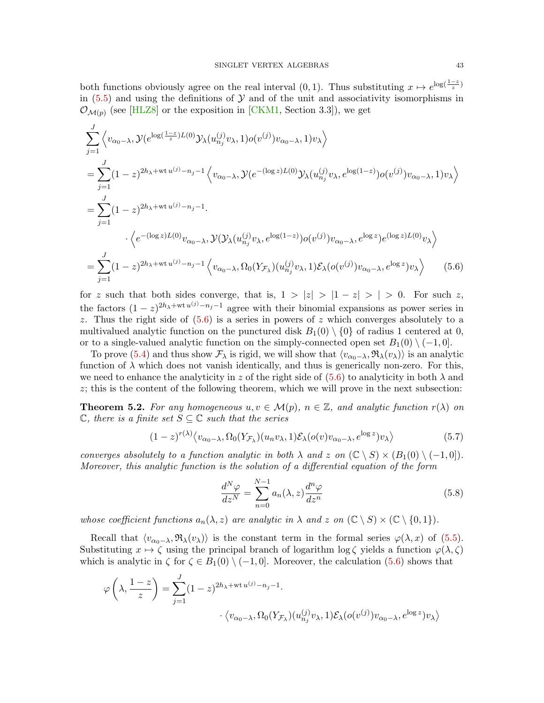both functions obviously agree on the real interval  $(0,1)$ . Thus substituting  $x \mapsto e^{\log(\frac{1-z}{z})}$ in  $(5.5)$  and using the definitions of  $\mathcal Y$  and of the unit and associativity isomorphisms in  $\mathcal{O}_{\mathcal{M}(p)}$  (see [\[HLZ8\]](#page-62-3) or the exposition in [\[CKM1,](#page-60-7) Section 3.3]), we get

$$
\sum_{j=1}^{J} \left\langle v_{\alpha_0-\lambda}, \mathcal{Y}(e^{\log(\frac{1-z}{z})L(0)} \mathcal{Y}_{\lambda}(u_{n_j}^{(j)} v_{\lambda}, 1) o(v^{(j)}) v_{\alpha_0-\lambda}, 1) v_{\lambda} \right\rangle
$$
\n
$$
= \sum_{j=1}^{J} (1-z)^{2h_{\lambda} + \text{wt } u^{(j)} - n_j - 1} \left\langle v_{\alpha_0-\lambda}, \mathcal{Y}(e^{-(\log z)L(0)} \mathcal{Y}_{\lambda}(u_{n_j}^{(j)} v_{\lambda}, e^{\log(1-z)}) o(v^{(j)}) v_{\alpha_0-\lambda}, 1) v_{\lambda} \right\rangle
$$
\n
$$
= \sum_{j=1}^{J} (1-z)^{2h_{\lambda} + \text{wt } u^{(j)} - n_j - 1}.
$$
\n
$$
\cdot \left\langle e^{-(\log z)L(0)} v_{\alpha_0-\lambda}, \mathcal{Y}(\mathcal{Y}_{\lambda}(u_{n_j}^{(j)} v_{\lambda}, e^{\log(1-z)}) o(v^{(j)}) v_{\alpha_0-\lambda}, e^{\log z}) e^{(\log z)L(0)} v_{\lambda} \right\rangle
$$
\n
$$
= \sum_{j=1}^{J} (1-z)^{2h_{\lambda} + \text{wt } u^{(j)} - n_j - 1} \left\langle v_{\alpha_0-\lambda}, \Omega_0(Y_{\mathcal{F}_{\lambda}})(u_{n_j}^{(j)} v_{\lambda}, 1) \mathcal{E}_{\lambda}(o(v^{(j)}) v_{\alpha_0-\lambda}, e^{\log z}) v_{\lambda} \right\rangle \qquad (5.6)
$$

for z such that both sides converge, that is,  $1 > |z| > |1 - z| > |0$ . For such z, the factors  $(1-z)^{2h_{\lambda}+wt u^{(j)}-n_j-1}$  agree with their binomial expansions as power series in z. Thus the right side of  $(5.6)$  is a series in powers of z which converges absolutely to a multivalued analytic function on the punctured disk  $B_1(0) \setminus \{0\}$  of radius 1 centered at 0, or to a single-valued analytic function on the simply-connected open set  $B_1(0) \setminus (-1, 0]$ .

To prove [\(5.4\)](#page-41-3) and thus show  $\mathcal{F}_{\lambda}$  is rigid, we will show that  $\langle v_{\alpha_0-\lambda}, \mathfrak{R}_{\lambda}(v_{\lambda})\rangle$  is an analytic function of  $\lambda$  which does not vanish identically, and thus is generically non-zero. For this, we need to enhance the analyticity in z of the right side of  $(5.6)$  to analyticity in both  $\lambda$  and  $z$ ; this is the content of the following theorem, which we will prove in the next subsection:

<span id="page-42-1"></span>**Theorem 5.2.** For any homogeneous  $u, v \in \mathcal{M}(p)$ ,  $n \in \mathbb{Z}$ , and analytic function  $r(\lambda)$  on  $\mathbb C$ , there is a finite set  $S \subseteq \mathbb C$  such that the series

$$
(1-z)^{r(\lambda)} \langle v_{\alpha_0-\lambda}, \Omega_0(Y_{\mathcal{F}_\lambda})(u_n v_\lambda, 1) \mathcal{E}_\lambda(o(v) v_{\alpha_0-\lambda}, e^{\log z}) v_\lambda \rangle \tag{5.7}
$$

converges absolutely to a function analytic in both  $\lambda$  and z on  $(\mathbb{C} \setminus S) \times (B_1(0) \setminus (-1, 0])$ . Moreover, this analytic function is the solution of a differential equation of the form

<span id="page-42-3"></span><span id="page-42-2"></span><span id="page-42-0"></span>
$$
\frac{d^N \varphi}{dz^N} = \sum_{n=0}^{N-1} a_n(\lambda, z) \frac{d^n \varphi}{dz^n}
$$
\n(5.8)

whose coefficient functions  $a_n(\lambda, z)$  are analytic in  $\lambda$  and  $z$  on  $(\mathbb{C} \setminus S) \times (\mathbb{C} \setminus \{0, 1\}).$ 

Recall that  $\langle v_{\alpha_0-\lambda}, \Re_\lambda(v_\lambda) \rangle$  is the constant term in the formal series  $\varphi(\lambda, x)$  of [\(5.5\)](#page-41-2). Substituting  $x \mapsto \zeta$  using the principal branch of logarithm log  $\zeta$  yields a function  $\varphi(\lambda, \zeta)$ which is analytic in  $\zeta$  for  $\zeta \in B_1(0) \setminus (-1, 0]$ . Moreover, the calculation [\(5.6\)](#page-42-0) shows that

$$
\varphi\left(\lambda, \frac{1-z}{z}\right) = \sum_{j=1}^{J} (1-z)^{2h_{\lambda} + \text{wt } u^{(j)} - n_j - 1} \cdot \langle v_{\alpha_0 - \lambda}, \Omega_0(Y_{\mathcal{F}_{\lambda}})(u_{n_j}^{(j)} v_{\lambda}, 1) \mathcal{E}_{\lambda}(o(v^{(j)}) v_{\alpha_0 - \lambda}, e^{\log z}) v_{\lambda} \rangle
$$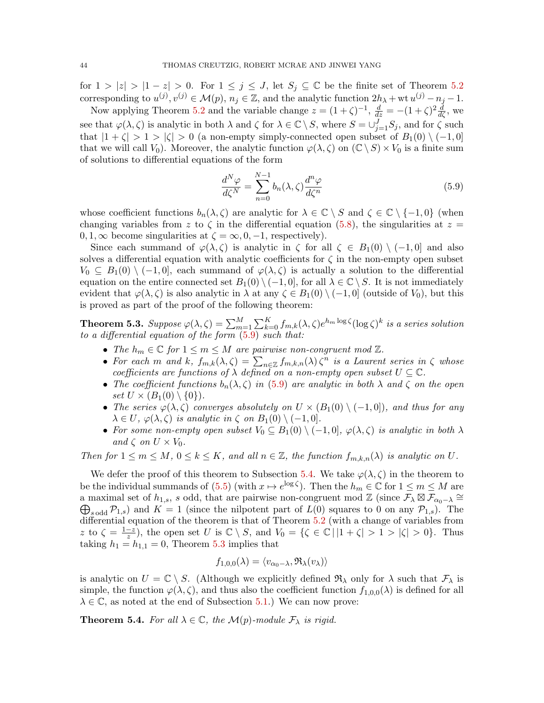for  $1 > |z| > |1-z| > 0$ . For  $1 \leq j \leq J$ , let  $S_j \subseteq \mathbb{C}$  be the finite set of Theorem [5.2](#page-42-1) corresponding to  $u^{(j)}$ ,  $v^{(j)} \in \mathcal{M}(p)$ ,  $n_j \in \mathbb{Z}$ , and the analytic function  $2h_{\lambda} + \text{wt } u^{(j)} - n_j - 1$ .

Now applying Theorem [5.2](#page-42-1) and the variable change  $z = (1 + \zeta)^{-1}$ ,  $\frac{d}{dz} = -(1 + \zeta)^2 \frac{d}{d\zeta}$ , we see that  $\varphi(\lambda, \zeta)$  is analytic in both  $\lambda$  and  $\zeta$  for  $\lambda \in \mathbb{C} \setminus S$ , where  $S = \bigcup_{j=1}^{J} S_j$ , and for  $\zeta$  such that  $|1 + \zeta| > 1 > |\zeta| > 0$  (a non-empty simply-connected open subset of  $B_1(0) \setminus (-1, 0]$ that we will call  $V_0$ ). Moreover, the analytic function  $\varphi(\lambda, \zeta)$  on  $(\mathbb{C} \setminus S) \times V_0$  is a finite sum of solutions to differential equations of the form

<span id="page-43-1"></span>
$$
\frac{d^N \varphi}{d\zeta^N} = \sum_{n=0}^{N-1} b_n(\lambda, \zeta) \frac{d^n \varphi}{d\zeta^n}
$$
\n(5.9)

whose coefficient functions  $b_n(\lambda, \zeta)$  are analytic for  $\lambda \in \mathbb{C} \setminus S$  and  $\zeta \in \mathbb{C} \setminus \{-1, 0\}$  (when changing variables from z to  $\zeta$  in the differential equation [\(5.8\)](#page-42-2), the singularities at  $z =$  $0, 1, \infty$  become singularities at  $\zeta = \infty, 0, -1$ , respectively).

Since each summand of  $\varphi(\lambda, \zeta)$  is analytic in  $\zeta$  for all  $\zeta \in B_1(0) \setminus (-1, 0]$  and also solves a differential equation with analytic coefficients for  $\zeta$  in the non-empty open subset  $V_0 \subseteq B_1(0) \setminus (-1,0],$  each summand of  $\varphi(\lambda,\zeta)$  is actually a solution to the differential equation on the entire connected set  $B_1(0) \setminus (-1,0]$ , for all  $\lambda \in \mathbb{C} \setminus S$ . It is not immediately evident that  $\varphi(\lambda, \zeta)$  is also analytic in  $\lambda$  at any  $\zeta \in B_1(0) \setminus (-1, 0]$  (outside of  $V_0$ ), but this is proved as part of the proof of the following theorem:

<span id="page-43-0"></span>**Theorem 5.3.** Suppose  $\varphi(\lambda, \zeta) = \sum_{m=1}^{M} \sum_{k=0}^{K} f_{m,k}(\lambda, \zeta) e^{h_m \log \zeta} (\log \zeta)^k$  is a series solution to a differential equation of the form [\(5.9\)](#page-43-1) such that:

- The  $h_m \in \mathbb{C}$  for  $1 \leq m \leq M$  are pairwise non-congruent mod  $\mathbb{Z}$ .
- For each m and k,  $f_{m,k}(\lambda,\zeta) = \sum_{n\in\mathbb{Z}} f_{m,k,n}(\lambda) \zeta^n$  is a Laurent series in  $\zeta$  whose coefficients are functions of  $\lambda$  defined on a non-empty open subset  $U \subseteq \mathbb{C}$ .
- The coefficient functions  $b_n(\lambda,\zeta)$  in [\(5.9\)](#page-43-1) are analytic in both  $\lambda$  and  $\zeta$  on the open set  $U \times (B_1(0) \setminus \{0\}).$
- The series  $\varphi(\lambda, \zeta)$  converges absolutely on  $U \times (B_1(0) \setminus (-1, 0])$ , and thus for any  $\lambda \in U$ ,  $\varphi(\lambda, \zeta)$  is analytic in  $\zeta$  on  $B_1(0) \setminus (-1, 0]$ .
- For some non-empty open subset  $V_0 \subseteq B_1(0) \setminus (-1,0], \varphi(\lambda,\zeta)$  is analytic in both  $\lambda$ and  $\zeta$  on  $U \times V_0$ .

Then for  $1 \leq m \leq M$ ,  $0 \leq k \leq K$ , and all  $n \in \mathbb{Z}$ , the function  $f_{m,k,n}(\lambda)$  is analytic on U.

We defer the proof of this theorem to Subsection [5.4.](#page-50-0) We take  $\varphi(\lambda,\zeta)$  in the theorem to be the individual summands of  $(5.5)$  (with  $x \mapsto e^{\log \zeta}$ ). Then the  $h_m \in \mathbb{C}$  for  $1 \le m \le M$  are a maximal set of  $h_{1,s}$ , s odd, that are pairwise non-congruent mod Z (since  $\mathcal{F}_{\lambda} \boxtimes \mathcal{F}_{\alpha_0-\lambda} \cong$  $\bigoplus_{s \text{ odd}} P_{1,s}$  and  $K = 1$  (since the nilpotent part of  $L(0)$  squares to 0 on any  $P_{1,s}$ ). The differential equation of the theorem is that of Theorem [5.2](#page-42-1) (with a change of variables from z to  $\zeta = \frac{1-z}{z}$  $\frac{-z}{z}$ , the open set U is  $\mathbb{C} \setminus S$ , and  $V_0 = \{ \zeta \in \mathbb{C} \mid |1 + \zeta| > 1 > |\zeta| > 0 \}$ . Thus taking  $h_1 = h_{1,1} = 0$ , Theorem [5.3](#page-43-0) implies that

$$
f_{1,0,0}(\lambda) = \langle v_{\alpha_0 - \lambda}, \mathfrak{R}_\lambda(v_\lambda) \rangle
$$

is analytic on  $U = \mathbb{C} \setminus S$ . (Although we explicitly defined  $\mathfrak{R}_{\lambda}$  only for  $\lambda$  such that  $\mathcal{F}_{\lambda}$  is simple, the function  $\varphi(\lambda, \zeta)$ , and thus also the coefficient function  $f_{1,0,0}(\lambda)$  is defined for all  $\lambda \in \mathbb{C}$ , as noted at the end of Subsection [5.1.](#page-38-1)) We can now prove:

**Theorem 5.4.** For all  $\lambda \in \mathbb{C}$ , the  $\mathcal{M}(p)$ -module  $\mathcal{F}_{\lambda}$  is rigid.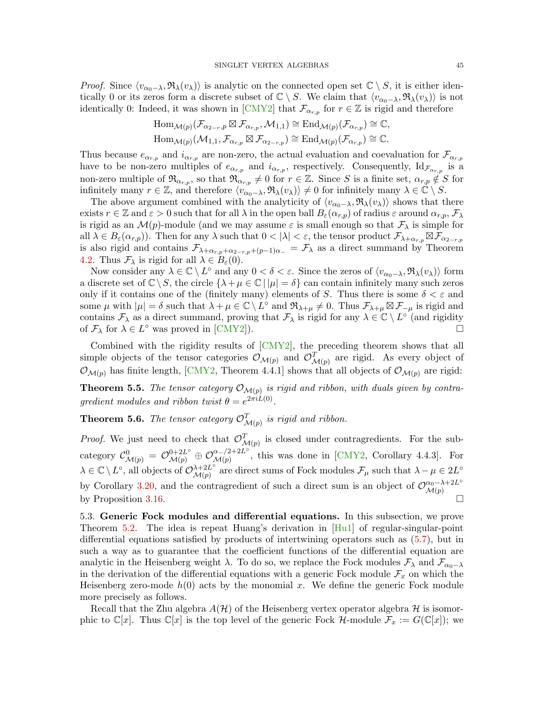*Proof.* Since  $\langle v_{\alpha_0-\lambda}, \Re_\lambda(v_\lambda) \rangle$  is analytic on the connected open set  $\mathbb{C} \setminus S$ , it is either identically 0 or its zeros form a discrete subset of  $\mathbb{C} \setminus S$ . We claim that  $\langle v_{\alpha_0-\lambda}, \mathfrak{R}_{\lambda}(v_{\lambda})\rangle$  is not identically 0: Indeed, it was shown in [\[CMY2\]](#page-60-0) that  $\mathcal{F}_{\alpha_{r,n}}$  for  $r \in \mathbb{Z}$  is rigid and therefore

$$
\text{Hom}_{\mathcal{M}(p)}(\mathcal{F}_{\alpha_{2-r},p} \boxtimes \mathcal{F}_{\alpha_{r,p}}, \mathcal{M}_{1,1}) \cong \text{End}_{\mathcal{M}(p)}(\mathcal{F}_{\alpha_{r,p}}) \cong \mathbb{C},
$$
  

$$
\text{Hom}_{\mathcal{M}(p)}(\mathcal{M}_{1,1}, \mathcal{F}_{\alpha_{r,p}} \boxtimes \mathcal{F}_{\alpha_{2-r,p}}) \cong \text{End}_{\mathcal{M}(p)}(\mathcal{F}_{\alpha_{r,p}}) \cong \mathbb{C}.
$$

Thus because  $e_{\alpha_{r,p}}$  and  $i_{\alpha_{r,p}}$  are non-zero, the actual evaluation and coevaluation for  $\mathcal{F}_{\alpha_{r,p}}$ have to be non-zero multiples of  $e_{\alpha_{r,p}}$  and  $i_{\alpha_{r,p}}$ , respectively. Consequently,  $\mathrm{Id}_{\mathcal{F}_{\alpha_{r,p}}}$  is a non-zero multiple of  $\mathfrak{R}_{\alpha_{r,p}}$ , so that  $\mathfrak{R}_{\alpha_{r,p}} \neq 0$  for  $r \in \mathbb{Z}$ . Since S is a finite set,  $\alpha_{r,p} \notin S$  for infinitely many  $r \in \mathbb{Z}$ , and therefore  $\langle v_{\alpha_0-\lambda}, \Re(\chi) \rangle \neq 0$  for infinitely many  $\lambda \in \mathbb{C} \setminus S$ .

The above argument combined with the analyticity of  $\langle v_{\alpha_0-\lambda}, \mathfrak{R}_{\lambda}(v_{\lambda})\rangle$  shows that there exists  $r \in \mathbb{Z}$  and  $\varepsilon > 0$  such that for all  $\lambda$  in the open ball  $B_{\varepsilon}(\alpha_{r,p})$  of radius  $\varepsilon$  around  $\alpha_{r,p}, \mathcal{F}_{\lambda}$ is rigid as an  $\mathcal{M}(p)$ -module (and we may assume  $\varepsilon$  is small enough so that  $\mathcal{F}_{\lambda}$  is simple for all  $\lambda \in B_{\varepsilon}(\alpha_{r,p})$ . Then for any  $\lambda$  such that  $0 < |\lambda| < \varepsilon$ , the tensor product  $\mathcal{F}_{\lambda+\alpha_{r,p}} \boxtimes \mathcal{F}_{\alpha_{2-r,p}}$ is also rigid and contains  $\mathcal{F}_{\lambda+\alpha_r,p+\alpha_{2-r,p}+(p-1)\alpha_-} = \mathcal{F}_{\lambda}$  as a direct summand by Theorem [4.2.](#page-33-0) Thus  $\mathcal{F}_{\lambda}$  is rigid for all  $\lambda \in B_{\varepsilon}(0)$ .

Now consider any  $\lambda \in \mathbb{C} \setminus L^{\circ}$  and any  $0 < \delta < \varepsilon$ . Since the zeros of  $\langle v_{\alpha_0-\lambda}, \Re_{\lambda}(v_{\lambda}) \rangle$  form a discrete set of  $\mathbb{C}\setminus S$ , the circle  $\{\lambda+\mu\in\mathbb{C}\mid |\mu|=\delta\}$  can contain infinitely many such zeros only if it contains one of the (finitely many) elements of S. Thus there is some  $\delta < \varepsilon$  and some  $\mu$  with  $|\mu| = \delta$  such that  $\lambda + \mu \in \mathbb{C} \setminus L^{\circ}$  and  $\mathfrak{R}_{\lambda+\mu} \neq 0$ . Thus  $\mathcal{F}_{\lambda+\mu} \boxtimes \mathcal{F}_{-\mu}$  is rigid and contains  $\mathcal{F}_{\lambda}$  as a direct summand, proving that  $\mathcal{F}_{\lambda}$  is rigid for any  $\lambda \in \mathbb{C} \setminus L^{\circ}$  (and rigidity of  $\mathcal{F}_{\lambda}$  for  $\lambda \in L^{\circ}$  was proved in [\[CMY2\]](#page-60-0)).

Combined with the rigidity results of [\[CMY2\]](#page-60-0), the preceding theorem shows that all simple objects of the tensor categories  $\mathcal{O}_{\mathcal{M}(p)}$  and  $\mathcal{O}_{\mathcal{M}(p)}^T$  are rigid. As every object of  $\mathcal{O}_{\mathcal{M}(p)}$  has finite length, [\[CMY2,](#page-60-0) Theorem 4.4.1] shows that all objects of  $\mathcal{O}_{\mathcal{M}(p)}$  are rigid:

<span id="page-44-1"></span>**Theorem 5.5.** The tensor category  $\mathcal{O}_{\mathcal{M}(p)}$  is rigid and ribbon, with duals given by contragredient modules and ribbon twist  $\theta = e^{2\pi i L(0)}$ .

<span id="page-44-2"></span>**Theorem 5.6.** The tensor category  $\mathcal{O}_{\mathcal{M}(p)}^T$  is rigid and ribbon.

*Proof.* We just need to check that  $\mathcal{O}_{\mathcal{M}(p)}^T$  is closed under contragredients. For the subcategory  $\mathcal{C}^0_{\mathcal{M}(p)} = \mathcal{O}^{0+2L^{\circ}}_{\mathcal{M}(p)} \oplus \mathcal{O}^{\alpha-/2+2L^{\circ}}_{\mathcal{M}(p)}$ , this was done in [\[CMY2,](#page-60-0) Corollary 4.4.3]. For  $\lambda \in \mathbb{C} \setminus L^{\circ}$ , all objects of  $\mathcal{O}_{\mathcal{M}(n)}^{\lambda+2L^{\circ}}$  $\mathcal{A}^{+2L^{\circ}}_{\mathcal{M}(p)}$  are direct sums of Fock modules  $\mathcal{F}_{\mu}$  such that  $\lambda - \mu \in 2L^{\circ}$ by Corollary [3.20,](#page-31-0) and the contragredient of such a direct sum is an object of  $\mathcal{O}_{M(n)}^{\alpha_0-\lambda+2L^{\circ}}$ by Proposition [3.16.](#page-28-0)  $\square$ 

<span id="page-44-0"></span>5.3. Generic Fock modules and differential equations. In this subsection, we prove Theorem [5.2.](#page-42-1) The idea is repeat Huang's derivation in [\[Hu1\]](#page-61-7) of regular-singular-point differential equations satisfied by products of intertwining operators such as [\(5.7\)](#page-42-3), but in such a way as to guarantee that the coefficient functions of the differential equation are analytic in the Heisenberg weight  $\lambda$ . To do so, we replace the Fock modules  $\mathcal{F}_{\lambda}$  and  $\mathcal{F}_{\alpha_0-\lambda}$ in the derivation of the differential equations with a generic Fock module  $\mathcal{F}_x$  on which the Heisenberg zero-mode  $h(0)$  acts by the monomial x. We define the generic Fock module more precisely as follows.

Recall that the Zhu algebra  $A(\mathcal{H})$  of the Heisenberg vertex operator algebra H is isomorphic to  $\mathbb{C}[x]$ . Thus  $\mathbb{C}[x]$  is the top level of the generic Fock H-module  $\mathcal{F}_x := G(\mathbb{C}[x])$ ; we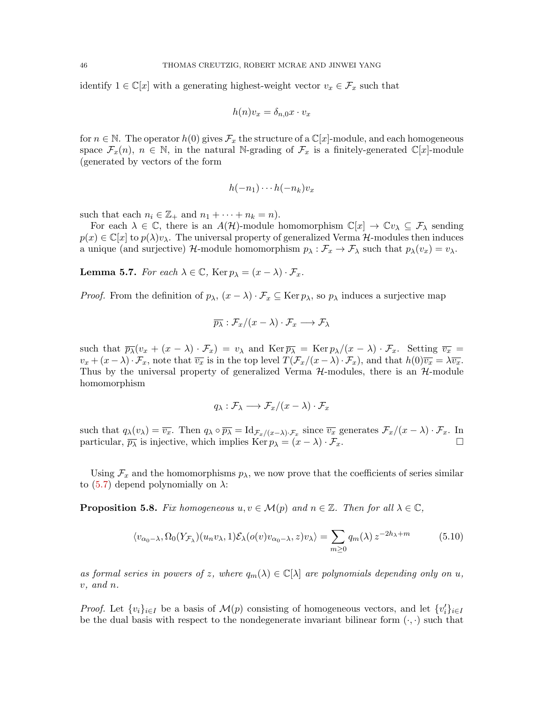identify  $1 \in \mathbb{C}[x]$  with a generating highest-weight vector  $v_x \in \mathcal{F}_x$  such that

$$
h(n)v_x = \delta_{n,0}x \cdot v_x
$$

for  $n \in \mathbb{N}$ . The operator  $h(0)$  gives  $\mathcal{F}_x$  the structure of a  $\mathbb{C}[x]$ -module, and each homogeneous space  $\mathcal{F}_x(n)$ ,  $n \in \mathbb{N}$ , in the natural N-grading of  $\mathcal{F}_x$  is a finitely-generated  $\mathbb{C}[x]$ -module (generated by vectors of the form

$$
h(-n_1)\cdots h(-n_k)v_x
$$

such that each  $n_i \in \mathbb{Z}_+$  and  $n_1 + \cdots + n_k = n$ .

For each  $\lambda \in \mathbb{C}$ , there is an  $A(\mathcal{H})$ -module homomorphism  $\mathbb{C}[x] \to \mathbb{C}v_{\lambda} \subseteq \mathcal{F}_{\lambda}$  sending  $p(x) \in \mathbb{C}[x]$  to  $p(\lambda)v_\lambda$ . The universal property of generalized Verma H-modules then induces a unique (and surjective) H-module homomorphism  $p_{\lambda}: \mathcal{F}_x \to \mathcal{F}_{\lambda}$  such that  $p_{\lambda}(v_x) = v_{\lambda}$ .

<span id="page-45-1"></span>**Lemma 5.7.** For each  $\lambda \in \mathbb{C}$ , Ker  $p_{\lambda} = (x - \lambda) \cdot \mathcal{F}_x$ .

*Proof.* From the definition of  $p_{\lambda}$ ,  $(x - \lambda) \cdot \mathcal{F}_x \subseteq \text{Ker } p_{\lambda}$ , so  $p_{\lambda}$  induces a surjective map

$$
\overline{p_{\lambda}}:\mathcal{F}_x/(x-\lambda)\cdot\mathcal{F}_x\longrightarrow\mathcal{F}_{\lambda}
$$

such that  $\overline{p_{\lambda}}(v_x + (x - \lambda) \cdot \mathcal{F}_x) = v_{\lambda}$  and  $\text{Ker } \overline{p_{\lambda}} = \text{Ker } p_{\lambda}/(x - \lambda) \cdot \mathcal{F}_x$ . Setting  $\overline{v_x} =$  $v_x + (x - \lambda) \cdot \mathcal{F}_x$ , note that  $\overline{v_x}$  is in the top level  $T(\mathcal{F}_x/(x - \lambda) \cdot \mathcal{F}_x)$ , and that  $h(0)\overline{v_x} = \lambda \overline{v_x}$ . Thus by the universal property of generalized Verma  $H$ -modules, there is an  $H$ -module homomorphism

<span id="page-45-0"></span>
$$
q_{\lambda} : \mathcal{F}_{\lambda} \longrightarrow \mathcal{F}_{x}/(x - \lambda) \cdot \mathcal{F}_{x}
$$

such that  $q_{\lambda}(v_{\lambda}) = \overline{v_x}$ . Then  $q_{\lambda} \circ \overline{p_{\lambda}} = \text{Id}_{\mathcal{F}_x/(x-\lambda)\cdot \mathcal{F}_x}$  since  $\overline{v_x}$  generates  $\mathcal{F}_x/(x-\lambda)\cdot \mathcal{F}_x$ . In particular,  $\overline{p_{\lambda}}$  is injective, which implies Ker  $p_{\lambda} = (x - \lambda) \cdot \mathcal{F}_x$ .

Using  $\mathcal{F}_x$  and the homomorphisms  $p_\lambda$ , we now prove that the coefficients of series similar to  $(5.7)$  depend polynomially on  $\lambda$ :

<span id="page-45-2"></span>**Proposition 5.8.** Fix homogeneous  $u, v \in \mathcal{M}(p)$  and  $n \in \mathbb{Z}$ . Then for all  $\lambda \in \mathbb{C}$ ,

$$
\langle v_{\alpha_0 - \lambda}, \Omega_0(Y_{\mathcal{F}_\lambda})(u_n v_\lambda, 1) \mathcal{E}_\lambda(o(v) v_{\alpha_0 - \lambda}, z) v_\lambda \rangle = \sum_{m \ge 0} q_m(\lambda) z^{-2h_\lambda + m}
$$
(5.10)

as formal series in powers of z, where  $q_m(\lambda) \in \mathbb{C}[\lambda]$  are polynomials depending only on u, v, and n.

*Proof.* Let  $\{v_i\}_{i\in I}$  be a basis of  $\mathcal{M}(p)$  consisting of homogeneous vectors, and let  $\{v_i'\}_{i\in I}$ be the dual basis with respect to the nondegenerate invariant bilinear form  $(\cdot, \cdot)$  such that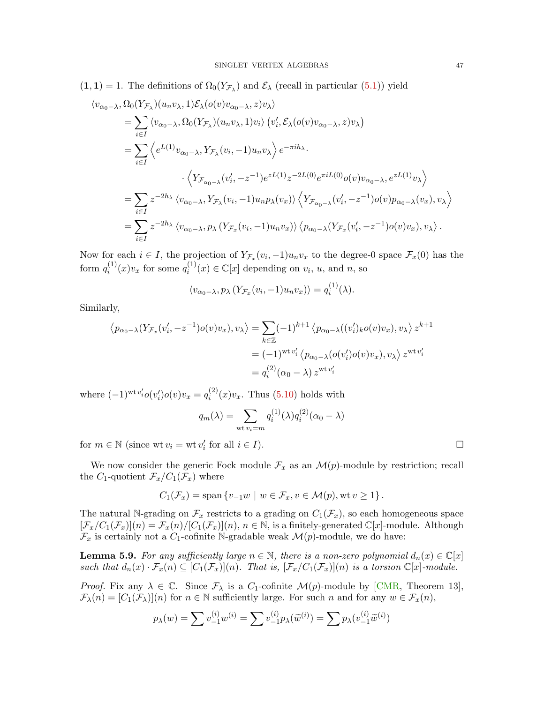$(1, 1) = 1$ . The definitions of  $\Omega_0(Y_{\mathcal{F}_\lambda})$  and  $\mathcal{E}_\lambda$  (recall in particular  $(5.1)$ ) yield

$$
\langle v_{\alpha_{0}-\lambda}, \Omega_{0}(Y_{\mathcal{F}_{\lambda}})(u_{n}v_{\lambda}, 1)\mathcal{E}_{\lambda}(o(v)v_{\alpha_{0}-\lambda}, z)v_{\lambda}\rangle
$$
  
\n
$$
= \sum_{i\in I} \langle v_{\alpha_{0}-\lambda}, \Omega_{0}(Y_{\mathcal{F}_{\lambda}})(u_{n}v_{\lambda}, 1)v_{i}\rangle \left(v'_{i}, \mathcal{E}_{\lambda}(o(v)v_{\alpha_{0}-\lambda}, z)v_{\lambda}\right)
$$
  
\n
$$
= \sum_{i\in I} \langle e^{L(1)}v_{\alpha_{0}-\lambda}, Y_{\mathcal{F}_{\lambda}}(v_{i}, -1)u_{n}v_{\lambda}\rangle e^{-\pi ih_{\lambda}}.
$$
  
\n
$$
\langle Y_{\mathcal{F}_{\alpha_{0}-\lambda}}(v'_{i}, -z^{-1})e^{zL(1)}z^{-2L(0)}e^{\pi iL(0)}o(v)v_{\alpha_{0}-\lambda}, e^{zL(1)}v_{\lambda}\rangle
$$
  
\n
$$
= \sum_{i\in I} z^{-2h_{\lambda}} \langle v_{\alpha_{0}-\lambda}, Y_{\mathcal{F}_{\lambda}}(v_{i}, -1)u_{n}p_{\lambda}(v_{x})\rangle \langle Y_{\mathcal{F}_{\alpha_{0}-\lambda}}(v'_{i}, -z^{-1})o(v)p_{\alpha_{0}-\lambda}(v_{x}), v_{\lambda}\rangle
$$
  
\n
$$
= \sum_{i\in I} z^{-2h_{\lambda}} \langle v_{\alpha_{0}-\lambda}, p_{\lambda}(Y_{\mathcal{F}_{x}}(v_{i}, -1)u_{n}v_{x})\rangle \langle p_{\alpha_{0}-\lambda}(Y_{\mathcal{F}_{x}}(v'_{i}, -z^{-1})o(v)v_{x}), v_{\lambda}\rangle.
$$

Now for each  $i \in I$ , the projection of  $Y_{\mathcal{F}_x}(v_i, -1)u_n v_x$  to the degree-0 space  $\mathcal{F}_x(0)$  has the form  $q_i^{(1)}$  $i^{(1)}(x)v_x$  for some  $q_i^{(1)}$  $i^{(1)}(x) \in \mathbb{C}[x]$  depending on  $v_i$ ,  $u$ , and  $n$ , so

$$
\langle v_{\alpha_0 - \lambda}, p_\lambda \left( Y_{\mathcal{F}_x}(v_i, -1) u_n v_x \right) \rangle = q_i^{(1)}(\lambda).
$$

Similarly,

$$
\langle p_{\alpha_0 - \lambda}(Y_{\mathcal{F}_x}(v_i', -z^{-1})o(v)v_x), v_\lambda \rangle = \sum_{k \in \mathbb{Z}} (-1)^{k+1} \langle p_{\alpha_0 - \lambda}((v_i')_k o(v)v_x), v_\lambda \rangle z^{k+1}
$$
  

$$
= (-1)^{\text{wt } v_i'} \langle p_{\alpha_0 - \lambda}(o(v_i')o(v)v_x), v_\lambda \rangle z^{\text{wt } v_i'}
$$
  

$$
= q_i^{(2)}(\alpha_0 - \lambda) z^{\text{wt } v_i'}
$$

where  $(-1)^{\text{wt } v'_i} o(v'_i) o(v) v_x = q_i^{(2)}$  $i^{(2)}(x)v_x$ . Thus [\(5.10\)](#page-45-0) holds with

$$
q_m(\lambda) = \sum_{\text{wt } v_i = m} q_i^{(1)}(\lambda) q_i^{(2)}(\alpha_0 - \lambda)
$$

for  $m \in \mathbb{N}$  (since wt  $v_i = \text{wt } v'_i$  for all  $i \in I$ ).

We now consider the generic Fock module  $\mathcal{F}_x$  as an  $\mathcal{M}(p)$ -module by restriction; recall the  $C_1$ -quotient  $\mathcal{F}_x/C_1(\mathcal{F}_x)$  where

$$
C_1(\mathcal{F}_x)=\text{span}\left\{v_{-1}w \mid w \in \mathcal{F}_x, v \in \mathcal{M}(p), \text{wt } v \geq 1\right\}.
$$

The natural N-grading on  $\mathcal{F}_x$  restricts to a grading on  $C_1(\mathcal{F}_x)$ , so each homogeneous space  $[\mathcal{F}_x/C_1(\mathcal{F}_x)](n) = \mathcal{F}_x(n)/[C_1(\mathcal{F}_x)](n), n \in \mathbb{N}$ , is a finitely-generated  $\mathbb{C}[x]$ -module. Although  $\mathcal{F}_x$  is certainly not a C<sub>1</sub>-cofinite N-gradable weak  $\mathcal{M}(p)$ -module, we do have:

**Lemma 5.9.** For any sufficiently large  $n \in \mathbb{N}$ , there is a non-zero polynomial  $d_n(x) \in \mathbb{C}[x]$ such that  $d_n(x) \cdot \mathcal{F}_x(n) \subseteq [C_1(\mathcal{F}_x)](n)$ . That is,  $[\mathcal{F}_x/C_1(\mathcal{F}_x)](n)$  is a torsion  $\mathbb{C}[x]$ -module.

*Proof.* Fix any  $\lambda \in \mathbb{C}$ . Since  $\mathcal{F}_{\lambda}$  is a  $C_1$ -cofinite  $\mathcal{M}(p)$ -module by [\[CMR,](#page-61-4) Theorem 13],  $\mathcal{F}_{\lambda}(n) = [C_1(\mathcal{F}_{\lambda})](n)$  for  $n \in \mathbb{N}$  sufficiently large. For such n and for any  $w \in \mathcal{F}_x(n)$ ,

$$
p_{\lambda}(w) = \sum v_{-1}^{(i)} w^{(i)} = \sum v_{-1}^{(i)} p_{\lambda}(\widetilde{w}^{(i)}) = \sum p_{\lambda}(v_{-1}^{(i)} \widetilde{w}^{(i)})
$$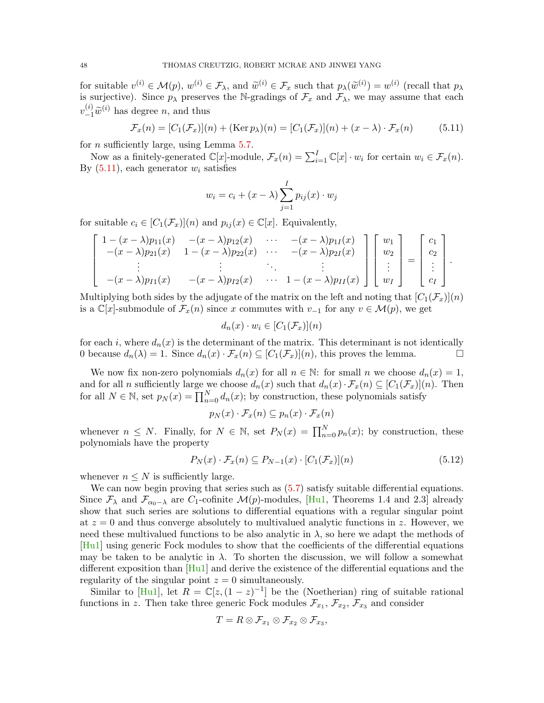for suitable  $v^{(i)} \in \mathcal{M}(p)$ ,  $w^{(i)} \in \mathcal{F}_{\lambda}$ , and  $\widetilde{w}^{(i)} \in \mathcal{F}_{x}$  such that  $p_{\lambda}(\widetilde{w}^{(i)}) = w^{(i)}$  (recall that  $p_{\lambda}$ <br>is surjective). Since no prosecules the N gradings of  $\mathcal{F}_{\lambda}$  and  $\mathcal{F}_{\lambda}$  we is surjective). Since  $p_{\lambda}$  preserves the N-gradings of  $\mathcal{F}_x$  and  $\mathcal{F}_{\lambda}$ , we may assume that each  $v_{-1}^{(i)}\tilde{w}^{(i)}$  has degree *n*, and thus

$$
\mathcal{F}_x(n) = [C_1(\mathcal{F}_x)](n) + (\text{Ker } p_\lambda)(n) = [C_1(\mathcal{F}_x)](n) + (x - \lambda) \cdot \mathcal{F}_x(n) \tag{5.11}
$$

for n sufficiently large, using Lemma [5.7.](#page-45-1)

Now as a finitely-generated  $\mathbb{C}[x]$ -module,  $\mathcal{F}_x(n) = \sum_{i=1}^I \mathbb{C}[x] \cdot w_i$  for certain  $w_i \in \mathcal{F}_x(n)$ . By  $(5.11)$ , each generator  $w_i$  satisfies

<span id="page-47-0"></span>
$$
w_i = c_i + (x - \lambda) \sum_{j=1}^{I} p_{ij}(x) \cdot w_j
$$

for suitable  $c_i \in [C_1(\mathcal{F}_x)](n)$  and  $p_{ij}(x) \in \mathbb{C}[x]$ . Equivalently,

$$
\begin{bmatrix}\n1-(x-\lambda)p_{11}(x) & -(x-\lambda)p_{12}(x) & \cdots & -(x-\lambda)p_{1I}(x) \\
-(x-\lambda)p_{21}(x) & 1-(x-\lambda)p_{22}(x) & \cdots & -(x-\lambda)p_{2I}(x) \\
\vdots & \vdots & \ddots & \vdots \\
-(x-\lambda)p_{I1}(x) & -(x-\lambda)p_{I2}(x) & \cdots & 1-(x-\lambda)p_{II}(x)\n\end{bmatrix}\n\begin{bmatrix}\nw_1 \\
w_2 \\
\vdots \\
w_I\n\end{bmatrix} =\n\begin{bmatrix}\nc_1 \\
c_2 \\
\vdots \\
c_I\n\end{bmatrix}.
$$

Multiplying both sides by the adjugate of the matrix on the left and noting that  $[C_1(\mathcal{F}_x)](n)$ is a  $\mathbb{C}[x]$ -submodule of  $\mathcal{F}_x(n)$  since x commutes with  $v_{-1}$  for any  $v \in \mathcal{M}(p)$ , we get

$$
d_n(x) \cdot w_i \in [C_1(\mathcal{F}_x)](n)
$$

for each i, where  $d_n(x)$  is the determinant of the matrix. This determinant is not identically 0 because  $d_n(\lambda) = 1$ . Since  $d_n(x) \cdot \mathcal{F}_x(n) \subseteq [C_1(\mathcal{F}_x)](n)$ , this proves the lemma.

We now fix non-zero polynomials  $d_n(x)$  for all  $n \in \mathbb{N}$ : for small n we choose  $d_n(x) = 1$ , and for all n sufficiently large we choose  $d_n(x)$  such that  $d_n(x) \cdot \mathcal{F}_x(n) \subseteq [C_1(\mathcal{F}_x)](n)$ . Then for all  $N \in \mathbb{N}$ , set  $p_N(x) = \prod_{n=0}^N d_n(x)$ ; by construction, these polynomials satisfy

<span id="page-47-1"></span>
$$
p_N(x) \cdot \mathcal{F}_x(n) \subseteq p_n(x) \cdot \mathcal{F}_x(n)
$$

whenever  $n \leq N$ . Finally, for  $N \in \mathbb{N}$ , set  $P_N(x) = \prod_{n=0}^N p_n(x)$ ; by construction, these polynomials have the property

$$
P_N(x) \cdot \mathcal{F}_x(n) \subseteq P_{N-1}(x) \cdot [C_1(\mathcal{F}_x)](n) \tag{5.12}
$$

whenever  $n \leq N$  is sufficiently large.

We can now begin proving that series such as  $(5.7)$  satisfy suitable differential equations. Since  $\mathcal{F}_{\lambda}$  and  $\mathcal{F}_{\alpha_0-\lambda}$  are  $C_1$ -cofinite  $\mathcal{M}(p)$ -modules, [\[Hu1,](#page-61-7) Theorems 1.4 and 2.3] already show that such series are solutions to differential equations with a regular singular point at  $z = 0$  and thus converge absolutely to multivalued analytic functions in z. However, we need these multivalued functions to be also analytic in  $\lambda$ , so here we adapt the methods of [\[Hu1\]](#page-61-7) using generic Fock modules to show that the coefficients of the differential equations may be taken to be analytic in  $\lambda$ . To shorten the discussion, we will follow a somewhat different exposition than [\[Hu1\]](#page-61-7) and derive the existence of the differential equations and the regularity of the singular point  $z = 0$  simultaneously.

Similar to [\[Hu1\]](#page-61-7), let  $R = \mathbb{C}[z,(1-z)^{-1}]$  be the (Noetherian) ring of suitable rational functions in z. Then take three generic Fock modules  $\mathcal{F}_{x_1}, \mathcal{F}_{x_2}, \mathcal{F}_{x_3}$  and consider

$$
T=R\otimes \mathcal{F}_{x_1}\otimes \mathcal{F}_{x_2}\otimes \mathcal{F}_{x_3},
$$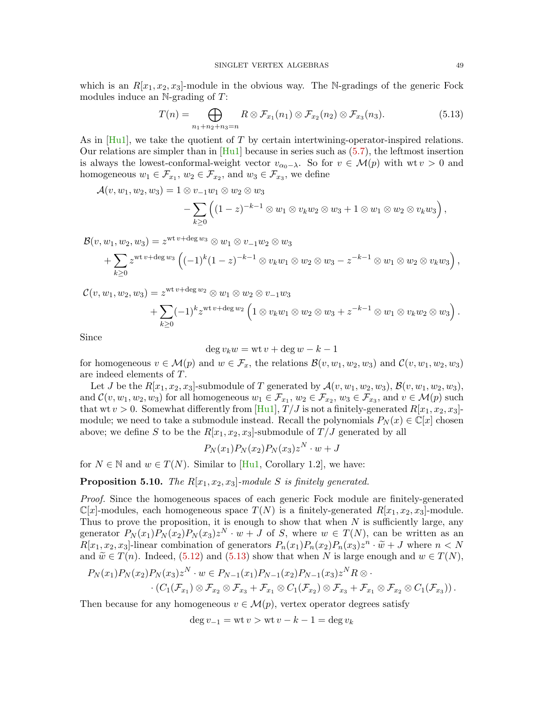which is an  $R[x_1, x_2, x_3]$ -module in the obvious way. The N-gradings of the generic Fock modules induce an  $\mathbb{N}$ -grading of  $T$ :

<span id="page-48-0"></span>
$$
T(n) = \bigoplus_{n_1+n_2+n_3=n} R \otimes \mathcal{F}_{x_1}(n_1) \otimes \mathcal{F}_{x_2}(n_2) \otimes \mathcal{F}_{x_3}(n_3).
$$
 (5.13)

As in  $[H<sub>u</sub>]<sub>l</sub>$ , we take the quotient of T by certain intertwining-operator-inspired relations. Our relations are simpler than in  $[H<sub>u</sub>1]$  because in series such as  $(5.7)$ , the leftmost insertion is always the lowest-conformal-weight vector  $v_{\alpha_0-\lambda}$ . So for  $v \in \mathcal{M}(p)$  with wt  $v > 0$  and homogeneous  $w_1 \in \mathcal{F}_{x_1}, w_2 \in \mathcal{F}_{x_2}$ , and  $w_3 \in \mathcal{F}_{x_3}$ , we define

$$
\mathcal{A}(v, w_1, w_2, w_3) = 1 \otimes v_{-1}w_1 \otimes w_2 \otimes w_3
$$
  
 
$$
- \sum_{k \geq 0} \left( (1-z)^{-k-1} \otimes w_1 \otimes v_k w_2 \otimes w_3 + 1 \otimes w_1 \otimes w_2 \otimes v_k w_3 \right),
$$

 $\mathcal{B}(v, w_1, w_2, w_3) = z^{\operatorname{wt} v + \deg w_3} \otimes w_1 \otimes v_{-1} w_2 \otimes w_3$ 

$$
+\sum_{k\geq 0} z^{\text{wt}\,v+\text{deg}\,w_3}\left((-1)^k(1-z)^{-k-1}\otimes v_kw_1\otimes w_2\otimes w_3-z^{-k-1}\otimes w_1\otimes w_2\otimes v_kw_3\right),
$$

 $\mathcal{C}(v, w_1, w_2, w_3) = z^{\operatorname{wt} v + \deg w_2} \otimes w_1 \otimes w_2 \otimes v_{-1}w_3$ 

$$
+\sum_{k\geq 0} (-1)^k z^{wt\,v+\deg w_2} \left(1\otimes v_k w_1\otimes w_2\otimes w_3 + z^{-k-1}\otimes w_1\otimes v_k w_2\otimes w_3\right).
$$

Since

$$
\deg v_k w = \operatorname{wt} v + \deg w - k - 1
$$

for homogeneous  $v \in \mathcal{M}(p)$  and  $w \in \mathcal{F}_x$ , the relations  $\mathcal{B}(v, w_1, w_2, w_3)$  and  $\mathcal{C}(v, w_1, w_2, w_3)$ are indeed elements of T.

Let J be the  $R[x_1, x_2, x_3]$ -submodule of T generated by  $\mathcal{A}(v, w_1, w_2, w_3)$ ,  $\mathcal{B}(v, w_1, w_2, w_3)$ , and  $\mathcal{C}(v, w_1, w_2, w_3)$  for all homogeneous  $w_1 \in \mathcal{F}_{x_1}, w_2 \in \mathcal{F}_{x_2}, w_3 \in \mathcal{F}_{x_3}$ , and  $v \in \mathcal{M}(p)$  such that wt  $v > 0$ . Somewhat differently from [\[Hu1\]](#page-61-7),  $T/J$  is not a finitely-generated  $R[x_1, x_2, x_3]$ module; we need to take a submodule instead. Recall the polynomials  $P_N(x) \in \mathbb{C}[x]$  chosen above; we define S to be the  $R[x_1, x_2, x_3]$ -submodule of  $T/J$  generated by all

$$
P_N(x_1)P_N(x_2)P_N(x_3)z^N\cdot w + J
$$

for  $N \in \mathbb{N}$  and  $w \in T(N)$ . Similar to [\[Hu1,](#page-61-7) Corollary 1.2], we have:

## **Proposition 5.10.** The  $R[x_1, x_2, x_3]$ -module S is finitely generated.

Proof. Since the homogeneous spaces of each generic Fock module are finitely-generated  $\mathbb{C}[x]$ -modules, each homogeneous space  $T(N)$  is a finitely-generated  $R[x_1, x_2, x_3]$ -module. Thus to prove the proposition, it is enough to show that when  $N$  is sufficiently large, any generator  $P_N(x_1)P_N(x_2)P_N(x_3)z^N \cdot w + J$  of S, where  $w \in T(N)$ , can be written as an  $R[x_1, x_2, x_3]$ -linear combination of generators  $P_n(x_1)P_n(x_2)P_n(x_3)z^n \cdot \tilde{w} + J$  where  $n < N$ <br>and  $\tilde{w} \in T(n)$ . Indeed (5.12) and (5.13) show that when N is large enough and  $w \in T(N)$ . and  $\widetilde{w} \in T(n)$ . Indeed, [\(5.12\)](#page-47-1) and [\(5.13\)](#page-48-0) show that when N is large enough and  $w \in T(N)$ ,

$$
P_N(x_1)P_N(x_2)P_N(x_3)z^N \cdot w \in P_{N-1}(x_1)P_{N-1}(x_2)P_{N-1}(x_3)z^N R \otimes \cdot
$$
  
 
$$
\cdot (C_1(\mathcal{F}_{x_1}) \otimes \mathcal{F}_{x_2} \otimes \mathcal{F}_{x_3} + \mathcal{F}_{x_1} \otimes C_1(\mathcal{F}_{x_2}) \otimes \mathcal{F}_{x_3} + \mathcal{F}_{x_1} \otimes \mathcal{F}_{x_2} \otimes C_1(\mathcal{F}_{x_3})).
$$

Then because for any homogeneous  $v \in \mathcal{M}(p)$ , vertex operator degrees satisfy

$$
\deg v_{-1} = \operatorname{wt} v > \operatorname{wt} v - k - 1 = \deg v_k
$$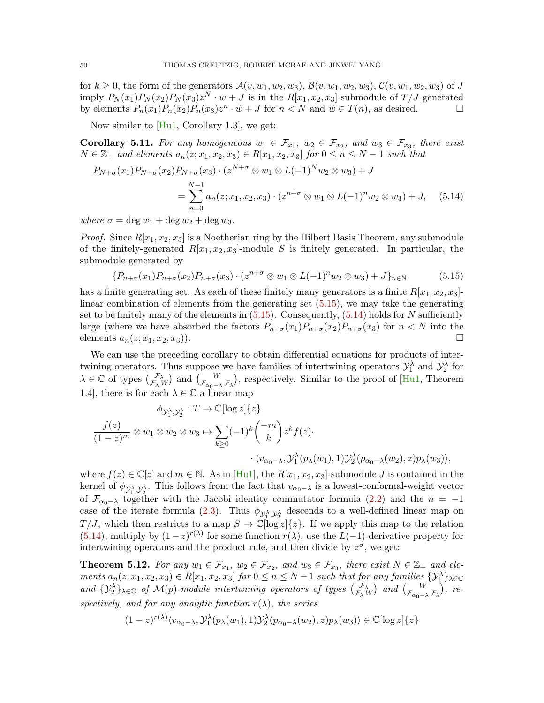for  $k \geq 0$ , the form of the generators  $\mathcal{A}(v, w_1, w_2, w_3)$ ,  $\mathcal{B}(v, w_1, w_2, w_3)$ ,  $\mathcal{C}(v, w_1, w_2, w_3)$  of J imply  $P_N(x_1)P_N(x_2)P_N(x_3)z^N \cdot w + J$  is in the  $R[x_1, x_2, x_3]$ -submodule of  $T/J$  generated by elements  $P_n(x_1)P_n(x_2)P_n(x_3)z^n \cdot \tilde{w} + J$  for  $n < N$  and  $\tilde{w} \in T(n)$ , as desired.

Now similar to  $[H<sub>u1</sub>, Corollary 1.3]$ , we get:

**Corollary 5.11.** For any homogeneous  $w_1 \in \mathcal{F}_{x_1}$ ,  $w_2 \in \mathcal{F}_{x_2}$ , and  $w_3 \in \mathcal{F}_{x_3}$ , there exist  $N \in \mathbb{Z}_+$  and elements  $a_n(z; x_1, x_2, x_3) \in R[x_1, x_2, x_3]$  for  $0 \le n \le N-1$  such that

$$
P_{N+\sigma}(x_1)P_{N+\sigma}(x_2)P_{N+\sigma}(x_3) \cdot (z^{N+\sigma} \otimes w_1 \otimes L(-1)^N w_2 \otimes w_3) + J
$$
  
= 
$$
\sum_{n=0}^{N-1} a_n(z; x_1, x_2, x_3) \cdot (z^{n+\sigma} \otimes w_1 \otimes L(-1)^n w_2 \otimes w_3) + J,
$$
 (5.14)

where  $\sigma = \deg w_1 + \deg w_2 + \deg w_3$ .

*Proof.* Since  $R[x_1, x_2, x_3]$  is a Noetherian ring by the Hilbert Basis Theorem, any submodule of the finitely-generated  $R[x_1, x_2, x_3]$ -module S is finitely generated. In particular, the submodule generated by

<span id="page-49-1"></span><span id="page-49-0"></span>
$$
\{P_{n+\sigma}(x_1)P_{n+\sigma}(x_2)P_{n+\sigma}(x_3)\cdot (z^{n+\sigma}\otimes w_1\otimes L(-1)^n w_2\otimes w_3) + J\}_{n\in\mathbb{N}}\tag{5.15}
$$

has a finite generating set. As each of these finitely many generators is a finite  $R[x_1, x_2, x_3]$ linear combination of elements from the generating set [\(5.15\)](#page-49-0), we may take the generating set to be finitely many of the elements in  $(5.15)$ . Consequently,  $(5.14)$  holds for N sufficiently large (where we have absorbed the factors  $P_{n+\sigma}(x_1)P_{n+\sigma}(x_2)P_{n+\sigma}(x_3)$  for  $n < N$  into the elements  $a_n(z; x_1, x_2, x_3)$ .

We can use the preceding corollary to obtain differential equations for products of intertwining operators. Thus suppose we have families of intertwining operators  $\mathcal{Y}_1^{\lambda}$  and  $\mathcal{Y}_2^{\lambda}$  for  $\lambda \in \mathbb{C}$  of types  $\begin{pmatrix} \mathcal{F}_{\lambda} \\ \mathcal{F}_{\lambda} \end{pmatrix}$  and  $\begin{pmatrix} W \\ \mathcal{F}_{\alpha_0-\lambda} \end{pmatrix}$ , respectively. Similar to the proof of [\[Hu1,](#page-61-7) Theorem 1.4], there is for each  $\lambda \in \mathbb{C}$  a linear map

$$
\phi_{\mathcal{Y}_1^{\lambda}, \mathcal{Y}_2^{\lambda}} : T \to \mathbb{C}[\log z] \{z\}
$$
  

$$
\frac{f(z)}{(1-z)^m} \otimes w_1 \otimes w_2 \otimes w_3 \mapsto \sum_{k \ge 0} (-1)^k \binom{-m}{k} z^k f(z) \cdot \langle v_{\alpha_0 - \lambda}, \mathcal{Y}_1^{\lambda}(p_\lambda(w_1), 1) \mathcal{Y}_2^{\lambda}(p_{\alpha_0 - \lambda}(w_2), z) p_\lambda(w_3) \rangle,
$$

where  $f(z) \in \mathbb{C}[z]$  and  $m \in \mathbb{N}$ . As in [\[Hu1\]](#page-61-7), the  $R[x_1, x_2, x_3]$ -submodule J is contained in the kernel of  $\phi_{\mathcal{Y}_1^{\lambda},\mathcal{Y}_2^{\lambda}}$ . This follows from the fact that  $v_{\alpha_0-\lambda}$  is a lowest-conformal-weight vector of  $\mathcal{F}_{\alpha_0-\lambda}$  together with the Jacobi identity commutator formula [\(2.2\)](#page-8-1) and the  $n = -1$ case of the iterate formula [\(2.3\)](#page-8-0). Thus  $\phi_{\mathcal{Y}_1^{\lambda},\mathcal{Y}_2^{\lambda}}$  descends to a well-defined linear map on  $T/J$ , which then restricts to a map  $S \to \mathbb{C}[\log z]\{z\}$ . If we apply this map to the relation [\(5.14\)](#page-49-1), multiply by  $(1-z)^{r(\lambda)}$  for some function  $r(\lambda)$ , use the L(-1)-derivative property for intertwining operators and the product rule, and then divide by  $z^{\sigma}$ , we get:

<span id="page-49-2"></span>**Theorem 5.12.** For any  $w_1 \in \mathcal{F}_{x_1}$ ,  $w_2 \in \mathcal{F}_{x_2}$ , and  $w_3 \in \mathcal{F}_{x_3}$ , there exist  $N \in \mathbb{Z}_+$  and elements  $a_n(z; x_1, x_2, x_3) \in R[x_1, x_2, x_3]$  for  $0 \le n \le N-1$  such that for any families  $\{\mathcal{Y}_1^{\lambda}\}_{\lambda \in \mathbb{C}}$ and  $\{\mathcal{Y}_2^{\lambda}\}_{{\lambda \in \mathbb{C}}}$  of  $\mathcal{M}(p)$ -module intertwining operators of types  $\begin{pmatrix} \mathcal{F}_{\lambda} \\ \mathcal{F}_{\lambda} W \end{pmatrix}$  and  $\begin{pmatrix} W \\ \mathcal{F}_{\alpha_0-\lambda} \mathcal{F}_{\lambda} \end{pmatrix}$ , respectively, and for any analytic function  $r(\lambda)$ , the series

$$
(1-z)^{r(\lambda)}\langle v_{\alpha_0-\lambda}, \mathcal{Y}_1^{\lambda}(p_\lambda(w_1), 1)\mathcal{Y}_2^{\lambda}(p_{\alpha_0-\lambda}(w_2), z)p_\lambda(w_3)\rangle \in \mathbb{C}[\log z]\{z\}
$$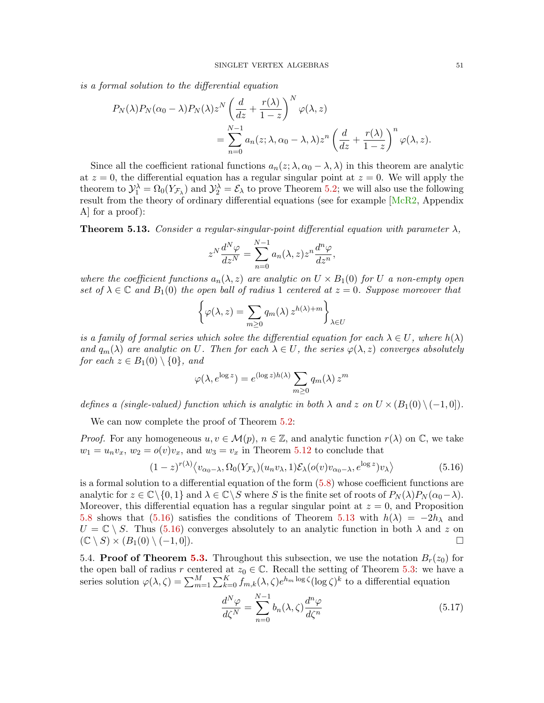is a formal solution to the differential equation

$$
P_N(\lambda)P_N(\alpha_0 - \lambda)P_N(\lambda)z^N \left(\frac{d}{dz} + \frac{r(\lambda)}{1-z}\right)^N \varphi(\lambda, z)
$$
  
= 
$$
\sum_{n=0}^{N-1} a_n(z; \lambda, \alpha_0 - \lambda, \lambda)z^n \left(\frac{d}{dz} + \frac{r(\lambda)}{1-z}\right)^n \varphi(\lambda, z).
$$

Since all the coefficient rational functions  $a_n(z; \lambda, \alpha_0 - \lambda, \lambda)$  in this theorem are analytic at  $z = 0$ , the differential equation has a regular singular point at  $z = 0$ . We will apply the theorem to  $\mathcal{Y}_1^{\lambda} = \Omega_0(Y_{\mathcal{F}_{\lambda}})$  and  $\mathcal{Y}_2^{\lambda} = \mathcal{E}_{\lambda}$  to prove Theorem [5.2;](#page-42-1) we will also use the following result from the theory of ordinary differential equations (see for example [\[McR2,](#page-62-14) Appendix A] for a proof):

<span id="page-50-2"></span>**Theorem 5.13.** Consider a regular-singular-point differential equation with parameter  $\lambda$ ,

$$
z^N \frac{d^N \varphi}{dz^N} = \sum_{n=0}^{N-1} a_n(\lambda, z) z^n \frac{d^n \varphi}{dz^n},
$$

where the coefficient functions  $a_n(\lambda, z)$  are analytic on  $U \times B_1(0)$  for U a non-empty open set of  $\lambda \in \mathbb{C}$  and  $B_1(0)$  the open ball of radius 1 centered at  $z = 0$ . Suppose moreover that

$$
\left\{\varphi(\lambda, z) = \sum_{m \ge 0} q_m(\lambda) z^{h(\lambda) + m} \right\}_{\lambda \in U}
$$

is a family of formal series which solve the differential equation for each  $\lambda \in U$ , where  $h(\lambda)$ and  $q_m(\lambda)$  are analytic on U. Then for each  $\lambda \in U$ , the series  $\varphi(\lambda, z)$  converges absolutely for each  $z \in B_1(0) \setminus \{0\}$ , and

$$
\varphi(\lambda, e^{\log z}) = e^{(\log z)h(\lambda)} \sum_{m \ge 0} q_m(\lambda) z^m
$$

defines a (single-valued) function which is analytic in both  $\lambda$  and z on  $U \times (B_1(0) \setminus (-1, 0])$ .

We can now complete the proof of Theorem  $5.2$ :

*Proof.* For any homogeneous  $u, v \in \mathcal{M}(p)$ ,  $n \in \mathbb{Z}$ , and analytic function  $r(\lambda)$  on  $\mathbb{C}$ , we take  $w_1 = u_n v_x$ ,  $w_2 = o(v)v_x$ , and  $w_3 = v_x$  in Theorem [5.12](#page-49-2) to conclude that

$$
(1-z)^{r(\lambda)} \langle v_{\alpha_0-\lambda}, \Omega_0(Y_{\mathcal{F}_\lambda})(u_n v_\lambda, 1) \mathcal{E}_\lambda(o(v) v_{\alpha_0-\lambda}, e^{\log z}) v_\lambda \rangle \tag{5.16}
$$

is a formal solution to a differential equation of the form [\(5.8\)](#page-42-2) whose coefficient functions are analytic for  $z \in \mathbb{C} \setminus \{0, 1\}$  and  $\lambda \in \mathbb{C} \setminus S$  where S is the finite set of roots of  $P_N(\lambda)P_N(\alpha_0-\lambda)$ . Moreover, this differential equation has a regular singular point at  $z = 0$ , and Proposition [5.8](#page-45-2) shows that [\(5.16\)](#page-50-1) satisfies the conditions of Theorem [5.13](#page-50-2) with  $h(\lambda) = -2h_{\lambda}$  and  $U = \mathbb{C} \setminus S$ . Thus [\(5.16\)](#page-50-1) converges absolutely to an analytic function in both  $\lambda$  and z on  $(\mathbb{C} \setminus S) \times (B_1(0) \setminus (-1,0]).$ 

<span id="page-50-0"></span>5.4. **Proof of Theorem [5.3.](#page-43-0)** Throughout this subsection, we use the notation  $B_r(z_0)$  for the open ball of radius r centered at  $z_0 \in \mathbb{C}$ . Recall the setting of Theorem [5.3:](#page-43-0) we have a series solution  $\varphi(\lambda,\zeta) = \sum_{m=1}^{M} \sum_{k=0}^{K} f_{m,k}(\lambda,\zeta) e^{h_m \log \zeta} (\log \zeta)^k$  to a differential equation

<span id="page-50-3"></span><span id="page-50-1"></span>
$$
\frac{d^N \varphi}{d\zeta^N} = \sum_{n=0}^{N-1} b_n(\lambda, \zeta) \frac{d^n \varphi}{d\zeta^n}
$$
\n(5.17)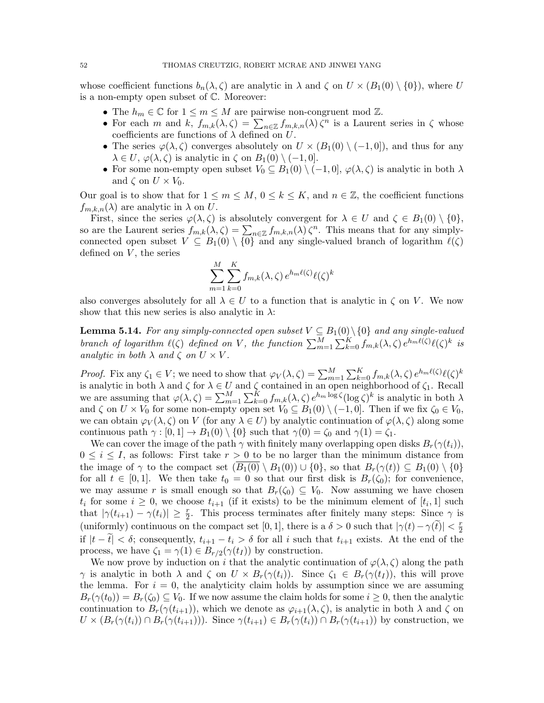whose coefficient functions  $b_n(\lambda, \zeta)$  are analytic in  $\lambda$  and  $\zeta$  on  $U \times (B_1(0) \setminus \{0\})$ , where U is a non-empty open subset of C. Moreover:

- The  $h_m \in \mathbb{C}$  for  $1 \leq m \leq M$  are pairwise non-congruent mod  $\mathbb{Z}$ .
- For each m and k,  $f_{m,k}(\lambda,\zeta) = \sum_{n\in\mathbb{Z}} f_{m,k,n}(\lambda) \zeta^n$  is a Laurent series in  $\zeta$  whose coefficients are functions of  $\lambda$  defined on U.
- The series  $\varphi(\lambda, \zeta)$  converges absolutely on  $U \times (B_1(0) \setminus (-1, 0])$ , and thus for any  $\lambda \in U, \varphi(\lambda, \zeta)$  is analytic in  $\zeta$  on  $B_1(0) \setminus (-1, 0]$ .
- For some non-empty open subset  $V_0 \subseteq B_1(0) \setminus (-1,0], \varphi(\lambda,\zeta)$  is analytic in both  $\lambda$ and  $\zeta$  on  $U \times V_0$ .

Our goal is to show that for  $1 \leq m \leq M$ ,  $0 \leq k \leq K$ , and  $n \in \mathbb{Z}$ , the coefficient functions  $f_{m,k,n}(\lambda)$  are analytic in  $\lambda$  on U.

First, since the series  $\varphi(\lambda, \zeta)$  is absolutely convergent for  $\lambda \in U$  and  $\zeta \in B_1(0) \setminus \{0\},$ so are the Laurent series  $f_{m,k}(\lambda,\zeta) = \sum_{n \in \mathbb{Z}} f_{m,k,n}(\lambda) \zeta^n$ . This means that for any simplyconnected open subset  $V \subseteq B_1(0) \setminus \{0\}$  and any single-valued branch of logarithm  $\ell(\zeta)$ defined on  $V$ , the series

$$
\sum_{m=1}^{M} \sum_{k=0}^{K} f_{m,k}(\lambda, \zeta) e^{h_m \ell(\zeta)} \ell(\zeta)^k
$$

also converges absolutely for all  $\lambda \in U$  to a function that is analytic in  $\zeta$  on V. We now show that this new series is also analytic in  $\lambda$ :

<span id="page-51-0"></span>**Lemma 5.14.** For any simply-connected open subset  $V \subseteq B_1(0)\setminus\{0\}$  and any single-valued branch of logarithm  $\ell(\zeta)$  defined on V, the function  $\sum_{m=1}^M\sum_{k=0}^K f_{m,k}(\lambda,\zeta) e^{h_m\ell(\zeta)}\ell(\zeta)^k$  is analytic in both  $\lambda$  and  $\zeta$  on  $U \times V$ .

*Proof.* Fix any  $\zeta_1 \in V$ ; we need to show that  $\varphi_V(\lambda, \zeta) = \sum_{m=1}^M \sum_{k=0}^K f_{m,k}(\lambda, \zeta) e^{h_m \ell(\zeta)} \ell(\zeta)^k$ is analytic in both  $\lambda$  and  $\zeta$  for  $\lambda \in U$  and  $\zeta$  contained in an open neighborhood of  $\zeta_1$ . Recall we are assuming that  $\varphi(\lambda,\zeta) = \sum_{m=1}^M \sum_{k=0}^K f_{m,k}(\lambda,\zeta) e^{h_m \log \zeta} (\log \zeta)^k$  is analytic in both  $\lambda$ and  $\zeta$  on  $U \times V_0$  for some non-empty open set  $V_0 \subseteq B_1(0) \setminus (-1, 0]$ . Then if we fix  $\zeta_0 \in V_0$ , we can obtain  $\varphi_V(\lambda, \zeta)$  on V (for any  $\lambda \in U$ ) by analytic continuation of  $\varphi(\lambda, \zeta)$  along some continuous path  $\gamma : [0,1] \to B_1(0) \setminus \{0\}$  such that  $\gamma(0) = \zeta_0$  and  $\gamma(1) = \zeta_1$ .

We can cover the image of the path  $\gamma$  with finitely many overlapping open disks  $B_r(\gamma(t_i))$ ,  $0 \leq i \leq I$ , as follows: First take  $r > 0$  to be no larger than the minimum distance from the image of  $\gamma$  to the compact set  $(B_1(0) \setminus B_1(0)) \cup \{0\}$ , so that  $B_r(\gamma(t)) \subseteq B_1(0) \setminus \{0\}$ for all  $t \in [0,1]$ . We then take  $t_0 = 0$  so that our first disk is  $B_r(\zeta_0)$ ; for convenience, we may assume r is small enough so that  $B_r(\zeta_0) \subseteq V_0$ . Now assuming we have chosen  $t_i$  for some  $i \geq 0$ , we choose  $t_{i+1}$  (if it exists) to be the minimum element of  $[t_i,1]$  such that  $|\gamma(t_{i+1}) - \gamma(t_i)| \geq \frac{r}{2}$ . This process terminates after finitely many steps: Since  $\gamma$  is (uniformly) continuous on the compact set [0, 1], there is a  $\delta > 0$  such that  $|\gamma(t) - \gamma(\tilde{t})| < \frac{r}{2}$ 2 if  $|t - \tilde{t}| < \delta$ ; consequently,  $t_{i+1} - t_i > \delta$  for all i such that  $t_{i+1}$  exists. At the end of the process, we have  $\zeta_1 = \gamma(1) \in B_{r/2}(\gamma(t_I))$  by construction.

We now prove by induction on i that the analytic continuation of  $\varphi(\lambda, \zeta)$  along the path  $\gamma$  is analytic in both  $\lambda$  and  $\zeta$  on  $U \times B_r(\gamma(t_i))$ . Since  $\zeta_1 \in B_r(\gamma(t_i))$ , this will prove the lemma. For  $i = 0$ , the analyticity claim holds by assumption since we are assuming  $B_r(\gamma(t_0)) = B_r(\zeta_0) \subseteq V_0$ . If we now assume the claim holds for some  $i \geq 0$ , then the analytic continuation to  $B_r(\gamma(t_{i+1}))$ , which we denote as  $\varphi_{i+1}(\lambda,\zeta)$ , is analytic in both  $\lambda$  and  $\zeta$  on  $U \times (B_r(\gamma(t_i)) \cap B_r(\gamma(t_{i+1})))$ . Since  $\gamma(t_{i+1}) \in B_r(\gamma(t_i)) \cap B_r(\gamma(t_{i+1}))$  by construction, we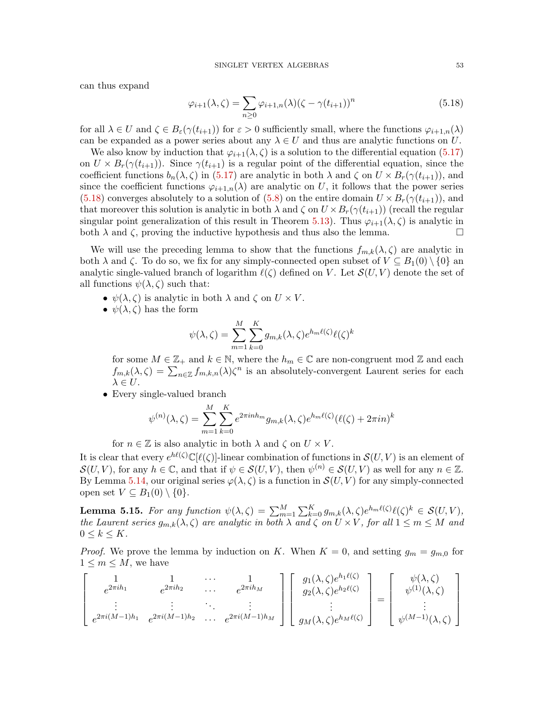can thus expand

<span id="page-52-0"></span>
$$
\varphi_{i+1}(\lambda,\zeta) = \sum_{n\geq 0} \varphi_{i+1,n}(\lambda)(\zeta - \gamma(t_{i+1}))^n
$$
\n(5.18)

for all  $\lambda \in U$  and  $\zeta \in B_{\varepsilon}(\gamma(t_{i+1}))$  for  $\varepsilon > 0$  sufficiently small, where the functions  $\varphi_{i+1,n}(\lambda)$ can be expanded as a power series about any  $\lambda \in U$  and thus are analytic functions on U.

We also know by induction that  $\varphi_{i+1}(\lambda, \zeta)$  is a solution to the differential equation [\(5.17\)](#page-50-3) on  $U \times B_r(\gamma(t_{i+1}))$ . Since  $\gamma(t_{i+1})$  is a regular point of the differential equation, since the coefficient functions  $b_n(\lambda, \zeta)$  in [\(5.17\)](#page-50-3) are analytic in both  $\lambda$  and  $\zeta$  on  $U \times B_r(\gamma(t_{i+1}))$ , and since the coefficient functions  $\varphi_{i+1,n}(\lambda)$  are analytic on U, it follows that the power series [\(5.18\)](#page-52-0) converges absolutely to a solution of [\(5.8\)](#page-42-2) on the entire domain  $U \times B_r(\gamma(t_{i+1}))$ , and that moreover this solution is analytic in both  $\lambda$  and  $\zeta$  on  $U \times B_r(\gamma(t_{i+1}))$  (recall the regular singular point generalization of this result in Theorem [5.13\)](#page-50-2). Thus  $\varphi_{i+1}(\lambda, \zeta)$  is analytic in both  $\lambda$  and  $\zeta$ , proving the inductive hypothesis and thus also the lemma.

We will use the preceding lemma to show that the functions  $f_{m,k}(\lambda,\zeta)$  are analytic in both  $\lambda$  and  $\zeta$ . To do so, we fix for any simply-connected open subset of  $V \subseteq B_1(0) \setminus \{0\}$  an analytic single-valued branch of logarithm  $\ell(\zeta)$  defined on V. Let  $\mathcal{S}(U, V)$  denote the set of all functions  $\psi(\lambda, \zeta)$  such that:

- $\psi(\lambda, \zeta)$  is analytic in both  $\lambda$  and  $\zeta$  on  $U \times V$ .
- $\psi(\lambda, \zeta)$  has the form

$$
\psi(\lambda,\zeta) = \sum_{m=1}^{M} \sum_{k=0}^{K} g_{m,k}(\lambda,\zeta) e^{h_m \ell(\zeta)} \ell(\zeta)^k
$$

for some  $M \in \mathbb{Z}_+$  and  $k \in \mathbb{N}$ , where the  $h_m \in \mathbb{C}$  are non-congruent mod  $\mathbb{Z}$  and each  $f_{m,k}(\lambda,\zeta) = \sum_{n\in\mathbb{Z}} f_{m,k,n}(\lambda)\zeta^n$  is an absolutely-convergent Laurent series for each  $\lambda \in U$ .

• Every single-valued branch

$$
\psi^{(n)}(\lambda,\zeta) = \sum_{m=1}^{M} \sum_{k=0}^{K} e^{2\pi i n h_m} g_{m,k}(\lambda,\zeta) e^{h_m \ell(\zeta)} (\ell(\zeta) + 2\pi i n)^k
$$

for  $n \in \mathbb{Z}$  is also analytic in both  $\lambda$  and  $\zeta$  on  $U \times V$ .

It is clear that every  $e^{h\ell(\zeta)}\mathbb{C}[\ell(\zeta)]$ -linear combination of functions in  $\mathcal{S}(U, V)$  is an element of  $\mathcal{S}(U,V)$ , for any  $h \in \mathbb{C}$ , and that if  $\psi \in \mathcal{S}(U,V)$ , then  $\psi^{(n)} \in \mathcal{S}(U,V)$  as well for any  $n \in \mathbb{Z}$ . By Lemma [5.14,](#page-51-0) our original series  $\varphi(\lambda, \zeta)$  is a function in  $\mathcal{S}(U, V)$  for any simply-connected open set  $V \subseteq B_1(0) \setminus \{0\}.$ 

**Lemma 5.15.** For any function  $\psi(\lambda,\zeta) = \sum_{m=1}^M \sum_{k=0}^K g_{m,k}(\lambda,\zeta) e^{h_m \ell(\zeta)} \ell(\zeta)^k \in \mathcal{S}(U,V)$ , the Laurent series  $g_{m,k}(\lambda,\zeta)$  are analytic in both  $\lambda$  and  $\zeta$  on  $U\times V$ , for all  $1\leq m\leq M$  and  $0 \leq k \leq K$ .

*Proof.* We prove the lemma by induction on K. When  $K = 0$ , and setting  $g_m = g_{m,0}$  for  $1 \leq m \leq M$ , we have

$$
\begin{bmatrix}\n1 & 1 & \cdots & 1 \\
e^{2\pi i h_1} & e^{2\pi i h_2} & \cdots & e^{2\pi i h_M} \\
\vdots & \vdots & \ddots & \vdots \\
e^{2\pi i (M-1)h_1} & e^{2\pi i (M-1)h_2} & \cdots & e^{2\pi i (M-1)h_M}\n\end{bmatrix}\n\begin{bmatrix}\ng_1(\lambda, \zeta)e^{h_1\ell(\zeta)} \\
g_2(\lambda, \zeta)e^{h_2\ell(\zeta)} \\
\vdots \\
g_M(\lambda, \zeta)e^{h_M\ell(\zeta)}\n\end{bmatrix} = \begin{bmatrix}\n\psi(\lambda, \zeta) \\
\psi^{(1)}(\lambda, \zeta) \\
\vdots \\
\psi^{(M-1)}(\lambda, \zeta)\n\end{bmatrix}
$$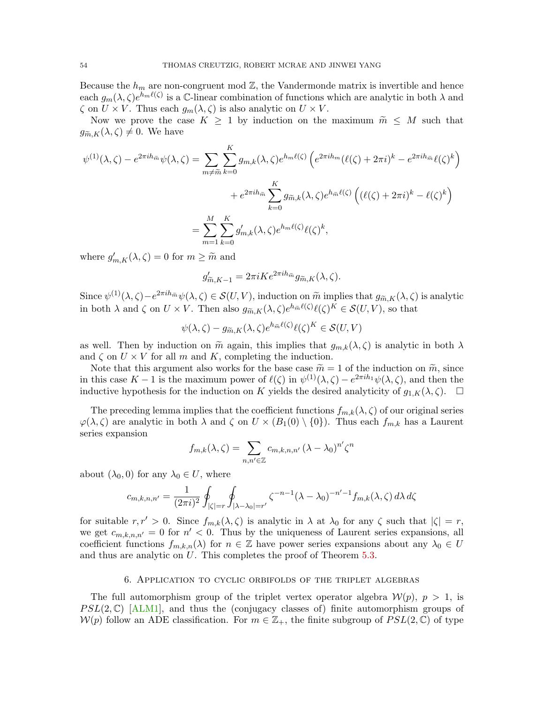Because the  $h_m$  are non-congruent mod  $\mathbb{Z}$ , the Vandermonde matrix is invertible and hence each  $g_m(\lambda, \zeta) e^{h_m \ell(\zeta)}$  is a C-linear combination of functions which are analytic in both  $\lambda$  and  $\zeta$  on  $U \times V$ . Thus each  $g_m(\lambda, \zeta)$  is also analytic on  $U \times V$ .

Now we prove the case  $K \geq 1$  by induction on the maximum  $\widetilde{m} \leq M$  such that  $g_{\widetilde{m},K}(\lambda,\zeta) \neq 0$ . We have

$$
\psi^{(1)}(\lambda,\zeta) - e^{2\pi i h_{\widetilde{m}}} \psi(\lambda,\zeta) = \sum_{m \neq \widetilde{m}} \sum_{k=0}^{K} g_{m,k}(\lambda,\zeta) e^{h_m \ell(\zeta)} \left( e^{2\pi i h_m} (\ell(\zeta) + 2\pi i)^k - e^{2\pi i h_{\widetilde{m}}} \ell(\zeta)^k \right)
$$

$$
+ e^{2\pi i h_{\widetilde{m}}} \sum_{k=0}^{K} g_{\widetilde{m},k}(\lambda,\zeta) e^{h_{\widetilde{m}} \ell(\zeta)} \left( (\ell(\zeta) + 2\pi i)^k - \ell(\zeta)^k \right)
$$

$$
= \sum_{m=1}^{M} \sum_{k=0}^{K} g'_{m,k}(\lambda,\zeta) e^{h_m \ell(\zeta)} \ell(\zeta)^k,
$$

where  $g'_{m,K}(\lambda, \zeta) = 0$  for  $m \geq \tilde{m}$  and

$$
g'_{\widetilde{m},K-1} = 2\pi i K e^{2\pi i h_{\widetilde{m}}} g_{\widetilde{m},K}(\lambda,\zeta).
$$

Since  $\psi^{(1)}(\lambda, \zeta) - e^{2\pi i \hbar} \psi(\lambda, \zeta) \in \mathcal{S}(U, V)$ , induction on  $\widetilde{m}$  implies that  $g_{\widetilde{m}, K}(\lambda, \zeta)$  is analytic<br>in hother and  $\zeta$  or  $U \times V$ . Then also a  $(\lambda, \zeta) h \in \ell(\zeta) \ell(\zeta) K \in \mathcal{S}(U, V)$  as that in both  $\lambda$  and  $\zeta$  on  $U \times V$ . Then also  $g_{\widetilde{m},K}(\lambda,\zeta)e^{h_{\widetilde{m}}\ell(\zeta)}\ell(\zeta)^K \in \mathcal{S}(U,V)$ , so that

$$
\psi(\lambda,\zeta) - g_{\widetilde{m},K}(\lambda,\zeta)e^{h_{\widetilde{m}}\ell(\zeta)}\ell(\zeta)^K \in \mathcal{S}(U,V)
$$

as well. Then by induction on  $\widetilde{m}$  again, this implies that  $g_{m,k}(\lambda,\zeta)$  is analytic in both  $\lambda$ and  $\zeta$  on  $U \times V$  for all m and K, completing the induction.

Note that this argument also works for the base case  $\tilde{m} = 1$  of the induction on  $\tilde{m}$ , since in this case  $K-1$  is the maximum power of  $\ell(\zeta)$  in  $\psi^{(1)}(\lambda,\zeta) - e^{2\pi i h_1}\psi(\lambda,\zeta)$ , and then the inductive hypothesis for the induction on K yields the desired analyticity of  $q_{1,K}(\lambda,\zeta)$ .

The preceding lemma implies that the coefficient functions  $f_{m,k}(\lambda,\zeta)$  of our original series  $\varphi(\lambda, \zeta)$  are analytic in both  $\lambda$  and  $\zeta$  on  $U \times (B_1(0) \setminus \{0\})$ . Thus each  $f_{m,k}$  has a Laurent series expansion

$$
f_{m,k}(\lambda,\zeta) = \sum_{n,n' \in \mathbb{Z}} c_{m,k,n,n'} (\lambda - \lambda_0)^{n'} \zeta^n
$$

about  $(\lambda_0, 0)$  for any  $\lambda_0 \in U$ , where

$$
c_{m,k,n,n'} = \frac{1}{(2\pi i)^2} \oint_{|\zeta|=r} \oint_{|\lambda-\lambda_0|=r'} \zeta^{-n-1} (\lambda-\lambda_0)^{-n'-1} f_{m,k}(\lambda,\zeta) d\lambda d\zeta
$$

for suitable  $r, r' > 0$ . Since  $f_{m,k}(\lambda, \zeta)$  is analytic in  $\lambda$  at  $\lambda_0$  for any  $\zeta$  such that  $|\zeta| = r$ , we get  $c_{m,k,n,n'} = 0$  for  $n' < 0$ . Thus by the uniqueness of Laurent series expansions, all coefficient functions  $f_{m,k,n}(\lambda)$  for  $n \in \mathbb{Z}$  have power series expansions about any  $\lambda_0 \in U$ and thus are analytic on U. This completes the proof of Theorem [5.3.](#page-43-0)

#### 6. Application to cyclic orbifolds of the triplet algebras

<span id="page-53-0"></span>The full automorphism group of the triplet vertex operator algebra  $\mathcal{W}(p)$ ,  $p > 1$ , is  $PSL(2,\mathbb{C})$  [\[ALM1\]](#page-60-5), and thus the (conjugacy classes of) finite automorphism groups of  $W(p)$  follow an ADE classification. For  $m \in \mathbb{Z}_+$ , the finite subgroup of  $PSL(2,\mathbb{C})$  of type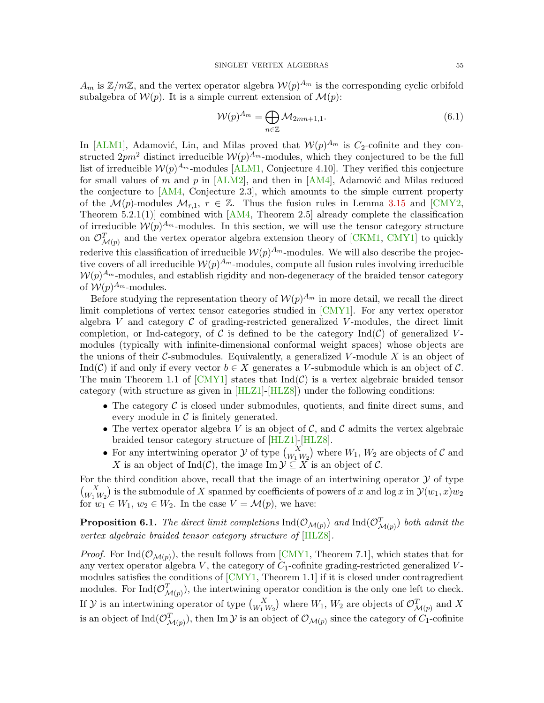$A_m$  is  $\mathbb{Z}/m\mathbb{Z}$ , and the vertex operator algebra  $\mathcal{W}(p)^{A_m}$  is the corresponding cyclic orbifold subalgebra of  $W(p)$ . It is a simple current extension of  $\mathcal{M}(p)$ :

<span id="page-54-0"></span>
$$
\mathcal{W}(p)^{A_m} = \bigoplus_{n \in \mathbb{Z}} \mathcal{M}_{2mn+1,1}.
$$
\n(6.1)

In [\[ALM1\]](#page-60-5), Adamović, Lin, and Milas proved that  $W(p)^{A_m}$  is  $C_2$ -cofinite and they constructed  $2pm^2$  distinct irreducible  $W(p)^{A_m}$ -modules, which they conjectured to be the full list of irreducible  $W(p)^{A_m}$ -modules [\[ALM1,](#page-60-5) Conjecture 4.10]. They verified this conjecture for small values of m and p in  $[ALM2]$ , and then in  $[AM4]$ , Adamović and Milas reduced the conjecture to [\[AM4,](#page-60-25) Conjecture 2.3], which amounts to the simple current property of the  $\mathcal{M}(p)$ -modules  $\mathcal{M}_{r,1}$ ,  $r \in \mathbb{Z}$ . Thus the fusion rules in Lemma [3.15](#page-27-1) and [\[CMY2,](#page-60-0) Theorem 5.2.1(1)] combined with  $[AM4, Theorem 2.5]$  $[AM4, Theorem 2.5]$  already complete the classification of irreducible  $W(p)^{A_m}$ -modules. In this section, we will use the tensor category structure on  $\mathcal{O}_{\mathcal{M}(p)}^T$  and the vertex operator algebra extension theory of [\[CKM1,](#page-60-7) [CMY1\]](#page-60-8) to quickly rederive this classification of irreducible  $W(p)^{A_m}$ -modules. We will also describe the projective covers of all irreducible  $W(p)^{A_m}$ -modules, compute all fusion rules involving irreducible  $W(p)^{A_m}$ -modules, and establish rigidity and non-degeneracy of the braided tensor category of  $W(p)^{A_m}$ -modules.

Before studying the representation theory of  $W(p)^{A_m}$  in more detail, we recall the direct limit completions of vertex tensor categories studied in [\[CMY1\]](#page-60-8). For any vertex operator algebra V and category  $\mathcal C$  of grading-restricted generalized V-modules, the direct limit completion, or Ind-category, of C is defined to be the category  $\text{Ind}(\mathcal{C})$  of generalized Vmodules (typically with infinite-dimensional conformal weight spaces) whose objects are the unions of their C-submodules. Equivalently, a generalized V-module  $X$  is an object of Ind(C) if and only if every vector  $b \in X$  generates a V-submodule which is an object of C. The main Theorem 1.1 of  $[CMY1]$  states that  $Ind(C)$  is a vertex algebraic braided tensor category (with structure as given in [\[HLZ1\]](#page-61-2)-[\[HLZ8\]](#page-62-3)) under the following conditions:

- The category  $\mathcal C$  is closed under submodules, quotients, and finite direct sums, and every module in  $\mathcal C$  is finitely generated.
- The vertex operator algebra V is an object of  $\mathcal{C}$ , and  $\mathcal{C}$  admits the vertex algebraic braided tensor category structure of [\[HLZ1\]](#page-61-2)-[\[HLZ8\]](#page-62-3).
- For any intertwining operator  $\mathcal Y$  of type  $\binom{X}{W_1 W_2}$  where  $W_1, W_2$  are objects of  $\mathcal C$  and X is an object of  $\text{Ind}(\mathcal{C})$ , the image  $\text{Im }\mathcal{Y} \subseteq X$  is an object of  $\mathcal{C}$ .

For the third condition above, recall that the image of an intertwining operator  $\mathcal Y$  of type  $\binom{X}{W_1 W_2}$  is the submodule of X spanned by coefficients of powers of x and log x in  $\mathcal{Y}(w_1, x)w_2$ for  $w_1 \in W_1$ ,  $w_2 \in W_2$ . In the case  $V = \mathcal{M}(p)$ , we have:

**Proposition 6.1.** The direct limit completions  $\text{Ind}(\mathcal{O}_{\mathcal{M}(p)})$  and  $\text{Ind}(\mathcal{O}_{\mathcal{M}(p)}^T)$  both admit the vertex algebraic braided tensor category structure of [\[HLZ8\]](#page-62-3).

*Proof.* For Ind( $\mathcal{O}_{\mathcal{M}(p)}$ ), the result follows from [\[CMY1,](#page-60-8) Theorem 7.1], which states that for any vertex operator algebra  $V$ , the category of  $C_1$ -cofinite grading-restricted generalized  $V$ modules satisfies the conditions of  $\lbrack \text{CMY1}, \text{ Theorem 1.1} \rbrack$  if it is closed under contragredient modules. For  $\text{Ind}(\mathcal{O}_{\mathcal{M}(p)}^T)$ , the intertwining operator condition is the only one left to check. If  $\mathcal Y$  is an intertwining operator of type  $\binom{X}{W_1\,W_2}$  where  $W_1$ ,  $W_2$  are objects of  $\mathcal O^T_{\mathcal M(p)}$  and  $X$ is an object of  $\text{Ind}(\mathcal{O}_{\mathcal{M}(p)}^T),$  then Im  $\mathcal Y$  is an object of  $\mathcal{O}_{\mathcal{M}(p)}$  since the category of  $C_1$ -cofinite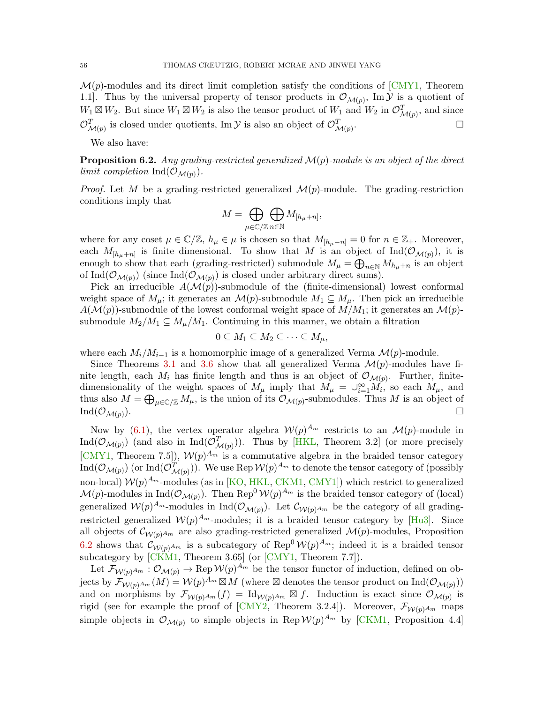$\mathcal{M}(p)$ -modules and its direct limit completion satisfy the conditions of  $\sqrt{\text{CMY1}}$ , Theorem 1.1. Thus by the universal property of tensor products in  $\mathcal{O}_{\mathcal{M}(p)}$ , Im  $\mathcal{Y}$  is a quotient of  $W_1 \boxtimes W_2$ . But since  $W_1 \boxtimes W_2$  is also the tensor product of  $W_1$  and  $W_2$  in  $\mathcal{O}_{\mathcal{M}(p)}^T$ , and since  $\mathcal{O}_{\mathcal{M}(p)}^T$  is closed under quotients, Im  $\mathcal{Y}$  is also an object of  $\mathcal{O}_{\mathcal{M}(p)}^T$ .

We also have:

<span id="page-55-0"></span>**Proposition 6.2.** Any grading-restricted generalized  $\mathcal{M}(p)$ -module is an object of the direct limit completion  $\text{Ind}(\mathcal{O}_{\mathcal{M}(p)})$ .

*Proof.* Let M be a grading-restricted generalized  $\mathcal{M}(p)$ -module. The grading-restriction conditions imply that

$$
M=\bigoplus_{\mu\in\mathbb{C}/\mathbb{Z}}\bigoplus_{n\in\mathbb{N}}M_{[h_\mu+n]},
$$

where for any coset  $\mu \in \mathbb{C}/\mathbb{Z}$ ,  $h_{\mu} \in \mu$  is chosen so that  $M_{[h_{\mu}-n]} = 0$  for  $n \in \mathbb{Z}_{+}$ . Moreover, each  $M_{[h_\mu+n]}$  is finite dimensional. To show that M is an object of  $\text{Ind}(\mathcal{O}_{\mathcal{M}(p)})$ , it is enough to show that each (grading-restricted) submodule  $M_{\mu} = \bigoplus_{n \in \mathbb{N}} M_{h_{\mu}+n}$  is an object of  $\text{Ind}(\mathcal{O}_{\mathcal{M}(p)})$  (since  $\text{Ind}(\mathcal{O}_{\mathcal{M}(p)})$  is closed under arbitrary direct sums).

Pick an irreducible  $A(\mathcal{M}(p))$ -submodule of the (finite-dimensional) lowest conformal weight space of  $M_{\mu}$ ; it generates an  $\mathcal{M}(p)$ -submodule  $M_1 \subseteq M_{\mu}$ . Then pick an irreducible  $A(\mathcal{M}(p))$ -submodule of the lowest conformal weight space of  $M/M_1$ ; it generates an  $\mathcal{M}(p)$ submodule  $M_2/M_1 \subseteq M_\mu/M_1$ . Continuing in this manner, we obtain a filtration

$$
0\subseteq M_1\subseteq M_2\subseteq\cdots\subseteq M_\mu,
$$

where each  $M_i/M_{i-1}$  is a homomorphic image of a generalized Verma  $\mathcal{M}(p)$ -module.

Since Theorems [3.1](#page-18-1) and [3.6](#page-23-0) show that all generalized Verma  $\mathcal{M}(p)$ -modules have finite length, each  $M_i$  has finite length and thus is an object of  $\mathcal{O}_{\mathcal{M}(p)}$ . Further, finitedimensionality of the weight spaces of  $M_\mu$  imply that  $M_\mu = \bigcup_{i=1}^\infty M_i$ , so each  $M_\mu$ , and thus also  $M = \bigoplus_{\mu \in \mathbb{C}/\mathbb{Z}} M_{\mu}$ , is the union of its  $\mathcal{O}_{\mathcal{M}(p)}$ -submodules. Thus M is an object of  $\text{Ind}(\mathcal{O}_{\mathcal{M}(p)}).$ ).  $\Box$ 

Now by [\(6.1\)](#page-54-0), the vertex operator algebra  $W(p)^{A_m}$  restricts to an  $\mathcal{M}(p)$ -module in Ind $(\mathcal{O}_{\mathcal{M}(p)})$  (and also in Ind $(\mathcal{O}_{\mathcal{M}(p)}^T)$ ). Thus by [\[HKL,](#page-61-21) Theorem 3.2] (or more precisely [\[CMY1,](#page-60-8) Theorem 7.5]),  $W(p)^{A_m}$  is a commutative algebra in the braided tensor category  $\text{Ind}(\mathcal{O}_{\mathcal{M}(p)})$  (or  $\text{Ind}(\mathcal{O}_{\mathcal{M}(p)}^T)$ ). We use Rep  $\mathcal{W}(p)^{A_m}$  to denote the tensor category of (possibly non-local)  $W(p)^{A_m}$ -modules (as in [\[KO,](#page-62-11) [HKL,](#page-61-21) [CKM1,](#page-60-7) [CMY1\]](#page-60-8)) which restrict to generalized  $\mathcal{M}(p)$ -modules in Ind $(\mathcal{O}_{\mathcal{M}(p)})$ . Then Rep<sup>0</sup>  $\mathcal{W}(p)^{A_m}$  is the braided tensor category of (local) generalized  $W(p)^{A_m}$ -modules in Ind $(\mathcal{O}_{\mathcal{M}(p)})$ . Let  $\mathcal{C}_{\mathcal{W}(p)^{A_m}}$  be the category of all gradingrestricted generalized  $W(p)^{A_m}$ -modules; it is a braided tensor category by [\[Hu3\]](#page-61-24). Since all objects of  $\mathcal{C}_{\mathcal{W}(p)^{A_m}}$  are also grading-restricted generalized  $\mathcal{M}(p)$ -modules, Proposition [6.2](#page-55-0) shows that  $\mathcal{C}_{\mathcal{W}(p)^{A_m}}$  is a subcategory of Rep<sup>0</sup>  $\mathcal{W}(p)^{A_m}$ ; indeed it is a braided tensor subcategory by  $\left[CKM1, Theorem 3.65\right]$  $\left[CKM1, Theorem 3.65\right]$  $\left[CKM1, Theorem 3.65\right]$  (or  $\left[CMY1, Theorem 7.7\right]$  $\left[CMY1, Theorem 7.7\right]$  $\left[CMY1, Theorem 7.7\right]$ ).

Let  $\mathcal{F}_{\mathcal{W}(p)^{Am}}: \mathcal{O}_{\mathcal{M}(p)} \to \text{Rep } \mathcal{W}(p)^{A_m}$  be the tensor functor of induction, defined on objects by  $\mathcal{F}_{\mathcal{W}(p)^{Am}}(M) = \mathcal{W}(p)^{A_m} \boxtimes M$  (where  $\boxtimes$  denotes the tensor product on  $\text{Ind}(\mathcal{O}_{\mathcal{M}(p)}))$ and on morphisms by  $\mathcal{F}_{W(p)^{Am}}(f) = \mathrm{Id}_{W(p)^{Am}} \boxtimes f$ . Induction is exact since  $\mathcal{O}_{\mathcal{M}(p)}$  is rigid (see for example the proof of [\[CMY2,](#page-60-0) Theorem 3.2.4]). Moreover,  $\mathcal{F}_{W(p)^{A_m}}$  maps simple objects in  $\mathcal{O}_{\mathcal{M}(p)}$  to simple objects in Rep  $\mathcal{W}(p)^{A_m}$  by [\[CKM1,](#page-60-7) Proposition 4.4]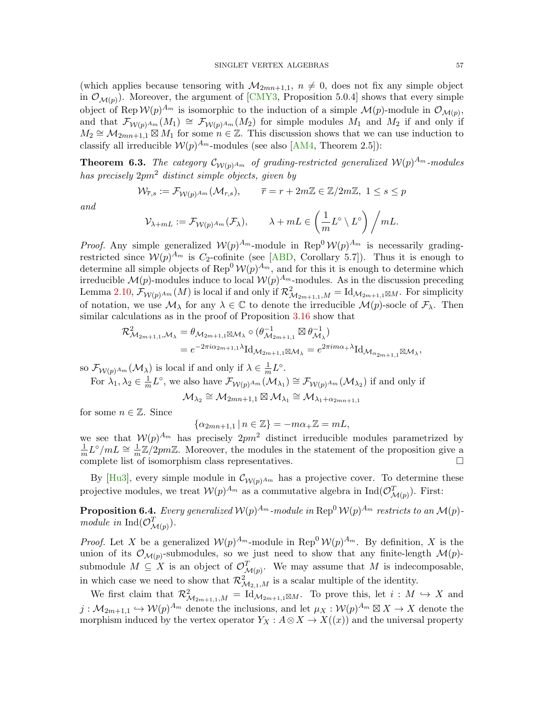(which applies because tensoring with  $\mathcal{M}_{2mn+1,1}$ ,  $n \neq 0$ , does not fix any simple object in  $\mathcal{O}_{\mathcal{M}(p)}$ ). Moreover, the argument of [\[CMY3,](#page-61-1) Proposition 5.0.4] shows that every simple object of Rep  $W(p)^{A_m}$  is isomorphic to the induction of a simple  $\mathcal{M}(p)$ -module in  $\mathcal{O}_{\mathcal{M}(p)}$ , and that  $\mathcal{F}_{\mathcal{W}(p)^{Am}}(M_1) \cong \mathcal{F}_{\mathcal{W}(p)^{Am}}(M_2)$  for simple modules  $M_1$  and  $M_2$  if and only if  $M_2 \cong \mathcal{M}_{2mn+1,1} \boxtimes M_1$  for some  $n \in \mathbb{Z}$ . This discussion shows that we can use induction to classify all irreducible  $W(p)^{A_m}$ -modules (see also [\[AM4,](#page-60-25) Theorem 2.5]):

<span id="page-56-0"></span>**Theorem 6.3.** The category  $\mathcal{C}_{\mathcal{W}(p)^{Am}}$  of grading-restricted generalized  $\mathcal{W}(p)^{A_m}$ -modules has precisely  $2pm^2$  distinct simple objects, given by

$$
\mathcal{W}_{\overline{r},s} := \mathcal{F}_{\mathcal{W}(p)^{Am}}(\mathcal{M}_{r,s}), \qquad \overline{r} = r + 2m\mathbb{Z} \in \mathbb{Z}/2m\mathbb{Z}, \ 1 \le s \le p
$$

and

$$
\mathcal{V}_{\lambda+mL} := \mathcal{F}_{\mathcal{W}(p)^{Am}}(\mathcal{F}_{\lambda}), \qquad \lambda + mL \in \left(\frac{1}{m}L^{\circ} \setminus L^{\circ}\right) / mL.
$$

*Proof.* Any simple generalized  $W(p)^{A_m}$ -module in Rep<sup>0</sup>  $W(p)^{A_m}$  is necessarily gradingrestricted since  $W(p)^{A_m}$  is C<sub>2</sub>-cofinite (see [\[ABD,](#page-59-6) Corollary 5.7]). Thus it is enough to determine all simple objects of  $\text{Rep}^0 \mathcal{W}(p)^{A_m}$ , and for this it is enough to determine which irreducible  $\mathcal{M}(p)$ -modules induce to local  $\mathcal{W}(p)^{A_m}$ -modules. As in the discussion preceding Lemma [2.10,](#page-17-1)  $\mathcal{F}_{\mathcal{W}(p)^{Am}}(M)$  is local if and only if  $\mathcal{R}^2_{\mathcal{M}_{2m+1,1},M} = \mathrm{Id}_{\mathcal{M}_{2m+1,1}} \boxtimes M$ . For simplicity of notation, we use  $\mathcal{M}_{\lambda}$  for any  $\lambda \in \mathbb{C}$  to denote the irreducible  $\mathcal{M}(p)$ -socle of  $\mathcal{F}_{\lambda}$ . Then similar calculations as in the proof of Proposition [3.16](#page-28-0) show that

$$
\begin{split} \mathcal{R}^2_{\mathcal{M}_{2m+1,1},\mathcal{M}_{\lambda}} &= \theta_{\mathcal{M}_{2m+1,1}} \boxtimes \mathcal{M}_{\lambda} \circ (\theta_{\mathcal{M}_{2m+1,1}}^{-1} \boxtimes \theta_{\mathcal{M}_{\lambda}}^{-1}) \\ &= e^{-2\pi i \alpha_{2m+1,1} \lambda} \mathrm{Id}_{\mathcal{M}_{2m+1,1}} \boxtimes \mathcal{M}_{\lambda} = e^{2\pi i m \alpha_{+} \lambda} \mathrm{Id}_{\mathcal{M}_{\alpha_{2m+1,1}}} \boxtimes \mathcal{M}_{\lambda} \end{split}
$$

so  $\mathcal{F}_{\mathcal{W}(p)^{Am}}(\mathcal{M}_{\lambda})$  is local if and only if  $\lambda \in \frac{1}{m}$  $\frac{1}{m}L^{\circ}.$ 

For  $\lambda_1, \lambda_2 \in \frac{1}{m}$  $\frac{1}{m}L^{\circ}$ , we also have  $\mathcal{F}_{\mathcal{W}(p)^{Am}}(\mathcal{M}_{\lambda_1}) \cong \mathcal{F}_{\mathcal{W}(p)^{Am}}(\mathcal{M}_{\lambda_2})$  if and only if

$$
\mathcal{M}_{\lambda_2}\cong\mathcal{M}_{2mn+1,1}\boxtimes\mathcal{M}_{\lambda_1}\cong\mathcal{M}_{\lambda_1+\alpha_{2mn+1,1}}
$$

for some  $n \in \mathbb{Z}$ . Since

 $\{\alpha_{2mn+1,1} \mid n \in \mathbb{Z}\} = -m\alpha_+\mathbb{Z} = mL,$ 

we see that  $W(p)^{A_m}$  has precisely  $2pm^2$  distinct irreducible modules parametrized by 1  $\frac{1}{m}L^{\circ}/mL \cong \frac{1}{m}$  $\frac{1}{m}\mathbb{Z}/2pm\mathbb{Z}$ . Moreover, the modules in the statement of the proposition give a complete list of isomorphism class representatives.

By  $[Hu3]$ , every simple module in  $\mathcal{C}_{W(p)A_m}$  has a projective cover. To determine these projective modules, we treat  $W(p)^{A_m}$  as a commutative algebra in  $\text{Ind}(\mathcal{O}_{\mathcal{M}(p)}^T)$ . First:

 $\bf{Proposition 6.4.}$  Every generalized  ${\cal W}(p)^{A_m}$  -module in  ${\rm Rep}^0 \, {\cal W}(p)^{A_m}$  restricts to an  ${\cal M}(p)$ module in  $\text{Ind}(\mathcal{O}_{\mathcal{M}(p)}^T)$ .

*Proof.* Let X be a generalized  $W(p)^{A_m}$ -module in Rep<sup>0</sup>  $W(p)^{A_m}$ . By definition, X is the union of its  $\mathcal{O}_{\mathcal{M}(p)}$ -submodules, so we just need to show that any finite-length  $\mathcal{M}(p)$ submodule  $M \subseteq X$  is an object of  $\mathcal{O}_{\mathcal{M}(p)}^T$ . We may assume that M is indecomposable, in which case we need to show that  $\mathcal{R}^2_{\mathcal{M}_{2,1},M}$  is a scalar multiple of the identity.

We first claim that  $\mathcal{R}_{\mathcal{M}_{2m+1,1},M}^2 = \text{Id}_{\mathcal{M}_{2m+1,1} \boxtimes M}$ . To prove this, let  $i : M \hookrightarrow X$  and  $j: \mathcal{M}_{2m+1,1} \hookrightarrow \mathcal{W}(p)^{A_m}$  denote the inclusions, and let  $\mu_X: \mathcal{W}(p)^{A_m} \boxtimes X \to X$  denote the morphism induced by the vertex operator  $Y_X: A \otimes X \to X((x))$  and the universal property

,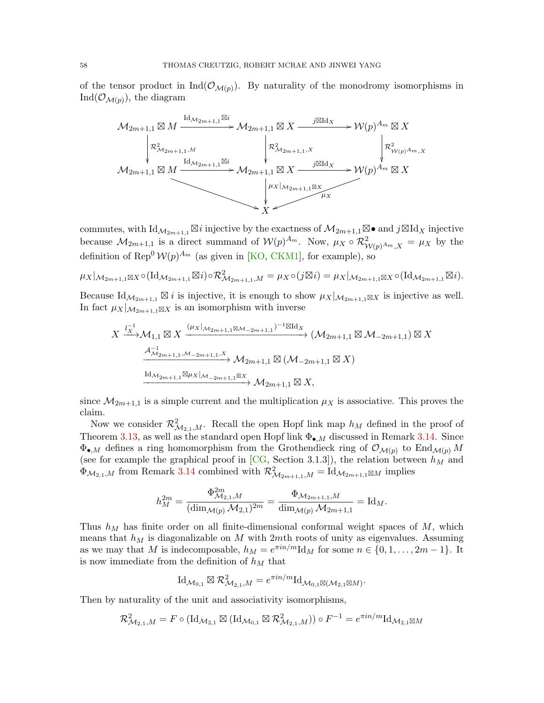of the tensor product in  $\text{Ind}(\mathcal{O}_{\mathcal{M}(p)})$ . By naturality of the monodromy isomorphisms in  $\text{Ind}(\mathcal{O}_{\mathcal{M}(p)})$ , the diagram



commutes, with  $\mathrm{Id}_{\mathcal{M}_{2m+1,1}} \boxtimes i$  injective by the exactness of  $\mathcal{M}_{2m+1,1} \boxtimes \bullet$  and  $j \boxtimes \mathrm{Id}_X$  injective because  $\mathcal{M}_{2m+1,1}$  is a direct summand of  $\mathcal{W}(p)^{A_m}$ . Now,  $\mu_X \circ \mathcal{R}_{\mathcal{W}(p)^{A_m},X}^2 = \mu_X$  by the definition of Rep<sup>0</sup>  $W(p)^{A_m}$  (as given in [\[KO,](#page-62-11) [CKM1\]](#page-60-7), for example), so

 $\mu_X|_{\mathcal{M}_{2m+1,1}\boxtimes X}\circ (\mathrm{Id}_{\mathcal{M}_{2m+1,1}}\boxtimes i)\circ \mathcal{R}_{\mathcal{M}_{2m+1,1},M}^2=\mu_X\circ(j\boxtimes i)=\mu_X|_{\mathcal{M}_{2m+1,1}\boxtimes X}\circ(\mathrm{Id}_{\mathcal{M}_{2m+1,1}}\boxtimes i).$ 

Because  $\mathrm{Id}_{\mathcal{M}_{2m+1,1}} \boxtimes i$  is injective, it is enough to show  $\mu_X|_{\mathcal{M}_{2m+1,1}} \boxtimes X$  is injective as well. In fact  $\mu_X|_{\mathcal{M}_{2m+1,1}\boxtimes X}$  is an isomorphism with inverse

$$
X \xrightarrow{l_X^{-1}} \mathcal{M}_{1,1} \boxtimes X \xrightarrow{(\mu_X|_{\mathcal{M}_{2m+1,1}} \boxtimes \mathcal{M}_{-2m+1,1})^{-1} \boxtimes \mathrm{Id}_X} (\mathcal{M}_{2m+1,1} \boxtimes \mathcal{M}_{-2m+1,1}) \boxtimes X
$$
  

$$
\xrightarrow{\mathcal{A}_{\mathcal{M}_{2m+1,1}}^{-1}, \mathcal{M}_{-2m+1,1}, X} \mathcal{M}_{2m+1,1} \boxtimes (\mathcal{M}_{-2m+1,1} \boxtimes X)
$$
  

$$
\xrightarrow{\mathrm{Id}_{\mathcal{M}_{2m+1,1}} \boxtimes \mu_X|_{\mathcal{M}_{-2m+1,1}} \boxtimes X} \mathcal{M}_{2m+1,1} \boxtimes X,
$$

since  $\mathcal{M}_{2m+1,1}$  is a simple current and the multiplication  $\mu_X$  is associative. This proves the claim.

Now we consider  $\mathcal{R}_{\mathcal{M}_{2,1},M}^2$ . Recall the open Hopf link map  $h_M$  defined in the proof of Theorem [3.13,](#page-26-1) as well as the standard open Hopf link  $\Phi_{\bullet,M}$  discussed in Remark [3.14.](#page-27-2) Since  $\Phi_{\bullet,M}$  defines a ring homomorphism from the Grothendieck ring of  $\mathcal{O}_{\mathcal{M}(p)}$  to  $\text{End}_{\mathcal{M}(p)}M$ (see for example the graphical proof in [\[CG,](#page-60-24) Section 3.1.3]), the relation between  $h_M$  and  $\Phi_{\mathcal{M}_{2,1},M}$  from Remark [3.14](#page-27-2) combined with  $\mathcal{R}_{\mathcal{M}_{2m+1,1},M}^2 = \text{Id}_{\mathcal{M}_{2m+1,1}}$  implies

$$
h_M^{2m} = \frac{\Phi_{\mathcal{M}_{2,1},M}^{2m}}{(\dim_{\mathcal{M}(p)} \mathcal{M}_{2,1})^{2m}} = \frac{\Phi_{\mathcal{M}_{2m+1,1},M}}{\dim_{\mathcal{M}(p)} \mathcal{M}_{2m+1,1}} = \mathrm{Id}_M.
$$

Thus  $h_M$  has finite order on all finite-dimensional conformal weight spaces of  $M$ , which means that  $h_M$  is diagonalizable on M with 2mth roots of unity as eigenvalues. Assuming as we may that M is indecomposable,  $h_M = e^{\pi i n/m} \mathrm{Id}_M$  for some  $n \in \{0, 1, ..., 2m - 1\}$ . It is now immediate from the definition of  $h_M$  that

$$
\mathrm{Id}_{\mathcal{M}_{0,1}} \boxtimes \mathcal{R}_{\mathcal{M}_{2,1},M}^2 = e^{\pi i n/m} \mathrm{Id}_{\mathcal{M}_{0,1} \boxtimes (\mathcal{M}_{2,1} \boxtimes M)}.
$$

Then by naturality of the unit and associativity isomorphisms,

$$
\mathcal{R}_{\mathcal{M}_{2,1},M}^2 = F \circ (\mathrm{Id}_{\mathcal{M}_{2,1}} \boxtimes (\mathrm{Id}_{\mathcal{M}_{0,1}} \boxtimes \mathcal{R}_{\mathcal{M}_{2,1},M}^2)) \circ F^{-1} = e^{\pi i n/m} \mathrm{Id}_{\mathcal{M}_{2,1} \boxtimes M}
$$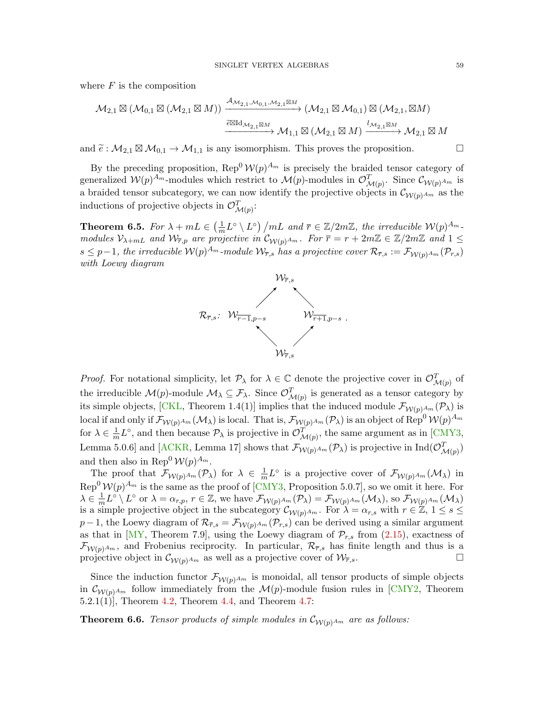where  $F$  is the composition

$$
\mathcal{M}_{2,1}\boxtimes (\mathcal{M}_{0,1}\boxtimes (\mathcal{M}_{2,1}\boxtimes M)) \xrightarrow{\mathcal{A}_{\mathcal{M}_{2,1},\mathcal{M}_{0,1},\mathcal{M}_{2,1}\boxtimes M} (\mathcal{M}_{2,1}\boxtimes \mathcal{M}_{0,1}) \boxtimes (\mathcal{M}_{2,1},\boxtimes M)
$$
  

$$
\xrightarrow{\widetilde{\mathsf{e}} \boxtimes \mathrm{Id}_{\mathcal{M}_{2,1}\boxtimes M}} \mathcal{M}_{1,1}\boxtimes (\mathcal{M}_{2,1}\boxtimes M) \xrightarrow{l_{\mathcal{M}_{2,1}\boxtimes M}} \mathcal{M}_{2,1}\boxtimes M
$$

and  $\tilde{e}: \mathcal{M}_{2,1} \boxtimes \mathcal{M}_{0,1} \to \mathcal{M}_{1,1}$  is any isomorphism. This proves the proposition.

By the preceding proposition,  $\text{Rep}^0 \mathcal{W}(p)^{A_m}$  is precisely the braided tensor category of generalized  $W(p)^{A_m}$ -modules which restrict to  $\mathcal{M}(p)$ -modules in  $\mathcal{O}_{\mathcal{M}(p)}^T$ . Since  $\mathcal{C}_{\mathcal{W}(p)^{A_m}}$  is a braided tensor subcategory, we can now identify the projective objects in  $\mathcal{C}_{\mathcal{W}(p)A_m}$  as the inductions of projective objects in  $\mathcal{O}_{\mathcal{M}(p)}^T$ :

**Theorem 6.5.** For  $\lambda + mL \in (\frac{1}{n})$  $\frac{1}{m}L^{\circ} \setminus L^{\circ}$   $\big/ mL$  and  $\overline{r} \in \mathbb{Z}/2m\mathbb{Z}$ , the irreducible  $\mathcal{W}(p)^{A_m}$ . modules  $\mathcal{V}_{\lambda+mL}$  and  $\mathcal{W}_{\overline{r},p}$  are projective in  $\mathcal{C}_{\mathcal{W}(p)^{A_m}}$ . For  $\overline{r} = r + 2m\mathbb{Z} \in \mathbb{Z}/2m\mathbb{Z}$  and  $1 \leq$  $s\leq p-1,$  the irreducible  $\mathcal{W}(p)^{A_m}$ -module  $\mathcal{W}_{\overline{r},s}$  has a projective cover  $\mathcal{R}_{\overline{r},s}:=\mathcal{F}_{\mathcal{W}(p)^{A_m}}(\mathcal{P}_{r,s})$ with Loewy diagram



*Proof.* For notational simplicity, let  $\mathcal{P}_{\lambda}$  for  $\lambda \in \mathbb{C}$  denote the projective cover in  $\mathcal{O}_{\mathcal{M}(p)}^T$  of the irreducible  $\mathcal{M}(p)$ -module  $\mathcal{M}_{\lambda} \subseteq \mathcal{F}_{\lambda}$ . Since  $\mathcal{O}_{\mathcal{M}(p)}^T$  is generated as a tensor category by its simple objects, [\[CKL,](#page-60-21) Theorem 1.4(1)] implies that the induced module  $\mathcal{F}_{\mathcal{W}(p)^{A_m}}(\mathcal{P}_{\lambda})$  is local if and only if  $\mathcal{F}_{\mathcal{W}(p)^{Am}}(\mathcal{M}_\lambda)$  is local. That is,  $\mathcal{F}_{\mathcal{W}(p)^{Am}}(\mathcal{P}_\lambda)$  is an object of  $\mathrm{Rep}^0 \, \mathcal{W}(p)^{Am}$ for  $\lambda \in \frac{1}{n}$  $\frac{1}{m}L^{\circ}$ , and then because  $\mathcal{P}_{\lambda}$  is projective in  $\mathcal{O}_{\mathcal{M}(p)}^T$ , the same argument as in [\[CMY3,](#page-61-1) Lemma 5.0.6] and [\[ACKR,](#page-60-9) Lemma 17] shows that  $\mathcal{F}_{W(p)^{Am}}(\mathcal{P}_\lambda)$  is projective in  $\text{Ind}(\mathcal{O}_{\mathcal{M}(p)}^T)$ and then also in  $\text{Rep}^0 \mathcal{W}(p)^{A_m}$ .

The proof that  $\mathcal{F}_{\mathcal{W}(p)^{Am}}(\mathcal{P}_{\lambda})$  for  $\lambda \in \frac{1}{m}$  $\frac{1}{m}L^{\circ}$  is a projective cover of  $\mathcal{F}_{\mathcal{W}(p)^{Am}}(\mathcal{M}_{\lambda})$  in  $\text{Rep}^0 \mathcal{W}(p)^{A_m}$  is the same as the proof of [\[CMY3,](#page-61-1) Proposition 5.0.7], so we omit it here. For  $\lambda \in \frac{1}{n}$  $\frac{1}{m}L^{\circ}\setminus L^{\circ}$  or  $\lambda=\alpha_{r,p},\,r\in\mathbb{Z},$  we have  $\mathcal{F}_{\mathcal{W}(p)^{Am}}(\mathcal{P}_{\lambda})=\mathcal{F}_{\mathcal{W}(p)^{Am}}(\mathcal{M}_{\lambda}),$  so  $\mathcal{F}_{\mathcal{W}(p)^{Am}}(\mathcal{M}_{\lambda})$ is a simple projective object in the subcategory  $\mathcal{C}_{\mathcal{W}(p)^{Am}}$ . For  $\lambda = \alpha_{r,s}$  with  $r \in \mathbb{Z}$ ,  $1 \leq s \leq$ p − 1, the Loewy diagram of  $\mathcal{R}_{\bar{r},s} = \mathcal{F}_{\mathcal{W}(p)^{A_m}}(\mathcal{P}_{r,s})$  can be derived using a similar argument as that in [\[MY,](#page-62-10) Theorem 7.9], using the Loewy diagram of  $\mathcal{P}_{r,s}$  from [\(2.15\)](#page-15-0), exactness of  $\mathcal{F}_{W(n)^{Am}}$ , and Frobenius reciprocity. In particular,  $\mathcal{R}_{\bar{r},s}$  has finite length and thus is a projective object in  $\mathcal{C}_{\mathcal{W}(p)^{Am}}$  as well as a projective cover of  $\mathcal{W}_{\overline{r},s}$ .

Since the induction functor  $\mathcal{F}_{W(p)^{A_m}}$  is monoidal, all tensor products of simple objects in  $\mathcal{C}_{\mathcal{W}(p)Am}$  follow immediately from the  $\mathcal{M}(p)$ -module fusion rules in [\[CMY2,](#page-60-0) Theorem 5.2.1(1)], Theorem [4.2,](#page-33-0) Theorem [4.4,](#page-35-1) and Theorem [4.7:](#page-37-0)

**Theorem 6.6.** Tensor products of simple modules in  $\mathcal{C}_{\mathcal{W}(p)A_m}$  are as follows: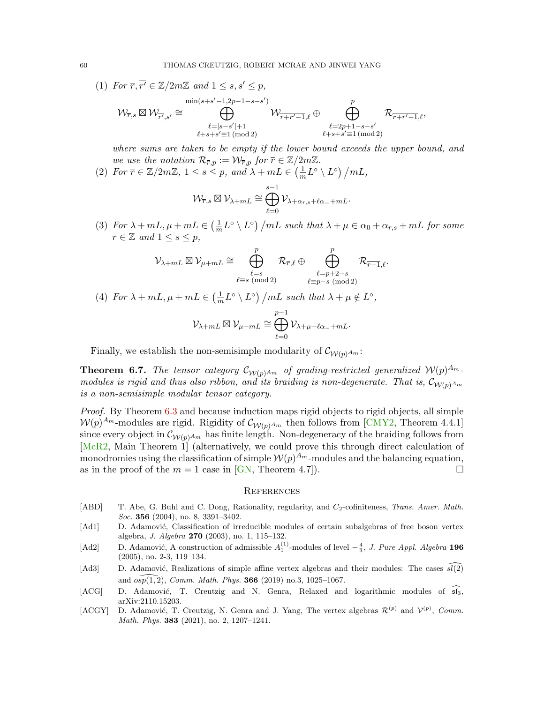(1) For 
$$
\overline{r}
$$
,  $\overline{r'} \in \mathbb{Z}/2m\mathbb{Z}$  and  $1 \leq s, s' \leq p$ ,

$$
\mathcal{W}_{\overline{r},s}\boxtimes\mathcal{W}_{\overline{r'},s'}\cong\bigoplus_{\substack{\ell=|s-s'|+1\\ \ell+s+s'\equiv 1\,(\mathrm{mod}\,2)}}^{\mathrm{min}(s+s'-1,2p-1-s-s')}\mathcal{W}_{\overline{r+r'-1},\ell}\oplus\bigoplus_{\substack{\ell=2p+1-s-s'\\ \ell+s+s'\equiv 1\,(\mathrm{mod}\,2)}}^\mathrm{p}\mathcal{R}_{\overline{r+r'-1},\ell},
$$

where sums are taken to be empty if the lower bound exceeds the upper bound, and we use the notation  $\mathcal{R}_{\overline{r},p} := \mathcal{W}_{\overline{r},p}$  for  $\overline{r} \in \mathbb{Z}/2m\mathbb{Z}$ .

(2) For  $\overline{r} \in \mathbb{Z}/2m\mathbb{Z}$ ,  $1 \leq s \leq p$ , and  $\lambda + mL \in \left(\frac{1}{m}\right)$  $\frac{1}{m} L^{\circ} \setminus L^{\circ} \big/ mL,$ 

$$
\mathcal{W}_{\overline{r},s} \boxtimes \mathcal{V}_{\lambda+mL} \cong \bigoplus_{\ell=0}^{s-1} \mathcal{V}_{\lambda+\alpha_{r,s}+\ell\alpha_{-}+mL}.
$$

(3) For  $\lambda + mL, \mu + mL \in \left(\frac{1}{n}\right)$  $\frac{1}{m}L^{\circ} \setminus L^{\circ}$   $\big/ mL$  such that  $\lambda + \mu \in \alpha_0 + \alpha_{r,s} + mL$  for some  $r \in \mathbb{Z}$  and  $1 \leq s \leq p$ ,

$$
\mathcal{V}_{\lambda+mL} \boxtimes \mathcal{V}_{\mu+mL} \cong \bigoplus_{\substack{\ell=s \\ \ell \equiv s \pmod 2}}^{p} \mathcal{R}_{\overline{r},\ell} \oplus \bigoplus_{\substack{\ell=p+2-s \\ \ell \equiv p-s \pmod 2}}^{p} \mathcal{R}_{\overline{r-1},\ell}.
$$

(4) For  $\lambda + mL, \mu + mL \in (\frac{1}{m})$  $\frac{1}{m}L^{\circ} \setminus L^{\circ}$  /mL such that  $\lambda + \mu \notin L^{\circ}$ ,

$$
\mathcal{V}_{\lambda+mL}\boxtimes\mathcal{V}_{\mu+mL}\cong\bigoplus_{\ell=0}^{p-1}\mathcal{V}_{\lambda+\mu+\ell\alpha_-+mL}.
$$

Finally, we establish the non-semisimple modularity of  $\mathcal{C}_{\mathcal{W}(p)^{A_m}}$ :

**Theorem 6.7.** The tensor category  $\mathcal{C}_{\mathcal{W}(p)^{Am}}$  of grading-restricted generalized  $\mathcal{W}(p)^{Am}$ modules is rigid and thus also ribbon, and its braiding is non-degenerate. That is,  $\mathcal{C}_{\mathcal{W}(p)A_m}$ is a non-semisimple modular tensor category.

Proof. By Theorem [6.3](#page-56-0) and because induction maps rigid objects to rigid objects, all simple  $W(p)^{A_m}$ -modules are rigid. Rigidity of  $\mathcal{C}_{W(p)^{A_m}}$  then follows from [\[CMY2,](#page-60-0) Theorem 4.4.1] since every object in  $\mathcal{C}_{\mathcal{W}(p)^{A_m}}$  has finite length. Non-degeneracy of the braiding follows from [\[McR2,](#page-62-14) Main Theorem 1] (alternatively, we could prove this through direct calculation of monodromies using the classification of simple  $W(p)^{A_m}$ -modules and the balancing equation, as in the proof of the  $m = 1$  case in [\[GN,](#page-61-3) Theorem 4.7]).

#### <span id="page-59-0"></span>**REFERENCES**

- <span id="page-59-6"></span>[ABD] T. Abe, G. Buhl and C. Dong, Rationality, regularity, and  $C_2$ -cofiniteness, *Trans. Amer. Math.* Soc. 356 (2004), no. 8, 3391-3402.
- <span id="page-59-3"></span>[Ad1] D. Adamović, Classification of irreducible modules of certain subalgebras of free boson vertex algebra, J. Algebra 270 (2003), no. 1, 115–132.
- <span id="page-59-4"></span>[Ad2] D. Adamović, A construction of admissible  $A_1^{(1)}$ -modules of level  $-\frac{4}{3}$ , J. Pure Appl. Algebra 196 (2005), no. 2-3, 119–134.
- <span id="page-59-1"></span>[Ad3] D. Adamović, Realizations of simple affine vertex algebras and their modules: The cases  $\widehat{sl(2)}$ and  $\widetilde{osp(1, 2)}$ , Comm. Math. Phys. 366 (2019) no.3, 1025–1067.
- <span id="page-59-2"></span>[ACG] D. Adamović, T. Creutzig and N. Genra, Relaxed and logarithmic modules of  $\widehat{\mathfrak{sl}_3}$ , arXiv:2110.15203.
- <span id="page-59-5"></span>[ACGY] D. Adamović, T. Creutzig, N. Genra and J. Yang, The vertex algebras  $\mathcal{R}^{(p)}$  and  $\mathcal{V}^{(p)}$ , Comm. Math. Phys. 383 (2021), no. 2, 1207–1241.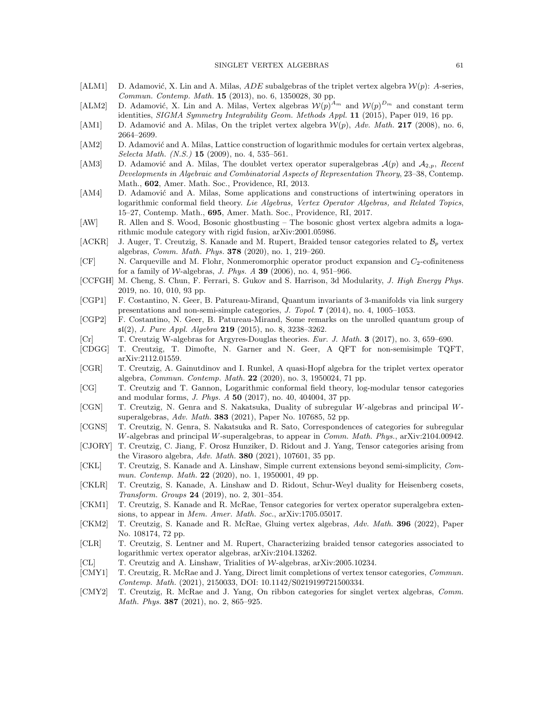- <span id="page-60-5"></span>[ALM1] D. Adamović, X. Lin and A. Milas, *ADE* subalgebras of the triplet vertex algebra  $W(p)$ : A-series, Commun. Contemp. Math. 15 (2013), no. 6, 1350028, 30 pp.
- <span id="page-60-6"></span>[ALM2] D. Adamović, X. Lin and A. Milas, Vertex algebras  $W(p)^{A_m}$  and  $W(p)^{D_m}$  and constant term identities, SIGMA Symmetry Integrability Geom. Methods Appl. 11 (2015), Paper 019, 16 pp.
- <span id="page-60-4"></span>[AM1] D. Adamović and A. Milas, On the triplet vertex algebra  $W(p)$ , Adv. Math. 217 (2008), no. 6, 2664–2699.
- <span id="page-60-20"></span>[AM2] D. Adamović and A. Milas, Lattice construction of logarithmic modules for certain vertex algebras, Selecta Math. (N.S.) 15 (2009), no. 4, 535–561.
- <span id="page-60-23"></span>[AM3] D. Adamović and A. Milas, The doublet vertex operator superalgebras  $\mathcal{A}(p)$  and  $\mathcal{A}_{2,p}$ , Recent Developments in Algebraic and Combinatorial Aspects of Representation Theory, 23–38, Contemp. Math., 602, Amer. Math. Soc., Providence, RI, 2013.
- <span id="page-60-25"></span>[AM4] D. Adamović and A. Milas, Some applications and constructions of intertwining operators in logarithmic conformal field theory. Lie Algebras, Vertex Operator Algebras, and Related Topics, 15–27, Contemp. Math., 695, Amer. Math. Soc., Providence, RI, 2017.
- <span id="page-60-1"></span>[AW] R. Allen and S. Wood, Bosonic ghostbusting – The bosonic ghost vertex algebra admits a logarithmic module category with rigid fusion, arXiv:2001.05986.
- <span id="page-60-9"></span>[ACKR] J. Auger, T. Creutzig, S. Kanade and M. Rupert, Braided tensor categories related to  $\mathcal{B}_p$  vertex algebras, Comm. Math. Phys. 378 (2020), no. 1, 219–260.
- <span id="page-60-19"></span> $[CF]$  N. Carqueville and M. Flohr, Nonmeromorphic operator product expansion and  $C_2$ -cofiniteness for a family of W-algebras, *J. Phys. A* **39** (2006), no. 4, 951–966.
- <span id="page-60-14"></span>[CCFGH] M. Cheng, S. Chun, F. Ferrari, S. Gukov and S. Harrison, 3d Modularity, J. High Energy Phys. 2019, no. 10, 010, 93 pp.
- <span id="page-60-15"></span>[CGP1] F. Costantino, N. Geer, B. Patureau-Mirand, Quantum invariants of 3-manifolds via link surgery presentations and non-semi-simple categories, J. Topol. 7 (2014), no. 4, 1005–1053.
- <span id="page-60-3"></span>[CGP2] F. Costantino, N. Geer, B. Patureau-Mirand, Some remarks on the unrolled quantum group of  $\mathfrak{sl}(2)$ , *J. Pure Appl. Algebra* 219 (2015), no. 8, 3238-3262.
- <span id="page-60-13"></span>[Cr] T. Creutzig W-algebras for Argyres-Douglas theories. Eur. J. Math. 3 (2017), no. 3, 659–690.
- <span id="page-60-16"></span>[CDGG] T. Creutzig, T. Dimofte, N. Garner and N. Geer, A QFT for non-semisimple TQFT, arXiv:2112.01559.
- <span id="page-60-17"></span>[CGR] T. Creutzig, A. Gainutdinov and I. Runkel, A quasi-Hopf algebra for the triplet vertex operator algebra, Commun. Contemp. Math. 22 (2020), no. 3, 1950024, 71 pp.
- <span id="page-60-24"></span>[CG] T. Creutzig and T. Gannon, Logarithmic conformal field theory, log-modular tensor categories and modular forms, J. Phys. A 50 (2017), no. 40, 404004, 37 pp.
- <span id="page-60-10"></span>[CGN] T. Creutzig, N. Genra and S. Nakatsuka, Duality of subregular W-algebras and principal Wsuperalgebras, Adv. Math.  $383$  (2021), Paper No. 107685, 52 pp.
- <span id="page-60-12"></span>[CGNS] T. Creutzig, N. Genra, S. Nakatsuka and R. Sato, Correspondences of categories for subregular W-algebras and principal W-superalgebras, to appear in Comm. Math. Phys., arXiv:2104.00942.
- <span id="page-60-2"></span>[CJORY] T. Creutzig, C. Jiang, F. Orosz Hunziker, D. Ridout and J. Yang, Tensor categories arising from the Virasoro algebra, Adv. Math. **380** (2021), 107601, 35 pp.
- <span id="page-60-21"></span>[CKL] T. Creutzig, S. Kanade and A. Linshaw, Simple current extensions beyond semi-simplicity, Commun. Contemp. Math. **22** (2020), no. 1, 1950001, 49 pp.
- <span id="page-60-22"></span>[CKLR] T. Creutzig, S. Kanade, A. Linshaw and D. Ridout, Schur-Weyl duality for Heisenberg cosets, Transform. Groups 24 (2019), no. 2, 301–354.
- <span id="page-60-7"></span>[CKM1] T. Creutzig, S. Kanade and R. McRae, Tensor categories for vertex operator superalgebra extensions, to appear in *Mem. Amer. Math. Soc.*, arXiv:1705.05017.
- [CKM2] T. Creutzig, S. Kanade and R. McRae, Gluing vertex algebras, Adv. Math. 396 (2022), Paper No. 108174, 72 pp.
- <span id="page-60-18"></span>[CLR] T. Creutzig, S. Lentner and M. Rupert, Characterizing braided tensor categories associated to logarithmic vertex operator algebras, arXiv:2104.13262.
- <span id="page-60-11"></span>[CL] T. Creutzig and A. Linshaw, Trialities of  $\mathcal{W}\text{-algebras}, \text{arXiv:}2005.10234.$
- <span id="page-60-8"></span>[CMY1] T. Creutzig, R. McRae and J. Yang, Direct limit completions of vertex tensor categories, Commun. Contemp. Math. (2021), 2150033, DOI: 10.1142/S0219199721500334.
- <span id="page-60-0"></span>[CMY2] T. Creutzig, R. McRae and J. Yang, On ribbon categories for singlet vertex algebras, Comm. Math. Phys. 387 (2021), no. 2, 865–925.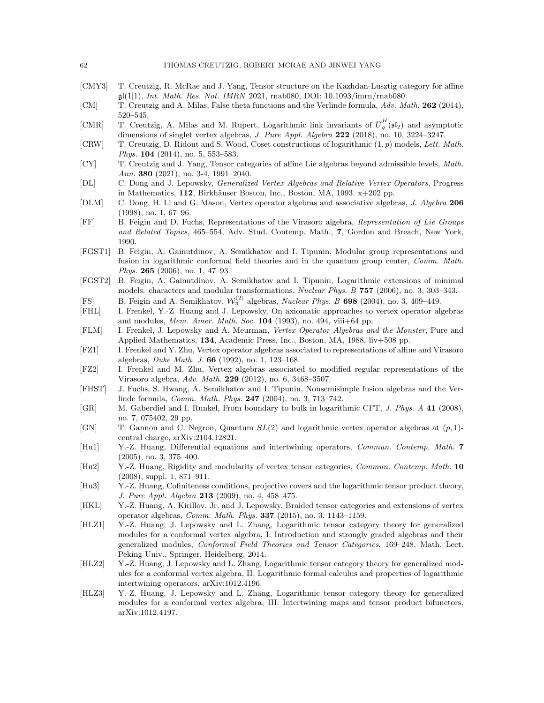- <span id="page-61-1"></span>[CMY3] T. Creutzig, R. McRae and J. Yang, Tensor structure on the Kazhdan-Lusztig category for affine  $\mathfrak{gl}(1|1)$ , *Int. Math. Res. Not. IMRN* 2021, rnab080, DOI: 10.1093/imrn/rnab080.
- <span id="page-61-6"></span>[CM] T. Creutzig and A. Milas, False theta functions and the Verlinde formula, Adv. Math. 262 (2014), 520–545.
- <span id="page-61-4"></span>[CMR] T. Creutzig, A. Milas and M. Rupert, Logarithmic link invariants of  $\overline{U}_q^H(\mathfrak{sl}_2)$  and asymptotic dimensions of singlet vertex algebras, J. Pure Appl. Algebra 222 (2018), no. 10, 3224-3247.
- <span id="page-61-8"></span>[CRW] T. Creutzig, D. Ridout and S. Wood, Coset constructions of logarithmic  $(1, p)$  models, Lett. Math. Phys. 104 (2014), no. 5, 553–583.
- <span id="page-61-5"></span>[CY] T. Creutzig and J. Yang, Tensor categories of affine Lie algebras beyond admissible levels, Math. Ann. 380 (2021), no. 3-4, 1991–2040.
- <span id="page-61-23"></span>[DL] C. Dong and J. Lepowsky, Generalized Vertex Algebras and Relative Vertex Operators, Progress in Mathematics,  $112$ , Birkhäuser Boston, Inc., Boston, MA, 1993.  $x+202$  pp.
- <span id="page-61-14"></span>[DLM] C. Dong, H. Li and G. Mason, Vertex operator algebras and associative algebras, J. Algebra 206 (1998), no. 1, 67–96.
- <span id="page-61-18"></span>[FF] B. Feigin and D. Fuchs, Representations of the Virasoro algebra, Representation of Lie Groups and Related Topics, 465–554, Adv. Stud. Contemp. Math., 7, Gordon and Breach, New York, 1990.
- <span id="page-61-10"></span>[FGST1] B. Feigin, A. Gainutdinov, A. Semikhatov and I. Tipunin, Modular group representations and fusion in logarithmic conformal field theories and in the quantum group center, Comm. Math. Phys. 265 (2006), no. 1, 47–93.
- <span id="page-61-11"></span>[FGST2] B. Feigin, A. Gainutdinov, A. Semikhatov and I. Tipunin, Logarithmic extensions of minimal models: characters and modular transformations, Nuclear Phys. B 757 (2006), no. 3, 303–343.
- <span id="page-61-9"></span>[FS] B. Feigin and A. Semikhatov,  $\mathcal{W}_n^{(2)}$  algebras, *Nuclear Phys. B* 698 (2004), no. 3, 409-449.
- <span id="page-61-17"></span>[FHL] I. Frenkel, Y.-Z. Huang and J. Lepowsky, On axiomatic approaches to vertex operator algebras and modules, Mem. Amer. Math. Soc.  $104$  (1993), no. 494, viii+64 pp.
- <span id="page-61-13"></span>[FLM] I. Frenkel, J. Lepowsky and A. Meurman, Vertex Operator Algebras and the Monster, Pure and Applied Mathematics, 134, Academic Press, Inc., Boston, MA, 1988, liv+508 pp.
- <span id="page-61-19"></span>[FZ1] I. Frenkel and Y. Zhu, Vertex operator algebras associated to representations of affine and Virasoro algebras, Duke Math. J. 66 (1992), no. 1, 123–168.
- <span id="page-61-20"></span>[FZ2] I. Frenkel and M. Zhu, Vertex algebras associated to modified regular representations of the Virasoro algebra, Adv. Math. 229 (2012), no. 6, 3468–3507.
- <span id="page-61-12"></span>[FHST] J. Fuchs, S. Hwang, A. Semikhatov and I. Tipunin, Nonsemisimple fusion algebras and the Verlinde formula, Comm. Math. Phys. 247 (2004), no. 3, 713–742.
- <span id="page-61-22"></span>[GR] M. Gaberdiel and I. Runkel, From boundary to bulk in logarithmic CFT, *J. Phys. A* 41 (2008), no. 7, 075402, 29 pp.
- <span id="page-61-3"></span>[GN] T. Gannon and C. Negron, Quantum  $SL(2)$  and logarithmic vertex operator algebras at  $(p, 1)$ central charge, arXiv:2104.12821.
- <span id="page-61-7"></span>[Hu1] Y.-Z. Huang, Differential equations and intertwining operators, Commun. Contemp. Math. 7 (2005), no. 3, 375–400.
- <span id="page-61-0"></span>[Hu2] Y.-Z. Huang, Rigidity and modularity of vertex tensor categories, *Commun. Contemp. Math.* 10 (2008), suppl. 1, 871–911.
- <span id="page-61-24"></span>[Hu3] Y.-Z. Huang, Cofiniteness conditions, projective covers and the logarithmic tensor product theory, J. Pure Appl. Algebra 213 (2009), no. 4, 458–475.
- <span id="page-61-21"></span>[HKL] Y.-Z. Huang, A. Kirillov, Jr. and J. Lepowsky, Braided tensor categories and extensions of vertex operator algebras, Comm. Math. Phys. 337 (2015), no. 3, 1143–1159.
- <span id="page-61-2"></span>[HLZ1] Y.-Z. Huang, J. Lepowsky and L. Zhang, Logarithmic tensor category theory for generalized modules for a conformal vertex algebra, I: Introduction and strongly graded algebras and their generalized modules, Conformal Field Theories and Tensor Categories, 169–248, Math. Lect. Peking Univ., Springer, Heidelberg, 2014.
- <span id="page-61-15"></span>[HLZ2] Y.-Z. Huang, J. Lepowsky and L. Zhang, Logarithmic tensor category theory for generalized modules for a conformal vertex algebra, II: Logarithmic formal calculus and properties of logarithmic intertwining operators, arXiv:1012.4196.
- <span id="page-61-16"></span>[HLZ3] Y.-Z. Huang, J. Lepowsky and L. Zhang, Logarithmic tensor category theory for generalized modules for a conformal vertex algebra, III: Intertwining maps and tensor product bifunctors, arXiv:1012.4197.